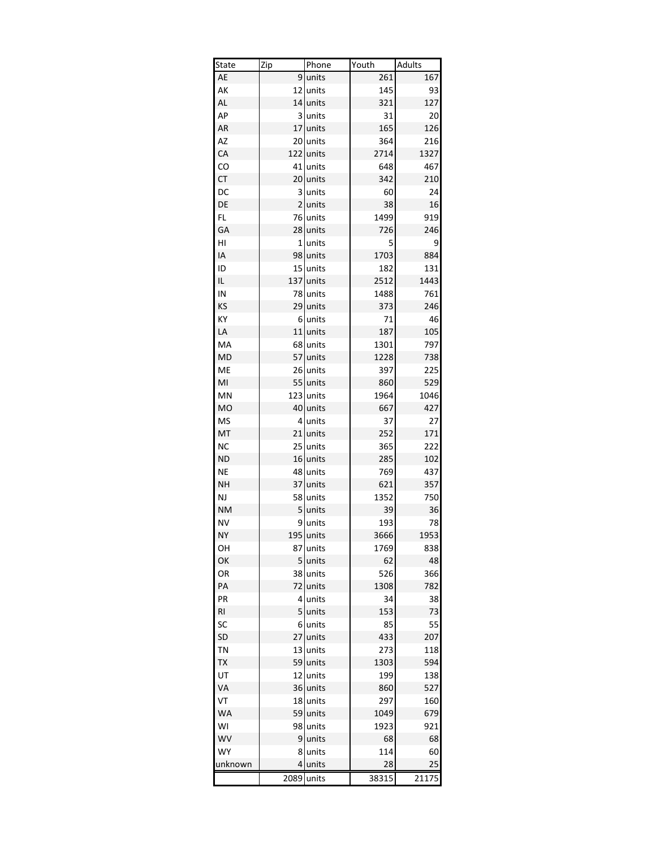| Dept.     |                | Scout Unit Troop/Pack Youth |        | <b>Adults</b> |
|-----------|----------------|-----------------------------|--------|---------------|
| AE        | 9              | units                       | 261    | 167           |
| АΚ        | 12             | units                       | 145    | 93            |
| AL        | 14             | units                       | 321    | 127           |
| AP        | 3              | units                       | 31     | 20            |
| AR        | 17             | units                       | 165    | 126           |
| AZ        | 20             | units                       | 364    | 216           |
| CA        | 122            | units                       | 2714   | 1327          |
| CO        | 41             | units                       | 648    | 467           |
| CT        | 20             | units                       | 342    | 210           |
| DC        | 3              | units                       | 60     | 24            |
| DE        | $\overline{2}$ | units                       | 38     | 16            |
| FL        | 76             | units                       | 1499   | 919           |
| GA        | 28             | units                       | 726    | 246           |
| HI        | $1\vert$       | units                       | 5      | 9             |
| ΙA        | 98             | units                       | 1703   | 884           |
| ID        | 15             | units                       | 182    | 131           |
| IL        | 137            | units                       | 2512   | 1443          |
| IN        | 78             | units                       | 1488   | 761           |
| KS        | 29             | units                       | 373    | 246           |
| КY        | 6              | units                       | 71     | 46            |
| LA        | 11             | units                       | 187    | 105           |
| MA        | 68             | units                       | 1301   | 797           |
| <b>MD</b> | 57             | units                       | 1228   | 738           |
| ME        |                | 26 units                    | 397    | 225           |
| MI        | 55             | units                       | 860    | 529           |
| MN        |                | 123 units                   | 1964   | 1046          |
|           |                |                             |        |               |
| <b>MO</b> | 40             | units                       | 667    | 427           |
| <b>MS</b> | $\overline{4}$ | units                       | 37     | 27            |
| MT        | 21<br>25       | units                       | 252    | 171           |
| <b>NC</b> | 16             | units                       | 365    | 222           |
| <b>ND</b> |                | units                       | 285    | 102           |
| <b>NE</b> | 48             | units                       | 769    | 437           |
| <b>NH</b> | 37             | units                       | 621    | 357           |
| <b>NJ</b> | 58             | units                       | 1352   | 750           |
| <b>NM</b> | 5              | units                       | 39     | 36            |
| <b>NV</b> | 9              | units                       | 193    | 78            |
| <b>NY</b> |                | 195 units                   | 3666   | 1953          |
| OН        | 87             | units                       | 1769   | 838           |
| ОК        | 5              | units                       | 62     | 48            |
| OR        | 38             | units                       | 526    | 366           |
| PA        | 72             | units                       | 1308   | 782           |
| PR        | 4              | units                       | 34     | 38            |
| RI        | 5              | units                       | 153    | 73            |
| SC        | 6              | units                       | 85     | 55            |
| SD        | 27             | units                       | 433    | 207           |
| TN        | 13             | units                       | 273    | 118           |
| TΧ        | 59             | units                       | 1303   | 594           |
| UT        | 12             | units                       | 199    | 138           |
| VA        | 36             | units                       | 860    | 527           |
| VT        | 18             | units                       | 297    | 160           |
| <b>WA</b> | 59             | units                       | 1049   | 679           |
| WI        | 98             | units                       | 1923   | 921           |
| WV        | 9              | units                       | 68     | 68            |
| WY        | 8              | units                       | 114    | 60            |
| unknown   | 4              | units                       | 28     | 25            |
|           | 2,089          | units                       | 38,315 | 21,175        |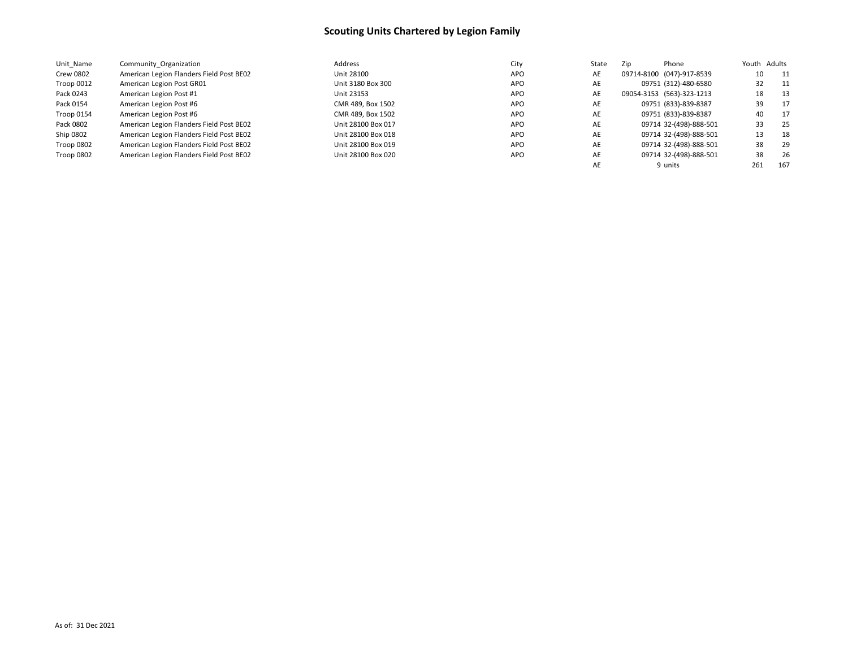| Unit Name  | Community Organization                   | Address            | City       | State | Zip | Phone                     |     | Youth Adults |
|------------|------------------------------------------|--------------------|------------|-------|-----|---------------------------|-----|--------------|
| Crew 0802  | American Legion Flanders Field Post BE02 | Unit 28100         | <b>APO</b> | AE    |     | 09714-8100 (047)-917-8539 | 10  | - 11         |
| Troop 0012 | American Legion Post GR01                | Unit 3180 Box 300  | <b>APO</b> | AE    |     | 09751 (312)-480-6580      | 32  | 11           |
| Pack 0243  | American Legion Post #1                  | Unit 23153         | <b>APO</b> | AE    |     | 09054-3153 (563)-323-1213 | 18  | - 13         |
| Pack 0154  | American Legion Post #6                  | CMR 489, Box 1502  | <b>APO</b> | AE    |     | 09751 (833)-839-8387      | 39  | 17           |
| Troop 0154 | American Legion Post #6                  | CMR 489, Box 1502  | <b>APO</b> | AE    |     | 09751 (833)-839-8387      | 40  | 17           |
| Pack 0802  | American Legion Flanders Field Post BE02 | Unit 28100 Box 017 | <b>APO</b> | AE    |     | 09714 32-(498)-888-501    | 33  | 25           |
| Ship 0802  | American Legion Flanders Field Post BE02 | Unit 28100 Box 018 | <b>APO</b> | AE    |     | 09714 32-(498)-888-501    | 13  | -18          |
| Troop 0802 | American Legion Flanders Field Post BE02 | Unit 28100 Box 019 | <b>APO</b> | AE    |     | 09714 32-(498)-888-501    | 38  | 29           |
| Troop 0802 | American Legion Flanders Field Post BE02 | Unit 28100 Box 020 | <b>APO</b> | AE    |     | 09714 32-(498)-888-501    | 38  | 26           |
|            |                                          |                    |            | AE    |     | 9 units                   | 261 | 167          |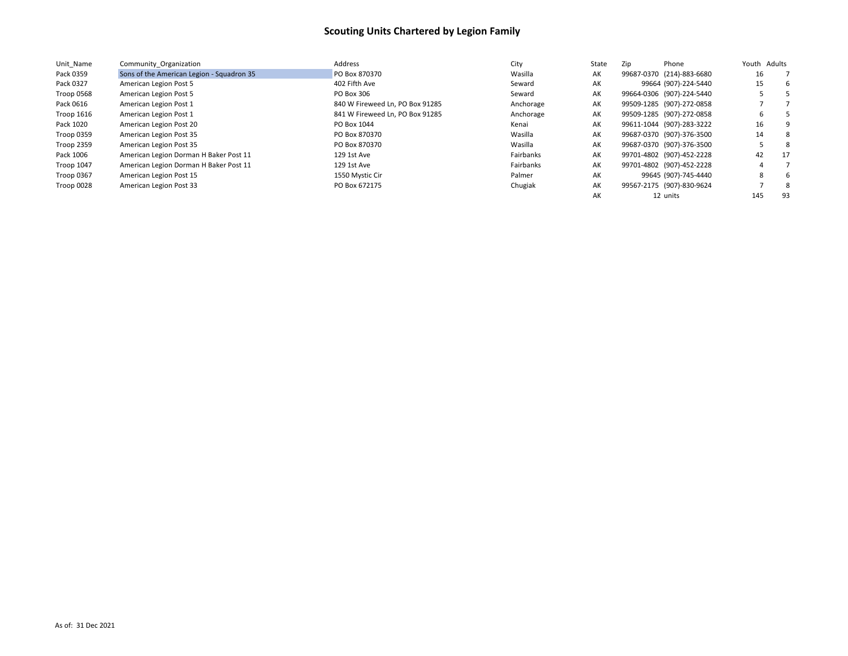| Unit Name         | Community Organization                    | Address                         | City      | State | Zip | Phone                     |     | Youth Adults |
|-------------------|-------------------------------------------|---------------------------------|-----------|-------|-----|---------------------------|-----|--------------|
| Pack 0359         | Sons of the American Legion - Squadron 35 | PO Box 870370                   | Wasilla   | AК    |     | 99687-0370 (214)-883-6680 | 16  |              |
| Pack 0327         | American Legion Post 5                    | 402 Fifth Ave                   | Seward    | AK    |     | 99664 (907)-224-5440      | 15  | -6           |
| Troop 0568        | American Legion Post 5                    | PO Box 306                      | Seward    | AK    |     | 99664-0306 (907)-224-5440 |     |              |
| Pack 0616         | American Legion Post 1                    | 840 W Fireweed Ln, PO Box 91285 | Anchorage | AK    |     | 99509-1285 (907)-272-0858 |     |              |
| Troop 1616        | American Legion Post 1                    | 841 W Fireweed Ln, PO Box 91285 | Anchorage | AK    |     | 99509-1285 (907)-272-0858 | b   |              |
| Pack 1020         | American Legion Post 20                   | PO Box 1044                     | Kenai     | AK    |     | 99611-1044 (907)-283-3222 | 16  |              |
| Troop 0359        | American Legion Post 35                   | PO Box 870370                   | Wasilla   | AK    |     | 99687-0370 (907)-376-3500 | 14  | -8           |
| <b>Troop 2359</b> | American Legion Post 35                   | PO Box 870370                   | Wasilla   | AK    |     | 99687-0370 (907)-376-3500 |     | -8           |
| Pack 1006         | American Legion Dorman H Baker Post 11    | 129 1st Ave                     | Fairbanks | AK    |     | 99701-4802 (907)-452-2228 | 42  | 17           |
| <b>Troop 1047</b> | American Legion Dorman H Baker Post 11    | 129 1st Ave                     | Fairbanks | AK    |     | 99701-4802 (907)-452-2228 |     |              |
| Troop 0367        | American Legion Post 15                   | 1550 Mystic Cir                 | Palmer    | AK    |     | 99645 (907)-745-4440      | 8   | h            |
| Troop 0028        | American Legion Post 33                   | PO Box 672175                   | Chugiak   | AK    |     | 99567-2175 (907)-830-9624 |     | -8           |
|                   |                                           |                                 |           | AK    |     | 12 units                  | 145 | 93           |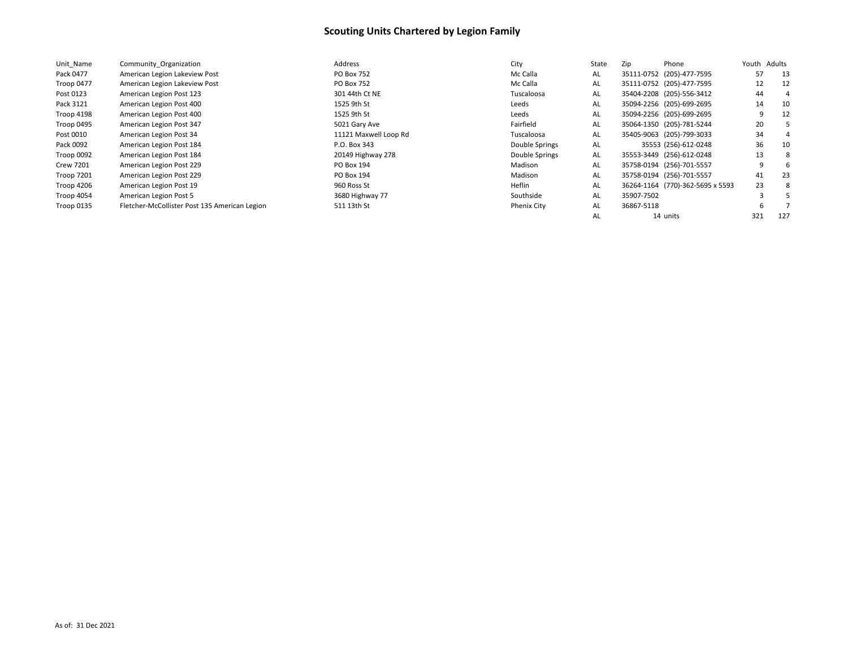| Unit Name        | Community Organization                        | Address               | City               | State | Zip<br>Phone                     | Youth Adults |     |
|------------------|-----------------------------------------------|-----------------------|--------------------|-------|----------------------------------|--------------|-----|
| Pack 0477        | American Legion Lakeview Post                 | <b>PO Box 752</b>     | Mc Calla           | AL    | 35111-0752 (205)-477-7595        | 57           | 13  |
| Troop 0477       | American Legion Lakeview Post                 | <b>PO Box 752</b>     | Mc Calla           | AL    | 35111-0752 (205)-477-7595        | 12           | 12  |
| Post 0123        | American Legion Post 123                      | 301 44th Ct NE        | Tuscaloosa         | AL    | 35404-2208 (205)-556-3412        | 44           | 4   |
| Pack 3121        | American Legion Post 400                      | 1525 9th St           | Leeds              | AL    | 35094-2256 (205)-699-2695        | 14           | 10  |
| Troop 4198       | American Legion Post 400                      | 1525 9th St           | Leeds              | AL    | 35094-2256 (205)-699-2695        | 9            | 12  |
| Troop 0495       | American Legion Post 347                      | 5021 Gary Ave         | Fairfield          | AL    | 35064-1350 (205)-781-5244        | 20           |     |
| Post 0010        | American Legion Post 34                       | 11121 Maxwell Loop Rd | Tuscaloosa         | AL    | 35405-9063 (205)-799-3033        | 34           | 4   |
| Pack 0092        | American Legion Post 184                      | P.O. Box 343          | Double Springs     | AL    | 35553 (256)-612-0248             | 36           | 10  |
| Troop 0092       | American Legion Post 184                      | 20149 Highway 278     | Double Springs     | AL    | 35553-3449 (256)-612-0248        | 13           | 8   |
| <b>Crew 7201</b> | American Legion Post 229                      | PO Box 194            | Madison            | AL    | 35758-0194 (256)-701-5557        | 9            | 6   |
| Troop 7201       | American Legion Post 229                      | PO Box 194            | Madison            | AL    | 35758-0194 (256)-701-5557        | 41           | 23  |
| Troop 4206       | American Legion Post 19                       | 960 Ross St           | Heflin             | AL    | 36264-1164 (770)-362-5695 x 5593 | 23           | 8   |
| Troop 4054       | American Legion Post 5                        | 3680 Highway 77       | Southside          | AL    | 35907-7502                       |              |     |
| Troop 0135       | Fletcher-McCollister Post 135 American Legion | 511 13th St           | <b>Phenix City</b> | AL    | 36867-5118                       |              |     |
|                  |                                               |                       |                    | AL    | 14 units                         | 321          | 127 |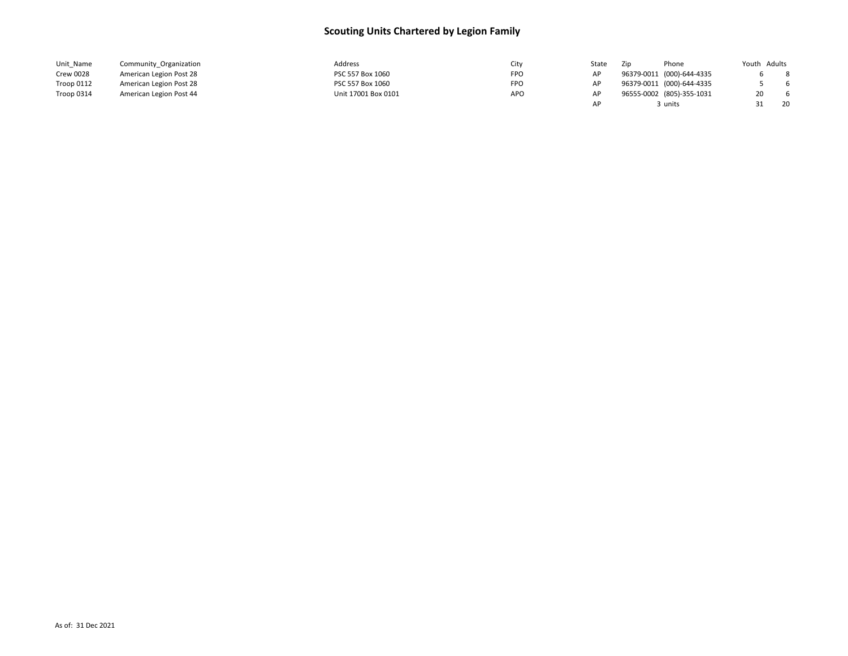| Unit Name        | Community Organization  | Address             | city       | State | Zip | Phone                     | Youth Adults |    |
|------------------|-------------------------|---------------------|------------|-------|-----|---------------------------|--------------|----|
| <b>Crew 0028</b> | American Legion Post 28 | PSC 557 Box 1060    | <b>FPO</b> |       |     | 96379-0011 (000)-644-4335 |              | 8  |
| Troop 0112       | American Legion Post 28 | PSC 557 Box 1060    | FPO        |       |     | 96379-0011 (000)-644-4335 |              | 6  |
| Troop 0314       | American Legion Post 44 | Unit 17001 Box 0101 | <b>APO</b> |       |     | 96555-0002 (805)-355-1031 | 20           | -6 |
|                  |                         |                     |            |       |     | 3 units                   |              | 20 |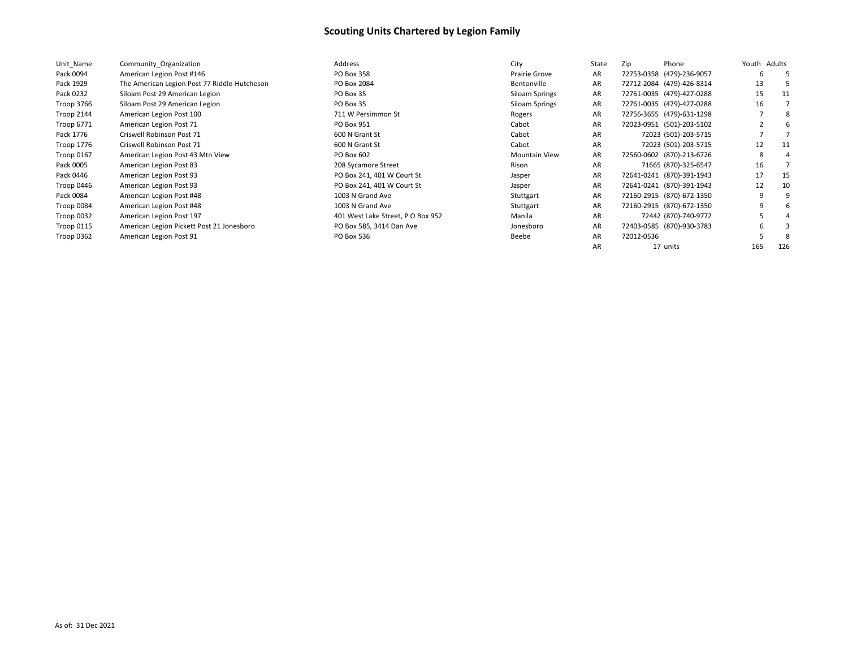| Unit Name         | Community Organization                       | Address                           | City                 | State | Zip        | Phone                     | Youth Adults |     |
|-------------------|----------------------------------------------|-----------------------------------|----------------------|-------|------------|---------------------------|--------------|-----|
| Pack 0094         | American Legion Post #146                    | PO Box 358                        | Prairie Grove        | AR    |            | 72753-0358 (479)-236-9057 | b            | b.  |
| Pack 1929         | The American Legion Post 77 Riddle-Hutcheson | PO Box 2084                       | Bentonville          | AR    |            | 72712-2084 (479)-426-8314 | 13           |     |
| Pack 0232         | Siloam Post 29 American Legion               | PO Box 35                         | Siloam Springs       | AR    |            | 72761-0035 (479)-427-0288 | 15           | 11  |
| Troop 3766        | Siloam Post 29 American Legion               | PO Box 35                         | Siloam Springs       | AR    |            | 72761-0035 (479)-427-0288 | 16           |     |
| Troop 2144        | American Legion Post 100                     | 711 W Persimmon St                | Rogers               | AR    |            | 72756-3655 (479)-631-1298 |              | 8   |
| Troop 6771        | American Legion Post 71                      | PO Box 951                        | Cabot                | AR    |            | 72023-0951 (501)-203-5102 |              | -6  |
| Pack 1776         | Criswell Robinson Post 71                    | 600 N Grant St                    | Cabot                | AR    |            | 72023 (501)-203-5715      |              |     |
| Troop 1776        | Criswell Robinson Post 71                    | 600 N Grant St                    | Cabot                | AR    |            | 72023 (501)-203-5715      | 12           | 11  |
| Troop 0167        | American Legion Post 43 Mtn View             | PO Box 602                        | <b>Mountain View</b> | AR    |            | 72560-0602 (870)-213-6726 | 8            | 4   |
| Pack 0005         | American Legion Post 83                      | 208 Sycamore Street               | Rison                | AR    |            | 71665 (870)-325-6547      | 16           |     |
| Pack 0446         | American Legion Post 93                      | PO Box 241, 401 W Court St        | Jasper               | AR    |            | 72641-0241 (870)-391-1943 | 17           | 15  |
| Troop 0446        | American Legion Post 93                      | PO Box 241, 401 W Court St        | Jasper               | AR    |            | 72641-0241 (870)-391-1943 | 12           | 10  |
| Pack 0084         | American Legion Post #48                     | 1003 N Grand Ave                  | Stuttgart            | AR    |            | 72160-2915 (870)-672-1350 | 9            | q   |
| Troop 0084        | American Legion Post #48                     | 1003 N Grand Ave                  | Stuttgart            | AR    |            | 72160-2915 (870)-672-1350 | 9            | b   |
| Troop 0032        | American Legion Post 197                     | 401 West Lake Street, P O Box 952 | Manila               | AR    |            | 72442 (870)-740-9772      |              |     |
| <b>Troop 0115</b> | American Legion Pickett Post 21 Jonesboro    | PO Box 585, 3414 Dan Ave          | Jonesboro            | AR    |            | 72403-0585 (870)-930-3783 | h            |     |
| <b>Troop 0362</b> | American Legion Post 91                      | PO Box 536                        | Beebe                | AR    | 72012-0536 |                           |              | 8   |
|                   |                                              |                                   |                      | AR    |            | 17 units                  | 165          | 126 |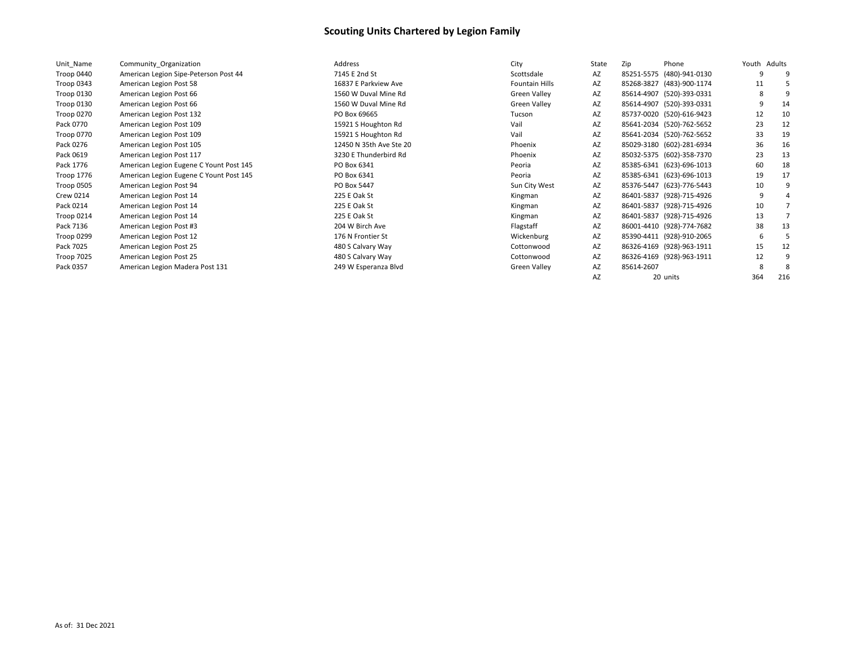| Unit Name         | Community Organization                  | Address                 | City                | State | Zip        | Phone                     | Youth Adults |     |
|-------------------|-----------------------------------------|-------------------------|---------------------|-------|------------|---------------------------|--------------|-----|
| Troop 0440        | American Legion Sipe-Peterson Post 44   | 7145 E 2nd St           | Scottsdale          | AZ    |            | 85251-5575 (480)-941-0130 | q            |     |
| Troop 0343        | American Legion Post 58                 | 16837 E Parkview Ave    | Fountain Hills      | AZ    |            | 85268-3827 (483)-900-1174 | 11           |     |
| Troop 0130        | American Legion Post 66                 | 1560 W Duval Mine Rd    | <b>Green Valley</b> | AZ    |            | 85614-4907 (520)-393-0331 | 8            |     |
| Troop 0130        | American Legion Post 66                 | 1560 W Duval Mine Rd    | Green Valley        | AZ    |            | 85614-4907 (520)-393-0331 | q            | 14  |
| Troop 0270        | American Legion Post 132                | PO Box 69665            | Tucson              | AZ    |            | 85737-0020 (520)-616-9423 | 12           | 10  |
| Pack 0770         | American Legion Post 109                | 15921 S Houghton Rd     | Vail                | AZ    |            | 85641-2034 (520)-762-5652 | 23           | 12  |
| Troop 0770        | American Legion Post 109                | 15921 S Houghton Rd     | Vail                | AZ    |            | 85641-2034 (520)-762-5652 | 33           | 19  |
| Pack 0276         | American Legion Post 105                | 12450 N 35th Ave Ste 20 | Phoenix             | AZ    |            | 85029-3180 (602)-281-6934 | 36           | 16  |
| Pack 0619         | American Legion Post 117                | 3230 E Thunderbird Rd   | Phoenix             | AZ    |            | 85032-5375 (602)-358-7370 | 23           | 13  |
| Pack 1776         | American Legion Eugene C Yount Post 145 | PO Box 6341             | Peoria              | AZ    |            | 85385-6341 (623)-696-1013 | 60           | 18  |
| Troop 1776        | American Legion Eugene C Yount Post 145 | PO Box 6341             | Peoria              | AZ    |            | 85385-6341 (623)-696-1013 | 19           | 17  |
| Troop 0505        | American Legion Post 94                 | PO Box 5447             | Sun City West       | AZ    |            | 85376-5447 (623)-776-5443 | 10           |     |
| <b>Crew 0214</b>  | American Legion Post 14                 | 225 E Oak St            | Kingman             | AZ    |            | 86401-5837 (928)-715-4926 | q            |     |
| Pack 0214         | American Legion Post 14                 | 225 E Oak St            | Kingman             | AZ    |            | 86401-5837 (928)-715-4926 | 10           |     |
| Troop 0214        | American Legion Post 14                 | 225 E Oak St            | Kingman             | AZ    |            | 86401-5837 (928)-715-4926 | 13           |     |
| Pack 7136         | American Legion Post #3                 | 204 W Birch Ave         | Flagstaff           | AZ    |            | 86001-4410 (928)-774-7682 | 38           | 13  |
| <b>Troop 0299</b> | American Legion Post 12                 | 176 N Frontier St       | Wickenburg          | AZ    |            | 85390-4411 (928)-910-2065 | -6           |     |
| Pack 7025         | American Legion Post 25                 | 480 S Calvary Way       | Cottonwood          | AZ    |            | 86326-4169 (928)-963-1911 | 15           | 12  |
| Troop 7025        | American Legion Post 25                 | 480 S Calvary Way       | Cottonwood          | AZ    |            | 86326-4169 (928)-963-1911 | 12           |     |
| Pack 0357         | American Legion Madera Post 131         | 249 W Esperanza Blvd    | Green Valley        | AZ    | 85614-2607 |                           |              |     |
|                   |                                         |                         |                     | AZ    |            | 20 units                  | 364          | 216 |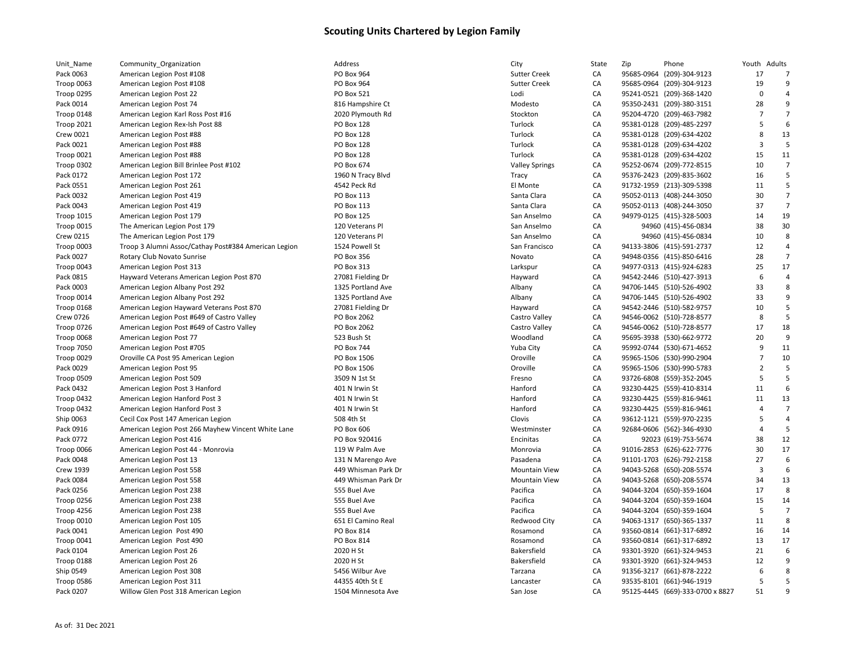| Unit_Name               | Community_Organization                                         | Address                    | City                  | State | Zip | Phone                                                  | Youth Adults   |                |
|-------------------------|----------------------------------------------------------------|----------------------------|-----------------------|-------|-----|--------------------------------------------------------|----------------|----------------|
| Pack 0063               | American Legion Post #108                                      | PO Box 964                 | <b>Sutter Creek</b>   | CA    |     | 95685-0964 (209)-304-9123                              | 17             |                |
| Troop 0063              | American Legion Post #108                                      | PO Box 964                 | <b>Sutter Creek</b>   | CA    |     | 95685-0964 (209)-304-9123                              | 19             | 9              |
| Troop 0295              | American Legion Post 22                                        | <b>PO Box 521</b>          | Lodi                  | CA    |     | 95241-0521 (209)-368-1420                              | $\mathbf 0$    |                |
| Pack 0014               | American Legion Post 74                                        | 816 Hampshire Ct           | Modesto               | CA    |     | 95350-2431 (209)-380-3151                              | 28             | 9              |
| Troop 0148              | American Legion Karl Ross Post #16                             | 2020 Plymouth Rd           | Stockton              | CA    |     | 95204-4720 (209)-463-7982                              | $\overline{7}$ |                |
| <b>Troop 2021</b>       | American Legion Rex-Ish Post 88                                | <b>PO Box 128</b>          | Turlock               | CA    |     | 95381-0128 (209)-485-2297                              | 5              | 6              |
| Crew 0021               | American Legion Post #88                                       | <b>PO Box 128</b>          | Turlock               | CA    |     | 95381-0128 (209)-634-4202                              | 8              | 13             |
| Pack 0021               | American Legion Post #88                                       | <b>PO Box 128</b>          | Turlock               | CA    |     | 95381-0128 (209)-634-4202                              | $\overline{3}$ | 5              |
| Troop 0021              | American Legion Post #88                                       | <b>PO Box 128</b>          | Turlock               | CA    |     | 95381-0128 (209)-634-4202                              | 15             | 11             |
| Troop 0302              | American Legion Bill Brinlee Post #102                         | PO Box 674                 | <b>Valley Springs</b> | CA    |     | 95252-0674 (209)-772-8515                              | 10             | $\overline{7}$ |
| Pack 0172               | American Legion Post 172                                       | 1960 N Tracy Blvd          | Tracy                 | CA    |     | 95376-2423 (209)-835-3602                              | 16             |                |
| Pack 0551               | American Legion Post 261                                       | 4542 Peck Rd               | El Monte              | CA    |     | 91732-1959 (213)-309-5398                              | 11             | 5              |
| Pack 0032               | American Legion Post 419                                       | PO Box 113                 | Santa Clara           | CA    |     | 95052-0113 (408)-244-3050                              | 30             | $\overline{7}$ |
| Pack 0043               | American Legion Post 419                                       | PO Box 113                 | Santa Clara           | CA    |     | 95052-0113 (408)-244-3050                              | 37             | 7              |
| <b>Troop 1015</b>       | American Legion Post 179                                       | PO Box 125                 | San Anselmo           | CA    |     | 94979-0125 (415)-328-5003                              | 14             | 19             |
| Troop 0015              | The American Legion Post 179                                   | 120 Veterans Pl            | San Anselmo           | CA    |     | 94960 (415)-456-0834                                   | 38             | 30             |
| <b>Crew 0215</b>        | The American Legion Post 179                                   | 120 Veterans Pl            | San Anselmo           | CA    |     | 94960 (415)-456-0834                                   | 10             | 8              |
| Troop 0003              | Troop 3 Alumni Assoc/Cathay Post#384 American Legion           | 1524 Powell St             | San Francisco         | CA    |     | 94133-3806 (415)-591-2737                              | 12             |                |
| Pack 0027               | Rotary Club Novato Sunrise                                     | <b>PO Box 356</b>          | Novato                | CA    |     | 94948-0356 (415)-850-6416                              | 28             | $\overline{7}$ |
| Troop 0043              | American Legion Post 313                                       | PO Box 313                 | Larkspur              | CA    |     | 94977-0313 (415)-924-6283                              | 25             | 17             |
| Pack 0815               | Hayward Veterans American Legion Post 870                      | 27081 Fielding Dr          | Hayward               | CA    |     | 94542-2446 (510)-427-3913                              | 6              |                |
| Pack 0003               | American Legion Albany Post 292                                | 1325 Portland Ave          | Albany                | CA    |     | 94706-1445 (510)-526-4902                              | 33             | 8              |
| Troop 0014              | American Legion Albany Post 292                                | 1325 Portland Ave          | Albany                | CA    |     | 94706-1445 (510)-526-4902                              | 33             | 9              |
| Troop 0168              | American Legion Hayward Veterans Post 870                      | 27081 Fielding Dr          | Hayward               | CA    |     | 94542-2446 (510)-582-9757                              | 10             | 5              |
| <b>Crew 0726</b>        | American Legion Post #649 of Castro Valley                     | PO Box 2062                | Castro Valley         | CA    |     | 94546-0062 (510)-728-8577                              | 8              | 5              |
| Troop 0726              | American Legion Post #649 of Castro Valley                     | PO Box 2062                | Castro Valley         | CA    |     | 94546-0062 (510)-728-8577                              | 17             | 18             |
| Troop 0068              | American Legion Post 77                                        | 523 Bush St                | Woodland              | CA    |     | 95695-3938 (530)-662-9772                              | 20             | 9              |
| <b>Troop 7050</b>       | American Legion Post #705                                      | <b>PO Box 744</b>          | Yuba City             | CA    |     | 95992-0744 (530)-671-4652                              | 9              | 11             |
|                         |                                                                |                            | Oroville              | CA    |     | 95965-1506 (530)-990-2904                              | $\overline{7}$ | 10             |
| Troop 0029<br>Pack 0029 | Oroville CA Post 95 American Legion<br>American Legion Post 95 | PO Box 1506<br>PO Box 1506 | Oroville              | CA    |     |                                                        | $\overline{2}$ | 5              |
| Troop 0509              | American Legion Post 509                                       | 3509 N 1st St              |                       | CA    |     | 95965-1506 (530)-990-5783<br>93726-6808 (559)-352-2045 | 5              | 5              |
| Pack 0432               |                                                                | 401 N Irwin St             | Fresno<br>Hanford     | CA    |     | 93230-4425 (559)-410-8314                              | 11             | 6              |
|                         | American Legion Post 3 Hanford                                 | 401 N Irwin St             | Hanford               | CA    |     |                                                        | 11             | 13             |
| Troop 0432              | American Legion Hanford Post 3                                 | 401 N Irwin St             | Hanford               | CA    |     | 93230-4425 (559)-816-9461                              | 4              | $\overline{7}$ |
| Troop 0432              | American Legion Hanford Post 3                                 |                            |                       |       |     | 93230-4425 (559)-816-9461                              | 5              | 4              |
| Ship 0063               | Cecil Cox Post 147 American Legion                             | 508 4th St                 | Clovis                | CA    |     | 93612-1121 (559)-970-2235                              | Δ              |                |
| Pack 0916               | American Legion Post 266 Mayhew Vincent White Lane             | PO Box 606                 | Westminster           | CA    |     | 92684-0606 (562)-346-4930                              |                |                |
| Pack 0772               | American Legion Post 416                                       | PO Box 920416              | Encinitas             | CA    |     | 92023 (619)-753-5674                                   | 38             | 12<br>17       |
| Troop 0066              | American Legion Post 44 - Monrovia                             | 119 W Palm Ave             | Monrovia              | CA    |     | 91016-2853 (626)-622-7776                              | 30             |                |
| Pack 0048               | American Legion Post 13                                        | 131 N Marengo Ave          | Pasadena              | CA    |     | 91101-1703 (626)-792-2158                              | 27             | 6<br>6         |
| <b>Crew 1939</b>        | American Legion Post 558                                       | 449 Whisman Park Dr        | <b>Mountain View</b>  | CA    |     | 94043-5268 (650)-208-5574                              | 3              |                |
| Pack 0084               | American Legion Post 558                                       | 449 Whisman Park Dr        | <b>Mountain View</b>  | CA    |     | 94043-5268 (650)-208-5574                              | 34             | 13<br>8        |
| Pack 0256               | American Legion Post 238                                       | 555 Buel Ave               | Pacifica              | CA    |     | 94044-3204 (650)-359-1604                              | 17             |                |
| Troop 0256              | American Legion Post 238                                       | 555 Buel Ave               | Pacifica              | CA    |     | 94044-3204 (650)-359-1604                              | 15             | 14             |
| Troop 4256              | American Legion Post 238                                       | 555 Buel Ave               | Pacifica              | CA    |     | 94044-3204 (650)-359-1604                              | 5              | $\overline{7}$ |
| Troop 0010              | American Legion Post 105                                       | 651 El Camino Real         | Redwood City          | CA    |     | 94063-1317 (650)-365-1337                              | 11             |                |
| Pack 0041               | American Legion Post 490                                       | PO Box 814                 | Rosamond              | CA    |     | 93560-0814 (661)-317-6892                              | 16             | 14             |
| Troop 0041              | American Legion Post 490                                       | PO Box 814                 | Rosamond              | CA    |     | 93560-0814 (661)-317-6892                              | 13             | 17             |
| Pack 0104               | American Legion Post 26                                        | 2020 H St                  | Bakersfield           | CA    |     | 93301-3920 (661)-324-9453                              | 21             |                |
| Troop 0188              | American Legion Post 26                                        | 2020 H St                  | Bakersfield           | CA    |     | 93301-3920 (661)-324-9453                              | 12             |                |
| Ship 0549               | American Legion Post 308                                       | 5456 Wilbur Ave            | Tarzana               | CA    |     | 91356-3217 (661)-878-2222                              | 6              | 8              |
| Troop 0586              | American Legion Post 311                                       | 44355 40th St E            | Lancaster             | CA    |     | 93535-8101 (661)-946-1919                              | 5              | 5              |
| Pack 0207               | Willow Glen Post 318 American Legion                           | 1504 Minnesota Ave         | San Jose              | CA    |     | 95125-4445 (669)-333-0700 x 8827                       | 51             |                |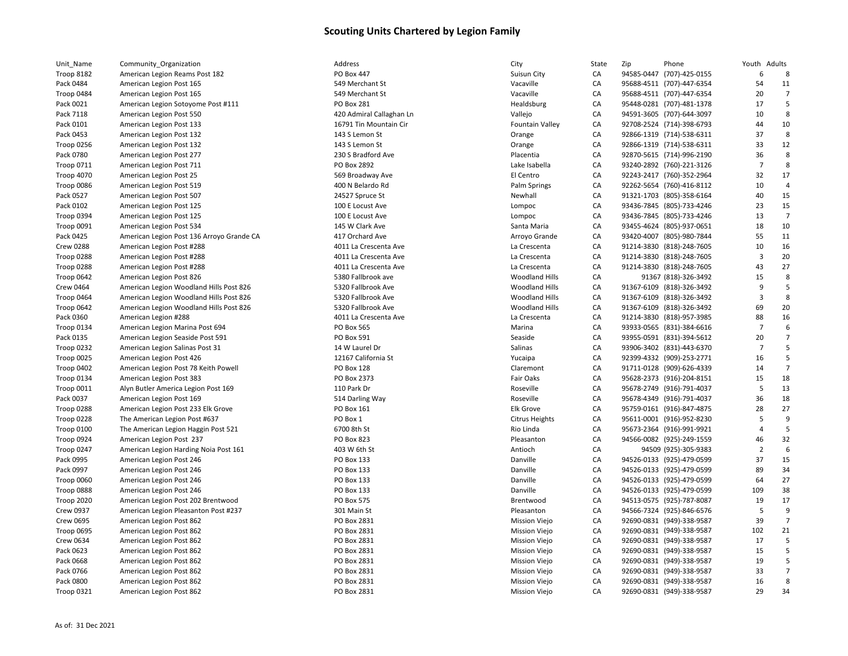| Unit_Name         | Community_Organization                    | Address                  | City                   | State | Zip | Phone                     | Youth Adults         |                |
|-------------------|-------------------------------------------|--------------------------|------------------------|-------|-----|---------------------------|----------------------|----------------|
| Troop 8182        | American Legion Reams Post 182            | PO Box 447               | Suisun City            | CA    |     | 94585-0447 (707)-425-0155 | 6                    | 8              |
| Pack 0484         | American Legion Post 165                  | 549 Merchant St          | Vacaville              | CA    |     | 95688-4511 (707)-447-6354 | 54                   | 11             |
| Troop 0484        | American Legion Post 165                  | 549 Merchant St          | Vacaville              | CA    |     | 95688-4511 (707)-447-6354 | 20                   | $\overline{7}$ |
| Pack 0021         | American Legion Sotoyome Post #111        | <b>PO Box 281</b>        | Healdsburg             | CA    |     | 95448-0281 (707)-481-1378 | 17                   | 5              |
| Pack 7118         | American Legion Post 550                  | 420 Admiral Callaghan Ln | Vallejo                | CA    |     | 94591-3605 (707)-644-3097 | 10                   | 8              |
| Pack 0101         | American Legion Post 133                  | 16791 Tin Mountain Cir   | <b>Fountain Valley</b> | CA    |     | 92708-2524 (714)-398-6793 | 44                   | 10             |
| Pack 0453         | American Legion Post 132                  | 143 S Lemon St           | Orange                 | CA    |     | 92866-1319 (714)-538-6311 | 37                   | 8              |
| <b>Troop 0256</b> | American Legion Post 132                  | 143 S Lemon St           | Orange                 | CA    |     | 92866-1319 (714)-538-6311 | 33                   | 12             |
| Pack 0780         | American Legion Post 277                  | 230 S Bradford Ave       | Placentia              | CA    |     | 92870-5615 (714)-996-2190 | 36                   | 8              |
| <b>Troop 0711</b> | American Legion Post 711                  | PO Box 2892              | Lake Isabella          | CA    |     | 93240-2892 (760)-221-3126 | $\overline{7}$       | 8              |
| Troop 4070        | American Legion Post 25                   | 569 Broadway Ave         | El Centro              | CA    |     | 92243-2417 (760)-352-2964 | 32                   | 17             |
| Troop 0086        | American Legion Post 519                  | 400 N Belardo Rd         | Palm Springs           | CA    |     | 92262-5654 (760)-416-8112 | 10                   |                |
| Pack 0527         | American Legion Post 507                  | 24527 Spruce St          | Newhall                | CA    |     | 91321-1703 (805)-358-6164 | 40                   | 15             |
| Pack 0102         | American Legion Post 125                  | 100 E Locust Ave         | Lompoc                 | CA    |     | 93436-7845 (805)-733-4246 | 23                   | 15             |
| Troop 0394        | American Legion Post 125                  | 100 E Locust Ave         | Lompoc                 | CA    |     | 93436-7845 (805)-733-4246 | 13                   | $\overline{7}$ |
| Troop 0091        | American Legion Post 534                  | 145 W Clark Ave          | Santa Maria            | CA    |     | 93455-4624 (805)-937-0651 | 18                   | 10             |
| Pack 0425         | American Legion Post 136 Arroyo Grande CA | 417 Orchard Ave          | Arroyo Grande          | CA    |     | 93420-4007 (805)-980-7844 | 55                   | 11             |
| <b>Crew 0288</b>  | American Legion Post #288                 | 4011 La Crescenta Ave    | La Crescenta           | CA    |     | 91214-3830 (818)-248-7605 | 10                   | 16             |
| Troop 0288        | American Legion Post #288                 | 4011 La Crescenta Ave    | La Crescenta           | CA    |     | 91214-3830 (818)-248-7605 | $\overline{3}$       | 20             |
| Troop 0288        | American Legion Post #288                 | 4011 La Crescenta Ave    | La Crescenta           | CA    |     | 91214-3830 (818)-248-7605 | 43                   | 27             |
| Troop 0642        | American Legion Post 826                  | 5380 Fallbrook ave       | <b>Woodland Hills</b>  | CA    |     | 91367 (818)-326-3492      | 15                   | 8              |
| <b>Crew 0464</b>  | American Legion Woodland Hills Post 826   | 5320 Fallbrook Ave       | <b>Woodland Hills</b>  | CA    |     | 91367-6109 (818)-326-3492 | 9                    | 5              |
| Troop 0464        | American Legion Woodland Hills Post 826   | 5320 Fallbrook Ave       | <b>Woodland Hills</b>  | CA    |     | 91367-6109 (818)-326-3492 | $\overline{3}$       | 8              |
| Troop 0642        | American Legion Woodland Hills Post 826   | 5320 Fallbrook Ave       | Woodland Hills         | CA    |     | 91367-6109 (818)-326-3492 | 69                   | 20             |
| Pack 0360         | American Legion #288                      | 4011 La Crescenta Ave    | La Crescenta           | CA    |     | 91214-3830 (818)-957-3985 | 88                   | 16             |
|                   |                                           | PO Box 565               |                        | CA    |     |                           | $\overline{7}$       |                |
| Troop 0134        | American Legion Marina Post 694           |                          | Marina                 |       |     | 93933-0565 (831)-384-6616 |                      | 7              |
| Pack 0135         | American Legion Seaside Post 591          | <b>PO Box 591</b>        | Seaside                | CA    |     | 93955-0591 (831)-394-5612 | 20<br>$\overline{7}$ | 5              |
| Troop 0232        | American Legion Salinas Post 31           | 14 W Laurel Dr           | Salinas                | CA    |     | 93906-3402 (831)-443-6370 |                      |                |
| Troop 0025        | American Legion Post 426                  | 12167 California St      | Yucaipa                | CA    |     | 92399-4332 (909)-253-2771 | 16                   | 5              |
| Troop 0402        | American Legion Post 78 Keith Powell      | PO Box 128               | Claremont              | CA    |     | 91711-0128 (909)-626-4339 | 14                   | $\overline{7}$ |
| Troop 0134        | American Legion Post 383                  | PO Box 2373              | Fair Oaks              | CA    |     | 95628-2373 (916)-204-8151 | 15                   | 18             |
| <b>Troop 0011</b> | Alyn Butler America Legion Post 169       | 110 Park Dr              | Roseville              | CA    |     | 95678-2749 (916)-791-4037 | 5                    | 13             |
| Pack 0037         | American Legion Post 169                  | 514 Darling Way          | Roseville              | CA    |     | 95678-4349 (916)-791-4037 | 36                   | 18             |
| Troop 0288        | American Legion Post 233 Elk Grove        | PO Box 161               | <b>Elk Grove</b>       | CA    |     | 95759-0161 (916)-847-4875 | 28                   | 27             |
| Troop 0228        | The American Legion Post #637             | PO Box 1                 | <b>Citrus Heights</b>  | CA    |     | 95611-0001 (916)-952-8230 | 5                    | 9              |
| Troop 0100        | The American Legion Haggin Post 521       | 6700 8th St              | Rio Linda              | CA    |     | 95673-2364 (916)-991-9921 | 4                    | 5              |
| Troop 0924        | American Legion Post 237                  | PO Box 823               | Pleasanton             | CA    |     | 94566-0082 (925)-249-1559 | 46                   | 32             |
| Troop 0247        | American Legion Harding Noia Post 161     | 403 W 6th St             | Antioch                | CA    |     | 94509 (925)-305-9383      | $\overline{2}$       | 6              |
| Pack 0995         | American Legion Post 246                  | PO Box 133               | Danville               | CA    |     | 94526-0133 (925)-479-0599 | 37                   | 15             |
| Pack 0997         | American Legion Post 246                  | PO Box 133               | Danville               | CA    |     | 94526-0133 (925)-479-0599 | 89                   | 34             |
| Troop 0060        | American Legion Post 246                  | PO Box 133               | Danville               | CA    |     | 94526-0133 (925)-479-0599 | 64                   | 27             |
| Troop 0888        | American Legion Post 246                  | PO Box 133               | Danville               | CA    |     | 94526-0133 (925)-479-0599 | 109                  | 38             |
| Troop 2020        | American Legion Post 202 Brentwood        | PO Box 575               | Brentwood              | CA    |     | 94513-0575 (925)-787-8087 | 19                   | 17             |
| <b>Crew 0937</b>  | American Legion Pleasanton Post #237      | 301 Main St              | Pleasanton             | CA    |     | 94566-7324 (925)-846-6576 | 5                    | g              |
| <b>Crew 0695</b>  | American Legion Post 862                  | PO Box 2831              | <b>Mission Viejo</b>   | CA    |     | 92690-0831 (949)-338-9587 | 39                   |                |
| Troop 0695        | American Legion Post 862                  | PO Box 2831              | <b>Mission Viejo</b>   | CA    |     | 92690-0831 (949)-338-9587 | 102                  | 21             |
| Crew 0634         | American Legion Post 862                  | PO Box 2831              | <b>Mission Viejo</b>   | CA    |     | 92690-0831 (949)-338-9587 | 17                   | 5              |
| Pack 0623         | American Legion Post 862                  | PO Box 2831              | <b>Mission Viejo</b>   | CA    |     | 92690-0831 (949)-338-9587 | 15                   | 5              |
| Pack 0668         | American Legion Post 862                  | PO Box 2831              | <b>Mission Viejo</b>   | CA    |     | 92690-0831 (949)-338-9587 | 19                   | 5              |
| Pack 0766         | American Legion Post 862                  | PO Box 2831              | <b>Mission Viejo</b>   | CA    |     | 92690-0831 (949)-338-9587 | 33                   | 7              |
| Pack 0800         | American Legion Post 862                  | PO Box 2831              | <b>Mission Viejo</b>   | CA    |     | 92690-0831 (949)-338-9587 | 16                   | 8              |
| Troop 0321        | American Legion Post 862                  | PO Box 2831              | <b>Mission Viejo</b>   | CA    |     | 92690-0831 (949)-338-9587 | 29                   | 34             |

|                                |                                           | Address                              |                         |                        |     |                                                        |                   |                |
|--------------------------------|-------------------------------------------|--------------------------------------|-------------------------|------------------------|-----|--------------------------------------------------------|-------------------|----------------|
| Unit_Name<br><b>Troop 8182</b> | Community Organization                    | <b>PO Box 447</b>                    | City                    | State                  | Zip | Phone<br>94585-0447 (707)-425-0155                     | Youth Adults<br>6 | 8              |
|                                | American Legion Reams Post 182            |                                      | Suisun City             | CA                     |     |                                                        |                   | 11             |
| Pack 0484                      | American Legion Post 165                  | 549 Merchant St                      | Vacaville               | CA                     |     | 95688-4511 (707)-447-6354                              | 54<br>20          |                |
| Troop 0484<br>Pack 0021        | American Legion Post 165                  | 549 Merchant St<br><b>PO Box 281</b> | Vacaville<br>Healdsburg | CA<br>CA               |     | 95688-4511 (707)-447-6354<br>95448-0281 (707)-481-1378 | 17                | 5              |
| Pack 7118                      | American Legion Sotoyome Post #111        |                                      |                         | CA                     |     | 94591-3605 (707)-644-3097                              | 10                | 8              |
|                                | American Legion Post 550                  | 420 Admiral Callaghan Ln             | Vallejo                 |                        |     |                                                        |                   |                |
| Pack 0101                      | American Legion Post 133                  | 16791 Tin Mountain Cir               | <b>Fountain Valley</b>  | CA                     |     | 92708-2524 (714)-398-6793                              | 44                | 10<br>8        |
| Pack 0453                      | American Legion Post 132                  | 143 S Lemon St                       | Orange                  | CA                     |     | 92866-1319 (714)-538-6311                              | 37<br>33          |                |
| Troop 0256                     | American Legion Post 132                  | 143 S Lemon St                       | Orange                  | CA                     |     | 92866-1319 (714)-538-6311                              |                   | 12             |
| Pack 0780                      | American Legion Post 277                  | 230 S Bradford Ave                   | Placentia               | CA                     |     | 92870-5615 (714)-996-2190                              | 36                | 8              |
| Troop 0711                     | American Legion Post 711                  | PO Box 2892                          | Lake Isabella           | CA                     |     | 93240-2892 (760)-221-3126                              | $\overline{7}$    | 8              |
| Troop 4070                     | American Legion Post 25                   | 569 Broadway Ave                     | El Centro               | CA                     |     | 92243-2417 (760)-352-2964                              | 32                | 17             |
| Troop 0086                     | American Legion Post 519                  | 400 N Belardo Rd                     | Palm Springs            | CA                     |     | 92262-5654 (760)-416-8112                              | 10                | 4              |
| Pack 0527                      | American Legion Post 507                  | 24527 Spruce St                      | Newhall                 | CA                     |     | 91321-1703 (805)-358-6164                              | 40                | 15             |
| Pack 0102                      | American Legion Post 125                  | 100 E Locust Ave                     | Lompoc                  | CA                     |     | 93436-7845 (805)-733-4246                              | 23                | 15             |
| Troop 0394                     | American Legion Post 125                  | 100 E Locust Ave                     | Lompoc                  | CA                     |     | 93436-7845 (805)-733-4246                              | 13                | 7              |
| Troop 0091                     | American Legion Post 534                  | 145 W Clark Ave                      | Santa Maria             | CA                     |     | 93455-4624 (805)-937-0651                              | 18                | 10             |
| Pack 0425                      | American Legion Post 136 Arroyo Grande CA | 417 Orchard Ave                      | Arroyo Grande           | CA                     |     | 93420-4007 (805)-980-7844                              | 55                | 11             |
| <b>Crew 0288</b>               | American Legion Post #288                 | 4011 La Crescenta Ave                | La Crescenta            | CA                     |     | 91214-3830 (818)-248-7605                              | 10                | 16             |
| Troop 0288                     | American Legion Post #288                 | 4011 La Crescenta Ave                | La Crescenta            | CA                     |     | 91214-3830 (818)-248-7605                              | $\overline{3}$    | 20             |
| Troop 0288                     | American Legion Post #288                 | 4011 La Crescenta Ave                | La Crescenta            | CA                     |     | 91214-3830 (818)-248-7605                              | 43                | 27             |
| Troop 0642                     | American Legion Post 826                  | 5380 Fallbrook ave                   | <b>Woodland Hills</b>   | CA                     |     | 91367 (818)-326-3492                                   | 15                | 8              |
| <b>Crew 0464</b>               | American Legion Woodland Hills Post 826   | 5320 Fallbrook Ave                   | <b>Woodland Hills</b>   | CA                     |     | 91367-6109 (818)-326-3492                              | 9                 | 5              |
| Troop 0464                     | American Legion Woodland Hills Post 826   | 5320 Fallbrook Ave                   | Woodland Hills          | CA                     |     | 91367-6109 (818)-326-3492                              | $\overline{3}$    | 8              |
| Troop 0642                     | American Legion Woodland Hills Post 826   | 5320 Fallbrook Ave                   | <b>Woodland Hills</b>   | CA                     |     | 91367-6109 (818)-326-3492                              | 69                | 20             |
| Pack 0360                      | American Legion #288                      | 4011 La Crescenta Ave                | La Crescenta            | CA                     |     | 91214-3830 (818)-957-3985                              | 88                | 16             |
| Troop 0134                     | American Legion Marina Post 694           | PO Box 565                           | Marina                  | CA                     |     | 93933-0565 (831)-384-6616                              | $\overline{7}$    | 6              |
| Pack 0135                      | American Legion Seaside Post 591          | PO Box 591                           | Seaside                 | CA                     |     | 93955-0591 (831)-394-5612                              | 20                | $\overline{7}$ |
| <b>Troop 0232</b>              | American Legion Salinas Post 31           | 14 W Laurel Dr                       | Salinas                 | CA                     |     | 93906-3402 (831)-443-6370                              | $\overline{7}$    | 5              |
| Troop 0025                     | American Legion Post 426                  | 12167 California St                  | Yucaipa                 | CA                     |     | 92399-4332 (909)-253-2771                              | 16                | 5              |
| Troop 0402                     | American Legion Post 78 Keith Powell      | PO Box 128                           | Claremont               | CA                     |     | 91711-0128 (909)-626-4339                              | 14                |                |
| Troop 0134                     | American Legion Post 383                  | PO Box 2373                          | Fair Oaks               | CA                     |     | 95628-2373 (916)-204-8151                              | 15                | 18             |
| Troop 0011                     | Alyn Butler America Legion Post 169       | 110 Park Dr                          | Roseville               | CA                     |     | 95678-2749 (916)-791-4037                              | 5                 | 13             |
| Pack 0037                      | American Legion Post 169                  | 514 Darling Way                      | Roseville               | CA                     |     | 95678-4349 (916)-791-4037                              | 36                | 18             |
| Troop 0288                     | American Legion Post 233 Elk Grove        | PO Box 161                           | <b>Elk Grove</b>        | CA                     |     | 95759-0161 (916)-847-4875                              | 28                | 27             |
| Troop 0228                     | The American Legion Post #637             | PO Box 1                             | <b>Citrus Heights</b>   | CA                     |     | 95611-0001 (916)-952-8230                              | 5                 | 9              |
| <b>Troop 0100</b>              | The American Legion Haggin Post 521       | 6700 8th St                          | Rio Linda               | CA                     |     | 95673-2364 (916)-991-9921                              | 4                 | 5              |
| Troop 0924                     | American Legion Post 237                  | <b>PO Box 823</b>                    | Pleasanton              | CA                     |     | 94566-0082 (925)-249-1559                              | 46                | 32             |
| Troop 0247                     | American Legion Harding Noia Post 161     | 403 W 6th St                         | Antioch                 | CA                     |     | 94509 (925)-305-9383                                   | $\overline{2}$    | $\epsilon$     |
| Pack 0995                      | American Legion Post 246                  | PO Box 133                           | Danville                | CA                     |     | 94526-0133 (925)-479-0599                              | 37                | 15             |
| Pack 0997                      | American Legion Post 246                  | PO Box 133                           | Danville                | CA                     |     | 94526-0133 (925)-479-0599                              | 89                | 34             |
| Troop 0060                     | American Legion Post 246                  | PO Box 133                           | Danville                | CA                     |     | 94526-0133 (925)-479-0599                              | 64                | 27             |
| Troop 0888                     | American Legion Post 246                  | PO Box 133                           | Danville                | CA                     |     | 94526-0133 (925)-479-0599                              | 109               | 38             |
| <b>Troop 2020</b>              | American Legion Post 202 Brentwood        | <b>PO Box 575</b>                    | Brentwood               | CA                     |     | 94513-0575 (925)-787-8087                              | 19                | 17             |
| <b>Crew 0937</b>               | American Legion Pleasanton Post #237      | 301 Main St                          | Pleasanton              | CA                     |     | 94566-7324 (925)-846-6576                              | 5                 | q              |
| <b>Crew 0695</b>               | American Legion Post 862                  | PO Box 2831                          | <b>Mission Viejo</b>    | CA                     |     | 92690-0831 (949)-338-9587                              | 39                | 7              |
| Troop 0695                     | American Legion Post 862                  | PO Box 2831                          | <b>Mission Viejo</b>    | CA                     |     | 92690-0831 (949)-338-9587                              | 102               | 21             |
| Crew 0634                      | American Legion Post 862                  | PO Box 2831                          | <b>Mission Viejo</b>    | CA                     |     | 92690-0831 (949)-338-9587                              | 17                |                |
| Pack 0623                      | American Legion Post 862                  | PO Box 2831                          | <b>Mission Viejo</b>    | CA                     |     | 92690-0831 (949)-338-9587                              | 15                |                |
| Pack 0668                      | American Legion Post 862                  | PO Box 2831                          | <b>Mission Viejo</b>    | CA                     |     | 92690-0831 (949)-338-9587                              | 19                |                |
| Pack 0766                      | American Legion Post 862                  | PO Box 2831                          | <b>Mission Viejo</b>    | CA                     |     | 92690-0831 (949)-338-9587                              | 33                | $\overline{7}$ |
| Pack 0800                      | American Legion Post 862                  | PO Box 2831                          | <b>Mission Viejo</b>    | CA                     |     | 92690-0831 (949)-338-9587                              | 16                | 8              |
| Troon 0321                     | American Legion Post 862                  | PO Box 2831                          | Mission Viejo           | $\mathsf{C}\mathsf{A}$ |     | 92690-0831 (949)-338-9587                              | 29                | 34             |
|                                |                                           |                                      |                         |                        |     |                                                        |                   |                |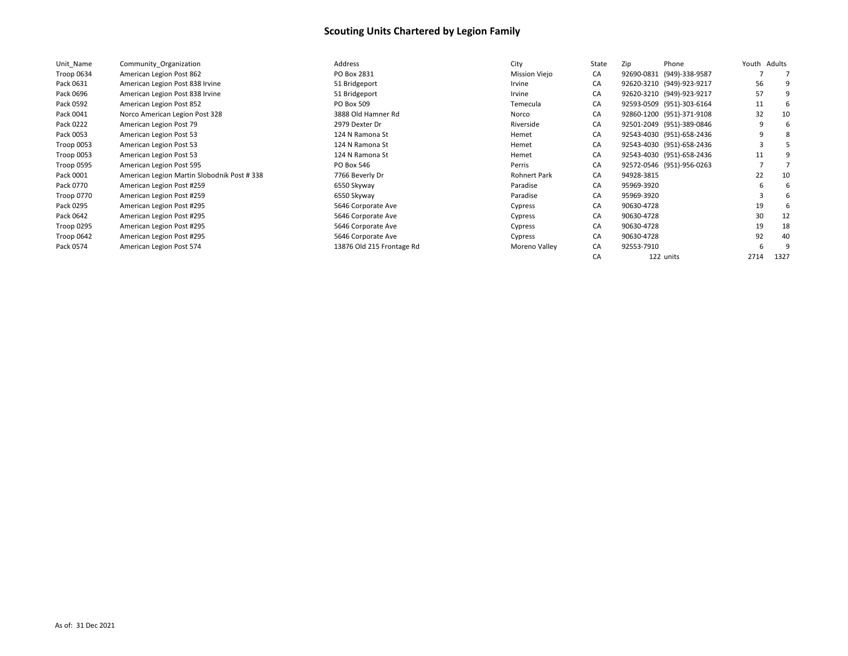| Unit Name  | Community Organization                     | Address                   | City                 | State | Zip<br>Phone              | Youth | Adults |
|------------|--------------------------------------------|---------------------------|----------------------|-------|---------------------------|-------|--------|
| Troop 0634 | American Legion Post 862                   | PO Box 2831               | <b>Mission Viejo</b> | CA    | 92690-0831 (949)-338-9587 |       |        |
| Pack 0631  | American Legion Post 838 Irvine            | 51 Bridgeport             | Irvine               | CA    | 92620-3210 (949)-923-9217 | 56    |        |
| Pack 0696  | American Legion Post 838 Irvine            | 51 Bridgeport             | Irvine               | CA    | 92620-3210 (949)-923-9217 | 57    |        |
| Pack 0592  | American Legion Post 852                   | PO Box 509                | Temecula             | CA    | 92593-0509 (951)-303-6164 | 11    |        |
| Pack 0041  | Norco American Legion Post 328             | 3888 Old Hamner Rd        | Norco                | CA    | 92860-1200 (951)-371-9108 | 32    | 10     |
| Pack 0222  | American Legion Post 79                    | 2979 Dexter Dr            | Riverside            | CA    | 92501-2049 (951)-389-0846 | q     |        |
| Pack 0053  | American Legion Post 53                    | 124 N Ramona St           | Hemet                | CA    | 92543-4030 (951)-658-2436 | q     |        |
| Troop 0053 | American Legion Post 53                    | 124 N Ramona St           | Hemet                | CA    | 92543-4030 (951)-658-2436 |       |        |
| Troop 0053 | American Legion Post 53                    | 124 N Ramona St           | Hemet                | CA    | 92543-4030 (951)-658-2436 | 11    |        |
| Troop 0595 | American Legion Post 595                   | PO Box 546                | Perris               | CA    | 92572-0546 (951)-956-0263 |       |        |
| Pack 0001  | American Legion Martin Slobodnik Post #338 | 7766 Beverly Dr           | <b>Rohnert Park</b>  | CA    | 94928-3815                | 22    | 10     |
| Pack 0770  | American Legion Post #259                  | 6550 Skyway               | Paradise             | CA    | 95969-3920                | 6     |        |
| Troop 0770 | American Legion Post #259                  | 6550 Skyway               | Paradise             | CA    | 95969-3920                |       |        |
| Pack 0295  | American Legion Post #295                  | 5646 Corporate Ave        | Cypress              | CA    | 90630-4728                | 19    |        |
| Pack 0642  | American Legion Post #295                  | 5646 Corporate Ave        | Cypress              | СA    | 90630-4728                | 30    | 12     |
| Troop 0295 | American Legion Post #295                  | 5646 Corporate Ave        | Cypress              | CA    | 90630-4728                | 19    | 18     |
| Troop 0642 | American Legion Post #295                  | 5646 Corporate Ave        | Cypress              | CA    | 90630-4728                | 92    | 40     |
| Pack 0574  | American Legion Post 574                   | 13876 Old 215 Frontage Rd | Moreno Valley        | СA    | 92553-7910                | 6     |        |
|            |                                            |                           |                      | СA    | 122 units                 | 2714  | 1327   |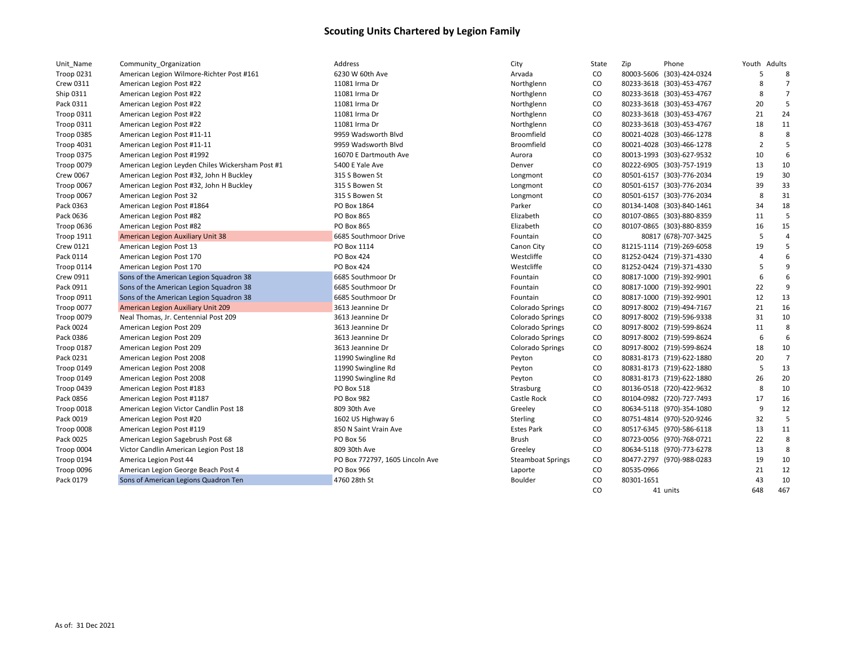| Unit_Name         | Community Organization                           | Address                         | City                     | State     | Zip        | Phone                     | Youth Adults   |                |
|-------------------|--------------------------------------------------|---------------------------------|--------------------------|-----------|------------|---------------------------|----------------|----------------|
| <b>Troop 0231</b> | American Legion Wilmore-Richter Post #161        | 6230 W 60th Ave                 | Arvada                   | CO        |            | 80003-5606 (303)-424-0324 | 5              | 8              |
| Crew 0311         | American Legion Post #22                         | 11081 Irma Dr                   | Northglenn               | CO        |            | 80233-3618 (303)-453-4767 | 8              | 7              |
| Ship 0311         | American Legion Post #22                         | 11081 Irma Dr                   | Northglenn               | CO        |            | 80233-3618 (303)-453-4767 | 8              | $\overline{7}$ |
| Pack 0311         | American Legion Post #22                         | 11081 Irma Dr                   | Northglenn               | CO        |            | 80233-3618 (303)-453-4767 | 20             | 5              |
| Troop 0311        | American Legion Post #22                         | 11081 Irma Dr                   | Northglenn               | CO        |            | 80233-3618 (303)-453-4767 | 21             | 24             |
| <b>Troop 0311</b> | American Legion Post #22                         | 11081 Irma Dr                   | Northglenn               | CO        |            | 80233-3618 (303)-453-4767 | 18             | 11             |
| Troop 0385        | American Legion Post #11-11                      | 9959 Wadsworth Blvd             | Broomfield               | CO        |            | 80021-4028 (303)-466-1278 | 8              | 8              |
| <b>Troop 4031</b> | American Legion Post #11-11                      | 9959 Wadsworth Blvd             | Broomfield               | CO        |            | 80021-4028 (303)-466-1278 | $\overline{2}$ | 5              |
| <b>Troop 0375</b> | American Legion Post #1992                       | 16070 E Dartmouth Ave           | Aurora                   | CO        |            | 80013-1993 (303)-627-9532 | 10             | 6              |
| Troop 0079        | American Legion Leyden Chiles Wickersham Post #1 | 5400 E Yale Ave                 | Denver                   | CO        |            | 80222-6905 (303)-757-1919 | 13             | 10             |
| Crew 0067         | American Legion Post #32, John H Buckley         | 315 S Bowen St                  | Longmont                 | CO        |            | 80501-6157 (303)-776-2034 | 19             | 30             |
| Troop 0067        | American Legion Post #32, John H Buckley         | 315 S Bowen St                  | Longmont                 | CO        |            | 80501-6157 (303)-776-2034 | 39             | 33             |
| Troop 0067        | American Legion Post 32                          | 315 S Bowen St                  | Longmont                 | CO        |            | 80501-6157 (303)-776-2034 | 8              | 31             |
| Pack 0363         | American Legion Post #1864                       | PO Box 1864                     | Parker                   | CO        |            | 80134-1408 (303)-840-1461 | 34             | 18             |
| Pack 0636         | American Legion Post #82                         | PO Box 865                      | Elizabeth                | CO        |            | 80107-0865 (303)-880-8359 | 11             | 5              |
| Troop 0636        | American Legion Post #82                         | PO Box 865                      | Elizabeth                | CO        |            | 80107-0865 (303)-880-8359 | 16             | 15             |
| <b>Troop 1911</b> | American Legion Auxiliary Unit 38                | 6685 Southmoor Drive            | Fountain                 | CO        |            | 80817 (678)-707-3425      | 5              | $\overline{4}$ |
| Crew 0121         | American Legion Post 13                          | PO Box 1114                     | Canon City               | CO        |            | 81215-1114 (719)-269-6058 | 19             | 5              |
| Pack 0114         | American Legion Post 170                         | PO Box 424                      | Westcliffe               | CO        |            | 81252-0424 (719)-371-4330 | 4              | 6              |
| Troop 0114        | American Legion Post 170                         | <b>PO Box 424</b>               | Westcliffe               | <b>CO</b> |            | 81252-0424 (719)-371-4330 | 5              | 9              |
| Crew 0911         | Sons of the American Legion Squadron 38          | 6685 Southmoor Dr               | Fountain                 | CO        |            | 80817-1000 (719)-392-9901 | 6              | 6              |
| Pack 0911         | Sons of the American Legion Squadron 38          | 6685 Southmoor Dr               | Fountain                 | CO        |            | 80817-1000 (719)-392-9901 | 22             | 9              |
| Troop 0911        | Sons of the American Legion Squadron 38          | 6685 Southmoor Dr               | Fountain                 | CO        |            | 80817-1000 (719)-392-9901 | 12             | 13             |
| Troop 0077        | American Legion Auxiliary Unit 209               | 3613 Jeannine Dr                | Colorado Springs         | CO        |            | 80917-8002 (719)-494-7167 | 21             | 16             |
| Troop 0079        | Neal Thomas, Jr. Centennial Post 209             | 3613 Jeannine Dr                | Colorado Springs         | CO        |            | 80917-8002 (719)-596-9338 | 31             | 10             |
| Pack 0024         | American Legion Post 209                         | 3613 Jeannine Dr                | Colorado Springs         | CO        |            | 80917-8002 (719)-599-8624 | 11             | 8              |
| Pack 0386         | American Legion Post 209                         | 3613 Jeannine Dr                | <b>Colorado Springs</b>  | CO        |            | 80917-8002 (719)-599-8624 | 6              | 6              |
| Troop 0187        | American Legion Post 209                         | 3613 Jeannine Dr                | <b>Colorado Springs</b>  | CO        |            | 80917-8002 (719)-599-8624 | 18             | 10             |
| Pack 0231         | American Legion Post 2008                        | 11990 Swingline Rd              | Peyton                   | CO        |            | 80831-8173 (719)-622-1880 | 20             | $\overline{7}$ |
| Troop 0149        | American Legion Post 2008                        | 11990 Swingline Rd              | Peyton                   | CO        |            | 80831-8173 (719)-622-1880 | 5              | 13             |
| Troop 0149        | American Legion Post 2008                        | 11990 Swingline Rd              | Peyton                   | CO        |            | 80831-8173 (719)-622-1880 | 26             | 20             |
| Troop 0439        | American Legion Post #183                        | PO Box 518                      | Strasburg                | CO        |            | 80136-0518 (720)-422-9632 | 8              | 10             |
| Pack 0856         | American Legion Post #1187                       | PO Box 982                      | Castle Rock              | CO        |            | 80104-0982 (720)-727-7493 | 17             | 16             |
| Troop 0018        | American Legion Victor Candlin Post 18           | 809 30th Ave                    | Greeley                  | CO        |            | 80634-5118 (970)-354-1080 | 9              | 12             |
| Pack 0019         | American Legion Post #20                         | 1602 US Highway 6               | Sterling                 | CO        |            | 80751-4814 (970)-520-9246 | 32             | 5              |
| Troop 0008        | American Legion Post #119                        | 850 N Saint Vrain Ave           | <b>Estes Park</b>        | CO        |            | 80517-6345 (970)-586-6118 | 13             | 11             |
| Pack 0025         | American Legion Sagebrush Post 68                | PO Box 56                       | Brush                    | CO        |            | 80723-0056 (970)-768-0721 | 22             | 8              |
| Troop 0004        | Victor Candlin American Legion Post 18           | 809 30th Ave                    | Greeley                  | CO        |            | 80634-5118 (970)-773-6278 | 13             | 8              |
| Troop 0194        | America Legion Post 44                           | PO Box 772797, 1605 Lincoln Ave | <b>Steamboat Springs</b> | CO        |            | 80477-2797 (970)-988-0283 | 19             | 10             |
| Troop 0096        | American Legion George Beach Post 4              | PO Box 966                      | Laporte                  | CO        | 80535-0966 |                           | 21             | 12             |
| Pack 0179         | Sons of American Legions Quadron Ten             | 4760 28th St                    | Boulder                  | CO        | 80301-1651 |                           | 43             | 10             |
|                   |                                                  |                                 |                          | CO        |            | 41 units                  | 648            | 467            |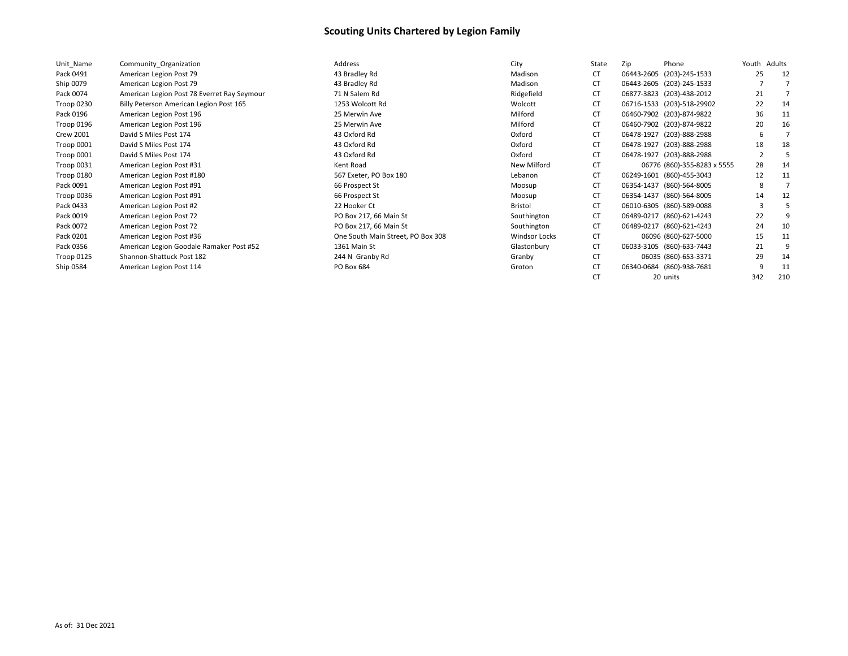| Unit_Name        | Community Organization                      | Address                           | City                 | State | Phone<br>Zip                | Youth | Adults |
|------------------|---------------------------------------------|-----------------------------------|----------------------|-------|-----------------------------|-------|--------|
| Pack 0491        | American Legion Post 79                     | 43 Bradley Rd                     | Madison              | CT    | 06443-2605 (203)-245-1533   | 25    | 12     |
| Ship 0079        | American Legion Post 79                     | 43 Bradley Rd                     | Madison              | CT    | 06443-2605 (203)-245-1533   |       |        |
| Pack 0074        | American Legion Post 78 Everret Ray Seymour | 71 N Salem Rd                     | Ridgefield           | CT    | 06877-3823 (203)-438-2012   | 21    |        |
| Troop 0230       | Billy Peterson American Legion Post 165     | 1253 Wolcott Rd                   | Wolcott              | CT    | 06716-1533 (203)-518-29902  | 22    | 14     |
| Pack 0196        | American Legion Post 196                    | 25 Merwin Ave                     | Milford              | CT    | 06460-7902 (203)-874-9822   | 36    | 11     |
| Troop 0196       | American Legion Post 196                    | 25 Merwin Ave                     | Milford              | СT    | 06460-7902 (203)-874-9822   | 20    | 16     |
| <b>Crew 2001</b> | David S Miles Post 174                      | 43 Oxford Rd                      | Oxford               | СT    | 06478-1927 (203)-888-2988   | 6     |        |
| Troop 0001       | David S Miles Post 174                      | 43 Oxford Rd                      | Oxford               | CT    | 06478-1927 (203)-888-2988   | 18    | 18     |
| Troop 0001       | David S Miles Post 174                      | 43 Oxford Rd                      | Oxford               | CT    | 06478-1927 (203)-888-2988   |       |        |
| Troop 0031       | American Legion Post #31                    | Kent Road                         | New Milford          | CT    | 06776 (860)-355-8283 x 5555 | 28    | 14     |
| Troop 0180       | American Legion Post #180                   | 567 Exeter, PO Box 180            | Lebanon              | CT    | 06249-1601 (860)-455-3043   | 12    | 11     |
| Pack 0091        | American Legion Post #91                    | 66 Prospect St                    | Moosup               | CT    | 06354-1437 (860)-564-8005   | 8     |        |
| Troop 0036       | American Legion Post #91                    | 66 Prospect St                    | Moosup               | СT    | 06354-1437 (860)-564-8005   | 14    | 12     |
| Pack 0433        | American Legion Post #2                     | 22 Hooker Ct                      | Bristol              | CT    | 06010-6305 (860)-589-0088   |       |        |
| Pack 0019        | American Legion Post 72                     | PO Box 217, 66 Main St            | Southington          | CT    | 06489-0217 (860)-621-4243   | 22    |        |
| Pack 0072        | American Legion Post 72                     | PO Box 217, 66 Main St            | Southington          | CT    | 06489-0217 (860)-621-4243   | 24    | 10     |
| Pack 0201        | American Legion Post #36                    | One South Main Street, PO Box 308 | <b>Windsor Locks</b> | CT    | 06096 (860)-627-5000        | 15    | 11     |
| Pack 0356        | American Legion Goodale Ramaker Post #52    | 1361 Main St                      | Glastonbury          | CT    | 06033-3105 (860)-633-7443   | 21    |        |
| Troop 0125       | Shannon-Shattuck Post 182                   | 244 N Granby Rd                   | Granby               | CT    | 06035 (860)-653-3371        | 29    | 14     |
| Ship 0584        | American Legion Post 114                    | PO Box 684                        | Groton               | CT    | 06340-0684 (860)-938-7681   |       | 11     |
|                  |                                             |                                   |                      | СT    | 20 units                    | 342   | 210    |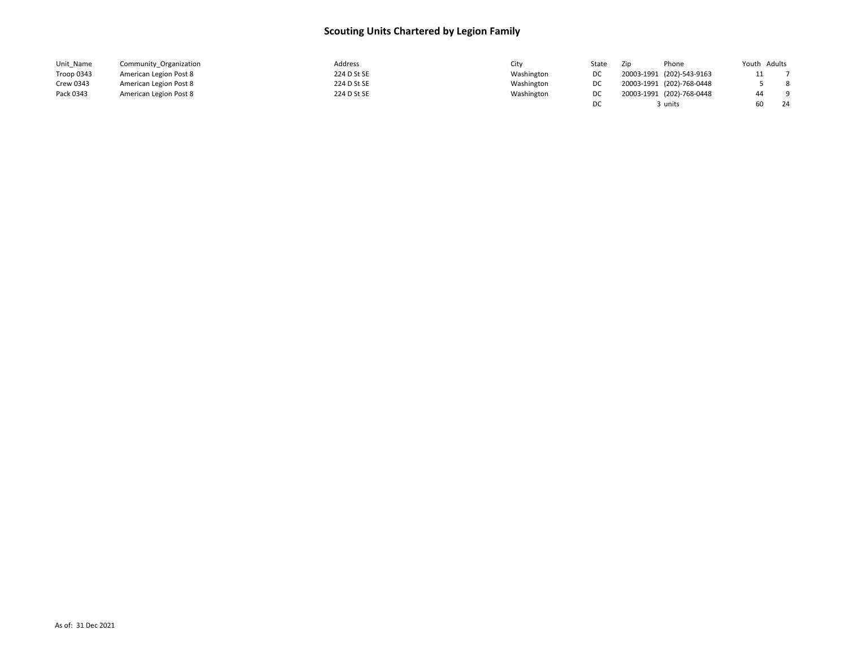| Unit Name  | Community Organization | Address     | City       | State | Zip                       | Phone | Youth Adults |     |
|------------|------------------------|-------------|------------|-------|---------------------------|-------|--------------|-----|
| Troop 0343 | American Legion Post 8 | 224 D St SE | Washington |       | 20003-1991 (202)-543-9163 |       |              |     |
| Crew 0343  | American Legion Post 8 | 224 D St SE | Washington |       | 20003-1991 (202)-768-0448 |       |              | 8   |
| Pack 0343  | American Legion Post 8 | 224 D St SE | Washington | DC    | 20003-1991 (202)-768-0448 |       | 44           | - 9 |
|            |                        |             |            | DC    |                           | units |              | 24  |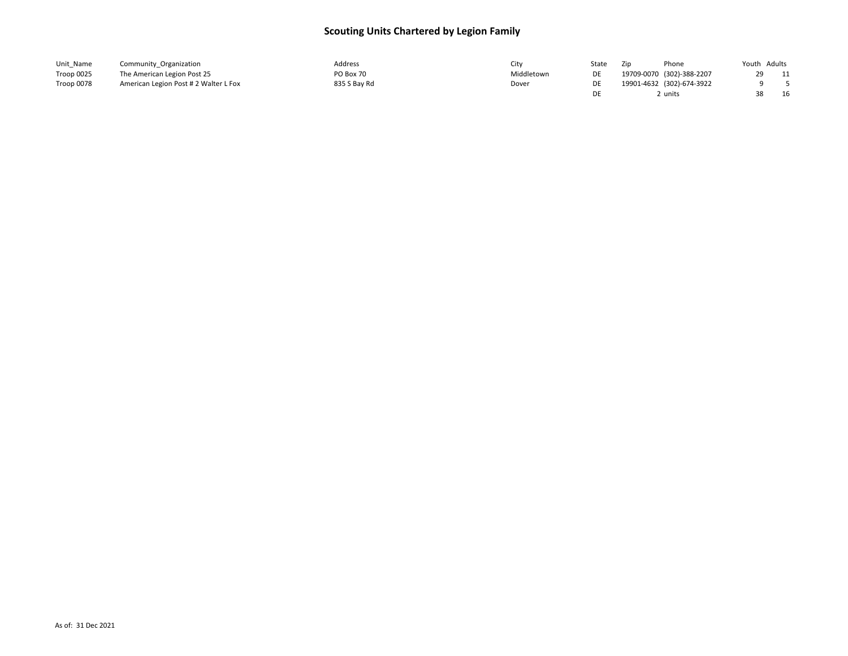| Unit_Name  | Community Organization                | Address      | City       | State | Zip | Phone                     | Youth Adults |     |
|------------|---------------------------------------|--------------|------------|-------|-----|---------------------------|--------------|-----|
| Troop 0025 | The American Legion Post 25           | PO Box 70    | Middletown |       |     | 19709-0070 (302)-388-2207 | 29           | -11 |
| Troop 0078 | American Legion Post # 2 Walter L Fox | 835 S Bay Rd | Dover      |       |     | 19901-4632 (302)-674-3922 |              |     |
|            |                                       |              |            |       |     | ∠ units                   | 38           | 16  |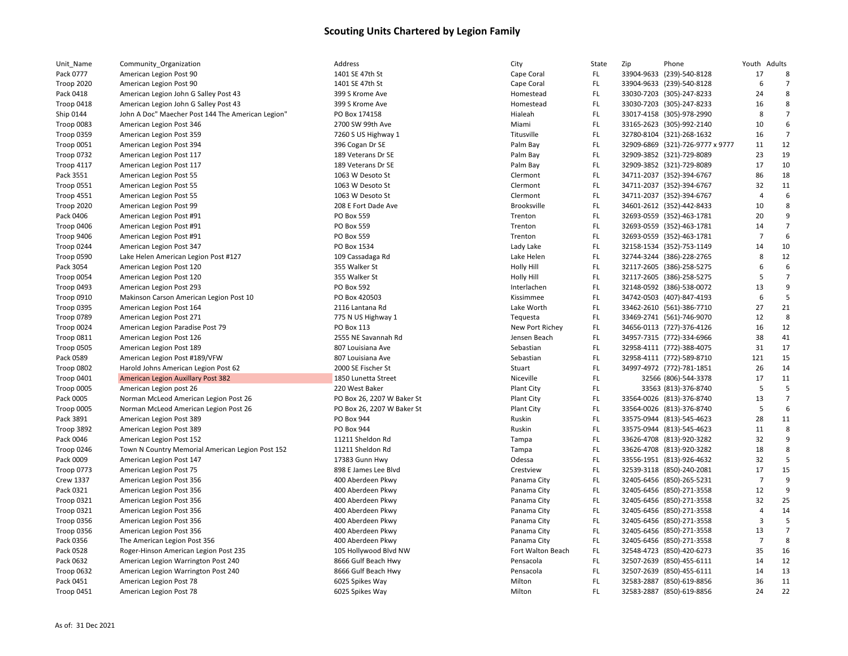| Unit_Name               | Community_Organization                            | Address                    | City               | State | Zip | Phone                            | Youth Adults   |                |
|-------------------------|---------------------------------------------------|----------------------------|--------------------|-------|-----|----------------------------------|----------------|----------------|
| Pack 0777               | American Legion Post 90                           | 1401 SE 47th St            | Cape Coral         | FL.   |     | 33904-9633 (239)-540-8128        | 17             | 8              |
| <b>Troop 2020</b>       | American Legion Post 90                           | 1401 SE 47th St            | Cape Coral         | FL.   |     | 33904-9633 (239)-540-8128        | 6              | $\overline{7}$ |
| Pack 0418               | American Legion John G Salley Post 43             | 399 S Krome Ave            | Homestead          | FL.   |     | 33030-7203 (305)-247-8233        | 24             | 8              |
| Troop 0418              | American Legion John G Salley Post 43             | 399 S Krome Ave            | Homestead          | FL.   |     | 33030-7203 (305)-247-8233        | 16             | 8              |
| Ship 0144               | John A Doc" Maecher Post 144 The American Legion" | PO Box 174158              | Hialeah            | FL.   |     | 33017-4158 (305)-978-2990        | 8              | $\overline{7}$ |
| Troop 0083              | American Legion Post 346                          | 2700 SW 99th Ave           | Miami              | FL.   |     | 33165-2623 (305)-992-2140        | 10             | 6              |
| Troop 0359              | American Legion Post 359                          | 7260 S US Highway 1        | Titusville         | FL.   |     | 32780-8104 (321)-268-1632        | 16             | 7              |
| Troop 0051              | American Legion Post 394                          | 396 Cogan Dr SE            | Palm Bay           | FL.   |     | 32909-6869 (321)-726-9777 x 9777 | 11             | 12             |
| <b>Troop 0732</b>       | American Legion Post 117                          | 189 Veterans Dr SE         | Palm Bay           | FL.   |     | 32909-3852 (321)-729-8089        | 23             | 19             |
| Troop 4117              | American Legion Post 117                          | 189 Veterans Dr SE         | Palm Bay           | FL.   |     | 32909-3852 (321)-729-8089        | 17             | 10             |
| Pack 3551               | American Legion Post 55                           | 1063 W Desoto St           | Clermont           | FL.   |     | 34711-2037 (352)-394-6767        | 86             | 18             |
| <b>Troop 0551</b>       | American Legion Post 55                           | 1063 W Desoto St           | Clermont           | FL.   |     | 34711-2037 (352)-394-6767        | 32             | 11             |
| <b>Troop 4551</b>       | American Legion Post 55                           | 1063 W Desoto St           | Clermont           | FL.   |     | 34711-2037 (352)-394-6767        | $\overline{4}$ | 6              |
| <b>Troop 2020</b>       | American Legion Post 99                           | 208 E Fort Dade Ave        | <b>Brooksville</b> | FL.   |     | 34601-2612 (352)-442-8433        | 10             | 8              |
| Pack 0406               | American Legion Post #91                          | PO Box 559                 | Trenton            | FL.   |     | 32693-0559 (352)-463-1781        | 20             | 9              |
| Troop 0406              | American Legion Post #91                          | PO Box 559                 | Trenton            | FL.   |     | 32693-0559 (352)-463-1781        | 14             | $\overline{7}$ |
| Troop 9406              | American Legion Post #91                          | PO Box 559                 | Trenton            | FL.   |     | 32693-0559 (352)-463-1781        | -7             | 6              |
| Troop 0244              | American Legion Post 347                          | PO Box 1534                | Lady Lake          | FL.   |     | 32158-1534 (352)-753-1149        | 14             | 10             |
| Troop 0590              | Lake Helen American Legion Post #127              | 109 Cassadaga Rd           | Lake Helen         | FL.   |     | 32744-3244 (386)-228-2765        | 8              | 12             |
| Pack 3054               | American Legion Post 120                          | 355 Walker St              | Holly Hill         | FL.   |     | 32117-2605 (386)-258-5275        | 6              | 6              |
| Troop 0054              | American Legion Post 120                          | 355 Walker St              | Holly Hill         | FL.   |     | 32117-2605 (386)-258-5275        | 5              | $\overline{7}$ |
| Troop 0493              | American Legion Post 293                          | PO Box 592                 | Interlachen        | FL.   |     | 32148-0592 (386)-538-0072        | 13             | 9              |
| Troop 0910              | Makinson Carson American Legion Post 10           | PO Box 420503              | Kissimmee          | FL.   |     | 34742-0503 (407)-847-4193        | 6              | 5              |
| Troop 0395              | American Legion Post 164                          | 2116 Lantana Rd            | Lake Worth         | FL.   |     | 33462-2610 (561)-386-7710        | 27             | 21             |
| <b>Troop 0789</b>       | American Legion Post 271                          | 775 N US Highway 1         | Tequesta           | FL.   |     | 33469-2741 (561)-746-9070        | 12             | 8              |
| Troop 0024              | American Legion Paradise Post 79                  | PO Box 113                 | New Port Richey    | FL.   |     | 34656-0113 (727)-376-4126        | 16             | 12             |
| Troop 0811              | American Legion Post 126                          | 2555 NE Savannah Rd        | Jensen Beach       | FL.   |     | 34957-7315 (772)-334-6966        | 38             | 41             |
|                         | American Legion Post 189                          | 807 Louisiana Ave          | Sebastian          | FL.   |     | 32958-4111 (772)-388-4075        | 31             | 17             |
| Troop 0505<br>Pack 0589 |                                                   | 807 Louisiana Ave          | Sebastian          | FL.   |     | 32958-4111 (772)-589-8710        | 121            | 15             |
|                         | American Legion Post #189/VFW                     | 2000 SE Fischer St         |                    | FL.   |     |                                  | 26             | 14             |
| Troop 0802              | Harold Johns American Legion Post 62              |                            | Stuart             |       |     | 34997-4972 (772)-781-1851        | 17             | 11             |
| Troop 0401              | <b>American Legion Auxillary Post 382</b>         | 1850 Lunetta Street        | Niceville          | FL.   |     | 32566 (806)-544-3378             |                | 5              |
| Troop 0005              | American Legion post 26                           | 220 West Baker             | Plant City         | FL.   |     | 33563 (813)-376-8740             | 5              | $\overline{7}$ |
| Pack 0005               | Norman McLeod American Legion Post 26             | PO Box 26, 2207 W Baker St | Plant City         | FL.   |     | 33564-0026 (813)-376-8740        | 13             |                |
| Troop 0005              | Norman McLeod American Legion Post 26             | PO Box 26, 2207 W Baker St | <b>Plant City</b>  | FL.   |     | 33564-0026 (813)-376-8740        | -5             | 6              |
| Pack 3891               | American Legion Post 389                          | PO Box 944                 | Ruskin             | FL.   |     | 33575-0944 (813)-545-4623        | 28             | 11             |
| Troop 3892              | American Legion Post 389                          | <b>PO Box 944</b>          | Ruskin             | FL.   |     | 33575-0944 (813)-545-4623        | 11             | 8              |
| Pack 0046               | American Legion Post 152                          | 11211 Sheldon Rd           | Tampa              | FL.   |     | 33626-4708 (813)-920-3282        | 32             | 9              |
| Troop 0246              | Town N Country Memorial American Legion Post 152  | 11211 Sheldon Rd           | Tampa              | FL.   |     | 33626-4708 (813)-920-3282        | 18             | 8              |
| Pack 0009               | American Legion Post 147                          | 17383 Gunn Hwy             | Odessa             | FL.   |     | 33556-1951 (813)-926-4632        | 32             | 5              |
| <b>Troop 0773</b>       | American Legion Post 75                           | 898 E James Lee Blvd       | Crestview          | FL.   |     | 32539-3118 (850)-240-2081        | 17             | 15             |
| <b>Crew 1337</b>        | American Legion Post 356                          | 400 Aberdeen Pkwy          | Panama City        | FL.   |     | 32405-6456 (850)-265-5231        | -7             | 9              |
| Pack 0321               | American Legion Post 356                          | 400 Aberdeen Pkwy          | Panama City        | FL.   |     | 32405-6456 (850)-271-3558        | 12             | 9              |
| Troop 0321              | American Legion Post 356                          | 400 Aberdeen Pkwy          | Panama City        | FL.   |     | 32405-6456 (850)-271-3558        | 32             | 25             |
| Troop 0321              | American Legion Post 356                          | 400 Aberdeen Pkwy          | Panama City        | FL.   |     | 32405-6456 (850)-271-3558        | 4              | 14             |
| Troop 0356              | American Legion Post 356                          | 400 Aberdeen Pkwy          | Panama City        | FL.   |     | 32405-6456 (850)-271-3558        | $\overline{3}$ | 5              |
| Troop 0356              | American Legion Post 356                          | 400 Aberdeen Pkwy          | Panama City        | FL.   |     | 32405-6456 (850)-271-3558        | 13             | $\overline{7}$ |
| Pack 0356               | The American Legion Post 356                      | 400 Aberdeen Pkwy          | Panama City        | FL.   |     | 32405-6456 (850)-271-3558        | $\overline{7}$ | 8              |
| Pack 0528               | Roger-Hinson American Legion Post 235             | 105 Hollywood Blvd NW      | Fort Walton Beach  | FL.   |     | 32548-4723 (850)-420-6273        | 35             | 16             |
| Pack 0632               | American Legion Warrington Post 240               | 8666 Gulf Beach Hwy        | Pensacola          | FL.   |     | 32507-2639 (850)-455-6111        | 14             | 12             |
| Troop 0632              | American Legion Warrington Post 240               | 8666 Gulf Beach Hwy        | Pensacola          | FL.   |     | 32507-2639 (850)-455-6111        | 14             | 13             |
| Pack 0451               | American Legion Post 78                           | 6025 Spikes Way            | Milton             | FL.   |     | 32583-2887 (850)-619-8856        | 36             | 11             |
| <b>Troop 0451</b>       | American Legion Post 78                           | 6025 Spikes Way            | Milton             | FL.   |     | 32583-2887 (850)-619-8856        | 24             | 22             |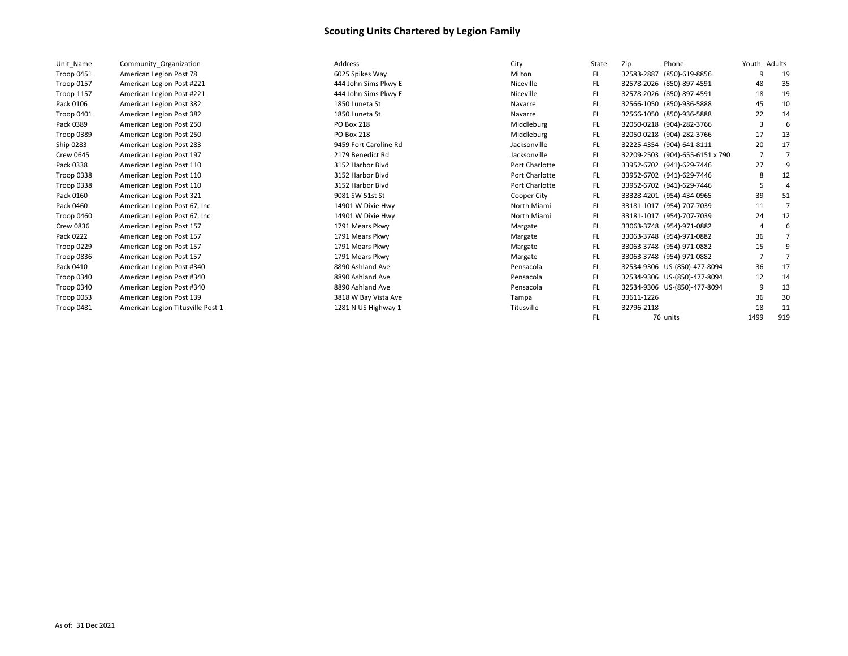| Unit Name         | Community Organization            |
|-------------------|-----------------------------------|
| Troop 0451        | American Legion Post 78           |
| Troop 0157        | American Legion Post #221         |
| <b>Troop 1157</b> | American Legion Post #221         |
| Pack 0106         | American Legion Post 382          |
| Troop 0401        | American Legion Post 382          |
| Pack 0389         | American Legion Post 250          |
| Troop 0389        | American Legion Post 250          |
| Ship 0283         | American Legion Post 283          |
| Crew 0645         | American Legion Post 197          |
| Pack 0338         | American Legion Post 110          |
| Troop 0338        | American Legion Post 110          |
| <b>Troop 0338</b> | American Legion Post 110          |
| Pack 0160         | American Legion Post 321          |
| Pack 0460         | American Legion Post 67, Inc      |
| Troop 0460        | American Legion Post 67, Inc.     |
| Crew 0836         | American Legion Post 157          |
| Pack 0222         | American Legion Post 157          |
| Troop 0229        | American Legion Post 157          |
| Troop 0836        | American Legion Post 157          |
| Pack 0410         | American Legion Post #340         |
| Troop 0340        | American Legion Post #340         |
| Troop 0340        | American Legion Post #340         |
| Troop 0053        | American Legion Post 139          |
| Troop 0481        | American Legion Titusville Post 1 |

| Unit Name        | Community Organization            | Address               | City           | State | Zip        | Phone                           | Youth Adults |     |
|------------------|-----------------------------------|-----------------------|----------------|-------|------------|---------------------------------|--------------|-----|
| Troop 0451       | American Legion Post 78           | 6025 Spikes Way       | Milton         | FL.   | 32583-2887 | (850)-619-8856                  | q            | 19  |
| Troop 0157       | American Legion Post #221         | 444 John Sims Pkwy E  | Niceville      | FL.   |            | 32578-2026 (850)-897-4591       | 48           | 35  |
| Troop 1157       | American Legion Post #221         | 444 John Sims Pkwy E  | Niceville      | FL.   |            | 32578-2026 (850)-897-4591       | 18           | 19  |
| Pack 0106        | American Legion Post 382          | 1850 Luneta St        | Navarre        | FL.   |            | 32566-1050 (850)-936-5888       | 45           | 10  |
| Troop 0401       | American Legion Post 382          | 1850 Luneta St        | Navarre        | FL.   |            | 32566-1050 (850)-936-5888       | 22           | 14  |
| Pack 0389        | American Legion Post 250          | PO Box 218            | Middleburg     | FL.   |            | 32050-0218 (904)-282-3766       |              |     |
| Troop 0389       | American Legion Post 250          | <b>PO Box 218</b>     | Middleburg     | FL.   |            | 32050-0218 (904)-282-3766       | 17           | 13  |
| Ship 0283        | American Legion Post 283          | 9459 Fort Caroline Rd | Jacksonville   | FL.   |            | 32225-4354 (904)-641-8111       | 20           | 17  |
| <b>Crew 0645</b> | American Legion Post 197          | 2179 Benedict Rd      | Jacksonville   | FL.   |            | 32209-2503 (904)-655-6151 x 790 | -7           |     |
| Pack 0338        | American Legion Post 110          | 3152 Harbor Blvd      | Port Charlotte | FL.   |            | 33952-6702 (941)-629-7446       | 27           |     |
| Troop 0338       | American Legion Post 110          | 3152 Harbor Blvd      | Port Charlotte | FL.   |            | 33952-6702 (941)-629-7446       |              | 12  |
| Troop 0338       | American Legion Post 110          | 3152 Harbor Blvd      | Port Charlotte | FL.   |            | 33952-6702 (941)-629-7446       |              | 4   |
| Pack 0160        | American Legion Post 321          | 9081 SW 51st St       | Cooper City    | FL.   |            | 33328-4201 (954)-434-0965       | 39           | 51  |
| Pack 0460        | American Legion Post 67, Inc.     | 14901 W Dixie Hwy     | North Miami    | FL.   |            | 33181-1017 (954)-707-7039       | 11           |     |
| Troop 0460       | American Legion Post 67, Inc.     | 14901 W Dixie Hwy     | North Miami    | FL.   |            | 33181-1017 (954)-707-7039       | 24           | 12  |
| <b>Crew 0836</b> | American Legion Post 157          | 1791 Mears Pkwy       | Margate        | FL.   |            | 33063-3748 (954)-971-0882       |              |     |
| Pack 0222        | American Legion Post 157          | 1791 Mears Pkwy       | Margate        | FL.   |            | 33063-3748 (954)-971-0882       | 36           |     |
| Troop 0229       | American Legion Post 157          | 1791 Mears Pkwy       | Margate        | FL.   |            | 33063-3748 (954)-971-0882       | 15           |     |
| Troop 0836       | American Legion Post 157          | 1791 Mears Pkwy       | Margate        | FL.   |            | 33063-3748 (954)-971-0882       | -7           |     |
| Pack 0410        | American Legion Post #340         | 8890 Ashland Ave      | Pensacola      | FL.   |            | 32534-9306 US-(850)-477-8094    | 36           | 17  |
| Troop 0340       | American Legion Post #340         | 8890 Ashland Ave      | Pensacola      | FL.   |            | 32534-9306 US-(850)-477-8094    | 12           | 14  |
| Troop 0340       | American Legion Post #340         | 8890 Ashland Ave      | Pensacola      | FL.   |            | 32534-9306 US-(850)-477-8094    | -9           | 13  |
| Troop 0053       | American Legion Post 139          | 3818 W Bay Vista Ave  | Tampa          | FL.   | 33611-1226 |                                 | 36           | 30  |
| Troop 0481       | American Legion Titusville Post 1 | 1281 N US Highway 1   | Titusville     | FL.   | 32796-2118 |                                 | 18           | 11  |
|                  |                                   |                       |                | FL.   |            | 76 units                        | 1499         | 919 |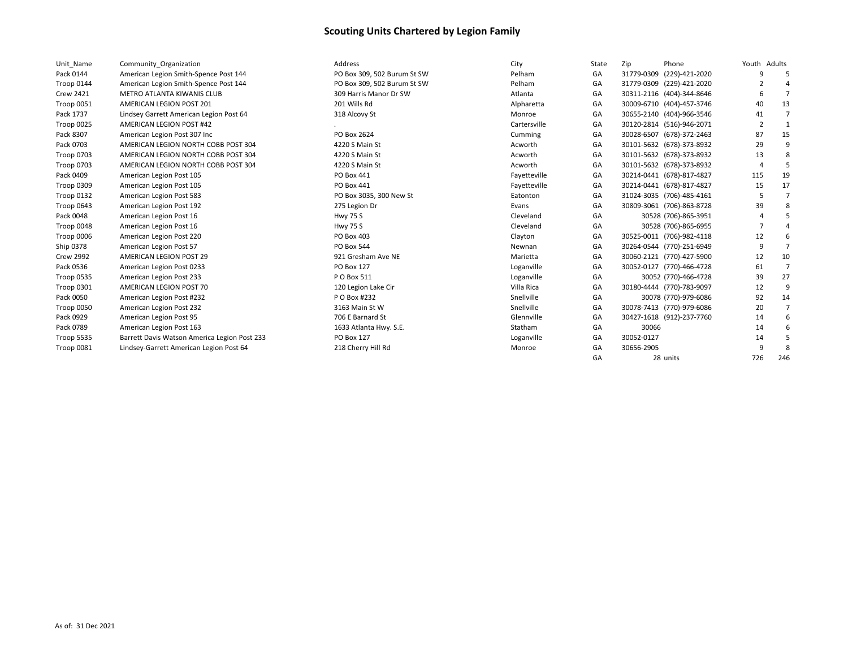| Unit Name         | Community Organization                       | Address                     | City         | State | Zip        | Phone                     | Youth Adults   |                |
|-------------------|----------------------------------------------|-----------------------------|--------------|-------|------------|---------------------------|----------------|----------------|
| Pack 0144         | American Legion Smith-Spence Post 144        | PO Box 309, 502 Burum St SW | Pelham       | GA    | 31779-0309 | (229)-421-2020            |                |                |
| Troop 0144        | American Legion Smith-Spence Post 144        | PO Box 309, 502 Burum St SW | Pelham       | GA    |            | 31779-0309 (229)-421-2020 |                |                |
| <b>Crew 2421</b>  | METRO ATLANTA KIWANIS CLUB                   | 309 Harris Manor Dr SW      | Atlanta      | GA    |            | 30311-2116 (404)-344-8646 |                |                |
| Troop 0051        | AMERICAN LEGION POST 201                     | 201 Wills Rd                | Alpharetta   | GA    |            | 30009-6710 (404)-457-3746 | 40             | 13             |
| Pack 1737         | Lindsey Garrett American Legion Post 64      | 318 Alcovy St               | Monroe       | GA    |            | 30655-2140 (404)-966-3546 | 41             |                |
| Troop 0025        | AMERICAN LEGION POST #42                     |                             | Cartersville | GA    |            | 30120-2814 (516)-946-2071 | $\overline{2}$ |                |
| Pack 8307         | American Legion Post 307 Inc                 | PO Box 2624                 | Cumming      | GA    |            | 30028-6507 (678)-372-2463 | 87             | 15             |
| Pack 0703         | AMERICAN LEGION NORTH COBB POST 304          | 4220 S Main St              | Acworth      | GA    |            | 30101-5632 (678)-373-8932 | 29             | q              |
| Troop 0703        | AMERICAN LEGION NORTH COBB POST 304          | 4220 S Main St              | Acworth      | GA    |            | 30101-5632 (678)-373-8932 | 13             |                |
| <b>Troop 0703</b> | AMERICAN LEGION NORTH COBB POST 304          | 4220 S Main St              | Acworth      | GA    |            | 30101-5632 (678)-373-8932 |                |                |
| Pack 0409         | American Legion Post 105                     | PO Box 441                  | Fayetteville | GA    |            | 30214-0441 (678)-817-4827 | 115            | 19             |
| Troop 0309        | American Legion Post 105                     | PO Box 441                  | Fayetteville | GA    |            | 30214-0441 (678)-817-4827 | 15             | 17             |
| Troop 0132        | American Legion Post 583                     | PO Box 3035, 300 New St     | Eatonton     | GA    |            | 31024-3035 (706)-485-4161 |                |                |
| Troop 0643        | American Legion Post 192                     | 275 Legion Dr               | Evans        | GA    |            | 30809-3061 (706)-863-8728 | 39             |                |
| Pack 0048         | American Legion Post 16                      | <b>Hwy 75 S</b>             | Cleveland    | GA    |            | 30528 (706)-865-3951      |                |                |
| Troop 0048        | American Legion Post 16                      | <b>Hwy 75 S</b>             | Cleveland    | GA    |            | 30528 (706)-865-6955      |                |                |
| Troop 0006        | American Legion Post 220                     | PO Box 403                  | Clayton      | GA    |            | 30525-0011 (706)-982-4118 | 12             |                |
| Ship 0378         | American Legion Post 57                      | PO Box 544                  | Newnan       | GA    |            | 30264-0544 (770)-251-6949 | -9             |                |
| <b>Crew 2992</b>  | AMERICAN LEGION POST 29                      | 921 Gresham Ave NE          | Marietta     | GA    |            | 30060-2121 (770)-427-5900 | 12             | 10             |
| Pack 0536         | American Legion Post 0233                    | <b>PO Box 127</b>           | Loganville   | GA    |            | 30052-0127 (770)-466-4728 | 61             | $\overline{7}$ |
| Troop 0535        | American Legion Post 233                     | P O Box 511                 | Loganville   | GA    |            | 30052 (770)-466-4728      | 39             | 27             |
| Troop 0301        | AMERICAN LEGION POST 70                      | 120 Legion Lake Cir         | Villa Rica   | GA    |            | 30180-4444 (770)-783-9097 | 12             | 9              |
| Pack 0050         | American Legion Post #232                    | P O Box #232                | Snellville   | GA    |            | 30078 (770)-979-6086      | 92             | 14             |
| Troop 0050        | American Legion Post 232                     | 3163 Main St W              | Snellville   | GA    |            | 30078-7413 (770)-979-6086 | 20             | 7              |
| Pack 0929         | American Legion Post 95                      | 706 E Barnard St            | Glennville   | GA    |            | 30427-1618 (912)-237-7760 | 14             |                |
| Pack 0789         | American Legion Post 163                     | 1633 Atlanta Hwy. S.E.      | Statham      | GA    | 30066      |                           | 14             |                |
| Troop 5535        | Barrett Davis Watson America Legion Post 233 | PO Box 127                  | Loganville   | GA    | 30052-0127 |                           | 14             |                |
| Troop 0081        | Lindsey-Garrett American Legion Post 64      | 218 Cherry Hill Rd          | Monroe       | GA    | 30656-2905 |                           |                |                |
|                   |                                              |                             |              | GA    |            | 28 units                  | 726            | 246            |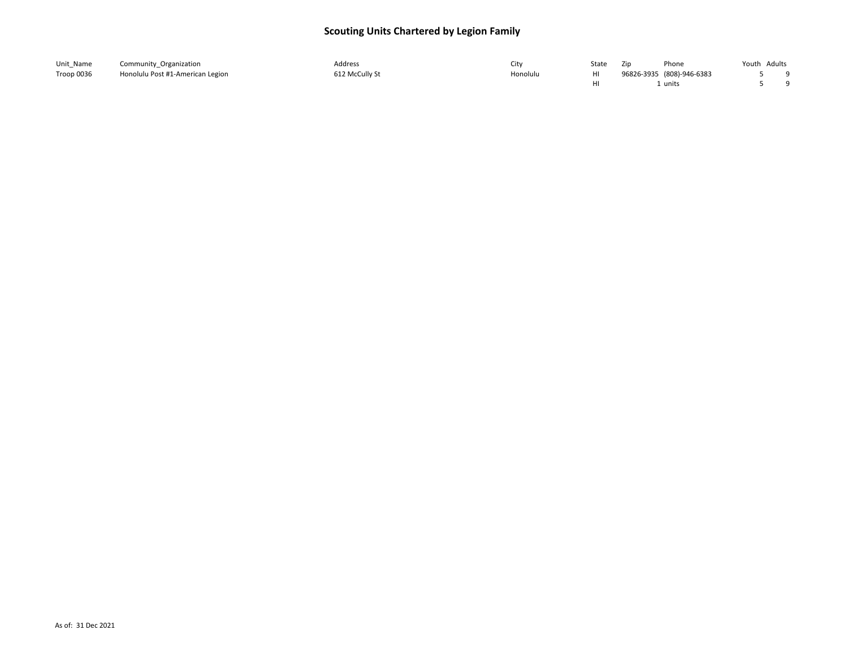| Unit Name  | Community Organization           | Address        |          | State | Phone<br>Zir              | Youth Adults |  |
|------------|----------------------------------|----------------|----------|-------|---------------------------|--------------|--|
| Troop 0036 | Honolulu Post #1-American Legion | 612 McCully St | Honolulu |       | 96826-3935 (808)-946-6383 |              |  |
|            |                                  |                |          |       | unit:                     |              |  |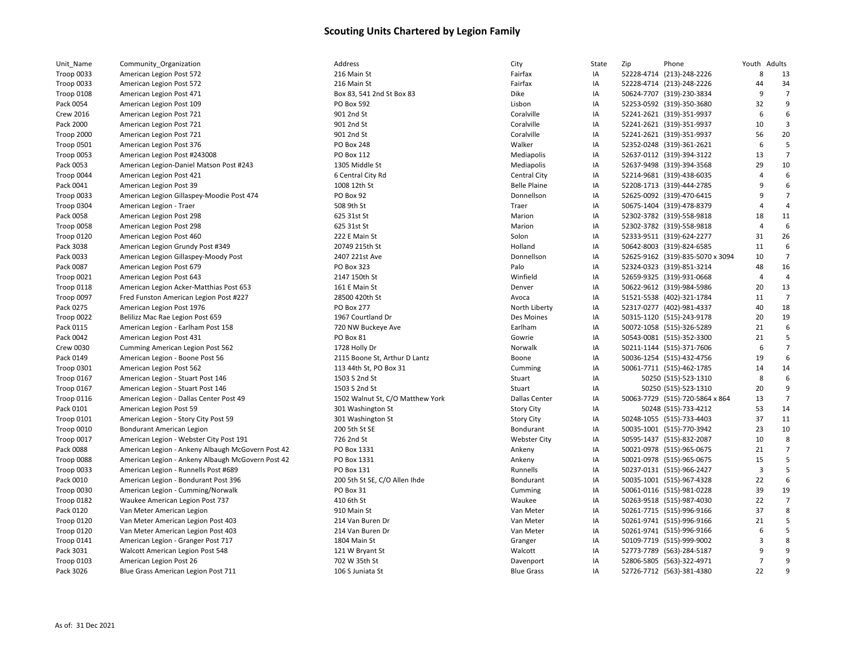| Unit_Name         | Community_Organization                            | Address                          | City                 | State | Zip | Phone                            | Youth Adults   |                |
|-------------------|---------------------------------------------------|----------------------------------|----------------------|-------|-----|----------------------------------|----------------|----------------|
| Troop 0033        | American Legion Post 572                          | 216 Main St                      | Fairfax              | IA    |     | 52228-4714 (213)-248-2226        | 8              | 13             |
| Troop 0033        | American Legion Post 572                          | 216 Main St                      | Fairfax              | IA    |     | 52228-4714 (213)-248-2226        | 44             | 34             |
| Troop 0108        | American Legion Post 471                          | Box 83, 541 2nd St Box 83        | Dike                 | IA    |     | 50624-7707 (319)-230-3834        | 9              | $\overline{7}$ |
| Pack 0054         | American Legion Post 109                          | PO Box 592                       | Lisbon               | IA    |     | 52253-0592 (319)-350-3680        | 32             | 9              |
| <b>Crew 2016</b>  | American Legion Post 721                          | 901 2nd St                       | Coralville           | IA    |     | 52241-2621 (319)-351-9937        | 6              | 6              |
| Pack 2000         | American Legion Post 721                          | 901 2nd St                       | Coralville           | IA    |     | 52241-2621 (319)-351-9937        | 10             | 3              |
| Troop 2000        | American Legion Post 721                          | 901 2nd St                       | Coralville           | IA    |     | 52241-2621 (319)-351-9937        | 56             | 20             |
| Troop 0501        | American Legion Post 376                          | <b>PO Box 248</b>                | Walker               | IA    |     | 52352-0248 (319)-361-2621        | 6              | 5              |
| Troop 0053        | American Legion Post #243008                      | PO Box 112                       | Mediapolis           | IA    |     | 52637-0112 (319)-394-3122        | 13             | $\overline{7}$ |
| Pack 0053         | American Legion-Daniel Matson Post #243           | 1305 Middle St                   | Mediapolis           | IA    |     | 52637-9498 (319)-394-3568        | 29             | 10             |
| Troop 0044        | American Legion Post 421                          | 6 Central City Rd                | <b>Central City</b>  | IA    |     | 52214-9681 (319)-438-6035        | $\overline{4}$ | 6              |
| Pack 0041         | American Legion Post 39                           | 1008 12th St                     | <b>Belle Plaine</b>  | IA    |     | 52208-1713 (319)-444-2785        | 9              | 6              |
| Troop 0033        | American Legion Gillaspey-Moodie Post 474         | PO Box 92                        | Donnellson           | IA    |     | 52625-0092 (319)-470-6415        | $\mathbf{q}$   | $\overline{7}$ |
| Troop 0304        | American Legion - Traer                           | 508 9th St                       | Traer                | IA    |     | 50675-1404 (319)-478-8379        | $\overline{4}$ | $\overline{4}$ |
| Pack 0058         | American Legion Post 298                          | 625 31st St                      | Marion               | IA    |     | 52302-3782 (319)-558-9818        | 18             | 11             |
| Troop 0058        | American Legion Post 298                          | 625 31st St                      | Marion               | IA    |     | 52302-3782 (319)-558-9818        | $\overline{4}$ | 6              |
| Troop 0120        | American Legion Post 460                          | 222 E Main St                    | Solon                | IA    |     | 52333-9511 (319)-624-2277        | 31             | 26             |
| Pack 3038         | American Legion Grundy Post #349                  | 20749 215th St                   | Holland              | IA    |     | 50642-8003 (319)-824-6585        | 11             | 6              |
| Pack 0033         | American Legion Gillaspey-Moody Post              | 2407 221st Ave                   | Donnellson           | IA    |     | 52625-9162 (319)-835-5070 x 3094 | 10             | $\overline{7}$ |
| Pack 0087         | American Legion Post 679                          | PO Box 323                       | Palo                 | IA    |     | 52324-0323 (319)-851-3214        | 48             | 16             |
| Troop 0021        | American Legion Post 643                          | 2147 150th St                    | Winfield             | IA    |     | 52659-9325 (319)-931-0668        | $\overline{4}$ | $\overline{4}$ |
| Troop 0118        | American Legion Acker-Matthias Post 653           | 161 E Main St                    | Denver               | IA    |     | 50622-9612 (319)-984-5986        | 20             | 13             |
| Troop 0097        | Fred Funston American Legion Post #227            | 28500 420th St                   | Avoca                | IA    |     | 51521-5538 (402)-321-1784        | 11             | $\overline{7}$ |
| Pack 0275         | American Legion Post 1976                         | PO Box 277                       | North Liberty        | IA    |     | 52317-0277 (402)-981-4337        | 40             | 18             |
| Troop 0022        | Belilizz Mac Rae Legion Post 659                  | 1967 Courtland Dr                | Des Moines           | IA    |     | 50315-1120 (515)-243-9178        | 20             | 19             |
| Pack 0115         | American Legion - Earlham Post 158                | 720 NW Buckeye Ave               | Earlham              | IA    |     | 50072-1058 (515)-326-5289        | 21             | 6              |
| Pack 0042         | American Legion Post 431                          | PO Box 81                        | Gowrie               | IA    |     | 50543-0081 (515)-352-3300        | 21             | 5              |
| <b>Crew 0030</b>  | Cumming American Legion Post 562                  | 1728 Holly Dr                    | Norwalk              | IA    |     | 50211-1144 (515)-371-7606        | 6              | $\overline{7}$ |
| Pack 0149         | American Legion - Boone Post 56                   | 2115 Boone St, Arthur D Lantz    | Boone                | IA    |     | 50036-1254 (515)-432-4756        | 19             | 6              |
| Troop 0301        | American Legion Post 562                          | 113 44th St, PO Box 31           | Cumming              | IA    |     | 50061-7711 (515)-462-1785        | 14             | 14             |
| Troop 0167        | American Legion - Stuart Post 146                 | 1503 S 2nd St                    | Stuart               | IA    |     | 50250 (515)-523-1310             | 8              | 6              |
| Troop 0167        | American Legion - Stuart Post 146                 | 1503 S 2nd St                    | Stuart               | IA    |     | 50250 (515)-523-1310             | 20             | 9              |
| <b>Troop 0116</b> | American Legion - Dallas Center Post 49           | 1502 Walnut St, C/O Matthew York | <b>Dallas Center</b> | IA    |     | 50063-7729 (515)-720-5864 x 864  | 13             | $\overline{7}$ |
| Pack 0101         | American Legion Post 59                           | 301 Washington St                | <b>Story City</b>    | IA    |     | 50248 (515)-733-4212             | 53             | 14             |
| Troop 0101        | American Legion - Story City Post 59              | 301 Washington St                | <b>Story City</b>    | IA    |     | 50248-1055 (515)-733-4403        | 37             | 11             |
| Troop 0010        | <b>Bondurant American Legion</b>                  | 200 5th St SE                    | Bondurant            | IA    |     | 50035-1001 (515)-770-3942        | 23             | 10             |
| Troop 0017        | American Legion - Webster City Post 191           | 726 2nd St                       | <b>Webster City</b>  | IA    |     | 50595-1437 (515)-832-2087        | 10             | 8              |
| Pack 0088         | American Legion - Ankeny Albaugh McGovern Post 42 | PO Box 1331                      | Ankeny               | IA    |     | 50021-0978 (515)-965-0675        | 21             | $\overline{7}$ |
| Troop 0088        | American Legion - Ankeny Albaugh McGovern Post 42 | PO Box 1331                      | Ankeny               | IA    |     | 50021-0978 (515)-965-0675        | 15             | 5              |
| Troop 0033        | American Legion - Runnells Post #689              | PO Box 131                       | Runnells             | IA    |     | 50237-0131 (515)-966-2427        | 3              | 5              |
| Pack 0010         | American Legion - Bondurant Post 396              | 200 5th St SE, C/O Allen Ihde    | Bondurant            | IA    |     | 50035-1001 (515)-967-4328        | 22             | 6              |
| Troop 0030        | American Legion - Cumming/Norwalk                 | PO Box 31                        | Cumming              | IA    |     | 50061-0116 (515)-981-0228        | 39             | 19             |
| Troop 0182        | Waukee American Legion Post 737                   | 410 6th St                       | Waukee               | IA    |     | 50263-9518 (515)-987-4030        | 22             | $\overline{7}$ |
| Pack 0120         | Van Meter American Legion                         | 910 Main St                      | Van Meter            | IA    |     | 50261-7715 (515)-996-9166        | 37             | 8              |
| Troop 0120        | Van Meter American Legion Post 403                | 214 Van Buren Dr                 | Van Meter            | IA    |     | 50261-9741 (515)-996-9166        | 21             | 5              |
| Troop 0120        | Van Meter American Legion Post 403                | 214 Van Buren Dr                 | Van Meter            | IA    |     | 50261-9741 (515)-996-9166        | 6              | 5              |
| Troop 0141        | American Legion - Granger Post 717                | 1804 Main St                     | Granger              | IA    |     | 50109-7719 (515)-999-9002        | $\overline{3}$ | 8              |
| Pack 3031         | Walcott American Legion Post 548                  | 121 W Bryant St                  | Walcott              | IA    |     | 52773-7789 (563)-284-5187        | 9              | 9              |
| Troop 0103        | American Legion Post 26                           | 702 W 35th St                    | Davenport            | IA    |     | 52806-5805 (563)-322-4971        | $\overline{7}$ | q              |
| Pack 3026         | Blue Grass American Legion Post 711               | 106 S Juniata St                 | <b>Blue Grass</b>    | IA    |     | 52726-7712 (563)-381-4380        | 22             | q              |
|                   |                                                   |                                  |                      |       |     |                                  |                |                |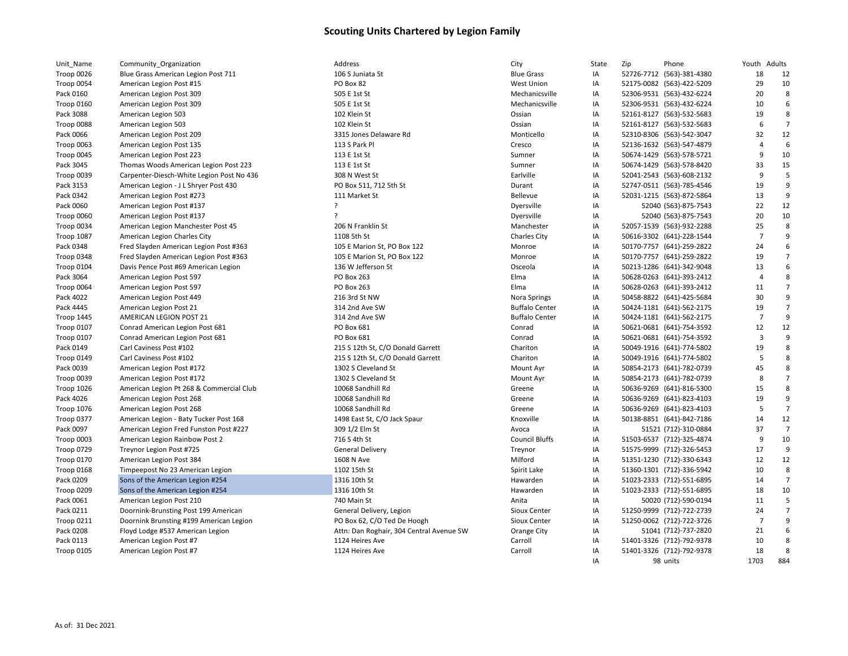| Unit_Name         | Community Organization                    | Address                                  | City                  | State | Zip | Phone                     | Youth                   | Adults         |
|-------------------|-------------------------------------------|------------------------------------------|-----------------------|-------|-----|---------------------------|-------------------------|----------------|
| Troop 0026        | Blue Grass American Legion Post 711       | 106 S Juniata St                         | <b>Blue Grass</b>     | IA    |     | 52726-7712 (563)-381-4380 | 18                      | 12             |
| Troop 0054        | American Legion Post #15                  | PO Box 82                                | <b>West Union</b>     | IA    |     | 52175-0082 (563)-422-5209 | 29                      | 10             |
| Pack 0160         | American Legion Post 309                  | 505 E 1st St                             | Mechanicsville        | IA    |     | 52306-9531 (563)-432-6224 | 20                      | 8              |
| Troop 0160        | American Legion Post 309                  | 505 E 1st St                             | Mechanicsville        | IA    |     | 52306-9531 (563)-432-6224 | 10                      | 6              |
| Pack 3088         | American Legion 503                       | 102 Klein St                             | Ossian                | IA    |     | 52161-8127 (563)-532-5683 | 19                      | 8              |
| Troop 0088        | American Legion 503                       | 102 Klein St                             | Ossian                | IA    |     | 52161-8127 (563)-532-5683 | 6                       | $\overline{7}$ |
| Pack 0066         | American Legion Post 209                  | 3315 Jones Delaware Rd                   | Monticello            | IA    |     | 52310-8306 (563)-542-3047 | 32                      | 12             |
| Troop 0063        | American Legion Post 135                  | 113 S Park Pl                            | Cresco                | IA    |     | 52136-1632 (563)-547-4879 | $\overline{4}$          | 6              |
| Troop 0045        | American Legion Post 223                  | 113 E 1st St                             | Sumner                | IA    |     | 50674-1429 (563)-578-5721 | 9                       | 10             |
| Pack 3045         | Thomas Woods American Legion Post 223     | 113 E 1st St                             | Sumner                | IA    |     | 50674-1429 (563)-578-8420 | 33                      | 15             |
| Troop 0039        | Carpenter-Diesch-White Legion Post No 436 | 308 N West St                            | Earlville             | IA    |     | 52041-2543 (563)-608-2132 | 9                       | 5              |
| Pack 3153         | American Legion - J L Shryer Post 430     | PO Box 511, 712 5th St                   | Durant                | IA    |     | 52747-0511 (563)-785-4546 | 19                      | 9              |
| Pack 0342         | American Legion Post #273                 | 111 Market St                            | Bellevue              | IA    |     | 52031-1215 (563)-872-5864 | 13                      | $\overline{9}$ |
| Pack 0060         | American Legion Post #137                 | ç                                        | Dyersville            | IA    |     | 52040 (563)-875-7543      | 22                      | 12             |
| Troop 0060        | American Legion Post #137                 | ς                                        | Dyersville            | IA    |     | 52040 (563)-875-7543      | 20                      | 10             |
| Troop 0034        | American Legion Manchester Post 45        | 206 N Franklin St                        | Manchester            | IA    |     | 52057-1539 (563)-932-2288 | 25                      | 8              |
| Troop 1087        | American Legion Charles City              | 1108 5th St                              | <b>Charles City</b>   | IA    |     | 50616-3302 (641)-228-1544 | $\overline{7}$          | $\mathsf{q}$   |
| Pack 0348         | Fred Slayden American Legion Post #363    | 105 E Marion St, PO Box 122              | Monroe                | IA    |     | 50170-7757 (641)-259-2822 | 24                      | 6              |
| Troop 0348        | Fred Slayden American Legion Post #363    | 105 E Marion St, PO Box 122              | Monroe                | IA    |     | 50170-7757 (641)-259-2822 | 19                      | $\overline{7}$ |
| Troop 0104        | Davis Pence Post #69 American Legion      | 136 W Jefferson St                       | Osceola               | IA    |     | 50213-1286 (641)-342-9048 | 13                      | 6              |
| Pack 3064         | American Legion Post 597                  | PO Box 263                               | Elma                  | IA    |     | 50628-0263 (641)-393-2412 | $\overline{4}$          | 8              |
| Troop 0064        | American Legion Post 597                  | PO Box 263                               | Elma                  | IA    |     | 50628-0263 (641)-393-2412 | 11                      | $\overline{7}$ |
| Pack 4022         | American Legion Post 449                  | 216 3rd St NW                            | Nora Springs          | IA    |     | 50458-8822 (641)-425-5684 | 30                      | 9              |
| Pack 4445         | American Legion Post 21                   | 314 2nd Ave SW                           | <b>Buffalo Center</b> | IA    |     | 50424-1181 (641)-562-2175 | 19                      | $\overline{7}$ |
| <b>Troop 1445</b> | AMERICAN LEGION POST 21                   | 314 2nd Ave SW                           | <b>Buffalo Center</b> | IA    |     | 50424-1181 (641)-562-2175 | $\overline{7}$          | $\mathsf{q}$   |
| Troop 0107        | Conrad American Legion Post 681           | PO Box 681                               | Conrad                | IA    |     | 50621-0681 (641)-754-3592 | 12                      | 12             |
| Troop 0107        | Conrad American Legion Post 681           | PO Box 681                               | Conrad                | IA    |     | 50621-0681 (641)-754-3592 | $\overline{\mathbf{3}}$ | $\mathsf{q}$   |
| Pack 0149         | Carl Caviness Post #102                   | 215 S 12th St, C/O Donald Garrett        | Chariton              | IA    |     | 50049-1916 (641)-774-5802 | 19                      | 8              |
| Troop 0149        | Carl Caviness Post #102                   | 215 S 12th St, C/O Donald Garrett        | Chariton              | IA    |     | 50049-1916 (641)-774-5802 | 5                       | 8              |
| Pack 0039         | American Legion Post #172                 | 1302 S Cleveland St                      | Mount Ayr             | IA    |     | 50854-2173 (641)-782-0739 | 45                      | 8              |
| Troop 0039        | American Legion Post #172                 | 1302 S Cleveland St                      | Mount Ayr             | IA    |     | 50854-2173 (641)-782-0739 | 8                       | $\overline{7}$ |
| <b>Troop 1026</b> | American Legion Pt 268 & Commercial Club  | 10068 Sandhill Rd                        | Greene                | IA    |     | 50636-9269 (641)-816-5300 | 15                      | 8              |
| Pack 4026         | American Legion Post 268                  | 10068 Sandhill Rd                        | Greene                | IA    |     | 50636-9269 (641)-823-4103 | 19                      | 9              |
| <b>Troop 1076</b> | American Legion Post 268                  | 10068 Sandhill Rd                        | Greene                | IA    |     | 50636-9269 (641)-823-4103 | 5                       | $\overline{7}$ |
| Troop 0377        | American Legion - Baty Tucker Post 168    | 1498 East St, C/O Jack Spaur             | Knoxville             | IA    |     | 50138-8851 (641)-842-7186 | 14                      | 12             |
| Pack 0097         | American Legion Fred Funston Post #227    | 309 1/2 Elm St                           | Avoca                 | IA    |     | 51521 (712)-310-0884      | 37                      | $\overline{7}$ |
| Troop 0003        | American Legion Rainbow Post 2            | 716 S 4th St                             | <b>Council Bluffs</b> | IA    |     | 51503-6537 (712)-325-4874 | 9                       | 10             |
| Troop 0729        | Treynor Legion Post #725                  | <b>General Delivery</b>                  | Treynor               | IA    |     | 51575-9999 (712)-326-5453 | 17                      | $\overline{9}$ |
| <b>Troop 0170</b> | American Legion Post 384                  | 1608 N Ave                               | Milford               | IA    |     | 51351-1230 (712)-330-6343 | 12                      | 12             |
| Troop 0168        | Timpeepost No 23 American Legion          | 1102 15th St                             | Spirit Lake           | IA    |     | 51360-1301 (712)-336-5942 | 10                      | 8              |
| Pack 0209         | Sons of the American Legion #254          | 1316 10th St                             | Hawarden              | IA    |     | 51023-2333 (712)-551-6895 | 14                      | $\overline{7}$ |
| Troop 0209        | Sons of the American Legion #254          | 1316 10th St                             | Hawarden              | IA    |     | 51023-2333 (712)-551-6895 | 18                      | 10             |
| Pack 0061         | American Legion Post 210                  | 740 Main St                              | Anita                 | IA    |     | 50020 (712)-590-0194      | 11                      | 5              |
| Pack 0211         | Doornink-Brunsting Post 199 American      | General Delivery, Legion                 | Sioux Center          | IA    |     | 51250-9999 (712)-722-2739 | 24                      | $\overline{7}$ |
| <b>Troop 0211</b> | Doornink Brunsting #199 American Legion   | PO Box 62, C/O Ted De Hoogh              | Sioux Center          | IA    |     | 51250-0062 (712)-722-3726 | $\overline{7}$          | q              |
| Pack 0208         | Floyd Lodge #537 American Legion          | Attn: Dan Roghair, 304 Central Avenue SW | Orange City           | IA    |     | 51041 (712)-737-2820      | 21                      | 6              |
| Pack 0113         | American Legion Post #7                   | 1124 Heires Ave                          | Carroll               | IA    |     | 51401-3326 (712)-792-9378 | 10                      | 8              |
| <b>Troop 0105</b> | American Legion Post #7                   | 1124 Heires Ave                          | Carroll               | IA    |     | 51401-3326 (712)-792-9378 | 18                      | 8              |
|                   |                                           |                                          |                       | IA    |     | 98 units                  | 1703                    | 884            |
|                   |                                           |                                          |                       |       |     |                           |                         |                |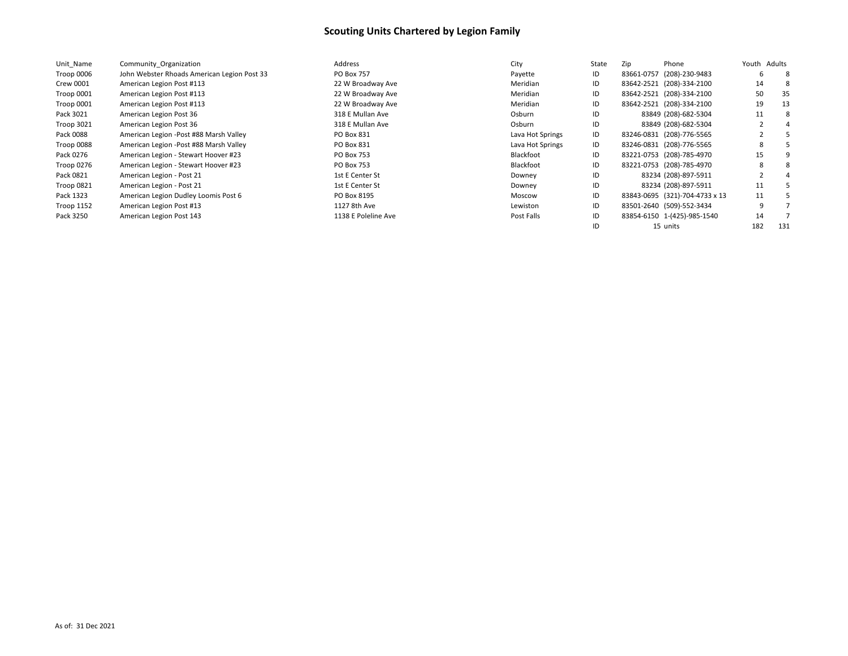| Unit Name         | Community Organization                      | Address             | City             | State | Zip                       | Phone                          | Youth Adults |     |
|-------------------|---------------------------------------------|---------------------|------------------|-------|---------------------------|--------------------------------|--------------|-----|
| Troop 0006        | John Webster Rhoads American Legion Post 33 | <b>PO Box 757</b>   | Payette          | ID    | 83661-0757                | (208)-230-9483                 | 6            | -8  |
| Crew 0001         | American Legion Post #113                   | 22 W Broadway Ave   | Meridian         | ID    | 83642-2521 (208)-334-2100 |                                | 14           |     |
| Troop 0001        | American Legion Post #113                   | 22 W Broadway Ave   | Meridian         | ID    | 83642-2521 (208)-334-2100 |                                | 50           | 35  |
| Troop 0001        | American Legion Post #113                   | 22 W Broadway Ave   | Meridian         | ID    | 83642-2521 (208)-334-2100 |                                | 19           | 13  |
| Pack 3021         | American Legion Post 36                     | 318 E Mullan Ave    | Osburn           | ID    |                           | 83849 (208)-682-5304           | 11           | -8  |
| Troop 3021        | American Legion Post 36                     | 318 E Mullan Ave    | Osburn           | ID    |                           | 83849 (208)-682-5304           |              |     |
| Pack 0088         | American Legion - Post #88 Marsh Valley     | PO Box 831          | Lava Hot Springs | ID    | 83246-0831 (208)-776-5565 |                                |              |     |
| Troop 0088        | American Legion - Post #88 Marsh Valley     | PO Box 831          | Lava Hot Springs | ID    | 83246-0831 (208)-776-5565 |                                | 8            |     |
| Pack 0276         | American Legion - Stewart Hoover #23        | PO Box 753          | Blackfoot        | ID    | 83221-0753 (208)-785-4970 |                                | 15           |     |
| Troop 0276        | American Legion - Stewart Hoover #23        | PO Box 753          | Blackfoot        | ID    | 83221-0753 (208)-785-4970 |                                | 8            |     |
| Pack 0821         | American Legion - Post 21                   | 1st E Center St     | Downey           | ID    |                           | 83234 (208)-897-5911           |              |     |
| Troop 0821        | American Legion - Post 21                   | 1st E Center St     | Downey           | ID    |                           | 83234 (208)-897-5911           | 11           |     |
| Pack 1323         | American Legion Dudley Loomis Post 6        | PO Box 8195         | Moscow           | ID    |                           | 83843-0695 (321)-704-4733 x 13 | 11           |     |
| <b>Troop 1152</b> | American Legion Post #13                    | 1127 8th Ave        | Lewiston         | ID    | 83501-2640 (509)-552-3434 |                                | q            |     |
| Pack 3250         | American Legion Post 143                    | 1138 E Poleline Ave | Post Falls       | ID    |                           | 83854-6150 1-(425)-985-1540    | 14           |     |
|                   |                                             |                     |                  |       | 15 units                  |                                | 182          | 131 |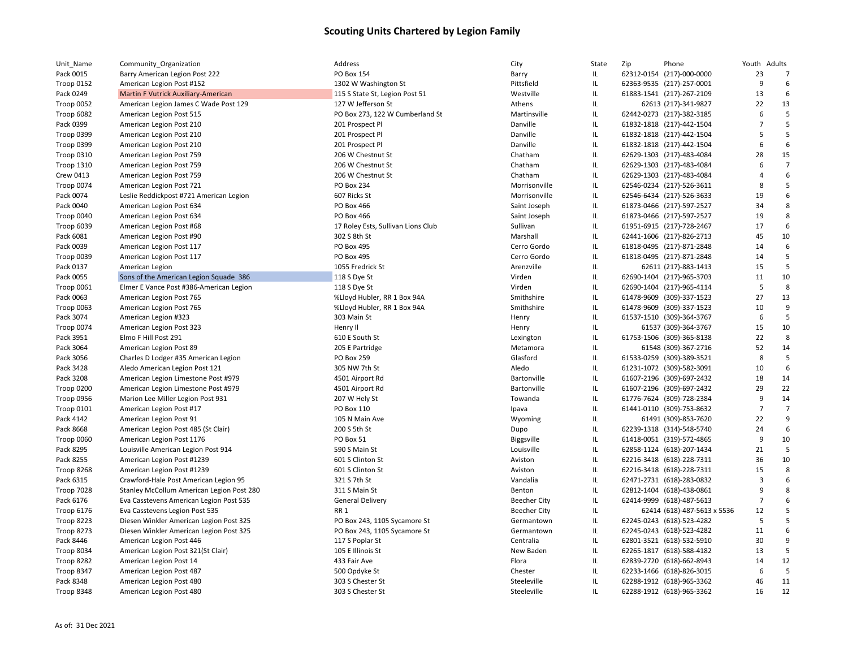| Unit_Name         | Community_Organization                    | Address                            | City                | State                             | Zip | Phone                       | Youth Adults   |                |
|-------------------|-------------------------------------------|------------------------------------|---------------------|-----------------------------------|-----|-----------------------------|----------------|----------------|
| Pack 0015         | Barry American Legion Post 222            | <b>PO Box 154</b>                  | Barry               | IL                                |     | 62312-0154 (217)-000-0000   | 23             | 7              |
| Troop 0152        | American Legion Post #152                 | 1302 W Washington St               | Pittsfield          | $\mathsf{IL}$                     |     | 62363-9535 (217)-257-0001   | 9              | 6              |
| Pack 0249         | Martin F Vutrick Auxiliary-American       | 115 S State St, Legion Post 51     | Westville           | IL.                               |     | 61883-1541 (217)-267-2109   | 13             | 6              |
| Troop 0052        | American Legion James C Wade Post 129     | 127 W Jefferson St                 | Athens              | IL                                |     | 62613 (217)-341-9827        | 22             | 13             |
| Troop 6082        | American Legion Post 515                  | PO Box 273, 122 W Cumberland St    | Martinsville        | $\mathsf{IL}$                     |     | 62442-0273 (217)-382-3185   | 6              | 5              |
| Pack 0399         | American Legion Post 210                  | 201 Prospect Pl                    | Danville            | IL                                |     | 61832-1818 (217)-442-1504   | $\overline{7}$ | 5              |
| Troop 0399        | American Legion Post 210                  | 201 Prospect Pl                    | Danville            | IL                                |     | 61832-1818 (217)-442-1504   | 5              | 5              |
| Troop 0399        | American Legion Post 210                  | 201 Prospect Pl                    | Danville            | IL                                |     | 61832-1818 (217)-442-1504   | 6              | 6              |
| Troop 0310        | American Legion Post 759                  | 206 W Chestnut St                  | Chatham             | IL                                |     | 62629-1303 (217)-483-4084   | 28             | 15             |
| <b>Troop 1310</b> | American Legion Post 759                  | 206 W Chestnut St                  | Chatham             | IL                                |     | 62629-1303 (217)-483-4084   | 6              | $\overline{7}$ |
| Crew 0413         | American Legion Post 759                  | 206 W Chestnut St                  | Chatham             | IL                                |     | 62629-1303 (217)-483-4084   | $\overline{4}$ | 6              |
| Troop 0074        | American Legion Post 721                  | <b>PO Box 234</b>                  | Morrisonville       | IL.                               |     | 62546-0234 (217)-526-3611   | 8              | 5              |
| Pack 0074         | Leslie Reddickpost #721 American Legion   | 607 Ricks St                       | Morrisonville       | IL                                |     | 62546-6434 (217)-526-3633   | 19             | 6              |
| Pack 0040         | American Legion Post 634                  | PO Box 466                         | Saint Joseph        | IL.                               |     | 61873-0466 (217)-597-2527   | 34             | 8              |
| Troop 0040        | American Legion Post 634                  | PO Box 466                         | Saint Joseph        | IL                                |     | 61873-0466 (217)-597-2527   | 19             | 8              |
| Troop 6039        | American Legion Post #68                  | 17 Roley Ests, Sullivan Lions Club | Sullivan            | IL                                |     | 61951-6915 (217)-728-2467   | 17             | 6              |
| Pack 6081         | American Legion Post #90                  | 302 S 8th St                       | Marshall            | IL                                |     | 62441-1606 (217)-826-2713   | 45             | 10             |
| Pack 0039         | American Legion Post 117                  | <b>PO Box 495</b>                  | Cerro Gordo         | IL.                               |     | 61818-0495 (217)-871-2848   | 14             | 6              |
| Troop 0039        | American Legion Post 117                  | <b>PO Box 495</b>                  | Cerro Gordo         | $\mathsf{IL}$                     |     | 61818-0495 (217)-871-2848   | 14             | 5              |
| Pack 0137         | American Legion                           | 1055 Fredrick St                   | Arenzville          | IL.                               |     | 62611 (217)-883-1413        | 15             | 5              |
| Pack 0055         | Sons of the American Legion Squade 386    | 118 S Dye St                       | Virden              | IL                                |     | 62690-1404 (217)-965-3703   | 11             | 10             |
| Troop 0061        | Elmer E Vance Post #386-American Legion   | 118 S Dye St                       | Virden              | $\ensuremath{\mathsf{IL}}\xspace$ |     | 62690-1404 (217)-965-4114   | 5              | 8              |
| Pack 0063         | American Legion Post 765                  | %Lloyd Hubler, RR 1 Box 94A        | Smithshire          | IL                                |     | 61478-9609 (309)-337-1523   | 27             | 13             |
| Troop 0063        | American Legion Post 765                  | %Lloyd Hubler, RR 1 Box 94A        | Smithshire          | IL                                |     | 61478-9609 (309)-337-1523   | 10             | 9              |
| Pack 3074         | American Legion #323                      | 303 Main St                        | Henry               | $\ensuremath{\mathsf{IL}}\xspace$ |     | 61537-1510 (309)-364-3767   | 6              | 5              |
| Troop 0074        | American Legion Post 323                  | Henry II                           | Henry               | IL                                |     | 61537 (309)-364-3767        | 15             | 10             |
| Pack 3951         | Elmo F Hill Post 291                      | 610 E South St                     | Lexington           | $\ensuremath{\mathsf{IL}}\xspace$ |     | 61753-1506 (309)-365-8138   | 22             | 8              |
| Pack 3064         | American Legion Post 89                   | 205 E Partridge                    | Metamora            | IL                                |     | 61548 (309)-367-2716        | 52             | 14             |
| Pack 3056         | Charles D Lodger #35 American Legion      | <b>PO Box 259</b>                  | Glasford            | IL                                |     | 61533-0259 (309)-389-3521   | 8              | 5              |
| Pack 3428         | Aledo American Legion Post 121            | 305 NW 7th St                      | Aledo               | $\mathsf{IL}$                     |     | 61231-1072 (309)-582-3091   | 10             | 6              |
| Pack 3208         | American Legion Limestone Post #979       | 4501 Airport Rd                    | Bartonville         | IL                                |     | 61607-2196 (309)-697-2432   | 18             | 14             |
| Troop 0200        | American Legion Limestone Post #979       | 4501 Airport Rd                    | Bartonville         | IL                                |     | 61607-2196 (309)-697-2432   | 29             | 22             |
| Troop 0956        | Marion Lee Miller Legion Post 931         | 207 W Hely St                      | Towanda             | $\ensuremath{\mathsf{IL}}\xspace$ |     | 61776-7624 (309)-728-2384   | 9              | 14             |
| <b>Troop 0101</b> | American Legion Post #17                  | PO Box 110                         | Ipava               | $\ensuremath{\mathsf{IL}}\xspace$ |     | 61441-0110 (309)-753-8632   | $\overline{7}$ | $\overline{7}$ |
| Pack 4142         | American Legion Post 91                   | 105 N Main Ave                     | Wyoming             | IL                                |     | 61491 (309)-853-7620        | 22             | 9              |
| Pack 8668         | American Legion Post 485 (St Clair)       | 200 S 5th St                       | Dupo                | $\ensuremath{\mathsf{IL}}\xspace$ |     | 62239-1318 (314)-548-5740   | 24             | 6              |
| Troop 0060        | American Legion Post 1176                 | PO Box 51                          | <b>Biggsville</b>   | IL                                |     | 61418-0051 (319)-572-4865   | 9              | 10             |
| Pack 8295         | Louisville American Legion Post 914       | 590 S Main St                      | Louisville          | IL                                |     | 62858-1124 (618)-207-1434   | 21             | 5              |
| Pack 8255         | American Legion Post #1239                | 601 S Clinton St                   | Aviston             | $\ensuremath{\mathsf{IL}}\xspace$ |     | 62216-3418 (618)-228-7311   | 36             | 10             |
| Troop 8268        | American Legion Post #1239                | 601 S Clinton St                   | Aviston             | IL                                |     | 62216-3418 (618)-228-7311   | 15             | 8              |
| Pack 6315         | Crawford-Hale Post American Legion 95     | 321 S 7th St                       | Vandalia            | $\ensuremath{\mathsf{IL}}\xspace$ |     | 62471-2731 (618)-283-0832   | $\overline{3}$ | 6              |
| <b>Troop 7028</b> | Stanley McCollum American Legion Post 280 | 311 S Main St                      | Benton              | $\ensuremath{\mathsf{IL}}\xspace$ |     | 62812-1404 (618)-438-0861   | 9              | 8              |
| Pack 6176         | Eva Casstevens American Legion Post 535   | <b>General Delivery</b>            | <b>Beecher City</b> | IL                                |     | 62414-9999 (618)-487-5613   | $\overline{7}$ | 6              |
| Troop 6176        | Eva Casstevens Legion Post 535            | RR 1                               | <b>Beecher City</b> | IL                                |     | 62414 (618)-487-5613 x 5536 | 12             | 5              |
| Troop 8223        | Diesen Winkler American Legion Post 325   | PO Box 243, 1105 Sycamore St       | Germantown          | IL.                               |     | 62245-0243 (618)-523-4282   | 5              | 5              |
| Troop 8273        | Diesen Winkler American Legion Post 325   | PO Box 243, 1105 Sycamore St       | Germantown          | IL                                |     | 62245-0243 (618)-523-4282   | 11             | 6              |
| Pack 8446         | American Legion Post 446                  | 117 S Poplar St                    | Centralia           | IL                                |     | 62801-3521 (618)-532-5910   | 30             | 9              |
| Troop 8034        | American Legion Post 321(St Clair)        | 105 E Illinois St                  | New Baden           | $\mathsf{IL}$                     |     | 62265-1817 (618)-588-4182   | 13             | 5              |
| Troop 8282        | American Legion Post 14                   | 433 Fair Ave                       | Flora               | IL.                               |     | 62839-2720 (618)-662-8943   | 14             | 12             |
| Troop 8347        | American Legion Post 487                  | 500 Opdyke St                      | Chester             | IL                                |     | 62233-1466 (618)-826-3015   | 6              | 5              |
| Pack 8348         | American Legion Post 480                  | 303 S Chester St                   | Steeleville         | IL                                |     | 62288-1912 (618)-965-3362   | 46             | 11             |
| Troop 8348        | American Legion Post 480                  | 303 S Chester St                   | Steeleville         | IL.                               |     | 62288-1912 (618)-965-3362   | 16             | 12             |
|                   |                                           |                                    |                     |                                   |     |                             |                |                |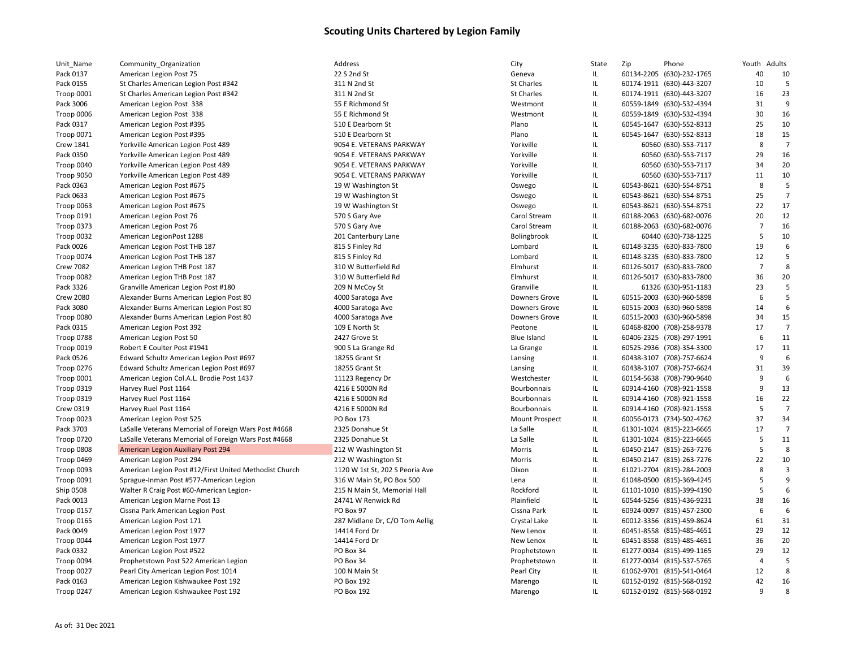| Unit_Name               | Community_Organization                                 | Address                         | City                  | State                                   | Zip | Phone                                                  | Youth Adults   |                 |
|-------------------------|--------------------------------------------------------|---------------------------------|-----------------------|-----------------------------------------|-----|--------------------------------------------------------|----------------|-----------------|
| Pack 0137               | American Legion Post 75                                | 22 S 2nd St                     | Geneva                | IL                                      |     | 60134-2205 (630)-232-1765                              | 40             | 10              |
| Pack 0155               | St Charles American Legion Post #342                   | 311 N 2nd St                    | <b>St Charles</b>     | IL                                      |     | 60174-1911 (630)-443-3207                              | 10             | 5               |
| Troop 0001              | St Charles American Legion Post #342                   | 311 N 2nd St                    | <b>St Charles</b>     | IL                                      |     | 60174-1911 (630)-443-3207                              | 16             | 23              |
| Pack 3006               | American Legion Post 338                               | 55 E Richmond St                | Westmont              | IL                                      |     | 60559-1849 (630)-532-4394                              | 31             | 9               |
| Troop 0006              | American Legion Post 338                               | 55 E Richmond St                | Westmont              | $\ensuremath{\mathsf{IL}}\xspace$       |     | 60559-1849 (630)-532-4394                              | 30             | 16              |
| Pack 0317               | American Legion Post #395                              | 510 E Dearborn St               | Plano                 | $\ensuremath{\mathsf{IL}}\xspace$       |     | 60545-1647 (630)-552-8313                              | 25             | 10              |
| <b>Troop 0071</b>       | American Legion Post #395                              | 510 E Dearborn St               | Plano                 | IL                                      |     | 60545-1647 (630)-552-8313                              | 18             | 15              |
| <b>Crew 1841</b>        | Yorkville American Legion Post 489                     | 9054 E. VETERANS PARKWAY        | Yorkville             | IL                                      |     | 60560 (630)-553-7117                                   | 8              | $\overline{7}$  |
| Pack 0350               | Yorkville American Legion Post 489                     | 9054 E. VETERANS PARKWAY        | Yorkville             | $\ensuremath{\mathsf{IL}}\xspace$       |     | 60560 (630)-553-7117                                   | 29             | 16              |
| Troop 0040              | Yorkville American Legion Post 489                     | 9054 E. VETERANS PARKWAY        | Yorkville             | $\ensuremath{\mathsf{IL}}\xspace$       |     | 60560 (630)-553-7117                                   | 34             | 20              |
| Troop 9050              | Yorkville American Legion Post 489                     | 9054 E. VETERANS PARKWAY        | Yorkville             | $\ensuremath{\mathsf{IL}}\xspace$       |     | 60560 (630)-553-7117                                   | 11             | 10              |
| Pack 0363               | American Legion Post #675                              | 19 W Washington St              | Oswego                | $\ensuremath{\mathsf{IL}}\xspace$       |     | 60543-8621 (630)-554-8751                              | 8              | 5               |
| Pack 0633               | American Legion Post #675                              | 19 W Washington St              | Oswego                | $\ensuremath{\mathsf{IL}}\xspace$       |     | 60543-8621 (630)-554-8751                              | 25             | $\overline{7}$  |
| Troop 0063              | American Legion Post #675                              | 19 W Washington St              | Oswego                | IL                                      |     | 60543-8621 (630)-554-8751                              | 22             | 17              |
| Troop 0191              | American Legion Post 76                                | 570 S Gary Ave                  | Carol Stream          | IL                                      |     | 60188-2063 (630)-682-0076                              | 20             | 12              |
| Troop 0373              | American Legion Post 76                                | 570 S Gary Ave                  | Carol Stream          | $\ensuremath{\mathsf{IL}}\xspace$       |     | 60188-2063 (630)-682-0076                              | $\overline{7}$ | 16              |
| Troop 0032              | American LegionPost 1288                               | 201 Canterbury Lane             | Bolingbrook           | IL                                      |     | 60440 (630)-738-1225                                   | 5              | 10              |
| Pack 0026               | American Legion Post THB 187                           | 815 S Finley Rd                 | Lombard               | IL                                      |     | 60148-3235 (630)-833-7800                              | 19             | 6               |
| Troop 0074              | American Legion Post THB 187                           | 815 S Finley Rd                 | Lombard               | $\ensuremath{\mathsf{IL}}\xspace$       |     | 60148-3235 (630)-833-7800                              | 12             | 5               |
| <b>Crew 7082</b>        | American Legion THB Post 187                           | 310 W Butterfield Rd            | Elmhurst              | IL                                      |     | 60126-5017 (630)-833-7800                              | $\overline{7}$ | 8               |
| Troop 0082              | American Legion THB Post 187                           | 310 W Butterfield Rd            | Elmhurst              | IL                                      |     | 60126-5017 (630)-833-7800                              | 36             | 20              |
| Pack 3326               | Granville American Legion Post #180                    | 209 N McCoy St                  | Granville             | IL                                      |     | 61326 (630)-951-1183                                   | 23             | 5               |
| <b>Crew 2080</b>        | Alexander Burns American Legion Post 80                | 4000 Saratoga Ave               | Downers Grove         | IL                                      |     | 60515-2003 (630)-960-5898                              | 6              | 5               |
| Pack 3080               | Alexander Burns American Legion Post 80                | 4000 Saratoga Ave               | <b>Downers Grove</b>  | $\ensuremath{\mathsf{IL}}\xspace$       |     | 60515-2003 (630)-960-5898                              | 14             | $6\phantom{1}6$ |
| Troop 0080              | Alexander Burns American Legion Post 80                | 4000 Saratoga Ave               | <b>Downers Grove</b>  | IL                                      |     | 60515-2003 (630)-960-5898                              | 34             | 15              |
| Pack 0315               | American Legion Post 392                               | 109 E North St                  | Peotone               | IL                                      |     | 60468-8200 (708)-258-9378                              | 17             | $\overline{7}$  |
| <b>Troop 0788</b>       | American Legion Post 50                                | 2427 Grove St                   | <b>Blue Island</b>    | $\ensuremath{\mathsf{IL}}\xspace$       |     | 60406-2325 (708)-297-1991                              | 6              | 11              |
| Troop 0019              | Robert E Coulter Post #1941                            | 900 S La Grange Rd              | La Grange             | IL                                      |     | 60525-2936 (708)-354-3300                              | 17             | 11              |
| Pack 0526               | Edward Schultz American Legion Post #697               | 18255 Grant St                  | Lansing               | IL                                      |     | 60438-3107 (708)-757-6624                              | 9              | 6               |
| <b>Troop 0276</b>       | Edward Schultz American Legion Post #697               | 18255 Grant St                  | Lansing               | $\ensuremath{\mathsf{IL}}\xspace$       |     | 60438-3107 (708)-757-6624                              | 31             | 39              |
| Troop 0001              | American Legion Col.A.L. Brodie Post 1437              | 11123 Regency Dr                | Westchester           | IL                                      |     | 60154-5638 (708)-790-9640                              | 9              | 6               |
| <b>Troop 0319</b>       | Harvey Ruel Post 1164                                  | 4216 E 5000N Rd                 | Bourbonnais           | IL                                      |     | 60914-4160 (708)-921-1558                              | 9              | 13              |
| <b>Troop 0319</b>       | Harvey Ruel Post 1164                                  | 4216 E 5000N Rd                 | Bourbonnais           | $\ensuremath{\mathsf{IL}}\xspace$       |     | 60914-4160 (708)-921-1558                              | 16             | 22              |
| Crew 0319               | Harvey Ruel Post 1164                                  | 4216 E 5000N Rd                 | Bourbonnais           | IL                                      |     | 60914-4160 (708)-921-1558                              | 5              | $\overline{7}$  |
| Troop 0023              | American Legion Post 525                               | PO Box 173                      | <b>Mount Prospect</b> | $\ensuremath{\mathsf{IL}}\xspace$       |     | 60056-0173 (734)-502-4762                              | 37             | 34              |
| Pack 3703               | LaSalle Veterans Memorial of Foreign Wars Post #4668   | 2325 Donahue St                 | La Salle              | $\ensuremath{\mathsf{IL}}\xspace$       |     | 61301-1024 (815)-223-6665                              | 17             | $\overline{7}$  |
| Troop 0720              | LaSalle Veterans Memorial of Foreign Wars Post #4668   | 2325 Donahue St                 | La Salle              | IL                                      |     | 61301-1024 (815)-223-6665                              | 5              | 11              |
| Troop 0808              | American Legion Auxiliary Post 294                     | 212 W Washington St             | Morris                | $\ensuremath{\mathsf{IL}}\xspace$       |     | 60450-2147 (815)-263-7276                              | 5              | 8               |
| Troop 0469              | American Legion Post 294                               | 212 W Washington St             | Morris                | $\ensuremath{\mathsf{IL}}\xspace$       |     | 60450-2147 (815)-263-7276                              | 22             | 10              |
| Troop 0093              | American Legion Post #12/First United Methodist Church | 1120 W 1st St, 202 S Peoria Ave | Dixon                 | IL                                      |     | 61021-2704 (815)-284-2003                              | 8              | $\overline{3}$  |
| <b>Troop 0091</b>       | Sprague-Inman Post #577-American Legion                | 316 W Main St, PO Box 500       | Lena                  | $\ensuremath{\mathsf{IL}}\xspace$       |     | 61048-0500 (815)-369-4245                              | 5              | 9               |
| Ship 0508               | Walter R Craig Post #60-American Legion-               | 215 N Main St, Memorial Hall    | Rockford              | $\ensuremath{\mathsf{IL}}\xspace$       |     | 61101-1010 (815)-399-4190                              | 5              | 6               |
| Pack 0013               | American Legion Marne Post 13                          | 24741 W Renwick Rd              | Plainfield            | IL                                      |     | 60544-5256 (815)-436-9231                              | 38             | 16              |
| <b>Troop 0157</b>       | Cissna Park American Legion Post                       | PO Box 97                       | Cissna Park           | IL.                                     |     | 60924-0097 (815)-457-2300                              | 6              | 6               |
| <b>Troop 0165</b>       | American Legion Post 171                               | 287 Midlane Dr, C/O Tom Aellig  | Crystal Lake          | IL                                      |     | 60012-3356 (815)-459-8624                              | 61             | 31              |
| Pack 0049               | American Legion Post 1977                              | 14414 Ford Dr                   | New Lenox             | IL                                      |     | 60451-8558 (815)-485-4651                              | 29             | 12              |
| Troop 0044              | American Legion Post 1977                              | 14414 Ford Dr                   | New Lenox             | $\ensuremath{\mathsf{IL}}\xspace$       |     | 60451-8558 (815)-485-4651                              | 36             | 20              |
| Pack 0332               | American Legion Post #522                              | PO Box 34                       | Prophetstown          | IL                                      |     | 61277-0034 (815)-499-1165                              | 29             | 12              |
| Troop 0094              | Prophetstown Post 522 American Legion                  | PO Box 34                       | Prophetstown          | IL                                      |     | 61277-0034 (815)-537-5765                              | $\overline{4}$ | 5               |
|                         |                                                        | 100 N Main St                   |                       |                                         |     |                                                        | 12             | 8               |
| Troop 0027<br>Pack 0163 | Pearl City American Legion Post 1014                   | <b>PO Box 192</b>               | Pearl City            | IL<br>$\ensuremath{\mathsf{IL}}\xspace$ |     | 61062-9701 (815)-541-0464<br>60152-0192 (815)-568-0192 | 42             | 16              |
|                         | American Legion Kishwaukee Post 192                    |                                 | Marengo               | IL.                                     |     |                                                        | $\mathbf{q}$   | 8               |
| Troop 0247              | American Legion Kishwaukee Post 192                    | <b>PO Box 192</b>               | Marengo               |                                         |     | 60152-0192 (815)-568-0192                              |                |                 |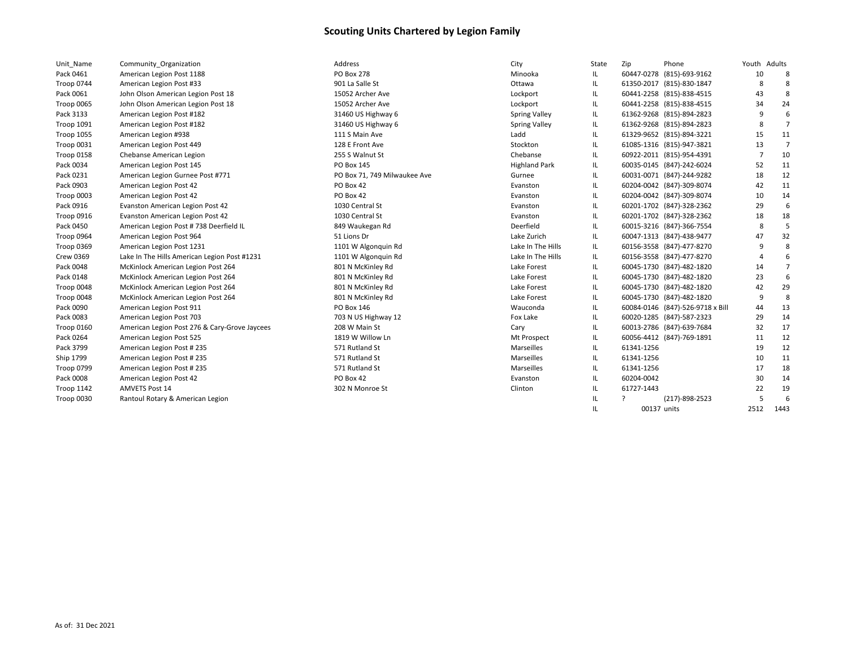| Unit Name         | Community Organization                        | Address                      | City                 | State | Zip        | Phone                            | Youth Adults |                |
|-------------------|-----------------------------------------------|------------------------------|----------------------|-------|------------|----------------------------------|--------------|----------------|
| Pack 0461         | American Legion Post 1188                     | <b>PO Box 278</b>            | Minooka              | IL.   |            | 60447-0278 (815)-693-9162        | 10           | 8              |
| Troop 0744        | American Legion Post #33                      | 901 La Salle St              | Ottawa               | IL    |            | 61350-2017 (815)-830-1847        | 8            | 8              |
| Pack 0061         | John Olson American Legion Post 18            | 15052 Archer Ave             | Lockport             | IL    |            | 60441-2258 (815)-838-4515        | 43           |                |
| Troop 0065        | John Olson American Legion Post 18            | 15052 Archer Ave             | Lockport             | IL    |            | 60441-2258 (815)-838-4515        | 34           | 24             |
| Pack 3133         | American Legion Post #182                     | 31460 US Highway 6           | <b>Spring Valley</b> | IL.   |            | 61362-9268 (815)-894-2823        | 9            | 6              |
| Troop 1091        | American Legion Post #182                     | 31460 US Highway 6           | <b>Spring Valley</b> | IL.   |            | 61362-9268 (815)-894-2823        | 8            | $\overline{7}$ |
| <b>Troop 1055</b> | American Legion #938                          | 111 S Main Ave               | Ladd                 | IL    |            | 61329-9652 (815)-894-3221        | 15           | 11             |
| Troop 0031        | American Legion Post 449                      | 128 E Front Ave              | Stockton             | IL.   |            | 61085-1316 (815)-947-3821        | 13           | 7              |
| Troop 0158        | Chebanse American Legion                      | 255 S Walnut St              | Chebanse             | IL.   |            | 60922-2011 (815)-954-4391        | 7            | 10             |
| Pack 0034         | American Legion Post 145                      | PO Box 145                   | <b>Highland Park</b> | IL    |            | 60035-0145 (847)-242-6024        | 52           | 11             |
| Pack 0231         | American Legion Gurnee Post #771              | PO Box 71, 749 Milwaukee Ave | Gurnee               | IL.   |            | 60031-0071 (847)-244-9282        | 18           | 12             |
| Pack 0903         | American Legion Post 42                       | PO Box 42                    | Evanston             | IL.   |            | 60204-0042 (847)-309-8074        | 42           | 11             |
| Troop 0003        | American Legion Post 42                       | PO Box 42                    | Evanston             | IL.   |            | 60204-0042 (847)-309-8074        | 10           | 14             |
| Pack 0916         | Evanston American Legion Post 42              | 1030 Central St              | Evanston             | IL    |            | 60201-1702 (847)-328-2362        | 29           | 6              |
| Troop 0916        | Evanston American Legion Post 42              | 1030 Central St              | Evanston             | IL.   |            | 60201-1702 (847)-328-2362        | 18           | 18             |
| Pack 0450         | American Legion Post # 738 Deerfield IL       | 849 Waukegan Rd              | Deerfield            | IL.   |            | 60015-3216 (847)-366-7554        | 8            |                |
| Troop 0964        | American Legion Post 964                      | 51 Lions Dr                  | Lake Zurich          | IL    |            | 60047-1313 (847)-438-9477        | 47           | 32             |
| Troop 0369        | American Legion Post 1231                     | 1101 W Algonquin Rd          | Lake In The Hills    | IL.   |            | 60156-3558 (847)-477-8270        |              | 8              |
| <b>Crew 0369</b>  | Lake In The Hills American Legion Post #1231  | 1101 W Algonquin Rd          | Lake In The Hills    | IL.   |            | 60156-3558 (847)-477-8270        |              | 6              |
| Pack 0048         | McKinlock American Legion Post 264            | 801 N McKinley Rd            | Lake Forest          | IL.   |            | 60045-1730 (847)-482-1820        | 14           | $\overline{7}$ |
| Pack 0148         | McKinlock American Legion Post 264            | 801 N McKinley Rd            | Lake Forest          | IL.   |            | 60045-1730 (847)-482-1820        | 23           | 6              |
| Troop 0048        | McKinlock American Legion Post 264            | 801 N McKinley Rd            | Lake Forest          | IL.   |            | 60045-1730 (847)-482-1820        | 42           | 29             |
| Troop 0048        | McKinlock American Legion Post 264            | 801 N McKinley Rd            | Lake Forest          | IL.   |            | 60045-1730 (847)-482-1820        | -9           | 8              |
| Pack 0090         | American Legion Post 911                      | PO Box 146                   | Wauconda             | IL.   |            | 60084-0146 (847)-526-9718 x Bill | 44           | 13             |
| Pack 0083         | American Legion Post 703                      | 703 N US Highway 12          | Fox Lake             | IL.   |            | 60020-1285 (847)-587-2323        | 29           | 14             |
| Troop 0160        | American Legion Post 276 & Cary-Grove Jaycees | 208 W Main St                | Cary                 | IL.   |            | 60013-2786 (847)-639-7684        | 32           | 17             |
| Pack 0264         | American Legion Post 525                      | 1819 W Willow Ln             | Mt Prospect          | IL.   |            | 60056-4412 (847)-769-1891        | 11           | 12             |
| Pack 3799         | American Legion Post #235                     | 571 Rutland St               | <b>Marseilles</b>    | IL.   | 61341-1256 |                                  | 19           | 12             |
| Ship 1799         | American Legion Post #235                     | 571 Rutland St               | Marseilles           | IL    | 61341-1256 |                                  | 10           | 11             |
| Troop 0799        | American Legion Post #235                     | 571 Rutland St               | Marseilles           | IL.   | 61341-1256 |                                  | 17           | 18             |
| Pack 0008         | American Legion Post 42                       | PO Box 42                    | Evanston             | IL    | 60204-0042 |                                  | 30           | 14             |
| Troop 1142        | <b>AMVETS Post 14</b>                         | 302 N Monroe St              | Clinton              | IL    | 61727-1443 |                                  | 22           | 19             |
| Troop 0030        | Rantoul Rotary & American Legion              |                              |                      | IL.   |            | (217)-898-2523                   | .5           |                |

IL 00137 units 2512 1443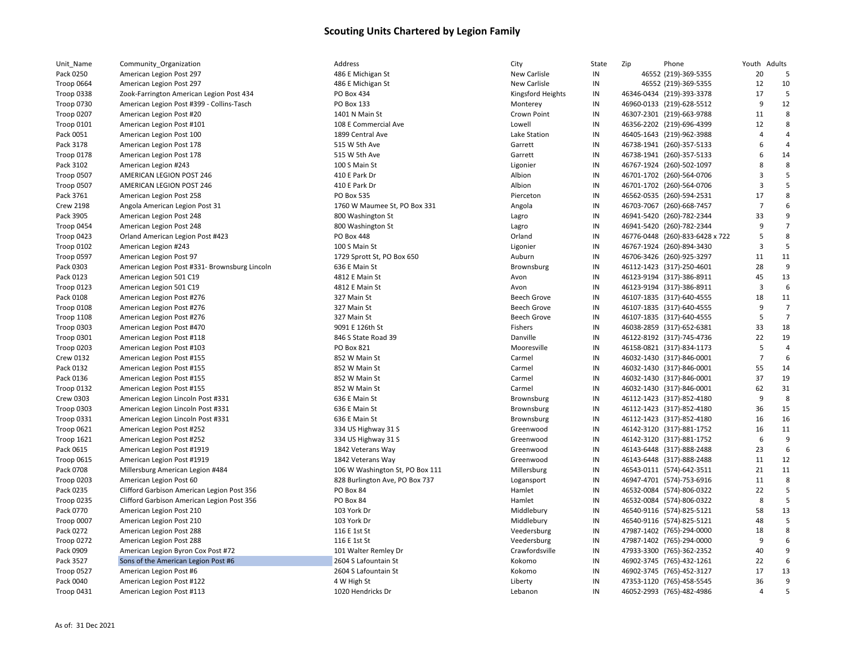| Unit_Name         | Community_Organization                        | Address                         | City                | State | Zip<br>Phone                    | Youth                   | Adults         |
|-------------------|-----------------------------------------------|---------------------------------|---------------------|-------|---------------------------------|-------------------------|----------------|
| Pack 0250         | American Legion Post 297                      | 486 E Michigan St               | New Carlisle        | IN    | 46552 (219)-369-5355            | 20                      | 5              |
| Troop 0664        | American Legion Post 297                      | 486 E Michigan St               | <b>New Carlisle</b> | IN    | 46552 (219)-369-5355            | 12                      | 10             |
| Troop 0338        | Zook-Farrington American Legion Post 434      | PO Box 434                      | Kingsford Heights   | IN    | 46346-0434 (219)-393-3378       | 17                      | 5              |
| <b>Troop 0730</b> | American Legion Post #399 - Collins-Tasch     | <b>PO Box 133</b>               | Monterey            | IN    | 46960-0133 (219)-628-5512       | 9                       | 12             |
| Troop 0207        | American Legion Post #20                      | 1401 N Main St                  | Crown Point         | IN    | 46307-2301 (219)-663-9788       | 11                      | 8              |
| Troop 0101        | American Legion Post #101                     | 108 E Commercial Ave            | Lowell              | IN    | 46356-2202 (219)-696-4399       | 12                      | 8              |
| Pack 0051         | American Legion Post 100                      | 1899 Central Ave                | Lake Station        | IN    | 46405-1643 (219)-962-3988       | $\overline{4}$          | 4              |
| Pack 3178         | American Legion Post 178                      | 515 W 5th Ave                   | Garrett             | IN    | 46738-1941 (260)-357-5133       | 6                       | $\overline{4}$ |
| Troop 0178        | American Legion Post 178                      | 515 W 5th Ave                   | Garrett             | IN    | 46738-1941 (260)-357-5133       | 6                       | 14             |
| Pack 3102         | American Legion #243                          | 100 S Main St                   | Ligonier            | IN    | 46767-1924 (260)-502-1097       | 8                       | 8              |
| Troop 0507        | AMERICAN LEGION POST 246                      | 410 E Park Dr                   | Albion              | IN    | 46701-1702 (260)-564-0706       | 3                       | 5              |
| Troop 0507        | AMERICAN LEGION POST 246                      | 410 E Park Dr                   | Albion              | IN    | 46701-1702 (260)-564-0706       | $\overline{\mathbf{3}}$ | 5              |
| Pack 3761         | American Legion Post 258                      | <b>PO Box 535</b>               | Pierceton           | IN    | 46562-0535 (260)-594-2531       | 17                      | 8              |
| <b>Crew 2198</b>  | Angola American Legion Post 31                | 1760 W Maumee St, PO Box 331    | Angola              | IN    | 46703-7067 (260)-668-7457       | $\overline{7}$          | 6              |
| Pack 3905         | American Legion Post 248                      | 800 Washington St               | Lagro               | IN    | 46941-5420 (260)-782-2344       | 33                      | 9              |
| Troop 0454        | American Legion Post 248                      | 800 Washington St               | Lagro               | IN    | 46941-5420 (260)-782-2344       | 9                       | $\overline{7}$ |
| Troop 0423        | Orland American Legion Post #423              | PO Box 448                      | Orland              | IN    | 46776-0448 (260)-833-6428 x 722 | 5                       | 8              |
| Troop 0102        | American Legion #243                          | 100 S Main St                   | Ligonier            | IN    | 46767-1924 (260)-894-3430       | 3                       | 5              |
| Troop 0597        | American Legion Post 97                       | 1729 Sprott St, PO Box 650      | Auburn              | IN    | 46706-3426 (260)-925-3297       | 11                      | 11             |
| Pack 0303         | American Legion Post #331- Brownsburg Lincoln | 636 E Main St                   | Brownsburg          | IN    | 46112-1423 (317)-250-4601       | 28                      | 9              |
| Pack 0123         | American Legion 501 C19                       | 4812 E Main St                  | Avon                | IN    | 46123-9194 (317)-386-8911       | 45                      | 13             |
| Troop 0123        | American Legion 501 C19                       | 4812 E Main St                  | Avon                | IN    | 46123-9194 (317)-386-8911       | $\overline{3}$          | 6              |
| Pack 0108         | American Legion Post #276                     | 327 Main St                     | <b>Beech Grove</b>  | IN    | 46107-1835 (317)-640-4555       | 18                      | 11             |
| Troop 0108        | American Legion Post #276                     | 327 Main St                     | <b>Beech Grove</b>  | IN    | 46107-1835 (317)-640-4555       | 9                       | $\overline{7}$ |
| Troop 1108        | American Legion Post #276                     | 327 Main St                     | <b>Beech Grove</b>  | IN    | 46107-1835 (317)-640-4555       | 5                       | $\overline{7}$ |
| Troop 0303        | American Legion Post #470                     | 9091 E 126th St                 | Fishers             | IN    | 46038-2859 (317)-652-6381       | 33                      | 18             |
| Troop 0301        | American Legion Post #118                     | 846 S State Road 39             | Danville            | IN    | 46122-8192 (317)-745-4736       | 22                      | 19             |
| <b>Troop 0203</b> | American Legion Post #103                     | PO Box 821                      | Mooresville         | IN    | 46158-0821 (317)-834-1173       | 5                       | $\overline{4}$ |
| <b>Crew 0132</b>  | American Legion Post #155                     | 852 W Main St                   | Carmel              | IN    | 46032-1430 (317)-846-0001       | $\overline{7}$          | 6              |
| Pack 0132         | American Legion Post #155                     | 852 W Main St                   | Carmel              | IN    | 46032-1430 (317)-846-0001       | 55                      | 14             |
| Pack 0136         | American Legion Post #155                     | 852 W Main St                   | Carmel              | IN    | 46032-1430 (317)-846-0001       | 37                      | 19             |
| Troop 0132        | American Legion Post #155                     | 852 W Main St                   | Carmel              | IN    | 46032-1430 (317)-846-0001       | 62                      | 31             |
| <b>Crew 0303</b>  | American Legion Lincoln Post #331             | 636 E Main St                   | Brownsburg          | IN    | 46112-1423 (317)-852-4180       | 9                       | 8              |
| Troop 0303        | American Legion Lincoln Post #331             | 636 E Main St                   | Brownsburg          | IN    | 46112-1423 (317)-852-4180       | 36                      | 15             |
| Troop 0331        | American Legion Lincoln Post #331             | 636 E Main St                   | Brownsburg          | IN    | 46112-1423 (317)-852-4180       | 16                      | 16             |
| Troop 0621        | American Legion Post #252                     | 334 US Highway 31 S             | Greenwood           | IN    | 46142-3120 (317)-881-1752       | 16                      | 11             |
| Troop 1621        | American Legion Post #252                     | 334 US Highway 31 S             | Greenwood           | IN    | 46142-3120 (317)-881-1752       | 6                       | 9              |
| Pack 0615         | American Legion Post #1919                    | 1842 Veterans Way               | Greenwood           | IN    | 46143-6448 (317)-888-2488       | 23                      | 6              |
| Troop 0615        | American Legion Post #1919                    | 1842 Veterans Way               | Greenwood           | IN    | 46143-6448 (317)-888-2488       | 11                      | 12             |
| Pack 0708         | Millersburg American Legion #484              | 106 W Washington St, PO Box 111 | Millersburg         | IN    | 46543-0111 (574)-642-3511       | 21                      | 11             |
| Troop 0203        | American Legion Post 60                       | 828 Burlington Ave, PO Box 737  | Logansport          | IN    | 46947-4701 (574)-753-6916       | 11                      | 8              |
| Pack 0235         | Clifford Garbison American Legion Post 356    | PO Box 84                       | Hamlet              | IN    | 46532-0084 (574)-806-0322       | 22                      | 5              |
| <b>Troop 0235</b> | Clifford Garbison American Legion Post 356    | PO Box 84                       | Hamlet              | IN    | 46532-0084 (574)-806-0322       | 8                       | 5              |
| Pack 0770         | American Legion Post 210                      | 103 York Dr                     | Middlebury          | IN    | 46540-9116 (574)-825-5121       | 58                      | 13             |
| Troop 0007        | American Legion Post 210                      | 103 York Dr                     | Middlebury          | IN    | 46540-9116 (574)-825-5121       | 48                      | 5              |
| Pack 0272         | American Legion Post 288                      | 116 E 1st St                    | Veedersburg         | IN    | 47987-1402 (765)-294-0000       | 18                      | 8              |
| Troop 0272        | American Legion Post 288                      | 116 E 1st St                    | Veedersburg         | IN    | 47987-1402 (765)-294-0000       | 9                       | 6              |
| Pack 0909         | American Legion Byron Cox Post #72            | 101 Walter Remley Dr            | Crawfordsville      | IN    | 47933-3300 (765)-362-2352       | 40                      | $\mathsf{q}$   |
| Pack 3527         | Sons of the American Legion Post #6           | 2604 S Lafountain St            | Kokomo              | IN    | 46902-3745 (765)-432-1261       | 22                      | 6              |
| Troop 0527        | American Legion Post #6                       | 2604 S Lafountain St            | Kokomo              | IN    | 46902-3745 (765)-452-3127       | 17                      | 13             |
| Pack 0040         | American Legion Post #122                     | 4 W High St                     | Liberty             | IN    | 47353-1120 (765)-458-5545       | 36                      | 9              |
| Troop 0431        | American Legion Post #113                     | 1020 Hendricks Dr               | Lebanon             | IN    | 46052-2993 (765)-482-4986       | $\overline{4}$          | 5              |
|                   |                                               |                                 |                     |       |                                 |                         |                |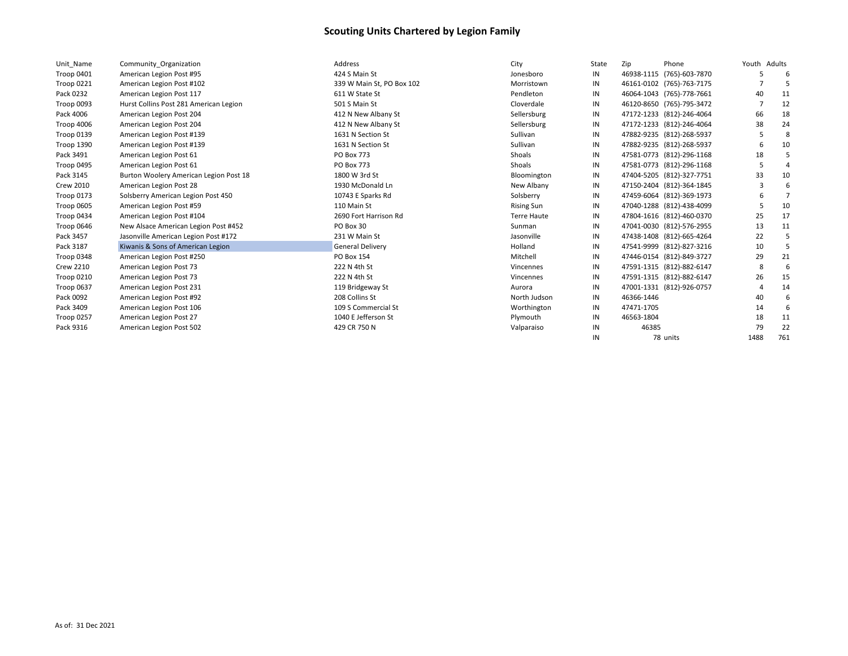| Unit Name        | Community Organization                 | Address                   | City               | State | Zip        | Phone                     | Youth Adults |     |
|------------------|----------------------------------------|---------------------------|--------------------|-------|------------|---------------------------|--------------|-----|
| Troop 0401       | American Legion Post #95               | 424 S Main St             | Jonesboro          | IN    |            | 46938-1115 (765)-603-7870 |              |     |
| Troop 0221       | American Legion Post #102              | 339 W Main St, PO Box 102 | Morristown         | IN    |            | 46161-0102 (765)-763-7175 |              |     |
| Pack 0232        | American Legion Post 117               | 611 W State St            | Pendleton          | IN    |            | 46064-1043 (765)-778-7661 | 40           | 11  |
| Troop 0093       | Hurst Collins Post 281 American Legion | 501 S Main St             | Cloverdale         | IN    |            | 46120-8650 (765)-795-3472 |              | 12  |
| Pack 4006        | American Legion Post 204               | 412 N New Albany St       | Sellersburg        | IN    |            | 47172-1233 (812)-246-4064 | 66           | 18  |
| Troop 4006       | American Legion Post 204               | 412 N New Albany St       | Sellersburg        | IN    |            | 47172-1233 (812)-246-4064 | 38           | 24  |
| Troop 0139       | American Legion Post #139              | 1631 N Section St         | Sullivan           | IN    |            | 47882-9235 (812)-268-5937 | -5           | 8   |
| Troop 1390       | American Legion Post #139              | 1631 N Section St         | Sullivan           | IN    |            | 47882-9235 (812)-268-5937 |              | 10  |
| Pack 3491        | American Legion Post 61                | PO Box 773                | Shoals             | IN    |            | 47581-0773 (812)-296-1168 | 18           |     |
| Troop 0495       | American Legion Post 61                | PO Box 773                | Shoals             | IN    |            | 47581-0773 (812)-296-1168 |              |     |
| Pack 3145        | Burton Woolery American Legion Post 18 | 1800 W 3rd St             | Bloomington        | IN    |            | 47404-5205 (812)-327-7751 | 33           | 10  |
| <b>Crew 2010</b> | American Legion Post 28                | 1930 McDonald Ln          | New Albany         | IN    |            | 47150-2404 (812)-364-1845 |              |     |
| Troop 0173       | Solsberry American Legion Post 450     | 10743 E Sparks Rd         | Solsberry          | IN    |            | 47459-6064 (812)-369-1973 |              |     |
| Troop 0605       | American Legion Post #59               | 110 Main St               | <b>Rising Sun</b>  | IN    |            | 47040-1288 (812)-438-4099 |              | 10  |
| Troop 0434       | American Legion Post #104              | 2690 Fort Harrison Rd     | <b>Terre Haute</b> | IN    |            | 47804-1616 (812)-460-0370 | 25           | 17  |
| Troop 0646       | New Alsace American Legion Post #452   | PO Box 30                 | Sunman             | IN    |            | 47041-0030 (812)-576-2955 | 13           | 11  |
| Pack 3457        | Jasonville American Legion Post #172   | 231 W Main St             | Jasonville         | IN    |            | 47438-1408 (812)-665-4264 | 22           |     |
| Pack 3187        | Kiwanis & Sons of American Legion      | <b>General Delivery</b>   | Holland            | IN    |            | 47541-9999 (812)-827-3216 | 10           |     |
| Troop 0348       | American Legion Post #250              | PO Box 154                | Mitchell           | IN    |            | 47446-0154 (812)-849-3727 | 29           | 21  |
| <b>Crew 2210</b> | American Legion Post 73                | 222 N 4th St              | Vincennes          | IN    |            | 47591-1315 (812)-882-6147 | -8           |     |
| Troop 0210       | American Legion Post 73                | 222 N 4th St              | Vincennes          | IN    |            | 47591-1315 (812)-882-6147 | 26           | 15  |
| Troop 0637       | American Legion Post 231               | 119 Bridgeway St          | Aurora             | IN    |            | 47001-1331 (812)-926-0757 |              | 14  |
| Pack 0092        | American Legion Post #92               | 208 Collins St            | North Judson       | IN    | 46366-1446 |                           | 40           |     |
| Pack 3409        | American Legion Post 106               | 109 S Commercial St       | Worthington        | IN    | 47471-1705 |                           | 14           |     |
| Troop 0257       | American Legion Post 27                | 1040 E Jefferson St       | Plymouth           | IN    | 46563-1804 |                           | 18           | 11  |
| Pack 9316        | American Legion Post 502               | 429 CR 750 N              | Valparaiso         | IN    | 46385      |                           | 79           | 22  |
|                  |                                        |                           |                    | IN    |            | 78 units                  | 1488         | 761 |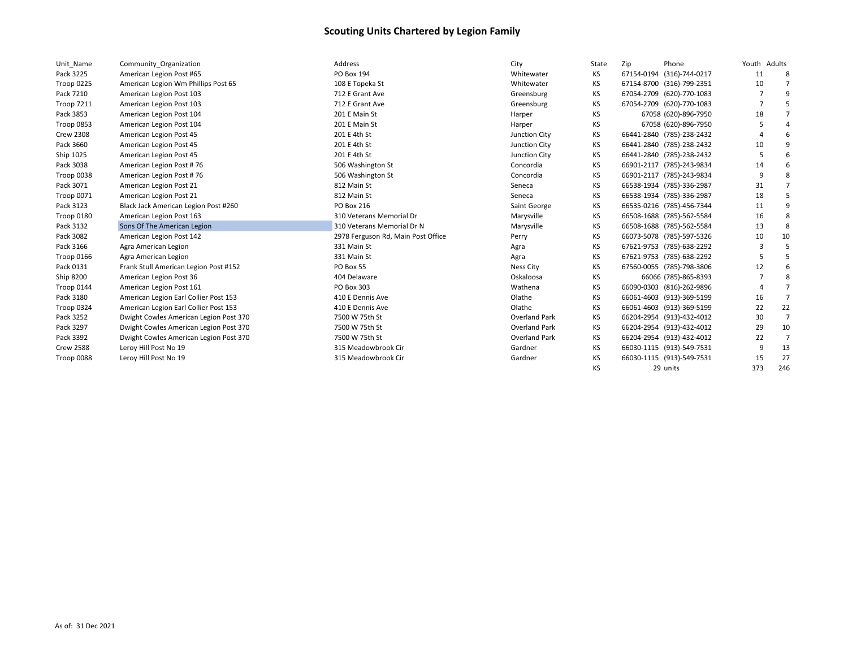| Unit Name         | Community Organization                 | Address                            | City                 | State | Zip | Phone                     | Youth Adults |                |
|-------------------|----------------------------------------|------------------------------------|----------------------|-------|-----|---------------------------|--------------|----------------|
| Pack 3225         | American Legion Post #65               | PO Box 194                         | Whitewater           | KS    |     | 67154-0194 (316)-744-0217 | 11           | -8             |
| Troop 0225        | American Legion Wm Phillips Post 65    | 108 E Topeka St                    | Whitewater           | КS    |     | 67154-8700 (316)-799-2351 | 10           |                |
| Pack 7210         | American Legion Post 103               | 712 E Grant Ave                    | Greensburg           | КS    |     | 67054-2709 (620)-770-1083 |              | q              |
| <b>Troop 7211</b> | American Legion Post 103               | 712 E Grant Ave                    | Greensburg           | ΚS    |     | 67054-2709 (620)-770-1083 |              |                |
| Pack 3853         | American Legion Post 104               | 201 E Main St                      | Harper               | ΚS    |     | 67058 (620)-896-7950      | 18           |                |
| Troop 0853        | American Legion Post 104               | 201 E Main St                      | Harper               | ΚS    |     | 67058 (620)-896-7950      |              |                |
| <b>Crew 2308</b>  | American Legion Post 45                | 201 E 4th St                       | Junction City        | ΚS    |     | 66441-2840 (785)-238-2432 |              |                |
| Pack 3660         | American Legion Post 45                | 201 E 4th St                       | Junction City        | KS    |     | 66441-2840 (785)-238-2432 | 10           | 9              |
| Ship 1025         | American Legion Post 45                | 201 E 4th St                       | Junction City        | KS    |     | 66441-2840 (785)-238-2432 |              | 6              |
| Pack 3038         | American Legion Post #76               | 506 Washington St                  | Concordia            | ΚS    |     | 66901-2117 (785)-243-9834 | 14           | 6              |
| Troop 0038        | American Legion Post #76               | 506 Washington St                  | Concordia            | ΚS    |     | 66901-2117 (785)-243-9834 |              | 8              |
| Pack 3071         | American Legion Post 21                | 812 Main St                        | Seneca               | КS    |     | 66538-1934 (785)-336-2987 | 31           | 7              |
| Troop 0071        | American Legion Post 21                | 812 Main St                        | Seneca               | ΚS    |     | 66538-1934 (785)-336-2987 | 18           |                |
| Pack 3123         | Black Jack American Legion Post #260   | PO Box 216                         | Saint George         | КS    |     | 66535-0216 (785)-456-7344 | 11           | q              |
| Troop 0180        | American Legion Post 163               | 310 Veterans Memorial Dr           | Marysville           | КS    |     | 66508-1688 (785)-562-5584 | 16           | 8              |
| Pack 3132         | Sons Of The American Legion            | 310 Veterans Memorial Dr N         | Marysville           | КS    |     | 66508-1688 (785)-562-5584 | 13           | 8              |
| Pack 3082         | American Legion Post 142               | 2978 Ferguson Rd, Main Post Office | Perry                | ΚS    |     | 66073-5078 (785)-597-5326 | 10           | 10             |
| Pack 3166         | Agra American Legion                   | 331 Main St                        | Agra                 | КS    |     | 67621-9753 (785)-638-2292 | 3            |                |
| Troop 0166        | Agra American Legion                   | 331 Main St                        | Agra                 | ΚS    |     | 67621-9753 (785)-638-2292 |              | 5              |
| Pack 0131         | Frank Stull American Legion Post #152  | PO Box 55                          | <b>Ness City</b>     | КS    |     | 67560-0055 (785)-798-3806 | 12           | 6              |
| Ship 8200         | American Legion Post 36                | 404 Delaware                       | Oskaloosa            | КS    |     | 66066 (785)-865-8393      |              | 8              |
| Troop 0144        | American Legion Post 161               | PO Box 303                         | Wathena              | ΚS    |     | 66090-0303 (816)-262-9896 |              |                |
| Pack 3180         | American Legion Earl Collier Post 153  | 410 E Dennis Ave                   | Olathe               | ΚS    |     | 66061-4603 (913)-369-5199 | 16           | 7              |
| Troop 0324        | American Legion Earl Collier Post 153  | 410 E Dennis Ave                   | Olathe               | ΚS    |     | 66061-4603 (913)-369-5199 | 22           | 22             |
| Pack 3252         | Dwight Cowles American Legion Post 370 | 7500 W 75th St                     | <b>Overland Park</b> | ΚS    |     | 66204-2954 (913)-432-4012 | 30           | $\overline{7}$ |
| Pack 3297         | Dwight Cowles American Legion Post 370 | 7500 W 75th St                     | <b>Overland Park</b> | ΚS    |     | 66204-2954 (913)-432-4012 | 29           | 10             |
| Pack 3392         | Dwight Cowles American Legion Post 370 | 7500 W 75th St                     | <b>Overland Park</b> | ΚS    |     | 66204-2954 (913)-432-4012 | 22           | 7              |
| <b>Crew 2588</b>  | Leroy Hill Post No 19                  | 315 Meadowbrook Cir                | Gardner              | KS    |     | 66030-1115 (913)-549-7531 | 9            | 13             |
| Troop 0088        | Leroy Hill Post No 19                  | 315 Meadowbrook Cir                | Gardner              | KS    |     | 66030-1115 (913)-549-7531 | 15           | 27             |
|                   |                                        |                                    |                      | КS    |     | 29 units                  | 373          | 246            |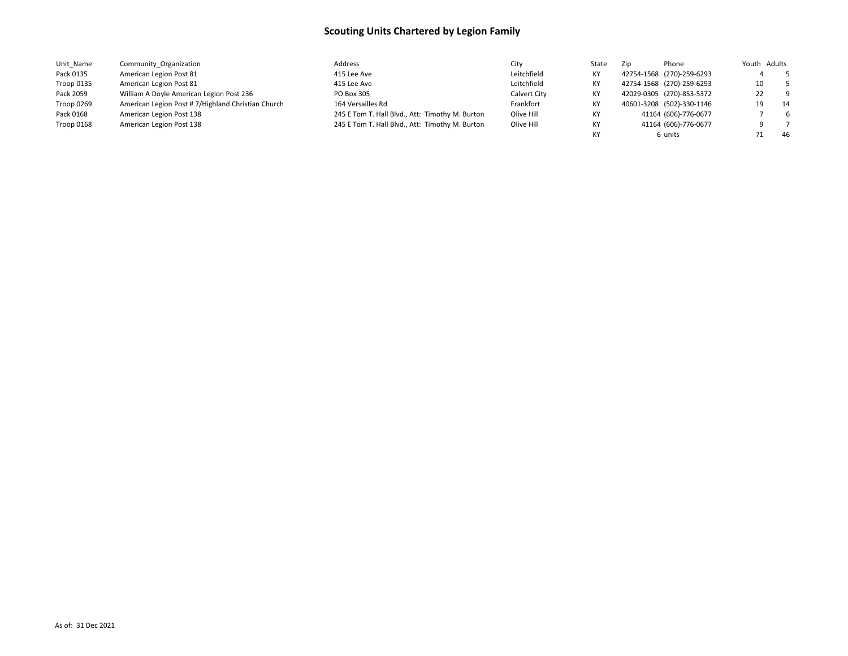| Unit Name  | Community Organization                            | Address                                         | City         | State | Zip | Phone                     | Youth Adults |             |      |
|------------|---------------------------------------------------|-------------------------------------------------|--------------|-------|-----|---------------------------|--------------|-------------|------|
| Pack 0135  | American Legion Post 81                           | 415 Lee Ave                                     | Leitchfield  | КY    |     | 42754-1568 (270)-259-6293 |              | $5^{\circ}$ |      |
| Troop 0135 | American Legion Post 81                           | 415 Lee Ave                                     | Leitchfield  | КY    |     | 42754-1568 (270)-259-6293 | 10           |             | $-5$ |
| Pack 2059  | William A Doyle American Legion Post 236          | PO Box 305                                      | Calvert City | КY    |     | 42029-0305 (270)-853-5372 | 22           |             | - 9  |
| Troop 0269 | American Legion Post #7/Highland Christian Church | 164 Versailles Rd                               | Frankfort    | КY    |     | 40601-3208 (502)-330-1146 | 19           | 14          |      |
| Pack 0168  | American Legion Post 138                          | 245 E Tom T. Hall Blvd., Att: Timothy M. Burton | Olive Hill   | КY    |     | 41164 (606)-776-0677      |              |             | - 6  |
| Troop 0168 | American Legion Post 138                          | 245 E Tom T. Hall Blvd., Att: Timothy M. Burton | Olive Hill   | КY    |     | 41164 (606)-776-0677      |              |             |      |
|            |                                                   |                                                 |              | КY    |     | 6 units                   |              |             | -46  |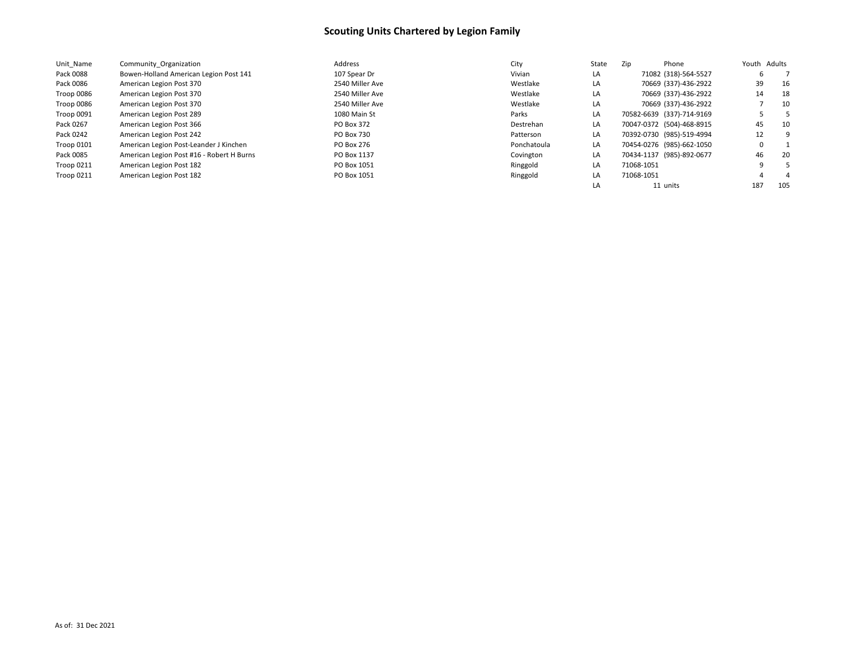| Unit Name         | Community Organization                    | Address           | City        | State | Zip                       | Phone                |     | Youth Adults |
|-------------------|-------------------------------------------|-------------------|-------------|-------|---------------------------|----------------------|-----|--------------|
| Pack 0088         | Bowen-Holland American Legion Post 141    | 107 Spear Dr      | Vivian      | LA    |                           | 71082 (318)-564-5527 | 6   |              |
| Pack 0086         | American Legion Post 370                  | 2540 Miller Ave   | Westlake    | LA    |                           | 70669 (337)-436-2922 | 39  | 16           |
| Troop 0086        | American Legion Post 370                  | 2540 Miller Ave   | Westlake    | LA    |                           | 70669 (337)-436-2922 | 14  | 18           |
| Troop 0086        | American Legion Post 370                  | 2540 Miller Ave   | Westlake    | LA    |                           | 70669 (337)-436-2922 |     | 10           |
| Troop 0091        | American Legion Post 289                  | 1080 Main St      | Parks       | LA    | 70582-6639 (337)-714-9169 |                      |     |              |
| Pack 0267         | American Legion Post 366                  | PO Box 372        | Destrehan   | LA    | 70047-0372 (504)-468-8915 |                      | 45  | 10           |
| Pack 0242         | American Legion Post 242                  | <b>PO Box 730</b> | Patterson   | LA    | 70392-0730 (985)-519-4994 |                      | 12  |              |
| <b>Troop 0101</b> | American Legion Post-Leander J Kinchen    | PO Box 276        | Ponchatoula | LA    | 70454-0276 (985)-662-1050 |                      | 0   |              |
| Pack 0085         | American Legion Post #16 - Robert H Burns | PO Box 1137       | Covington   | LA    | 70434-1137 (985)-892-0677 |                      | 46  | 20           |
| Troop 0211        | American Legion Post 182                  | PO Box 1051       | Ringgold    | LA    | 71068-1051                |                      | q   |              |
| <b>Troop 0211</b> | American Legion Post 182                  | PO Box 1051       | Ringgold    | LA    | 71068-1051                |                      |     |              |
|                   |                                           |                   |             |       | 11 units                  |                      | 187 | 105          |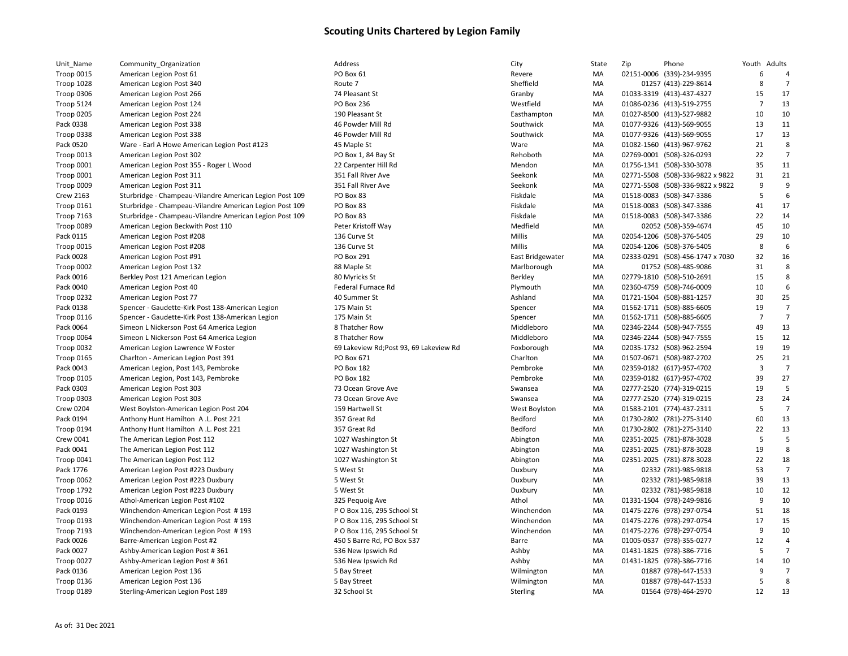| Unit_Name         | Community_Organization                                  |
|-------------------|---------------------------------------------------------|
| <b>Troop 0015</b> | American Legion Post 61                                 |
| <b>Troop 1028</b> | American Legion Post 340                                |
| Troop 0306        | American Legion Post 266                                |
| <b>Troop 5124</b> | American Legion Post 124                                |
| Troop 0205        | American Legion Post 224                                |
| Pack 0338         | American Legion Post 338                                |
| Troop 0338        | American Legion Post 338                                |
| Pack 0520         | Ware - Earl A Howe American Legion Post #123            |
| <b>Troop 0013</b> | American Legion Post 302                                |
| Troop 0001        | American Legion Post 355 - Roger L Wood                 |
| Troop 0001        | American Legion Post 311                                |
| Troop 0009        | American Legion Post 311                                |
| <b>Crew 2163</b>  | Sturbridge - Champeau-Vilandre American Legion Post 109 |
| <b>Troop 0161</b> | Sturbridge - Champeau-Vilandre American Legion Post 109 |
| Troop 7163        | Sturbridge - Champeau-Vilandre American Legion Post 109 |
| Troop 0089        | American Legion Beckwith Post 110                       |
| Pack 0115         | American Legion Post #208                               |
| <b>Troop 0015</b> | American Legion Post #208                               |
| Pack 0028         | American Legion Post #91                                |
| Troop 0002        | American Legion Post 132                                |
| Pack 0016         | Berkley Post 121 American Legion                        |
| Pack 0040         | American Legion Post 40                                 |
| Troop 0232        | American Legion Post 77                                 |
| Pack 0138         | Spencer - Gaudette-Kirk Post 138-American Legion        |
| Troop 0116        | Spencer - Gaudette-Kirk Post 138-American Legion        |
| Pack 0064         | Simeon L Nickerson Post 64 America Legion               |
| Troop 0064        | Simeon L Nickerson Post 64 America Legion               |
| Troop 0032        | American Legion Lawrence W Foster                       |
| Troop 0165        | Charlton - American Legion Post 391                     |
| Pack 0043         | American Legion, Post 143, Pembroke                     |
| <b>Troop 0105</b> | American Legion, Post 143, Pembroke                     |
| Pack 0303         | American Legion Post 303                                |
| Troop 0303        | American Legion Post 303                                |
| <b>Crew 0204</b>  | West Boylston-American Legion Post 204                  |
| Pack 0194         | Anthony Hunt Hamilton A.L. Post 221                     |
| Troop 0194        | Anthony Hunt Hamilton A.L. Post 221                     |
| Crew 0041         | The American Legion Post 112                            |
| Pack 0041         | The American Legion Post 112                            |
|                   |                                                         |
| Troop 0041        | The American Legion Post 112                            |
| Pack 1776         | American Legion Post #223 Duxbury                       |
| Troop 0062        | American Legion Post #223 Duxbury                       |
| <b>Troop 1792</b> | American Legion Post #223 Duxbury                       |
| Troop 0016        | Athol-American Legion Post #102                         |
| Pack 0193         | Winchendon-American Legion Post #193                    |
| Troop 0193        | Winchendon-American Legion Post #193                    |
| <b>Troop 7193</b> | Winchendon-American Legion Post #193                    |
| Pack 0026         | Barre-American Legion Post #2                           |
| Pack 0027         | Ashby-American Legion Post #361                         |
| <b>Troop 0027</b> | Ashby-American Legion Post #361                         |
| Pack 0136         | American Legion Post 136                                |
| Troop 0136        | American Legion Post 136                                |
| <b>Troop 0189</b> | Sterling-American Legion Post 189                       |

| <b>Box 61</b>                              |
|--------------------------------------------|
| ite 7                                      |
| Pleasant St                                |
| <b>Box 236</b>                             |
| Pleasant St                                |
| Powder Mill Rd                             |
| Powder Mill Rd                             |
| Maple St                                   |
| Box 1, 84 Bay St                           |
| Carpenter Hill Rd                          |
| . Fall River Ave                           |
| I Fall River Ave                           |
| <b>Box 83</b>                              |
| <b>Box 83</b>                              |
| <b>Box 83</b>                              |
| er Kristoff Way                            |
| i Curve St                                 |
| Curve St                                   |
| <b>Box 291</b>                             |
| Maple St                                   |
| Myricks St                                 |
| leral Furnace Rd                           |
| Summer St                                  |
| Main St                                    |
| Main St                                    |
| hatcher Row                                |
| hatcher Row                                |
| Lakeview Rd;Post 93, 69 Lakeview Rd        |
| Box 671                                    |
| <b>Box 182</b>                             |
| <b>Box 182</b>                             |
| Ocean Grove Ave                            |
| Ocean Grove Ave                            |
| <b>Hartwell St</b>                         |
| Great Rd                                   |
| Great Rd                                   |
| '7 Washington St                           |
| '7 Washington St                           |
| '7 Washington St                           |
| /est St                                    |
| /est St                                    |
| /est St                                    |
| Pequoig Ave                                |
| Box 116, 295 School St                     |
| Box 116, 295 School St                     |
| Box 116, 295 School St                     |
|                                            |
| S Barre Rd, PO Box 537<br>S New Ipswich Rd |
|                                            |
| ิ์ New Ipswich Rd                          |
| ay Street<br>ay Street                     |
|                                            |
| School St                                  |
|                                            |

| Unit_Name         | Community Organization                                  | Address                                 | City                     | State    | Zip | Phone                                                  | Youth Adults         |                |
|-------------------|---------------------------------------------------------|-----------------------------------------|--------------------------|----------|-----|--------------------------------------------------------|----------------------|----------------|
| Troop 0015        | American Legion Post 61                                 | PO Box 61                               | Revere                   | MA       |     | 02151-0006 (339)-234-9395                              | 6                    |                |
| <b>Troop 1028</b> | American Legion Post 340                                | Route 7                                 | Sheffield                | MA       |     | 01257 (413)-229-8614                                   | 8                    | 7              |
| Troop 0306        | American Legion Post 266                                | 74 Pleasant St                          | Granby                   | MA       |     | 01033-3319 (413)-437-4327                              | 15                   | 17             |
| Troop 5124        | American Legion Post 124                                | <b>PO Box 236</b>                       | Westfield                | MA       |     | 01086-0236 (413)-519-2755                              | 7                    | 13             |
| Troop 0205        | American Legion Post 224                                | 190 Pleasant St                         | Easthampton              | MA       |     | 01027-8500 (413)-527-9882                              | 10                   | 10             |
| Pack 0338         | American Legion Post 338                                | 46 Powder Mill Rd                       | Southwick                | MA       |     | 01077-9326 (413)-569-9055                              | 13                   | 11             |
| Troop 0338        | American Legion Post 338                                | 46 Powder Mill Rd                       | Southwick                | MA       |     | 01077-9326 (413)-569-9055                              | 17                   | 13             |
| Pack 0520         | Ware - Earl A Howe American Legion Post #123            | 45 Maple St                             | Ware                     | MA       |     | 01082-1560 (413)-967-9762                              | 21                   | 8              |
| Troop 0013        | American Legion Post 302                                | PO Box 1, 84 Bay St                     | Rehoboth                 | MA       |     | 02769-0001 (508)-326-0293                              | 22                   | 7              |
| Troop 0001        | American Legion Post 355 - Roger L Wood                 | 22 Carpenter Hill Rd                    | Mendon                   | MA       |     | 01756-1341 (508)-330-3078                              | 35                   | 11             |
| Troop 0001        | American Legion Post 311                                | 351 Fall River Ave                      | Seekonk                  | MA       |     | 02771-5508 (508)-336-9822 x 9822                       | 31                   | 21             |
| Troop 0009        | American Legion Post 311                                | 351 Fall River Ave                      | Seekonk                  | MA       |     | 02771-5508 (508)-336-9822 x 9822                       | 9                    | 9              |
| <b>Crew 2163</b>  | Sturbridge - Champeau-Vilandre American Legion Post 109 | PO Box 83                               | Fiskdale                 | MA       |     | 01518-0083 (508)-347-3386                              | 5                    | 6              |
| Troop 0161        | Sturbridge - Champeau-Vilandre American Legion Post 109 | PO Box 83                               | Fiskdale                 | MA       |     | 01518-0083 (508)-347-3386                              | 41                   | 17             |
| Troop 7163        | Sturbridge - Champeau-Vilandre American Legion Post 109 | PO Box 83                               | Fiskdale                 | MA       |     | 01518-0083 (508)-347-3386                              | 22                   | 14             |
| Troop 0089        | American Legion Beckwith Post 110                       | Peter Kristoff Way                      | Medfield                 | MA       |     | 02052 (508)-359-4674                                   | 45                   | 10             |
| Pack 0115         | American Legion Post #208                               | 136 Curve St                            | Millis                   | MA       |     | 02054-1206 (508)-376-5405                              | 29                   | 10             |
| Troop 0015        | American Legion Post #208                               | 136 Curve St                            | Millis                   | MA       |     | 02054-1206 (508)-376-5405                              | 8                    | 6              |
| Pack 0028         | American Legion Post #91                                | <b>PO Box 291</b>                       | East Bridgewater         | MA       |     | 02333-0291 (508)-456-1747 x 7030                       | 32                   | 16             |
| Troop 0002        | American Legion Post 132                                | 88 Maple St                             | Marlborough              | MA       |     | 01752 (508)-485-9086                                   | 31                   | 8              |
| Pack 0016         | Berkley Post 121 American Legion                        | 80 Myricks St                           | Berkley                  | MA       |     | 02779-1810 (508)-510-2691                              | 15                   | 8              |
| Pack 0040         | American Legion Post 40                                 | Federal Furnace Rd                      | Plymouth                 | MA       |     | 02360-4759 (508)-746-0009                              | 10                   | 6              |
| Troop 0232        | American Legion Post 77                                 | 40 Summer St                            | Ashland                  | MA       |     | 01721-1504 (508)-881-1257                              | 30                   | 25             |
| Pack 0138         | Spencer - Gaudette-Kirk Post 138-American Legion        | 175 Main St                             | Spencer                  | MA       |     | 01562-1711 (508)-885-6605                              | 19                   | $\overline{7}$ |
|                   | Spencer - Gaudette-Kirk Post 138-American Legion        | 175 Main St                             | Spencer                  | MA       |     | 01562-1711 (508)-885-6605                              | $\overline{7}$       | $\overline{7}$ |
| Troop 0116        |                                                         |                                         |                          |          |     |                                                        |                      |                |
| Pack 0064         | Simeon L Nickerson Post 64 America Legion               | 8 Thatcher Row<br>8 Thatcher Row        | Middleboro<br>Middleboro | MA       |     | 02346-2244 (508)-947-7555<br>02346-2244 (508)-947-7555 | 49<br>15             | 13<br>12       |
| Troop 0064        | Simeon L Nickerson Post 64 America Legion               | 69 Lakeview Rd; Post 93, 69 Lakeview Rd |                          | MA<br>MA |     |                                                        | 19                   | 19             |
| Troop 0032        | American Legion Lawrence W Foster                       |                                         | Foxborough               |          |     | 02035-1732 (508)-962-2594                              |                      |                |
| Troop 0165        | Charlton - American Legion Post 391                     | PO Box 671                              | Charlton                 | MA       |     | 01507-0671 (508)-987-2702                              | 25<br>$\overline{3}$ | 21<br>7        |
| Pack 0043         | American Legion, Post 143, Pembroke                     | <b>PO Box 182</b>                       | Pembroke                 | MA       |     | 02359-0182 (617)-957-4702                              |                      |                |
| <b>Troop 0105</b> | American Legion, Post 143, Pembroke                     | <b>PO Box 182</b>                       | Pembroke                 | MA       |     | 02359-0182 (617)-957-4702                              | 39                   | 27<br>5        |
| Pack 0303         | American Legion Post 303                                | 73 Ocean Grove Ave                      | Swansea                  | MA       |     | 02777-2520 (774)-319-0215                              | 19                   |                |
| Troop 0303        | American Legion Post 303                                | 73 Ocean Grove Ave                      | Swansea                  | MA       |     | 02777-2520 (774)-319-0215                              | 23                   | 24             |
| <b>Crew 0204</b>  | West Boylston-American Legion Post 204                  | 159 Hartwell St                         | <b>West Boylston</b>     | MA       |     | 01583-2101 (774)-437-2311                              | 5                    | $\overline{7}$ |
| Pack 0194         | Anthony Hunt Hamilton A.L. Post 221                     | 357 Great Rd                            | Bedford                  | MA       |     | 01730-2802 (781)-275-3140                              | 60                   | 13             |
| Troop 0194        | Anthony Hunt Hamilton A.L. Post 221                     | 357 Great Rd                            | Bedford                  | MA       |     | 01730-2802 (781)-275-3140                              | 22                   | 13             |
| Crew 0041         | The American Legion Post 112                            | 1027 Washington St                      | Abington                 | MA       |     | 02351-2025 (781)-878-3028                              | 5                    | 5              |
| Pack 0041         | The American Legion Post 112                            | 1027 Washington St                      | Abington                 | MA       |     | 02351-2025 (781)-878-3028                              | 19                   | 8              |
| Troop 0041        | The American Legion Post 112                            | 1027 Washington St                      | Abington                 | MA       |     | 02351-2025 (781)-878-3028                              | 22                   | 18             |
| Pack 1776         | American Legion Post #223 Duxbury                       | 5 West St                               | Duxbury                  | MA       |     | 02332 (781)-985-9818                                   | 53                   | $\overline{7}$ |
| <b>Troop 0062</b> | American Legion Post #223 Duxbury                       | 5 West St                               | Duxbury                  | MA       |     | 02332 (781)-985-9818                                   | 39                   | 13             |
| Troop 1792        | American Legion Post #223 Duxbury                       | 5 West St                               | Duxbury                  | MA       |     | 02332 (781)-985-9818                                   | 10                   | 12             |
| Troop 0016        | Athol-American Legion Post #102                         | 325 Pequoig Ave                         | Athol                    | MA       |     | 01331-1504 (978)-249-9816                              | 9                    | 10             |
| Pack 0193         | Winchendon-American Legion Post #193                    | P O Box 116, 295 School St              | Winchendon               | MA       |     | 01475-2276 (978)-297-0754                              | 51                   | 18             |
| Troop 0193        | Winchendon-American Legion Post #193                    | P O Box 116, 295 School St              | Winchendon               | MA       |     | 01475-2276 (978)-297-0754                              | 17                   | 15             |
| Troop 7193        | Winchendon-American Legion Post #193                    | P O Box 116, 295 School St              | Winchendon               | MA       |     | 01475-2276 (978)-297-0754                              | 9                    | 10             |
| Pack 0026         | Barre-American Legion Post #2                           | 450 S Barre Rd, PO Box 537              | Barre                    | MA       |     | 01005-0537 (978)-355-0277                              | 12                   | 4              |
| Pack 0027         | Ashby-American Legion Post #361                         | 536 New Ipswich Rd                      | Ashby                    | MA       |     | 01431-1825 (978)-386-7716                              | 5                    |                |
| Troop 0027        | Ashby-American Legion Post #361                         | 536 New Ipswich Rd                      | Ashby                    | MA       |     | 01431-1825 (978)-386-7716                              | 14                   | 10             |
| Pack 0136         | American Legion Post 136                                | 5 Bay Street                            | Wilmington               | MA       |     | 01887 (978)-447-1533                                   | 9                    | 7              |
| Troop 0136        | American Legion Post 136                                | 5 Bay Street                            | Wilmington               | MA       |     | 01887 (978)-447-1533                                   | 5                    | 8              |
| <b>Troop 0189</b> | Sterling-American Legion Post 189                       | 32 School St                            | Sterling                 | MA       |     | 01564 (978)-464-2970                                   | 12                   | 13             |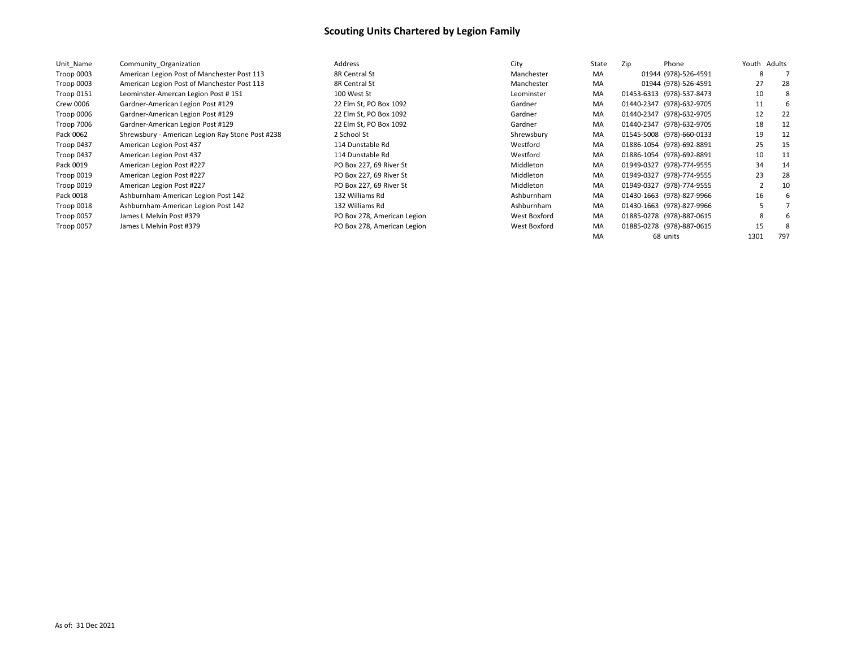| Unit Name         | Community Organization                           | Address                     | City         | State | Zip<br>Phone              | Youth Adults |     |
|-------------------|--------------------------------------------------|-----------------------------|--------------|-------|---------------------------|--------------|-----|
| Troop 0003        | American Legion Post of Manchester Post 113      | 8R Central St               | Manchester   | MA    | 01944 (978)-526-4591      | 8            |     |
| Troop 0003        | American Legion Post of Manchester Post 113      | 8R Central St               | Manchester   | MA    | 01944 (978)-526-4591      | 27           | 28  |
| <b>Troop 0151</b> | Leominster-Amercan Legion Post #151              | 100 West St                 | Leominster   | MA    | 01453-6313 (978)-537-8473 | 10           |     |
| Crew 0006         | Gardner-American Legion Post #129                | 22 Elm St, PO Box 1092      | Gardner      | MA    | 01440-2347 (978)-632-9705 | 11           |     |
| Troop 0006        | Gardner-American Legion Post #129                | 22 Elm St, PO Box 1092      | Gardner      | MA    | 01440-2347 (978)-632-9705 | 12           | 22  |
| Troop 7006        | Gardner-American Legion Post #129                | 22 Elm St, PO Box 1092      | Gardner      | MA    | 01440-2347 (978)-632-9705 | 18           | 12  |
| Pack 0062         | Shrewsbury - American Legion Ray Stone Post #238 | 2 School St                 | Shrewsbury   | MA    | 01545-5008 (978)-660-0133 | 19           | 12  |
| Troop 0437        | American Legion Post 437                         | 114 Dunstable Rd            | Westford     | MA    | 01886-1054 (978)-692-8891 | 25           | -15 |
| Troop 0437        | American Legion Post 437                         | 114 Dunstable Rd            | Westford     | MA    | 01886-1054 (978)-692-8891 | 10           | -11 |
| Pack 0019         | American Legion Post #227                        | PO Box 227, 69 River St     | Middleton    | MA    | 01949-0327 (978)-774-9555 | 34           | 14  |
| Troop 0019        | American Legion Post #227                        | PO Box 227, 69 River St     | Middleton    | MA    | 01949-0327 (978)-774-9555 | 23           | 28  |
| Troop 0019        | American Legion Post #227                        | PO Box 227, 69 River St     | Middleton    | MA    | 01949-0327 (978)-774-9555 |              | 10  |
| Pack 0018         | Ashburnham-American Legion Post 142              | 132 Williams Rd             | Ashburnham   | MA    | 01430-1663 (978)-827-9966 | 16           |     |
| Troop 0018        | Ashburnham-American Legion Post 142              | 132 Williams Rd             | Ashburnham   | MA    | 01430-1663 (978)-827-9966 |              |     |
| Troop 0057        | James L Melvin Post #379                         | PO Box 278, American Legion | West Boxford | MA    | 01885-0278 (978)-887-0615 | 8            |     |
| Troop 0057        | James L Melvin Post #379                         | PO Box 278, American Legion | West Boxford | MA    | 01885-0278 (978)-887-0615 | 15           |     |
|                   |                                                  |                             |              | MA    | 68 units                  | 1301         | 797 |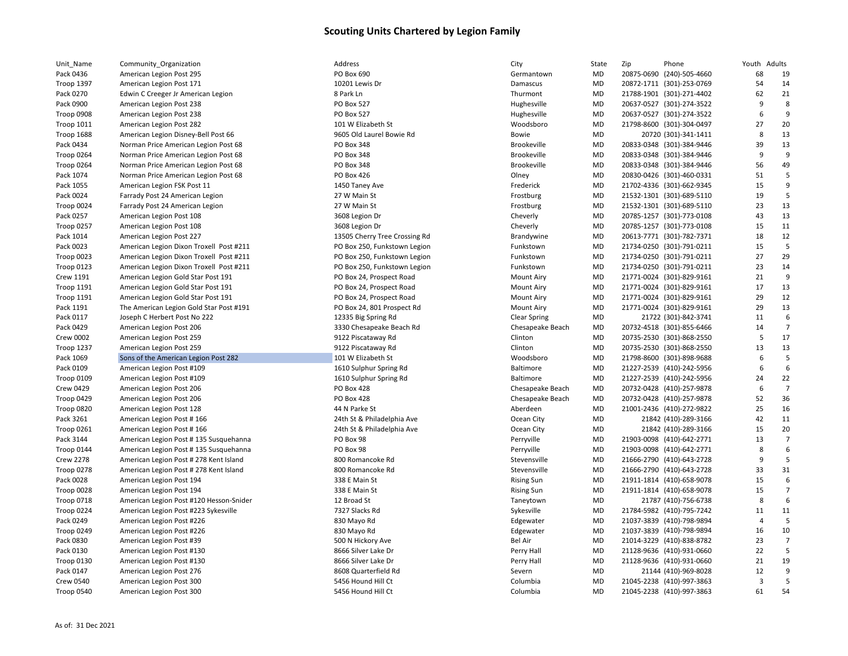| Unit_Name         | Community_Organization                  | Address                       | City                | State     | Zip | Phone                     | Youth Adults            |                      |
|-------------------|-----------------------------------------|-------------------------------|---------------------|-----------|-----|---------------------------|-------------------------|----------------------|
| Pack 0436         | American Legion Post 295                | PO Box 690                    | Germantown          | MD        |     | 20875-0690 (240)-505-4660 | 68                      | 19                   |
| Troop 1397        | American Legion Post 171                | 10201 Lewis Dr                | Damascus            | MD        |     | 20872-1711 (301)-253-0769 | 54                      | 14                   |
| Pack 0270         | Edwin C Creeger Jr American Legion      | 8 Park Ln                     | Thurmont            | MD        |     | 21788-1901 (301)-271-4402 | 62                      | 21                   |
| Pack 0900         | American Legion Post 238                | <b>PO Box 527</b>             | Hughesville         | MD        |     | 20637-0527 (301)-274-3522 | 9                       | 8                    |
| Troop 0908        | American Legion Post 238                | <b>PO Box 527</b>             | Hughesville         | MD        |     | 20637-0527 (301)-274-3522 | 6                       | 9                    |
| Troop 1011        | American Legion Post 282                | 101 W Elizabeth St            | Woodsboro           | <b>MD</b> |     | 21798-8600 (301)-304-0497 | 27                      | 20                   |
| Troop 1688        | American Legion Disney-Bell Post 66     | 9605 Old Laurel Bowie Rd      | Bowie               | MD        |     | 20720 (301)-341-1411      | 8                       | 13                   |
| Pack 0434         | Norman Price American Legion Post 68    | PO Box 348                    | Brookeville         | MD        |     | 20833-0348 (301)-384-9446 | 39                      | 13                   |
| Troop 0264        | Norman Price American Legion Post 68    | PO Box 348                    | <b>Brookeville</b>  | MD        |     | 20833-0348 (301)-384-9446 | 9                       | q                    |
| Troop 0264        | Norman Price American Legion Post 68    | PO Box 348                    | <b>Brookeville</b>  | MD        |     | 20833-0348 (301)-384-9446 | 56                      | 49                   |
| Pack 1074         | Norman Price American Legion Post 68    | PO Box 426                    | Olney               | MD        |     | 20830-0426 (301)-460-0331 | 51                      | 5                    |
| Pack 1055         | American Legion FSK Post 11             | 1450 Taney Ave                | Frederick           | MD        |     | 21702-4336 (301)-662-9345 | 15                      | 9                    |
| Pack 0024         | Farrady Post 24 American Legion         | 27 W Main St                  | Frostburg           | <b>MD</b> |     | 21532-1301 (301)-689-5110 | 19                      | 5                    |
| Troop 0024        | Farrady Post 24 American Legion         | 27 W Main St                  | Frostburg           | MD        |     | 21532-1301 (301)-689-5110 | 23                      | 13                   |
| Pack 0257         | American Legion Post 108                | 3608 Legion Dr                | Cheverly            | <b>MD</b> |     | 20785-1257 (301)-773-0108 | 43                      | 13                   |
| Troop 0257        | American Legion Post 108                | 3608 Legion Dr                | Cheverly            | MD        |     | 20785-1257 (301)-773-0108 | 15                      | 11                   |
| Pack 1014         | American Legion Post 227                | 13505 Cherry Tree Crossing Rd | Brandywine          | MD        |     | 20613-7771 (301)-782-7371 | 18                      | 12                   |
| Pack 0023         | American Legion Dixon Troxell Post #211 | PO Box 250, Funkstown Legion  | Funkstown           | MD        |     | 21734-0250 (301)-791-0211 | 15                      | 5                    |
| Troop 0023        | American Legion Dixon Troxell Post #211 | PO Box 250, Funkstown Legion  | Funkstown           | MD        |     | 21734-0250 (301)-791-0211 | 27                      | 29                   |
| Troop 0123        | American Legion Dixon Troxell Post #211 | PO Box 250, Funkstown Legion  | Funkstown           | MD        |     | 21734-0250 (301)-791-0211 | 23                      | 14                   |
| <b>Crew 1191</b>  | American Legion Gold Star Post 191      | PO Box 24, Prospect Road      | <b>Mount Airy</b>   | MD        |     | 21771-0024 (301)-829-9161 | 21                      | 9                    |
| <b>Troop 1191</b> | American Legion Gold Star Post 191      | PO Box 24, Prospect Road      | <b>Mount Airy</b>   | <b>MD</b> |     | 21771-0024 (301)-829-9161 | 17                      | 13                   |
| <b>Troop 1191</b> | American Legion Gold Star Post 191      | PO Box 24, Prospect Road      | <b>Mount Airy</b>   | MD        |     | 21771-0024 (301)-829-9161 | 29                      | 12                   |
| Pack 1191         | The American Legion Gold Star Post #191 | PO Box 24, 801 Prospect Rd    | <b>Mount Airy</b>   | MD        |     | 21771-0024 (301)-829-9161 | 29                      | 13                   |
| Pack 0117         | Joseph C Herbert Post No 222            | 12335 Big Spring Rd           | <b>Clear Spring</b> | MD        |     | 21722 (301)-842-3741      | 11                      | 6                    |
| Pack 0429         | American Legion Post 206                | 3330 Chesapeake Beach Rd      | Chesapeake Beach    | MD        |     | 20732-4518 (301)-855-6466 | 14                      | $\overline{7}$       |
| <b>Crew 0002</b>  |                                         | 9122 Piscataway Rd            |                     | MD        |     | 20735-2530 (301)-868-2550 | 5                       | 17                   |
|                   | American Legion Post 259                | 9122 Piscataway Rd            | Clinton<br>Clinton  | <b>MD</b> |     | 20735-2530 (301)-868-2550 | 13                      | 13                   |
| Troop 1237        | American Legion Post 259                |                               |                     |           |     |                           | 6                       | 5                    |
| Pack 1069         | Sons of the American Legion Post 282    | 101 W Elizabeth St            | Woodsboro           | MD        |     | 21798-8600 (301)-898-9688 | 6                       | 6                    |
| Pack 0109         | American Legion Post #109               | 1610 Sulphur Spring Rd        | Baltimore           | MD        |     | 21227-2539 (410)-242-5956 |                         |                      |
| Troop 0109        | American Legion Post #109               | 1610 Sulphur Spring Rd        | Baltimore           | MD        |     | 21227-2539 (410)-242-5956 | 24                      | 22<br>$\overline{7}$ |
| <b>Crew 0429</b>  | American Legion Post 206                | PO Box 428                    | Chesapeake Beach    | MD        |     | 20732-0428 (410)-257-9878 | 6                       |                      |
| Troop 0429        | American Legion Post 206                | PO Box 428                    | Chesapeake Beach    | MD        |     | 20732-0428 (410)-257-9878 | 52                      | 36                   |
| Troop 0820        | American Legion Post 128                | 44 N Parke St                 | Aberdeen            | MD        |     | 21001-2436 (410)-272-9822 | 25                      | 16                   |
| Pack 3261         | American Legion Post #166               | 24th St & Philadelphia Ave    | Ocean City          | MD        |     | 21842 (410)-289-3166      | 42                      | 11                   |
| Troop 0261        | American Legion Post #166               | 24th St & Philadelphia Ave    | Ocean City          | MD        |     | 21842 (410)-289-3166      | 15                      | 20                   |
| Pack 3144         | American Legion Post # 135 Susquehanna  | PO Box 98                     | Perryville          | MD        |     | 21903-0098 (410)-642-2771 | 13                      | $\overline{7}$       |
| Troop 0144        | American Legion Post # 135 Susquehanna  | PO Box 98                     | Perryville          | MD        |     | 21903-0098 (410)-642-2771 | 8                       | 6                    |
| <b>Crew 2278</b>  | American Legion Post # 278 Kent Island  | 800 Romancoke Rd              | Stevensville        | MD        |     | 21666-2790 (410)-643-2728 | 9                       | 5                    |
| Troop 0278        | American Legion Post # 278 Kent Island  | 800 Romancoke Rd              | Stevensville        | MD        |     | 21666-2790 (410)-643-2728 | 33                      | 31                   |
| Pack 0028         | American Legion Post 194                | 338 E Main St                 | <b>Rising Sun</b>   | MD        |     | 21911-1814 (410)-658-9078 | 15                      | 6                    |
| Troop 0028        | American Legion Post 194                | 338 E Main St                 | <b>Rising Sun</b>   | MD        |     | 21911-1814 (410)-658-9078 | 15                      | $\overline{7}$       |
| Troop 0718        | American Legion Post #120 Hesson-Snider | 12 Broad St                   | Taneytown           | MD        |     | 21787 (410)-756-6738      | 8                       | 6                    |
| Troop 0224        | American Legion Post #223 Sykesville    | 7327 Slacks Rd                | Sykesville          | MD        |     | 21784-5982 (410)-795-7242 | 11                      | 11                   |
| Pack 0249         | American Legion Post #226               | 830 Mayo Rd                   | Edgewater           | MD        |     | 21037-3839 (410)-798-9894 | $\overline{4}$          | 5                    |
| Troop 0249        | American Legion Post #226               | 830 Mayo Rd                   | Edgewater           | <b>MD</b> |     | 21037-3839 (410)-798-9894 | 16                      | 10                   |
| Pack 0830         | American Legion Post #39                | 500 N Hickory Ave             | <b>Bel Air</b>      | MD        |     | 21014-3229 (410)-838-8782 | 23                      | $\overline{7}$       |
| Pack 0130         | American Legion Post #130               | 8666 Silver Lake Dr           | Perry Hall          | MD        |     | 21128-9636 (410)-931-0660 | 22                      | 5                    |
| Troop 0130        | American Legion Post #130               | 8666 Silver Lake Dr           | Perry Hall          | MD        |     | 21128-9636 (410)-931-0660 | 21                      | 19                   |
| Pack 0147         | American Legion Post 276                | 8608 Quarterfield Rd          | Severn              | MD        |     | 21144 (410)-969-8028      | 12                      | 9                    |
| <b>Crew 0540</b>  | American Legion Post 300                | 5456 Hound Hill Ct            | Columbia            | MD        |     | 21045-2238 (410)-997-3863 | $\overline{\mathbf{3}}$ | 5                    |
| Troop 0540        | American Legion Post 300                | 5456 Hound Hill Ct            | Columbia            | <b>MD</b> |     | 21045-2238 (410)-997-3863 | 61                      | 54                   |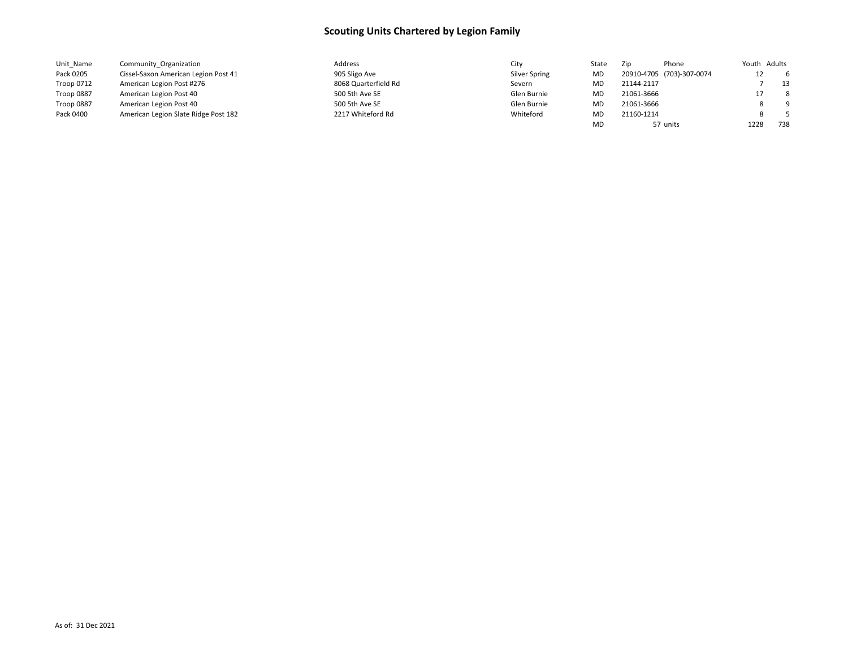| Unit_Name  | Community Organization               | Address              | City          | State     | Zip<br>Phone              | Youth Adults |     |
|------------|--------------------------------------|----------------------|---------------|-----------|---------------------------|--------------|-----|
| Pack 0205  | Cissel-Saxon American Legion Post 41 | 905 Sligo Ave        | Silver Spring | MD        | 20910-4705 (703)-307-0074 | 12           | -6  |
| Troop 0712 | American Legion Post #276            | 8068 Quarterfield Rd | Severn        | MD        | 21144-2117                |              | 13  |
| Troop 0887 | American Legion Post 40              | 500 5th Ave SE       | Glen Burnie   | MD        | 21061-3666                |              | 8   |
| Troop 0887 | American Legion Post 40              | 500 5th Ave SE       | Glen Burnie   | <b>MD</b> | 21061-3666                |              | - 9 |
| Pack 0400  | American Legion Slate Ridge Post 182 | 2217 Whiteford Rd    | Whiteford     | MD        | 21160-1214                |              | - 5 |
|            |                                      |                      |               | MD        | 57 units                  | 1228         | 738 |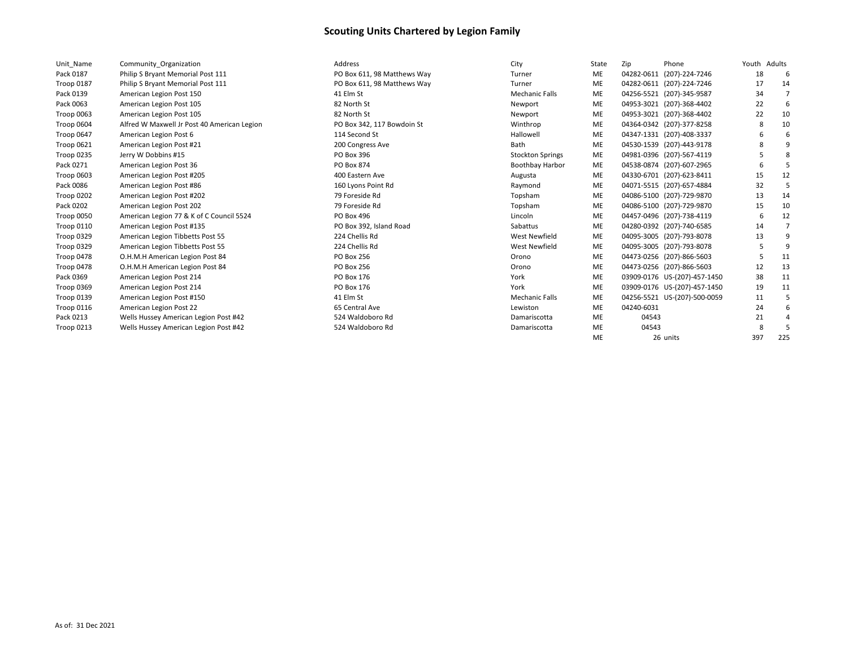| Unit Name         | Community Organization                      |
|-------------------|---------------------------------------------|
| Pack 0187         | Philip S Bryant Memorial Post 111           |
| Troop 0187        | Philip S Bryant Memorial Post 111           |
| Pack 0139         | American Legion Post 150                    |
| Pack 0063         | American Legion Post 105                    |
| Troop 0063        | American Legion Post 105                    |
| Troop 0604        | Alfred W Maxwell Jr Post 40 American Legion |
| Troop 0647        | American Legion Post 6                      |
| Troop 0621        | American Legion Post #21                    |
| <b>Troop 0235</b> | Jerry W Dobbins #15                         |
| Pack 0271         | American Legion Post 36                     |
| Troop 0603        | American Legion Post #205                   |
| Pack 0086         | American Legion Post #86                    |
| <b>Troop 0202</b> | American Legion Post #202                   |
| Pack 0202         | American Legion Post 202                    |
| Troop 0050        | American Legion 77 & K of C Council 5524    |
| Troop 0110        | American Legion Post #135                   |
| Troop 0329        | American Legion Tibbetts Post 55            |
| Troop 0329        | American Legion Tibbetts Post 55            |
| Troop 0478        | O.H.M.H American Legion Post 84             |
| Troop 0478        | O.H.M.H American Legion Post 84             |
| Pack 0369         | American Legion Post 214                    |
| Troop 0369        | American Legion Post 214                    |
| Troop 0139        | American Legion Post #150                   |
| Troop 0116        | American Legion Post 22                     |
| Pack 0213         | Wells Hussey American Legion Post #42       |
| <b>Troop 0213</b> | Wells Hussey American Legion Post #42       |

| Unit Name         | Community Organization                      | Address                     | City                    | State     | Zip        | Phone                        | Youth Adults |     |
|-------------------|---------------------------------------------|-----------------------------|-------------------------|-----------|------------|------------------------------|--------------|-----|
| Pack 0187         | Philip S Bryant Memorial Post 111           | PO Box 611, 98 Matthews Way | Turner                  | ME        | 04282-0611 | (207)-224-7246               | 18           | 6   |
| <b>Troop 0187</b> | Philip S Bryant Memorial Post 111           | PO Box 611, 98 Matthews Way | Turner                  | <b>ME</b> |            | 04282-0611 (207)-224-7246    | 17           | 14  |
| Pack 0139         | American Legion Post 150                    | 41 Elm St                   | <b>Mechanic Falls</b>   | <b>ME</b> |            | 04256-5521 (207)-345-9587    | 34           |     |
| Pack 0063         | American Legion Post 105                    | 82 North St                 | Newport                 | ME        |            | 04953-3021 (207)-368-4402    | 22           | 6   |
| Troop 0063        | American Legion Post 105                    | 82 North St                 | Newport                 | ME        |            | 04953-3021 (207)-368-4402    | 22           | 10  |
| Troop 0604        | Alfred W Maxwell Jr Post 40 American Legion | PO Box 342, 117 Bowdoin St  | Winthrop                | <b>ME</b> |            | 04364-0342 (207)-377-8258    | 8            | 10  |
| Troop 0647        | American Legion Post 6                      | 114 Second St               | Hallowell               | <b>ME</b> |            | 04347-1331 (207)-408-3337    |              |     |
| Troop 0621        | American Legion Post #21                    | 200 Congress Ave            | Bath                    | ME        |            | 04530-1539 (207)-443-9178    |              |     |
| Troop 0235        | Jerry W Dobbins #15                         | PO Box 396                  | <b>Stockton Springs</b> | ME        |            | 04981-0396 (207)-567-4119    |              | 8   |
| Pack 0271         | American Legion Post 36                     | PO Box 874                  | <b>Boothbay Harbor</b>  | ME        |            | 04538-0874 (207)-607-2965    |              |     |
| Troop 0603        | American Legion Post #205                   | 400 Eastern Ave             | Augusta                 | ME        |            | 04330-6701 (207)-623-8411    | 15           | 12  |
| Pack 0086         | American Legion Post #86                    | 160 Lyons Point Rd          | Raymond                 | ME        |            | 04071-5515 (207)-657-4884    | 32           | 5   |
| Troop 0202        | American Legion Post #202                   | 79 Foreside Rd              | Topsham                 | ME        |            | 04086-5100 (207)-729-9870    | 13           | 14  |
| Pack 0202         | American Legion Post 202                    | 79 Foreside Rd              | Topsham                 | ME        |            | 04086-5100 (207)-729-9870    | 15           | 10  |
| Troop 0050        | American Legion 77 & K of C Council 5524    | PO Box 496                  | Lincoln                 | ME        |            | 04457-0496 (207)-738-4119    | 6            | 12  |
| Troop 0110        | American Legion Post #135                   | PO Box 392, Island Road     | Sabattus                | ME        |            | 04280-0392 (207)-740-6585    | 14           |     |
| Troop 0329        | American Legion Tibbetts Post 55            | 224 Chellis Rd              | <b>West Newfield</b>    | ME        |            | 04095-3005 (207)-793-8078    | 13           |     |
| Troop 0329        | American Legion Tibbetts Post 55            | 224 Chellis Rd              | <b>West Newfield</b>    | <b>ME</b> |            | 04095-3005 (207)-793-8078    |              | 9   |
| Troop 0478        | O.H.M.H American Legion Post 84             | PO Box 256                  | Orono                   | <b>ME</b> |            | 04473-0256 (207)-866-5603    |              | 11  |
| Troop 0478        | O.H.M.H American Legion Post 84             | <b>PO Box 256</b>           | Orono                   | <b>ME</b> |            | 04473-0256 (207)-866-5603    | 12           | 13  |
| Pack 0369         | American Legion Post 214                    | PO Box 176                  | York                    | <b>ME</b> |            | 03909-0176 US-(207)-457-1450 | 38           | -11 |
| Troop 0369        | American Legion Post 214                    | PO Box 176                  | York                    | <b>ME</b> |            | 03909-0176 US-(207)-457-1450 | 19           | 11  |
| Troop 0139        | American Legion Post #150                   | 41 Elm St                   | <b>Mechanic Falls</b>   | <b>ME</b> |            | 04256-5521 US-(207)-500-0059 | 11           |     |
| Troop 0116        | American Legion Post 22                     | 65 Central Ave              | Lewiston                | <b>ME</b> | 04240-6031 |                              | 24           |     |
| Pack 0213         | Wells Hussey American Legion Post #42       | 524 Waldoboro Rd            | Damariscotta            | ME        | 04543      |                              | 21           |     |
| Troop 0213        | Wells Hussey American Legion Post #42       | 524 Waldoboro Rd            | Damariscotta            | <b>ME</b> | 04543      |                              |              |     |
|                   |                                             |                             |                         | <b>ME</b> |            | 26 units                     | 397          | 225 |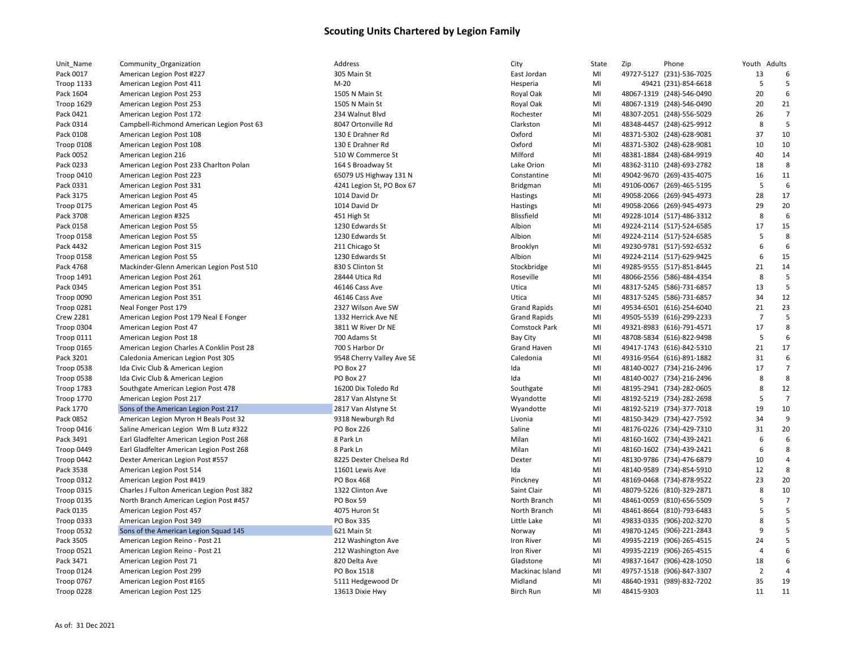| Unit_Name         | Community_Organization                    | Address                   | City                | State | Zip        | Phone                     | Youth Adults   |                |
|-------------------|-------------------------------------------|---------------------------|---------------------|-------|------------|---------------------------|----------------|----------------|
| Pack 0017         | American Legion Post #227                 | 305 Main St               | East Jordan         | MI    |            | 49727-5127 (231)-536-7025 | 13             | 6              |
| <b>Troop 1133</b> | American Legion Post 411                  | $M-20$                    | Hesperia            | MI    |            | 49421 (231)-854-6618      | 5              | 5              |
| Pack 1604         | American Legion Post 253                  | 1505 N Main St            | Royal Oak           | MI    |            | 48067-1319 (248)-546-0490 | 20             | 6              |
| Troop 1629        | American Legion Post 253                  | 1505 N Main St            | Royal Oak           | MI    |            | 48067-1319 (248)-546-0490 | 20             | 21             |
| Pack 0421         | American Legion Post 172                  | 234 Walnut Blvd           | Rochester           | MI    |            | 48307-2051 (248)-556-5029 | 26             | $\overline{7}$ |
| Pack 0314         | Campbell-Richmond American Legion Post 63 | 8047 Ortonville Rd        | Clarkston           | MI    |            | 48348-4457 (248)-625-9912 | 8              | 5              |
| Pack 0108         | American Legion Post 108                  | 130 E Drahner Rd          | Oxford              | MI    |            | 48371-5302 (248)-628-9081 | 37             | 10             |
| Troop 0108        | American Legion Post 108                  | 130 E Drahner Rd          | Oxford              | MI    |            | 48371-5302 (248)-628-9081 | 10             | 10             |
| Pack 0052         | American Legion 216                       | 510 W Commerce St         | Milford             | MI    |            | 48381-1884 (248)-684-9919 | 40             | 14             |
| Pack 0233         | American Legion Post 233 Charlton Polan   | 164 S Broadway St         | Lake Orion          | MI    |            | 48362-3110 (248)-693-2782 | 18             | 8              |
| Troop 0410        | American Legion Post 223                  | 65079 US Highway 131 N    | Constantine         | MI    |            | 49042-9670 (269)-435-4075 | 16             | 11             |
| Pack 0331         | American Legion Post 331                  | 4241 Legion St, PO Box 67 | Bridgman            | MI    |            | 49106-0067 (269)-465-5195 | 5              | 6              |
| Pack 3175         | American Legion Post 45                   | 1014 David Dr             | Hastings            | MI    |            | 49058-2066 (269)-945-4973 | 28             | 17             |
| Troop 0175        | American Legion Post 45                   | 1014 David Dr             | Hastings            | MI    |            | 49058-2066 (269)-945-4973 | 29             | 20             |
| Pack 3708         | American Legion #325                      | 451 High St               | <b>Blissfield</b>   | MI    |            | 49228-1014 (517)-486-3312 | 8              | 6              |
| Pack 0158         | American Legion Post 55                   | 1230 Edwards St           | Albion              | MI    |            | 49224-2114 (517)-524-6585 | 17             | 15             |
| Troop 0158        | American Legion Post 55                   | 1230 Edwards St           | Albion              | MI    |            | 49224-2114 (517)-524-6585 | 5              | 8              |
| Pack 4432         | American Legion Post 315                  | 211 Chicago St            | Brooklyn            | MI    |            | 49230-9781 (517)-592-6532 | 6              | 6              |
|                   |                                           |                           |                     |       |            |                           | 6              | 15             |
| Troop 0158        | American Legion Post 55                   | 1230 Edwards St           | Albion              | MI    |            | 49224-2114 (517)-629-9425 |                |                |
| Pack 4768         | Mackinder-Glenn American Legion Post 510  | 830 S Clinton St          | Stockbridge         | MI    |            | 49285-9555 (517)-851-8445 | 21             | 14             |
| <b>Troop 1491</b> | American Legion Post 261                  | 28444 Utica Rd            | Roseville           | MI    |            | 48066-2556 (586)-484-4354 | 8              | 5              |
| Pack 0345         | American Legion Post 351                  | 46146 Cass Ave            | Utica               | MI    |            | 48317-5245 (586)-731-6857 | 13             | 5              |
| Troop 0090        | American Legion Post 351                  | 46146 Cass Ave            | Utica               | MI    |            | 48317-5245 (586)-731-6857 | 34             | 12             |
| <b>Troop 0281</b> | Neal Fonger Post 179                      | 2327 Wilson Ave SW        | <b>Grand Rapids</b> | MI    |            | 49534-6501 (616)-254-6040 | 21             | 23             |
| <b>Crew 2281</b>  | American Legion Post 179 Neal E Fonger    | 1332 Herrick Ave NE       | <b>Grand Rapids</b> | MI    |            | 49505-5539 (616)-299-2233 | $\overline{7}$ | 5              |
| Troop 0304        | American Legion Post 47                   | 3811 W River Dr NE        | Comstock Park       | MI    |            | 49321-8983 (616)-791-4571 | 17             | 8              |
| Troop 0111        | American Legion Post 18                   | 700 Adams St              | <b>Bay City</b>     | MI    |            | 48708-5834 (616)-822-9498 | 5              | 6              |
| Troop 0165        | American Legion Charles A Conklin Post 28 | 700 S Harbor Dr           | <b>Grand Haven</b>  | MI    |            | 49417-1743 (616)-842-5310 | 21             | 17             |
| Pack 3201         | Caledonia American Legion Post 305        | 9548 Cherry Valley Ave SE | Caledonia           | MI    |            | 49316-9564 (616)-891-1882 | 31             | 6              |
| Troop 0538        | Ida Civic Club & American Legion          | PO Box 27                 | Ida                 | MI    |            | 48140-0027 (734)-216-2496 | 17             | $\overline{7}$ |
| Troop 0538        | Ida Civic Club & American Legion          | PO Box 27                 | Ida                 | MI    |            | 48140-0027 (734)-216-2496 | 8              | 8              |
| Troop 1783        | Southgate American Legion Post 478        | 16200 Dix Toledo Rd       | Southgate           | MI    |            | 48195-2941 (734)-282-0605 | 8              | 12             |
| <b>Troop 1770</b> | American Legion Post 217                  | 2817 Van Alstyne St       | Wyandotte           | MI    |            | 48192-5219 (734)-282-2698 | 5              | $\overline{7}$ |
| Pack 1770         | Sons of the American Legion Post 217      | 2817 Van Alstyne St       | Wyandotte           | MI    |            | 48192-5219 (734)-377-7018 | 19             | 10             |
| Pack 0852         | American Legion Myron H Beals Post 32     | 9318 Newburgh Rd          | Livonia             | MI    |            | 48150-3429 (734)-427-7592 | 34             | 9              |
| Troop 0416        | Saline American Legion Wm B Lutz #322     | <b>PO Box 226</b>         | Saline              | MI    |            | 48176-0226 (734)-429-7310 | 31             | 20             |
| Pack 3491         | Earl Gladfelter American Legion Post 268  | 8 Park Ln                 | Milan               | MI    |            | 48160-1602 (734)-439-2421 | 6              | 6              |
| Troop 0449        | Earl Gladfelter American Legion Post 268  | 8 Park Ln                 | Milan               | MI    |            | 48160-1602 (734)-439-2421 | 6              | 8              |
| Troop 0442        | Dexter American Legion Post #557          | 8225 Dexter Chelsea Rd    | Dexter              | MI    |            | 48130-9786 (734)-476-6879 | 10             | $\overline{4}$ |
| Pack 3538         | American Legion Post 514                  | 11601 Lewis Ave           | Ida                 | MI    |            | 48140-9589 (734)-854-5910 | 12             | 8              |
| Troop 0312        | American Legion Post #419                 | <b>PO Box 468</b>         | Pinckney            | MI    |            | 48169-0468 (734)-878-9522 | 23             | 20             |
| Troop 0315        | Charles J Fulton American Legion Post 382 | 1322 Clinton Ave          | Saint Clair         | MI    |            | 48079-5226 (810)-329-2871 | 8              | 10             |
| Troop 0135        | North Branch American Legion Post #457    | PO Box 59                 | North Branch        | MI    |            | 48461-0059 (810)-656-5509 | 5              | $\overline{7}$ |
| Pack 0135         | American Legion Post 457                  | 4075 Huron St             | North Branch        | MI    |            | 48461-8664 (810)-793-6483 | 5              | 5              |
| Troop 0333        | American Legion Post 349                  | PO Box 335                | Little Lake         | MI    |            | 49833-0335 (906)-202-3270 | 8              | 5              |
| Troop 0532        | Sons of the American Legion Squad 145     | 621 Main St               | Norway              | MI    |            | 49870-1245 (906)-221-2843 | 9              | 5              |
| Pack 3505         | American Legion Reino - Post 21           | 212 Washington Ave        | Iron River          | MI    |            | 49935-2219 (906)-265-4515 | 24             | 5              |
| Troop 0521        | American Legion Reino - Post 21           | 212 Washington Ave        | Iron River          | MI    |            | 49935-2219 (906)-265-4515 | $\overline{4}$ | 6              |
| Pack 3471         | American Legion Post 71                   | 820 Delta Ave             | Gladstone           | MI    |            | 49837-1647 (906)-428-1050 | 18             | 6              |
| Troop 0124        | American Legion Post 299                  | PO Box 1518               | Mackinac Island     | MI    |            | 49757-1518 (906)-847-3307 | $\overline{2}$ | $\Delta$       |
| Troop 0767        | American Legion Post #165                 | 5111 Hedgewood Dr         | Midland             | MI    |            | 48640-1931 (989)-832-7202 | 35             | 19             |
| Troop 0228        | American Legion Post 125                  | 13613 Dixie Hwy           | <b>Birch Run</b>    | MI    | 48415-9303 |                           | 11             | 11             |
|                   |                                           |                           |                     |       |            |                           |                |                |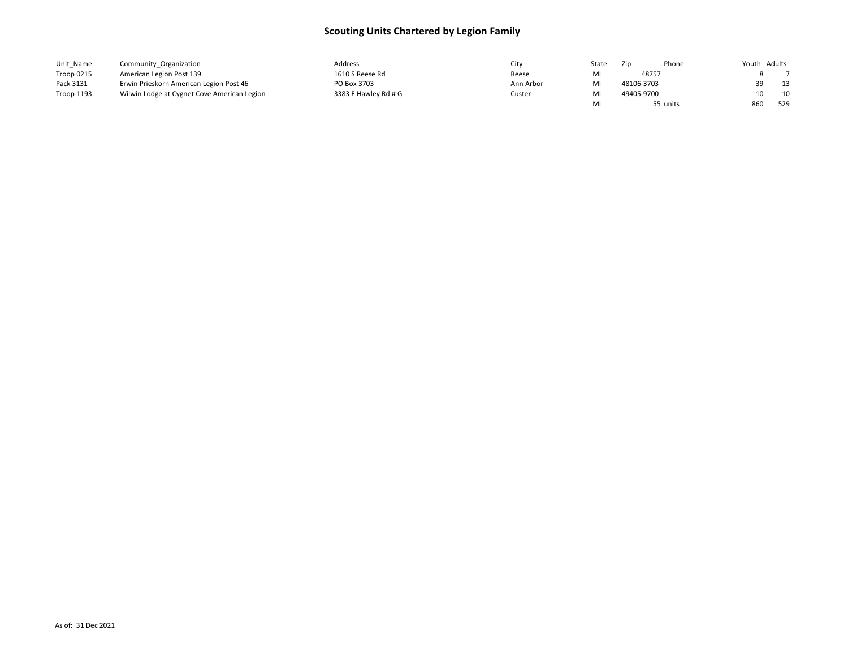| Unit Name         | Community Organization                      | Address              | city      | State | Zip        | Phone    | Youth Adults |     |
|-------------------|---------------------------------------------|----------------------|-----------|-------|------------|----------|--------------|-----|
| Troop 0215        | American Legion Post 139                    | 1610 S Reese Rd      | Reese     |       | 48757      |          |              |     |
| Pack 3131         | Erwin Prieskorn American Legion Post 46     | PO Box 3703          | Ann Arbor |       | 48106-3703 |          | 39           | 13  |
| <b>Troop 1193</b> | Wilwin Lodge at Cygnet Cove American Legion | 3383 E Hawley Rd # G | Custer    |       | 49405-9700 |          |              | 10  |
|                   |                                             |                      |           |       |            | 55 units | 860          | 529 |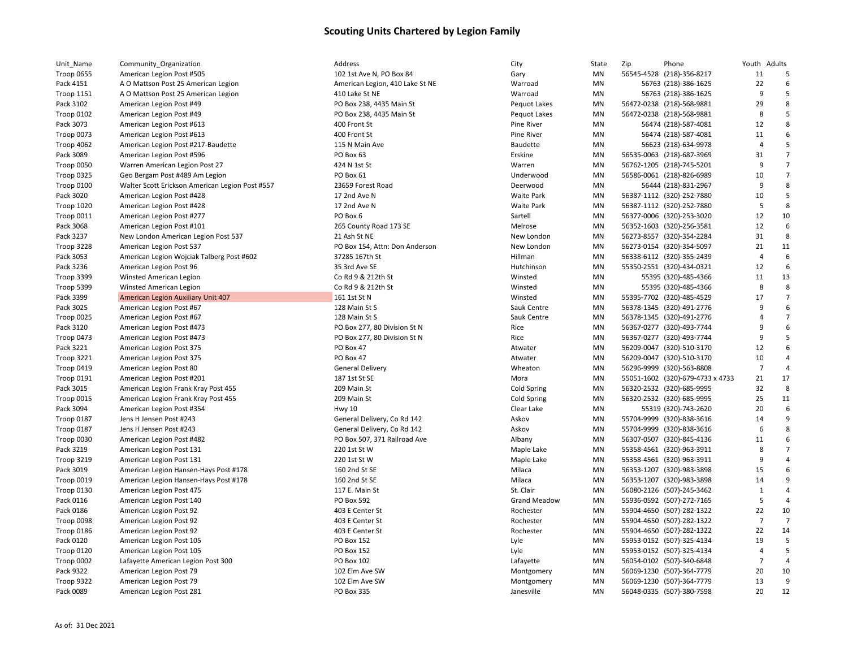| Unit_Name               | Community_Organization                          | Address                         | City                | State           | Zip | Phone                                                  | Youth Adults   |                |
|-------------------------|-------------------------------------------------|---------------------------------|---------------------|-----------------|-----|--------------------------------------------------------|----------------|----------------|
| Troop 0655              | American Legion Post #505                       | 102 1st Ave N, PO Box 84        | Gary                | MN              |     | 56545-4528 (218)-356-8217                              | 11             | -5             |
| Pack 4151               | A O Mattson Post 25 American Legion             | American Legion, 410 Lake St NE | Warroad             | MN              |     | 56763 (218)-386-1625                                   | 22             | 6              |
| <b>Troop 1151</b>       | A O Mattson Post 25 American Legion             | 410 Lake St NE                  | Warroad             | MN              |     | 56763 (218)-386-1625                                   | 9              | 5              |
| Pack 3102               | American Legion Post #49                        | PO Box 238, 4435 Main St        | Pequot Lakes        | MN              |     | 56472-0238 (218)-568-9881                              | 29             | 8              |
| Troop 0102              | American Legion Post #49                        | PO Box 238, 4435 Main St        | Pequot Lakes        | MN              |     | 56472-0238 (218)-568-9881                              | 8              | 5              |
| Pack 3073               | American Legion Post #613                       | 400 Front St                    | <b>Pine River</b>   | MN              |     | 56474 (218)-587-4081                                   | 12             | 8              |
| Troop 0073              | American Legion Post #613                       | 400 Front St                    | Pine River          | MN              |     | 56474 (218)-587-4081                                   | 11             | 6              |
| Troop 4062              | American Legion Post #217-Baudette              | 115 N Main Ave                  | Baudette            | MN              |     | 56623 (218)-634-9978                                   | $\overline{4}$ | 5              |
| Pack 3089               | American Legion Post #596                       | PO Box 63                       | Erskine             | MN              |     | 56535-0063 (218)-687-3969                              | 31             | $\overline{7}$ |
| Troop 0050              | Warren American Legion Post 27                  | 424 N 1st St                    | Warren              | MN              |     | 56762-1205 (218)-745-5201                              | 9              | $\overline{7}$ |
| Troop 0325              | Geo Bergam Post #489 Am Legion                  | PO Box 61                       | Underwood           | MN              |     | 56586-0061 (218)-826-6989                              | 10             | $\overline{7}$ |
| Troop 0100              | Walter Scott Erickson American Legion Post #557 | 23659 Forest Road               | Deerwood            | MN              |     | 56444 (218)-831-2967                                   | 9              | 8              |
| Pack 3020               | American Legion Post #428                       | 17 2nd Ave N                    | <b>Waite Park</b>   | MN              |     | 56387-1112 (320)-252-7880                              | 10             | 5              |
| Troop 1020              | American Legion Post #428                       | 17 2nd Ave N                    | <b>Waite Park</b>   | MN              |     | 56387-1112 (320)-252-7880                              | 5              | 8              |
| Troop 0011              | American Legion Post #277                       | PO Box 6                        | Sartell             | MN              |     | 56377-0006 (320)-253-3020                              | 12             | 10             |
| Pack 3068               | American Legion Post #101                       | 265 County Road 173 SE          | Melrose             | MN              |     | 56352-1603 (320)-256-3581                              | 12             | 6              |
| Pack 3237               | New London American Legion Post 537             | 21 Ash St NE                    | New London          | MN              |     | 56273-8557 (320)-354-2284                              | 31             | 8              |
| Troop 3228              | American Legion Post 537                        | PO Box 154, Attn: Don Anderson  | New London          | MN              |     | 56273-0154 (320)-354-5097                              | 21             | 11             |
| Pack 3053               | American Legion Wojciak Talberg Post #602       | 37285 167th St                  | Hillman             | MN              |     | 56338-6112 (320)-355-2439                              | $\overline{4}$ | 6              |
| Pack 3236               | American Legion Post 96                         | 35 3rd Ave SE                   | Hutchinson          | MN              |     | 55350-2551 (320)-434-0321                              | 12             | 6              |
| Troop 3399              | Winsted American Legion                         | Co Rd 9 & 212th St              | Winsted             | MN              |     | 55395 (320)-485-4366                                   | 11             | 13             |
| Troop 5399              | Winsted American Legion                         | Co Rd 9 & 212th St              | Winsted             | MN              |     | 55395 (320)-485-4366                                   | 8              | 8              |
| Pack 3399               | American Legion Auxiliary Unit 407              | 161 1st St N                    | Winsted             | MN              |     | 55395-7702 (320)-485-4529                              | 17             | $\overline{7}$ |
| Pack 3025               | American Legion Post #67                        | 128 Main St S                   | Sauk Centre         | MN              |     | 56378-1345 (320)-491-2776                              | 9              | 6              |
| Troop 0025              | American Legion Post #67                        | 128 Main St S                   | Sauk Centre         | MN              |     | 56378-1345 (320)-491-2776                              | $\overline{4}$ | $\overline{7}$ |
| Pack 3120               | American Legion Post #473                       | PO Box 277, 80 Division St N    | Rice                | MN              |     | 56367-0277 (320)-493-7744                              | 9              | 6              |
| Troop 0473              | American Legion Post #473                       | PO Box 277, 80 Division St N    | Rice                | MN              |     | 56367-0277 (320)-493-7744                              | 9              | 5              |
| Pack 3221               | American Legion Post 375                        | PO Box 47                       | Atwater             | MN              |     | 56209-0047 (320)-510-3170                              | 12             | 6              |
| <b>Troop 3221</b>       | American Legion Post 375                        | PO Box 47                       | Atwater             | MN              |     | 56209-0047 (320)-510-3170                              | 10             | $\overline{4}$ |
| Troop 0419              | American Legion Post 80                         | <b>General Delivery</b>         | Wheaton             | MN              |     | 56296-9999 (320)-563-8808                              | $\overline{7}$ | $\overline{4}$ |
| <b>Troop 0191</b>       | American Legion Post #201                       | 187 1st St SE                   | Mora                | MN              |     | 55051-1602 (320)-679-4733 x 4733                       | 21             | 17             |
| Pack 3015               | American Legion Frank Kray Post 455             | 209 Main St                     | Cold Spring         | MN              |     | 56320-2532 (320)-685-9995                              | 32             | 8              |
| Troop 0015              | American Legion Frank Kray Post 455             | 209 Main St                     | Cold Spring         | MN              |     | 56320-2532 (320)-685-9995                              | 25             | 11             |
| Pack 3094               | American Legion Post #354                       | <b>Hwy 10</b>                   | Clear Lake          | MN              |     | 55319 (320)-743-2620                                   | 20             | 6              |
| Troop 0187              | Jens H Jensen Post #243                         | General Delivery, Co Rd 142     | Askov               | MN              |     | 55704-9999 (320)-838-3616                              | 14             | 9              |
| Troop 0187              | Jens H Jensen Post #243                         | General Delivery, Co Rd 142     | Askov               | MN              |     | 55704-9999 (320)-838-3616                              | 6              | 8              |
| Troop 0030              | American Legion Post #482                       | PO Box 507, 371 Railroad Ave    | Albany              | MN              |     | 56307-0507 (320)-845-4136                              | 11             | 6              |
| Pack 3219               | American Legion Post 131                        | 220 1st St W                    | Maple Lake          | MN              |     | 55358-4561 (320)-963-3911                              | 8              | $\overline{7}$ |
| Troop 3219              | American Legion Post 131                        | 220 1st St W                    | Maple Lake          | MN              |     | 55358-4561 (320)-963-3911                              | 9              | $\overline{4}$ |
| Pack 3019               | American Legion Hansen-Hays Post #178           | 160 2nd St SE                   | Milaca              | MN              |     | 56353-1207 (320)-983-3898                              | 15             | 6              |
| Troop 0019              | American Legion Hansen-Hays Post #178           | 160 2nd St SE                   | Milaca              | MN              |     | 56353-1207 (320)-983-3898                              | 14             | 9              |
| Troop 0130              | American Legion Post 475                        | 117 E. Main St                  | St. Clair           | MN              |     | 56080-2126 (507)-245-3462                              | $\mathbf{1}$   | $\overline{a}$ |
| Pack 0116               | American Legion Post 140                        | PO Box 592                      | <b>Grand Meadow</b> | MN              |     | 55936-0592 (507)-272-7165                              | 5              | $\overline{4}$ |
| Pack 0186               | American Legion Post 92                         | 403 E Center St                 | Rochester           | MN              |     | 55904-4650 (507)-282-1322                              | 22             | 10             |
| Troop 0098              | American Legion Post 92                         | 403 E Center St                 | Rochester           | MN              |     | 55904-4650 (507)-282-1322                              | $\overline{7}$ | $\overline{7}$ |
| Troop 0186              | American Legion Post 92                         | 403 E Center St                 | Rochester           | MN              |     | 55904-4650 (507)-282-1322                              | 22             | 14             |
| Pack 0120               | American Legion Post 105                        | PO Box 152                      | Lyle                | MN              |     | 55953-0152 (507)-325-4134                              | 19             | 5              |
| <b>Troop 0120</b>       | American Legion Post 105                        | PO Box 152                      | Lyle                | MN              |     | 55953-0152 (507)-325-4134                              | $\overline{4}$ | 5              |
| Troop 0002              | Lafayette American Legion Post 300              | PO Box 102                      | Lafayette           | MN              |     | 56054-0102 (507)-340-6848                              | $\overline{7}$ | $\overline{4}$ |
|                         |                                                 | 102 Elm Ave SW                  |                     | MN              |     |                                                        | 20             | 10             |
| Pack 9322<br>Troop 9322 | American Legion Post 79                         | 102 Elm Ave SW                  | Montgomery          |                 |     | 56069-1230 (507)-364-7779<br>56069-1230 (507)-364-7779 | 13             | 9              |
| Pack 0089               | American Legion Post 79                         | PO Box 335                      | Montgomery          | MN<br><b>MN</b> |     |                                                        | 20             | 12             |
|                         | American Legion Post 281                        |                                 | Janesville          |                 |     | 56048-0335 (507)-380-7598                              |                |                |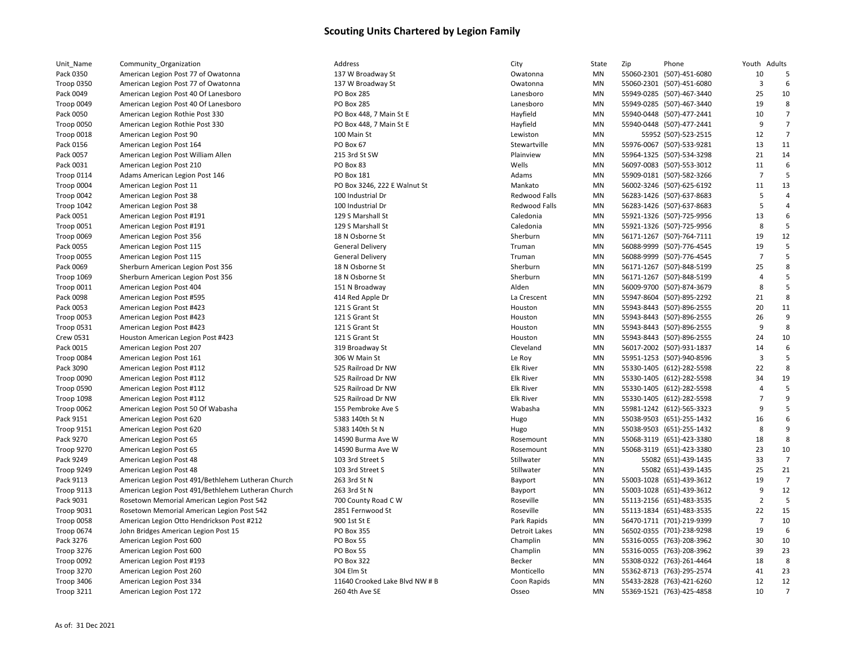| Unit_Name         | Community_Organization                             | Address                        | City                 | State     | Zip | Phone                     | Youth          | Adults         |
|-------------------|----------------------------------------------------|--------------------------------|----------------------|-----------|-----|---------------------------|----------------|----------------|
| Pack 0350         | American Legion Post 77 of Owatonna                | 137 W Broadway St              | Owatonna             | MN        |     | 55060-2301 (507)-451-6080 | 10             | 5              |
| <b>Troop 0350</b> | American Legion Post 77 of Owatonna                | 137 W Broadway St              | Owatonna             | MN        |     | 55060-2301 (507)-451-6080 | $\overline{3}$ | 6              |
| Pack 0049         | American Legion Post 40 Of Lanesboro               | PO Box 285                     | Lanesboro            | MN        |     | 55949-0285 (507)-467-3440 | 25             | 10             |
| Troop 0049        | American Legion Post 40 Of Lanesboro               | <b>PO Box 285</b>              | Lanesboro            | MN        |     | 55949-0285 (507)-467-3440 | 19             | 8              |
| Pack 0050         | American Legion Rothie Post 330                    | PO Box 448, 7 Main St E        | Hayfield             | MN        |     | 55940-0448 (507)-477-2441 | 10             |                |
| <b>Troop 0050</b> | American Legion Rothie Post 330                    | PO Box 448, 7 Main St E        | Hayfield             | MN        |     | 55940-0448 (507)-477-2441 | 9              | $\overline{7}$ |
| Troop 0018        | American Legion Post 90                            | 100 Main St                    | Lewiston             | MN        |     | 55952 (507)-523-2515      | 12             | $\overline{7}$ |
| Pack 0156         | American Legion Post 164                           | PO Box 67                      | Stewartville         | MN        |     | 55976-0067 (507)-533-9281 | 13             | 11             |
| Pack 0057         | American Legion Post William Allen                 | 215 3rd St SW                  | Plainview            | MN        |     | 55964-1325 (507)-534-3298 | 21             | 14             |
| Pack 0031         | American Legion Post 210                           | PO Box 83                      | Wells                | MN        |     | 56097-0083 (507)-553-3012 | 11             | 6              |
| Troop 0114        | Adams American Legion Post 146                     | <b>PO Box 181</b>              | Adams                | MN        |     | 55909-0181 (507)-582-3266 | $\overline{7}$ |                |
| Troop 0004        | American Legion Post 11                            | PO Box 3246, 222 E Walnut St   | Mankato              | MN        |     | 56002-3246 (507)-625-6192 | 11             | 13             |
| Troop 0042        | American Legion Post 38                            | 100 Industrial Dr              | Redwood Falls        | MN        |     | 56283-1426 (507)-637-8683 | 5              |                |
| <b>Troop 1042</b> | American Legion Post 38                            | 100 Industrial Dr              | Redwood Falls        | MN        |     | 56283-1426 (507)-637-8683 | 5              |                |
| Pack 0051         | American Legion Post #191                          | 129 S Marshall St              | Caledonia            | MN        |     | 55921-1326 (507)-725-9956 | 13             |                |
| <b>Troop 0051</b> | American Legion Post #191                          | 129 S Marshall St              | Caledonia            | MN        |     | 55921-1326 (507)-725-9956 | 8              |                |
| Troop 0069        | American Legion Post 356                           | 18 N Osborne St                | Sherburn             | MN        |     | 56171-1267 (507)-764-7111 | 19             | 12             |
| Pack 0055         | American Legion Post 115                           | <b>General Delivery</b>        | Truman               | MN        |     | 56088-9999 (507)-776-4545 | 19             |                |
| Troop 0055        | American Legion Post 115                           | <b>General Delivery</b>        | Truman               | MN        |     | 56088-9999 (507)-776-4545 | $\overline{7}$ |                |
| Pack 0069         | Sherburn American Legion Post 356                  | 18 N Osborne St                | Sherburn             | MN        |     | 56171-1267 (507)-848-5199 | 25             | 8              |
| Troop 1069        | Sherburn American Legion Post 356                  | 18 N Osborne St                | Sherburn             | MN        |     | 56171-1267 (507)-848-5199 | 4              |                |
| Troop 0011        | American Legion Post 404                           | 151 N Broadway                 | Alden                | MN        |     | 56009-9700 (507)-874-3679 | 8              | 5              |
| Pack 0098         | American Legion Post #595                          | 414 Red Apple Dr               | La Crescent          | MN        |     | 55947-8604 (507)-895-2292 | 21             | 8              |
| Pack 0053         | American Legion Post #423                          | 121 S Grant St                 | Houston              | MN        |     | 55943-8443 (507)-896-2555 | 20             | 11             |
| Troop 0053        | American Legion Post #423                          | 121 S Grant St                 | Houston              | MN        |     | 55943-8443 (507)-896-2555 | 26             | 9              |
| Troop 0531        | American Legion Post #423                          | 121 S Grant St                 | Houston              | MN        |     | 55943-8443 (507)-896-2555 | 9              |                |
| Crew 0531         | Houston American Legion Post #423                  | 121 S Grant St                 | Houston              | MN        |     | 55943-8443 (507)-896-2555 | 24             | 10             |
| Pack 0015         | American Legion Post 207                           | 319 Broadway St                | Cleveland            | MN        |     | 56017-2002 (507)-931-1837 | 14             | 6              |
| Troop 0084        | American Legion Post 161                           | 306 W Main St                  | Le Roy               | MN        |     | 55951-1253 (507)-940-8596 | $\overline{3}$ | 5              |
| Pack 3090         | American Legion Post #112                          | 525 Railroad Dr NW             | <b>Elk River</b>     | MN        |     | 55330-1405 (612)-282-5598 | 22             | 8              |
| Troop 0090        | American Legion Post #112                          | 525 Railroad Dr NW             | <b>Elk River</b>     | MN        |     | 55330-1405 (612)-282-5598 | 34             | 19             |
| Troop 0590        | American Legion Post #112                          | 525 Railroad Dr NW             | <b>Elk River</b>     | MN        |     | 55330-1405 (612)-282-5598 | $\overline{4}$ | 5              |
| Troop 1098        | American Legion Post #112                          | 525 Railroad Dr NW             | <b>Elk River</b>     | MN        |     | 55330-1405 (612)-282-5598 | $\overline{7}$ | q              |
| Troop 0062        | American Legion Post 50 Of Wabasha                 | 155 Pembroke Ave S             | Wabasha              | MN        |     | 55981-1242 (612)-565-3323 | 9              |                |
| Pack 9151         | American Legion Post 620                           | 5383 140th St N                | Hugo                 | MN        |     | 55038-9503 (651)-255-1432 | 16             |                |
| Troop 9151        | American Legion Post 620                           | 5383 140th St N                | Hugo                 | MN        |     | 55038-9503 (651)-255-1432 | 8              | 9              |
| Pack 9270         | American Legion Post 65                            | 14590 Burma Ave W              | Rosemount            | MN        |     | 55068-3119 (651)-423-3380 | 18             | 8              |
| <b>Troop 9270</b> | American Legion Post 65                            | 14590 Burma Ave W              | Rosemount            | MN        |     | 55068-3119 (651)-423-3380 | 23             | 10             |
| Pack 9249         | American Legion Post 48                            | 103 3rd Street S               | Stillwater           | MN        |     | 55082 (651)-439-1435      | 33             | $\overline{7}$ |
| Troop 9249        | American Legion Post 48                            | 103 3rd Street S               | Stillwater           | MN        |     | 55082 (651)-439-1435      | 25             | 21             |
| Pack 9113         | American Legion Post 491/Bethlehem Lutheran Church | 263 3rd St N                   | Bayport              | MN        |     | 55003-1028 (651)-439-3612 | 19             | 7              |
| <b>Troop 9113</b> | American Legion Post 491/Bethlehem Lutheran Church | 263 3rd St N                   | Bayport              | MN        |     | 55003-1028 (651)-439-3612 | 9              | 12             |
| Pack 9031         | Rosetown Memorial American Legion Post 542         | 700 County Road C W            | Roseville            | MN        |     | 55113-2156 (651)-483-3535 | $\overline{2}$ |                |
| <b>Troop 9031</b> | Rosetown Memorial American Legion Post 542         | 2851 Fernwood St               | Roseville            | MN        |     | 55113-1834 (651)-483-3535 | 22             | 15             |
| Troop 0058        | American Legion Otto Hendrickson Post #212         | 900 1st St E                   | Park Rapids          | MN        |     | 56470-1711 (701)-219-9399 | $\overline{7}$ | 10             |
| <b>Troop 0674</b> | John Bridges American Legion Post 15               | <b>PO Box 355</b>              | <b>Detroit Lakes</b> | MN        |     | 56502-0355 (701)-238-9298 | 19             | 6              |
| Pack 3276         | American Legion Post 600                           | PO Box 55                      | Champlin             | MN        |     | 55316-0055 (763)-208-3962 | 30             | 10             |
| Troop 3276        | American Legion Post 600                           | PO Box 55                      | Champlin             | MN        |     | 55316-0055 (763)-208-3962 | 39             | 23             |
| Troop 0092        | American Legion Post #193                          | <b>PO Box 322</b>              | Becker               | MN        |     | 55308-0322 (763)-261-4464 | 18             | 8              |
| Troop 3270        | American Legion Post 260                           | 304 Elm St                     | Monticello           | MN        |     | 55362-8713 (763)-295-2574 | 41             | 23             |
| <b>Troop 3406</b> | American Legion Post 334                           | 11640 Crooked Lake Blvd NW # B | Coon Rapids          | MN        |     | 55433-2828 (763)-421-6260 | 12             | 12             |
| Troop 3211        | American Legion Post 172                           | 260 4th Ave SE                 | Osseo                | <b>MN</b> |     | 55369-1521 (763)-425-4858 | 10             |                |
|                   |                                                    |                                |                      |           |     |                           |                |                |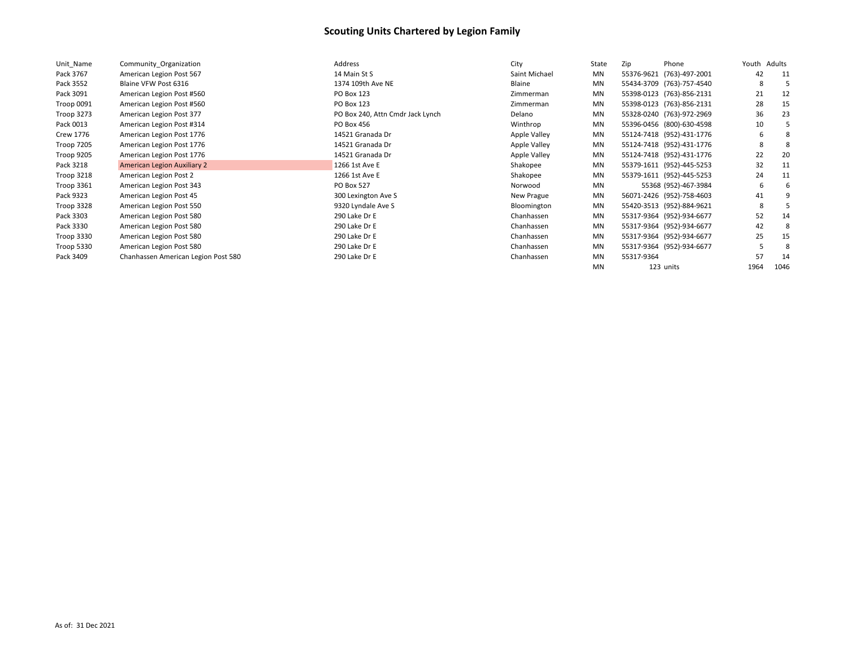| Unit Name         | Community Organization              | Address                          | City          | State     | Zip        | Phone                     | Youth | Adults |
|-------------------|-------------------------------------|----------------------------------|---------------|-----------|------------|---------------------------|-------|--------|
| Pack 3767         | American Legion Post 567            | 14 Main St S                     | Saint Michael | <b>MN</b> |            | 55376-9621 (763)-497-2001 | 42    | 11     |
| Pack 3552         | Blaine VFW Post 6316                | 1374 109th Ave NE                | Blaine        | <b>MN</b> |            | 55434-3709 (763)-757-4540 | 8     |        |
| Pack 3091         | American Legion Post #560           | <b>PO Box 123</b>                | Zimmerman     | <b>MN</b> |            | 55398-0123 (763)-856-2131 | 21    | 12     |
| Troop 0091        | American Legion Post #560           | <b>PO Box 123</b>                | Zimmerman     | <b>MN</b> |            | 55398-0123 (763)-856-2131 | 28    | 15     |
| Troop 3273        | American Legion Post 377            | PO Box 240, Attn Cmdr Jack Lynch | Delano        | <b>MN</b> |            | 55328-0240 (763)-972-2969 | 36    | 23     |
| Pack 0013         | American Legion Post #314           | PO Box 456                       | Winthrop      | MN        |            | 55396-0456 (800)-630-4598 | 10    |        |
| <b>Crew 1776</b>  | American Legion Post 1776           | 14521 Granada Dr                 | Apple Valley  | <b>MN</b> |            | 55124-7418 (952)-431-1776 | 6     |        |
| <b>Troop 7205</b> | American Legion Post 1776           | 14521 Granada Dr                 | Apple Valley  | MN        |            | 55124-7418 (952)-431-1776 | 8     |        |
| Troop 9205        | American Legion Post 1776           | 14521 Granada Dr                 | Apple Valley  | <b>MN</b> |            | 55124-7418 (952)-431-1776 | 22    | 20     |
| Pack 3218         | <b>American Legion Auxiliary 2</b>  | 1266 1st Ave E                   | Shakopee      | <b>MN</b> |            | 55379-1611 (952)-445-5253 | 32    | 11     |
| Troop 3218        | American Legion Post 2              | 1266 1st Ave E                   | Shakopee      | <b>MN</b> |            | 55379-1611 (952)-445-5253 | 24    | 11     |
| <b>Troop 3361</b> | American Legion Post 343            | <b>PO Box 527</b>                | Norwood       | MN        |            | 55368 (952)-467-3984      | 6     |        |
| Pack 9323         | American Legion Post 45             | 300 Lexington Ave S              | New Prague    | <b>MN</b> |            | 56071-2426 (952)-758-4603 | 41    |        |
| Troop 3328        | American Legion Post 550            | 9320 Lyndale Ave S               | Bloomington   | MN        |            | 55420-3513 (952)-884-9621 | 8     |        |
| Pack 3303         | American Legion Post 580            | 290 Lake Dr E                    | Chanhassen    | MN        |            | 55317-9364 (952)-934-6677 | 52    | 14     |
| Pack 3330         | American Legion Post 580            | 290 Lake Dr E                    | Chanhassen    | MN        |            | 55317-9364 (952)-934-6677 | 42    |        |
| Troop 3330        | American Legion Post 580            | 290 Lake Dr E                    | Chanhassen    | <b>MN</b> |            | 55317-9364 (952)-934-6677 | 25    | 15     |
| Troop 5330        | American Legion Post 580            | 290 Lake Dr E                    | Chanhassen    | <b>MN</b> |            | 55317-9364 (952)-934-6677 |       | 8      |
| Pack 3409         | Chanhassen American Legion Post 580 | 290 Lake Dr E                    | Chanhassen    | <b>MN</b> | 55317-9364 |                           | 57    | 14     |
|                   |                                     |                                  |               | <b>MN</b> |            | 123 units                 | 1964  | 1046   |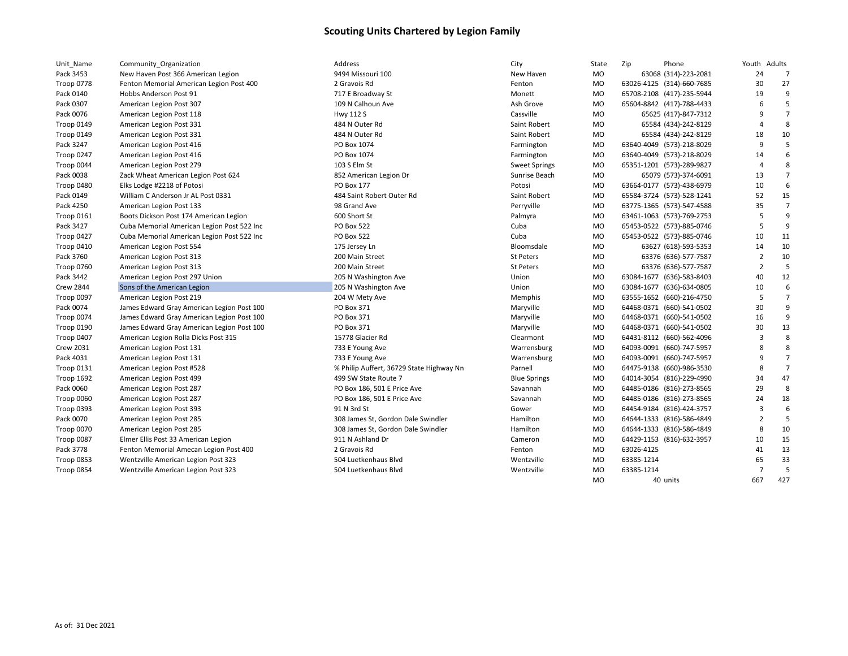| Unit_Name         | Community_Organization                     | Address                                  | City                 | State     | Zip        | Phone                     | Youth Adults   |                |
|-------------------|--------------------------------------------|------------------------------------------|----------------------|-----------|------------|---------------------------|----------------|----------------|
| Pack 3453         | New Haven Post 366 American Legion         | 9494 Missouri 100                        | New Haven            | MO        |            | 63068 (314)-223-2081      | 24             | $\overline{7}$ |
| <b>Troop 0778</b> | Fenton Memorial American Legion Post 400   | 2 Gravois Rd                             | Fenton               | <b>MO</b> |            | 63026-4125 (314)-660-7685 | 30             | 27             |
| Pack 0140         | Hobbs Anderson Post 91                     | 717 E Broadway St                        | Monett               | MO        |            | 65708-2108 (417)-235-5944 | 19             | 9              |
| Pack 0307         | American Legion Post 307                   | 109 N Calhoun Ave                        | Ash Grove            | <b>MO</b> |            | 65604-8842 (417)-788-4433 | 6              | 5              |
| Pack 0076         | American Legion Post 118                   | Hwy 112 S                                | Cassville            | <b>MO</b> |            | 65625 (417)-847-7312      | q              | $\overline{7}$ |
| Troop 0149        | American Legion Post 331                   | 484 N Outer Rd                           | Saint Robert         | MO        |            | 65584 (434)-242-8129      |                | 8              |
| Troop 0149        | American Legion Post 331                   | 484 N Outer Rd                           | Saint Robert         | MO        |            | 65584 (434)-242-8129      | 18             | 10             |
| Pack 3247         | American Legion Post 416                   | PO Box 1074                              | Farmington           | MO        |            | 63640-4049 (573)-218-8029 | 9              | 5              |
| Troop 0247        | American Legion Post 416                   | PO Box 1074                              | Farmington           | <b>MO</b> |            | 63640-4049 (573)-218-8029 | 14             | 6              |
| Troop 0044        | American Legion Post 279                   | 103 S Elm St                             | <b>Sweet Springs</b> | MO        |            | 65351-1201 (573)-289-9827 | $\overline{4}$ | 8              |
| Pack 0038         | Zack Wheat American Legion Post 624        | 852 American Legion Dr                   | Sunrise Beach        | <b>MO</b> |            | 65079 (573)-374-6091      | 13             | $\overline{7}$ |
| Troop 0480        | Elks Lodge #2218 of Potosi                 | PO Box 177                               | Potosi               | MO        |            | 63664-0177 (573)-438-6979 | 10             | 6              |
| Pack 0149         | William C Anderson Jr AL Post 0331         | 484 Saint Robert Outer Rd                | Saint Robert         | <b>MO</b> |            | 65584-3724 (573)-528-1241 | 52             | 15             |
| Pack 4250         | American Legion Post 133                   | 98 Grand Ave                             | Perryville           | <b>MO</b> |            | 63775-1365 (573)-547-4588 | 35             | $\overline{7}$ |
| <b>Troop 0161</b> | Boots Dickson Post 174 American Legion     | 600 Short St                             | Palmyra              | MO        |            | 63461-1063 (573)-769-2753 | 5              | q              |
| Pack 3427         | Cuba Memorial American Legion Post 522 Inc | PO Box 522                               | Cuba                 | MO        |            | 65453-0522 (573)-885-0746 | 5              | 9              |
| Troop 0427        | Cuba Memorial American Legion Post 522 Inc | <b>PO Box 522</b>                        | Cuba                 | MO        |            | 65453-0522 (573)-885-0746 | 10             | 11             |
| Troop 0410        | American Legion Post 554                   | 175 Jersey Ln                            | Bloomsdale           | <b>MO</b> |            | 63627 (618)-593-5353      | 14             | 10             |
| Pack 3760         | American Legion Post 313                   | 200 Main Street                          | St Peters            | <b>MO</b> |            | 63376 (636)-577-7587      | $\overline{2}$ | 10             |
| Troop 0760        | American Legion Post 313                   | 200 Main Street                          | St Peters            | MO        |            | 63376 (636)-577-7587      | $\overline{2}$ | 5              |
| Pack 3442         | American Legion Post 297 Union             | 205 N Washington Ave                     | Union                | <b>MO</b> |            | 63084-1677 (636)-583-8403 | 40             | 12             |
| <b>Crew 2844</b>  | Sons of the American Legion                | 205 N Washington Ave                     | Union                | MO        |            | 63084-1677 (636)-634-0805 | 10             | 6              |
| Troop 0097        | American Legion Post 219                   | 204 W Mety Ave                           | Memphis              | MO        |            | 63555-1652 (660)-216-4750 | 5              | $\overline{7}$ |
| Pack 0074         | James Edward Gray American Legion Post 100 | PO Box 371                               | Maryville            | MO        |            | 64468-0371 (660)-541-0502 | 30             | 9              |
| Troop 0074        | James Edward Gray American Legion Post 100 | PO Box 371                               | Maryville            | <b>MO</b> |            | 64468-0371 (660)-541-0502 | 16             | 9              |
| Troop 0190        | James Edward Gray American Legion Post 100 | PO Box 371                               | Maryville            | <b>MO</b> |            | 64468-0371 (660)-541-0502 | 30             | 13             |
| Troop 0407        | American Legion Rolla Dicks Post 315       | 15778 Glacier Rd                         | Clearmont            | MO        |            | 64431-8112 (660)-562-4096 | $\overline{3}$ | 8              |
| <b>Crew 2031</b>  | American Legion Post 131                   | 733 E Young Ave                          | Warrensburg          | MO        |            | 64093-0091 (660)-747-5957 | 8              | 8              |
| Pack 4031         | American Legion Post 131                   | 733 E Young Ave                          | Warrensburg          | MO        |            | 64093-0091 (660)-747-5957 | q              | $\overline{7}$ |
| Troop 0131        | American Legion Post #528                  | % Philip Auffert, 36729 State Highway Nn | Parnell              | MO        |            | 64475-9138 (660)-986-3530 | 8              | $\overline{7}$ |
| Troop 1692        | American Legion Post 499                   | 499 SW State Route 7                     | <b>Blue Springs</b>  | MO        |            | 64014-3054 (816)-229-4990 | 34             | 47             |
| Pack 0060         | American Legion Post 287                   | PO Box 186, 501 E Price Ave              | Savannah             | MO        |            | 64485-0186 (816)-273-8565 | 29             | 8              |
| Troop 0060        | American Legion Post 287                   | PO Box 186, 501 E Price Ave              | Savannah             | MO        |            | 64485-0186 (816)-273-8565 | 24             | 18             |
| Troop 0393        | American Legion Post 393                   | 91 N 3rd St                              | Gower                | MO        |            | 64454-9184 (816)-424-3757 | 3              | 6              |
| Pack 0070         | American Legion Post 285                   | 308 James St, Gordon Dale Swindler       | Hamilton             | MO        |            | 64644-1333 (816)-586-4849 | $\overline{2}$ | 5              |
| Troop 0070        | American Legion Post 285                   | 308 James St, Gordon Dale Swindler       | Hamilton             | <b>MO</b> |            | 64644-1333 (816)-586-4849 | 8              | 10             |
| Troop 0087        | Elmer Ellis Post 33 American Legion        | 911 N Ashland Dr                         | Cameron              | <b>MO</b> |            | 64429-1153 (816)-632-3957 | 10             | 15             |
| Pack 3778         | Fenton Memorial Amecan Legion Post 400     | 2 Gravois Rd                             | Fenton               | MO        | 63026-4125 |                           | 41             | 13             |
| Troop 0853        | Wentzville American Legion Post 323        | 504 Luetkenhaus Blvd                     | Wentzville           | MO        | 63385-1214 |                           | 65             | 33             |
| Troop 0854        | Wentzville American Legion Post 323        | 504 Luetkenhaus Blyd                     | Wentzville           | <b>MO</b> | 63385-1214 |                           | 7              | 5              |
|                   |                                            |                                          |                      | <b>MO</b> |            | 40 units                  | 667            | 427            |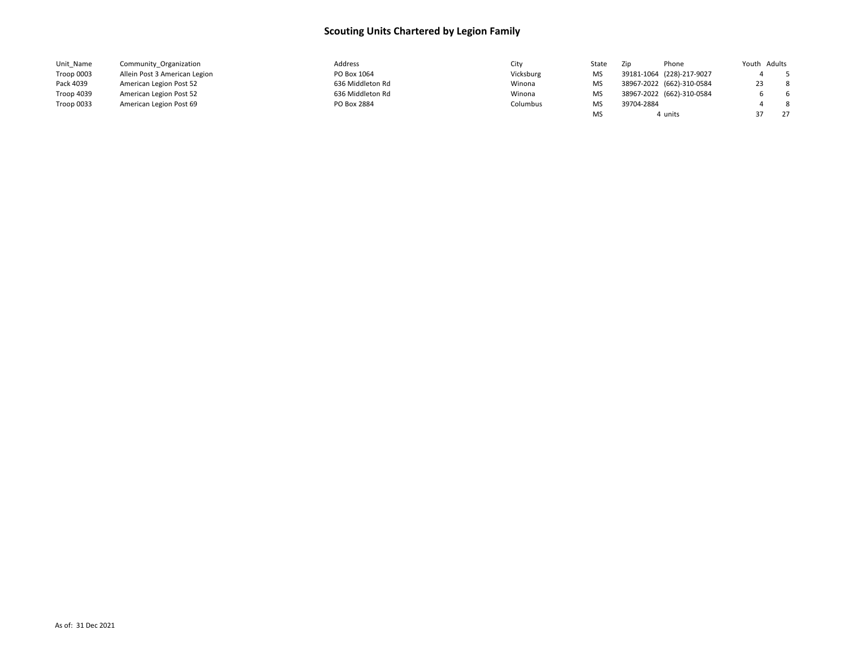| Unit Name  | Community Organization        | Address          | Citv      | State | Zip        | Phone                     | Youth Adults |    |
|------------|-------------------------------|------------------|-----------|-------|------------|---------------------------|--------------|----|
| Troop 0003 | Allein Post 3 American Legion | PO Box 1064      | Vicksburg | MS    |            | 39181-1064 (228)-217-9027 |              |    |
| Pack 4039  | American Legion Post 52       | 636 Middleton Rd | Winona    | MS    |            | 38967-2022 (662)-310-0584 |              | -8 |
| Troop 4039 | American Legion Post 52       | 636 Middleton Rd | Winona    | MS    |            | 38967-2022 (662)-310-0584 |              | -6 |
| Troop 0033 | American Legion Post 69       | PO Box 2884      | Columbus  | MS    | 39704-2884 |                           |              | -8 |
|            |                               |                  |           | MS    |            | 4 units                   |              | 27 |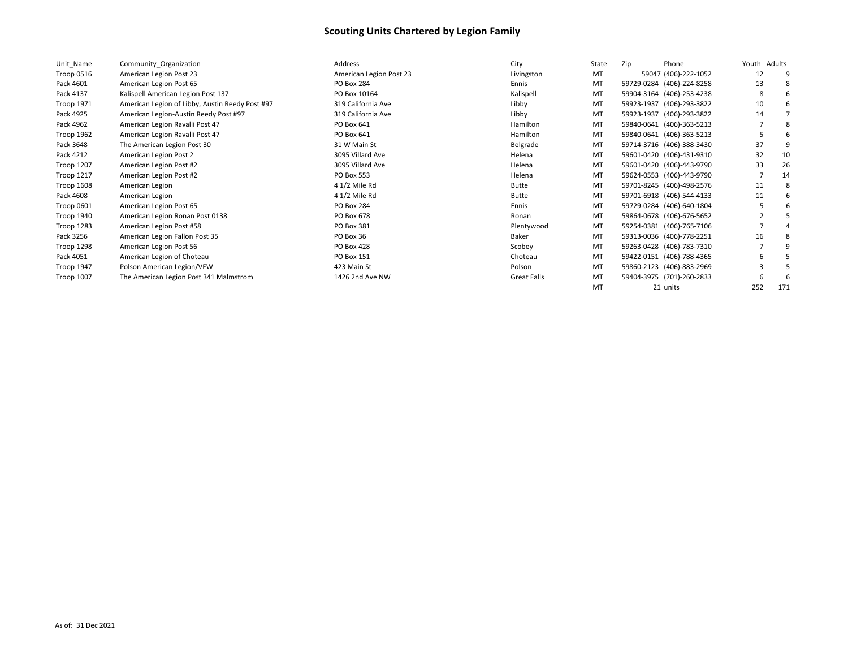| Unit Name         | Community Organization                          | Address                 | City         | State     | Zip | Phone                     | Youth | Adults |
|-------------------|-------------------------------------------------|-------------------------|--------------|-----------|-----|---------------------------|-------|--------|
| Troop 0516        | American Legion Post 23                         | American Legion Post 23 | Livingston   | MT        |     | 59047 (406)-222-1052      | 12    |        |
| Pack 4601         | American Legion Post 65                         | <b>PO Box 284</b>       | Ennis        | MT        |     | 59729-0284 (406)-224-8258 | 13    |        |
| Pack 4137         | Kalispell American Legion Post 137              | PO Box 10164            | Kalispell    | MT        |     | 59904-3164 (406)-253-4238 |       |        |
| <b>Troop 1971</b> | American Legion of Libby, Austin Reedy Post #97 | 319 California Ave      | Libby        | MT        |     | 59923-1937 (406)-293-3822 | 10    |        |
| Pack 4925         | American Legion-Austin Reedy Post #97           | 319 California Ave      | Libby        | MT        |     | 59923-1937 (406)-293-3822 | 14    |        |
| Pack 4962         | American Legion Ravalli Post 47                 | PO Box 641              | Hamilton     | MT        |     | 59840-0641 (406)-363-5213 |       |        |
| Troop 1962        | American Legion Ravalli Post 47                 | PO Box 641              | Hamilton     | MT        |     | 59840-0641 (406)-363-5213 |       |        |
| Pack 3648         | The American Legion Post 30                     | 31 W Main St            | Belgrade     | MT        |     | 59714-3716 (406)-388-3430 | 37    |        |
| Pack 4212         | American Legion Post 2                          | 3095 Villard Ave        | Helena       | MT        |     | 59601-0420 (406)-431-9310 | 32    | 10     |
| Troop 1207        | American Legion Post #2                         | 3095 Villard Ave        | Helena       | MT        |     | 59601-0420 (406)-443-9790 | 33    | 26     |
| Troop 1217        | American Legion Post #2                         | <b>PO Box 553</b>       | Helena       | MT        |     | 59624-0553 (406)-443-9790 |       | 14     |
| Troop 1608        | American Legion                                 | 4 1/2 Mile Rd           | <b>Butte</b> | MT        |     | 59701-8245 (406)-498-2576 | 11    |        |
| Pack 4608         | American Legion                                 | 4 1/2 Mile Rd           | <b>Butte</b> | MT        |     | 59701-6918 (406)-544-4133 | 11    |        |
| Troop 0601        | American Legion Post 65                         | PO Box 284              | Ennis        | MT        |     | 59729-0284 (406)-640-1804 |       |        |
| Troop 1940        | American Legion Ronan Post 0138                 | PO Box 678              | Ronan        | <b>MT</b> |     | 59864-0678 (406)-676-5652 |       |        |
| Troop 1283        | American Legion Post #58                        | PO Box 381              | Plentywood   | MT        |     | 59254-0381 (406)-765-7106 |       |        |
| Pack 3256         | American Legion Fallon Post 35                  | PO Box 36               | Baker        | MT        |     | 59313-0036 (406)-778-2251 | 16    |        |
| Troop 1298        | American Legion Post 56                         | <b>PO Box 428</b>       | Scobey       | MT        |     | 59263-0428 (406)-783-7310 |       |        |
| Pack 4051         | American Legion of Choteau                      | PO Box 151              | Choteau      | MT        |     | 59422-0151 (406)-788-4365 | 6     |        |
| Troop 1947        | Polson American Legion/VFW                      | 423 Main St             | Polson       | MT        |     | 59860-2123 (406)-883-2969 |       |        |
| <b>Troop 1007</b> | The American Legion Post 341 Malmstrom          | 1426 2nd Ave NW         | Great Falls  | MT        |     | 59404-3975 (701)-260-2833 |       |        |
|                   |                                                 |                         |              | MT        |     | 21 units                  | 252   | 171    |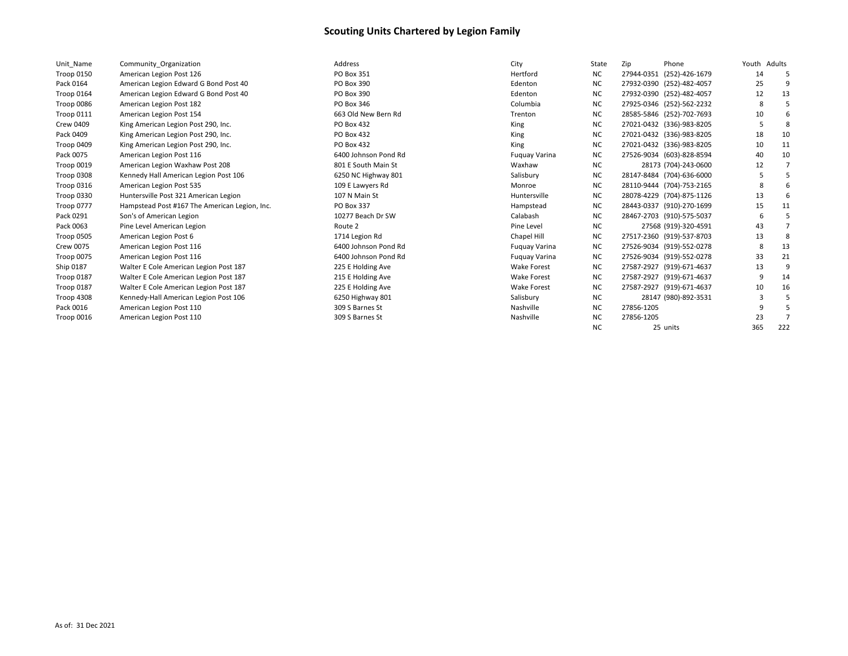| Unit Name         | Community Organization                        | Address              | City                 | State     | Zip<br>Phone              | Youth Adults |     |
|-------------------|-----------------------------------------------|----------------------|----------------------|-----------|---------------------------|--------------|-----|
| Troop 0150        | American Legion Post 126                      | PO Box 351           | Hertford             | NC.       | 27944-0351 (252)-426-1679 | 14           |     |
| Pack 0164         | American Legion Edward G Bond Post 40         | PO Box 390           | Edenton              | <b>NC</b> | 27932-0390 (252)-482-4057 | 25           |     |
| Troop 0164        | American Legion Edward G Bond Post 40         | PO Box 390           | Edenton              | NC.       | 27932-0390 (252)-482-4057 | 12           | 13  |
| Troop 0086        | American Legion Post 182                      | PO Box 346           | Columbia             | <b>NC</b> | 27925-0346 (252)-562-2232 | 8            |     |
| Troop 0111        | American Legion Post 154                      | 663 Old New Bern Rd  | Trenton              | <b>NC</b> | 28585-5846 (252)-702-7693 | 10           |     |
| <b>Crew 0409</b>  | King American Legion Post 290, Inc.           | PO Box 432           | King                 | <b>NC</b> | 27021-0432 (336)-983-8205 |              |     |
| Pack 0409         | King American Legion Post 290, Inc.           | PO Box 432           | King                 | <b>NC</b> | 27021-0432 (336)-983-8205 | 18           | 10  |
| Troop 0409        | King American Legion Post 290, Inc.           | PO Box 432           | King                 | ΝC        | 27021-0432 (336)-983-8205 | 10           | 11  |
| Pack 0075         | American Legion Post 116                      | 6400 Johnson Pond Rd | Fuguay Varina        | <b>NC</b> | 27526-9034 (603)-828-8594 | 40           | 10  |
| Troop 0019        | American Legion Waxhaw Post 208               | 801 E South Main St  | Waxhaw               | NC.       | 28173 (704)-243-0600      | 12           |     |
| Troop 0308        | Kennedy Hall American Legion Post 106         | 6250 NC Highway 801  | Salisbury            | <b>NC</b> | 28147-8484 (704)-636-6000 |              |     |
| Troop 0316        | American Legion Post 535                      | 109 E Lawyers Rd     | Monroe               | <b>NC</b> | 28110-9444 (704)-753-2165 | -8           |     |
| Troop 0330        | Huntersville Post 321 American Legion         | 107 N Main St        | Huntersville         | NC.       | 28078-4229 (704)-875-1126 | 13           |     |
| <b>Troop 0777</b> | Hampstead Post #167 The American Legion, Inc. | PO Box 337           | Hampstead            | <b>NC</b> | 28443-0337 (910)-270-1699 | 15           | 11  |
| Pack 0291         | Son's of American Legion                      | 10277 Beach Dr SW    | Calabash             | <b>NC</b> | 28467-2703 (910)-575-5037 | -6           |     |
| Pack 0063         | Pine Level American Legion                    | Route 2              | Pine Level           | <b>NC</b> | 27568 (919)-320-4591      | 43           |     |
| Troop 0505        | American Legion Post 6                        | 1714 Legion Rd       | Chapel Hill          | <b>NC</b> | 27517-2360 (919)-537-8703 | 13           |     |
| <b>Crew 0075</b>  | American Legion Post 116                      | 6400 Johnson Pond Rd | <b>Fuguay Varina</b> | <b>NC</b> | 27526-9034 (919)-552-0278 |              | 13  |
| Troop 0075        | American Legion Post 116                      | 6400 Johnson Pond Rd | Fuguay Varina        | NC.       | 27526-9034 (919)-552-0278 | 33           | 21  |
| Ship 0187         | Walter E Cole American Legion Post 187        | 225 E Holding Ave    | <b>Wake Forest</b>   | NC.       | 27587-2927 (919)-671-4637 | 13           |     |
| Troop 0187        | Walter E Cole American Legion Post 187        | 215 E Holding Ave    | <b>Wake Forest</b>   | <b>NC</b> | 27587-2927 (919)-671-4637 | 9            | 14  |
| Troop 0187        | Walter E Cole American Legion Post 187        | 225 E Holding Ave    | <b>Wake Forest</b>   | NC.       | 27587-2927 (919)-671-4637 | 10           | 16  |
| Troop 4308        | Kennedy-Hall American Legion Post 106         | 6250 Highway 801     | Salisbury            | NC.       | 28147 (980)-892-3531      |              |     |
| Pack 0016         | American Legion Post 110                      | 309 S Barnes St      | Nashville            | <b>NC</b> | 27856-1205                |              |     |
| Troop 0016        | American Legion Post 110                      | 309 S Barnes St      | Nashville            | <b>NC</b> | 27856-1205                | 23           |     |
|                   |                                               |                      |                      | <b>NC</b> | 25 units                  | 365          | 222 |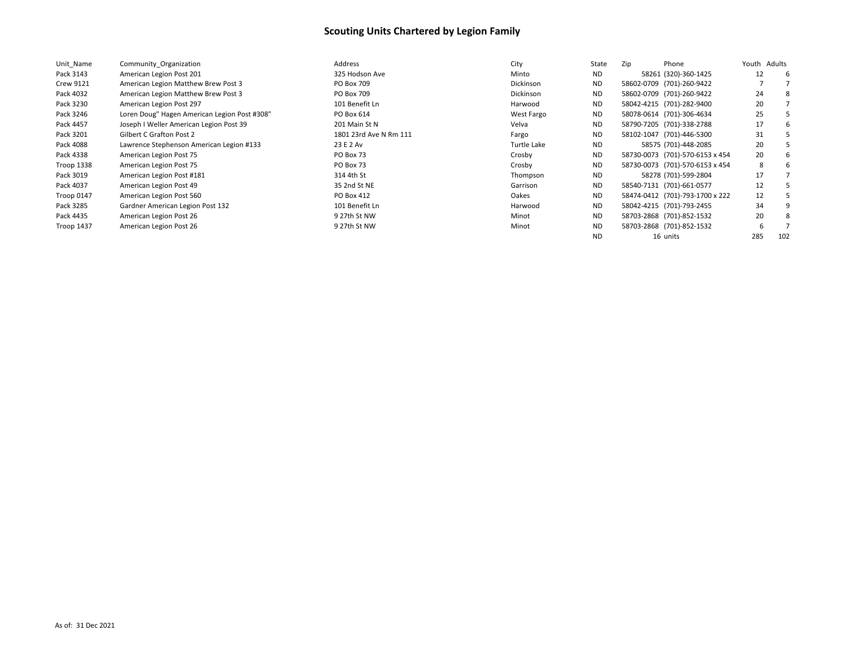| Unit Name         | Community Organization                       | Address                | City             | State     | Phone<br>Zip                    | Youth Adults |     |
|-------------------|----------------------------------------------|------------------------|------------------|-----------|---------------------------------|--------------|-----|
| Pack 3143         | American Legion Post 201                     | 325 Hodson Ave         | Minto            | <b>ND</b> | 58261 (320)-360-1425            | 12           | -6  |
| <b>Crew 9121</b>  | American Legion Matthew Brew Post 3          | PO Box 709             | <b>Dickinson</b> | <b>ND</b> | 58602-0709 (701)-260-9422       |              |     |
| Pack 4032         | American Legion Matthew Brew Post 3          | PO Box 709             | <b>Dickinson</b> | <b>ND</b> | 58602-0709 (701)-260-9422       | 24           | 8   |
| Pack 3230         | American Legion Post 297                     | 101 Benefit Ln         | Harwood          | <b>ND</b> | 58042-4215 (701)-282-9400       | 20           |     |
| Pack 3246         | Loren Doug" Hagen American Legion Post #308" | PO Box 614             | West Fargo       | <b>ND</b> | 58078-0614 (701)-306-4634       | 25           |     |
| Pack 4457         | Joseph I Weller American Legion Post 39      | 201 Main St N          | Velva            | <b>ND</b> | 58790-7205 (701)-338-2788       | 17           | 6   |
| Pack 3201         | Gilbert C Grafton Post 2                     | 1801 23rd Ave N Rm 111 | Fargo            | <b>ND</b> | 58102-1047 (701)-446-5300       | 31           |     |
| Pack 4088         | Lawrence Stephenson American Legion #133     | 23 E 2 Av              | Turtle Lake      | ND.       | 58575 (701)-448-2085            | 20           |     |
| Pack 4338         | American Legion Post 75                      | PO Box 73              | Crosby           | <b>ND</b> | 58730-0073 (701)-570-6153 x 454 | 20           | 6   |
| Troop 1338        | American Legion Post 75                      | PO Box 73              | Crosby           | <b>ND</b> | 58730-0073 (701)-570-6153 x 454 | 8            | b   |
| Pack 3019         | American Legion Post #181                    | 314 4th St             | Thompson         | ND.       | 58278 (701)-599-2804            | 17           |     |
| Pack 4037         | American Legion Post 49                      | 35 2nd St NE           | Garrison         | ND.       | 58540-7131 (701)-661-0577       | 12           |     |
| Troop 0147        | American Legion Post 560                     | PO Box 412             | Oakes            | <b>ND</b> | 58474-0412 (701)-793-1700 x 222 | 12           |     |
| Pack 3285         | Gardner American Legion Post 132             | 101 Benefit Ln         | Harwood          | ND.       | 58042-4215 (701)-793-2455       | 34           | 9   |
| Pack 4435         | American Legion Post 26                      | 9 27th St NW           | Minot            | <b>ND</b> | 58703-2868 (701)-852-1532       | 20           | 8   |
| <b>Troop 1437</b> | American Legion Post 26                      | 9 27th St NW           | Minot            | <b>ND</b> | 58703-2868 (701)-852-1532       |              |     |
|                   |                                              |                        |                  | <b>ND</b> | 16 units                        | 285          | 102 |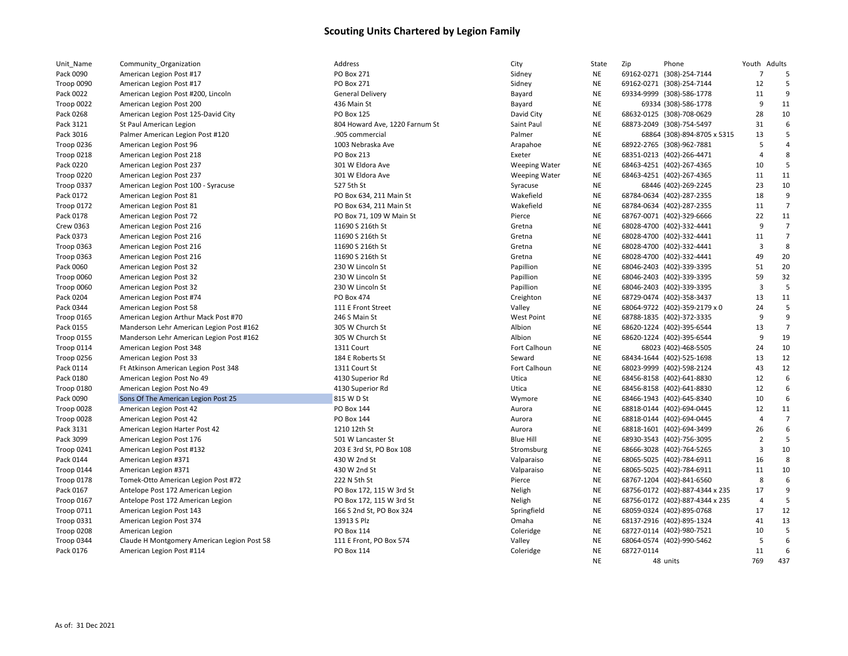| Unit_Name         | Community_Organization                      | Address                        | City                 | State     | Zip        | Phone                           | Youth Adults   |                       |
|-------------------|---------------------------------------------|--------------------------------|----------------------|-----------|------------|---------------------------------|----------------|-----------------------|
| Pack 0090         | American Legion Post #17                    | <b>PO Box 271</b>              | Sidney               | NE        |            | 69162-0271 (308)-254-7144       | $\overline{7}$ | 5                     |
| Troop 0090        | American Legion Post #17                    | PO Box 271                     | Sidney               | NE        |            | 69162-0271 (308)-254-7144       | 12             | 5                     |
| Pack 0022         | American Legion Post #200, Lincoln          | <b>General Delivery</b>        | Bayard               | <b>NE</b> |            | 69334-9999 (308)-586-1778       | 11             | 9                     |
| Troop 0022        | American Legion Post 200                    | 436 Main St                    | Bayard               | NE        |            | 69334 (308)-586-1778            | 9              | 11                    |
| Pack 0268         | American Legion Post 125-David City         | PO Box 125                     | David City           | <b>NE</b> |            | 68632-0125 (308)-708-0629       | 28             | 10                    |
| Pack 3121         | St Paul American Legion                     | 804 Howard Ave, 1220 Farnum St | Saint Paul           | <b>NE</b> |            | 68873-2049 (308)-754-5497       | 31             | 6                     |
| Pack 3016         | Palmer American Legion Post #120            | .905 commercial                | Palmer               | <b>NE</b> |            | 68864 (308)-894-8705 x 5315     | 13             | 5                     |
| Troop 0236        | American Legion Post 96                     | 1003 Nebraska Ave              | Arapahoe             | <b>NE</b> |            | 68922-2765 (308)-962-7881       | 5              | $\overline{a}$        |
| Troop 0218        | American Legion Post 218                    | PO Box 213                     | Exeter               | <b>NE</b> |            | 68351-0213 (402)-266-4471       | $\overline{4}$ | $\mathsf{\mathsf{R}}$ |
| Pack 0220         | American Legion Post 237                    | 301 W Eldora Ave               | <b>Weeping Water</b> | NE        |            | 68463-4251 (402)-267-4365       | 10             | 5                     |
| Troop 0220        | American Legion Post 237                    | 301 W Eldora Ave               | <b>Weeping Water</b> | <b>NE</b> |            | 68463-4251 (402)-267-4365       | 11             | 11                    |
| Troop 0337        | American Legion Post 100 - Syracuse         | 527 5th St                     | Syracuse             | <b>NE</b> |            | 68446 (402)-269-2245            | 23             | 10                    |
| Pack 0172         | American Legion Post 81                     | PO Box 634, 211 Main St        | Wakefield            | <b>NE</b> |            | 68784-0634 (402)-287-2355       | 18             | 9                     |
| Troop 0172        | American Legion Post 81                     | PO Box 634, 211 Main St        | Wakefield            | <b>NE</b> |            | 68784-0634 (402)-287-2355       | 11             | $\overline{7}$        |
| Pack 0178         | American Legion Post 72                     | PO Box 71, 109 W Main St       | Pierce               | <b>NE</b> |            | 68767-0071 (402)-329-6666       | 22             | 11                    |
| Crew 0363         | American Legion Post 216                    | 11690 S 216th St               | Gretna               | NE        |            | 68028-4700 (402)-332-4441       | 9              | $\overline{7}$        |
| Pack 0373         | American Legion Post 216                    | 11690 S 216th St               | Gretna               | <b>NE</b> |            | 68028-4700 (402)-332-4441       | 11             | $\overline{7}$        |
| Troop 0363        | American Legion Post 216                    | 11690 S 216th St               | Gretna               | <b>NE</b> |            | 68028-4700 (402)-332-4441       | 3              | 8                     |
| Troop 0363        | American Legion Post 216                    | 11690 S 216th St               | Gretna               | <b>NE</b> |            | 68028-4700 (402)-332-4441       | 49             | 20                    |
| Pack 0060         | American Legion Post 32                     | 230 W Lincoln St               | Papillion            | NE        |            | 68046-2403 (402)-339-3395       | 51             | 20                    |
| Troop 0060        | American Legion Post 32                     | 230 W Lincoln St               | Papillion            | NE        |            | 68046-2403 (402)-339-3395       | 59             | 32                    |
| Troop 0060        | American Legion Post 32                     | 230 W Lincoln St               | Papillion            | <b>NE</b> |            | 68046-2403 (402)-339-3395       | $\overline{3}$ | 5                     |
| Pack 0204         | American Legion Post #74                    | PO Box 474                     | Creighton            | NE        |            | 68729-0474 (402)-358-3437       | 13             | 11                    |
| Pack 0344         | American Legion Post 58                     | 111 E Front Street             | Valley               | <b>NE</b> |            | 68064-9722 (402)-359-2179 x 0   | 24             | 5                     |
| Troop 0165        | American Legion Arthur Mack Post #70        | 246 S Main St                  | <b>West Point</b>    | <b>NE</b> |            | 68788-1835 (402)-372-3335       | 9              | 9                     |
| Pack 0155         | Manderson Lehr American Legion Post #162    | 305 W Church St                | Albion               | <b>NE</b> |            | 68620-1224 (402)-395-6544       | 13             | $\overline{7}$        |
| <b>Troop 0155</b> | Manderson Lehr American Legion Post #162    | 305 W Church St                | Albion               | NE        |            | 68620-1224 (402)-395-6544       | 9              | 19                    |
| Troop 0114        | American Legion Post 348                    | 1311 Court                     | <b>Fort Calhoun</b>  | <b>NE</b> |            | 68023 (402)-468-5505            | 24             | 10                    |
| Troop 0256        | American Legion Post 33                     | 184 E Roberts St               | Seward               | <b>NE</b> |            | 68434-1644 (402)-525-1698       | 13             | 12                    |
| Pack 0114         | Ft Atkinson American Legion Post 348        | 1311 Court St                  | Fort Calhoun         | <b>NE</b> |            | 68023-9999 (402)-598-2124       | 43             | 12                    |
| Pack 0180         | American Legion Post No 49                  | 4130 Superior Rd               | Utica                | NE        |            | 68456-8158 (402)-641-8830       | 12             | 6                     |
| Troop 0180        | American Legion Post No 49                  | 4130 Superior Rd               | Utica                | <b>NE</b> |            | 68456-8158 (402)-641-8830       | 12             | 6                     |
| Pack 0090         | Sons Of The American Legion Post 25         | 815 W D St                     | Wymore               | <b>NE</b> |            | 68466-1943 (402)-645-8340       | 10             | 6                     |
| Troop 0028        | American Legion Post 42                     | <b>PO Box 144</b>              | Aurora               | NE        |            | 68818-0144 (402)-694-0445       | 12             | 11                    |
| Troop 0028        | American Legion Post 42                     | PO Box 144                     | Aurora               | NE        |            | 68818-0144 (402)-694-0445       | $\overline{4}$ | $\overline{7}$        |
| Pack 3131         | American Legion Harter Post 42              | 1210 12th St                   | Aurora               | NE        |            | 68818-1601 (402)-694-3499       | 26             | 6                     |
| Pack 3099         | American Legion Post 176                    | 501 W Lancaster St             | <b>Blue Hill</b>     | <b>NE</b> |            | 68930-3543 (402)-756-3095       | $\overline{2}$ | 5                     |
| Troop 0241        | American Legion Post #132                   | 203 E 3rd St, PO Box 108       | Stromsburg           | <b>NE</b> |            | 68666-3028 (402)-764-5265       | 3              | 10                    |
| Pack 0144         | American Legion #371                        | 430 W 2nd St                   | Valparaiso           | <b>NE</b> |            | 68065-5025 (402)-784-6911       | 16             | 8                     |
| Troop 0144        | American Legion #371                        | 430 W 2nd St                   | Valparaiso           | <b>NE</b> |            | 68065-5025 (402)-784-6911       | 11             | 10                    |
| Troop 0178        | Tomek-Otto American Legion Post #72         | 222 N 5th St                   | Pierce               | NE        |            | 68767-1204 (402)-841-6560       | 8              | 6                     |
| Pack 0167         | Antelope Post 172 American Legion           | PO Box 172, 115 W 3rd St       | Neligh               | NE        |            | 68756-0172 (402)-887-4344 x 235 | 17             | 9                     |
| Troop 0167        | Antelope Post 172 American Legion           | PO Box 172, 115 W 3rd St       | Neligh               | NE        |            | 68756-0172 (402)-887-4344 x 235 | $\overline{4}$ | 5                     |
| <b>Troop 0711</b> | American Legion Post 143                    | 166 S 2nd St, PO Box 324       | Springfield          | <b>NE</b> |            | 68059-0324 (402)-895-0768       | 17             | 12                    |
| Troop 0331        | American Legion Post 374                    | 13913 S Plz                    | Omaha                | <b>NE</b> |            | 68137-2916 (402)-895-1324       | 41             | 13                    |
| Troop 0208        | American Legion                             | <b>PO Box 114</b>              | Coleridge            | <b>NE</b> |            | 68727-0114 (402)-980-7521       | 10             | 5                     |
| Troop 0344        | Claude H Montgomery American Legion Post 58 | 111 E Front, PO Box 574        | Valley               | NE        |            | 68064-0574 (402)-990-5462       | 5              | 6                     |
| Pack 0176         | American Legion Post #114                   | <b>PO Box 114</b>              | Coleridge            | <b>NE</b> | 68727-0114 |                                 | 11             | 6                     |
|                   |                                             |                                |                      | <b>NE</b> |            | 48 units                        | 769            | 437                   |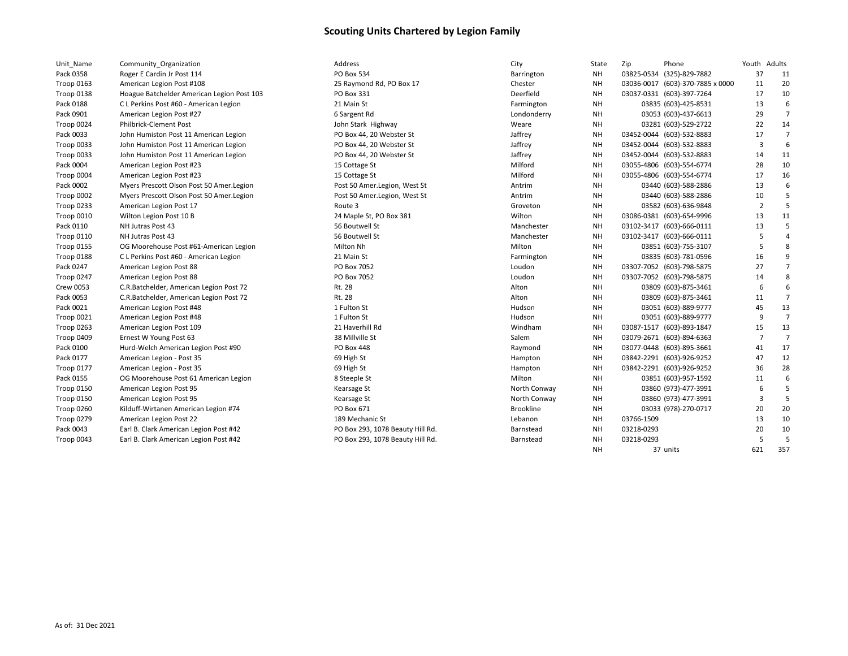| Unit Name         | Community Organization                     | Address                          | City             | State     | Zip        | Phone                            | Youth Adults   |                |
|-------------------|--------------------------------------------|----------------------------------|------------------|-----------|------------|----------------------------------|----------------|----------------|
| Pack 0358         | Roger E Cardin Jr Post 114                 | <b>PO Box 534</b>                | Barrington       | <b>NH</b> |            | 03825-0534 (325)-829-7882        | 37             | 11             |
| <b>Troop 0163</b> | American Legion Post #108                  | 25 Raymond Rd, PO Box 17         | Chester          | <b>NH</b> |            | 03036-0017 (603)-370-7885 x 0000 | 11             | 20             |
| Troop 0138        | Hoague Batchelder American Legion Post 103 | PO Box 331                       | Deerfield        | <b>NH</b> |            | 03037-0331 (603)-397-7264        | 17             | 10             |
| Pack 0188         | C L Perkins Post #60 - American Legion     | 21 Main St                       | Farmington       | NH        |            | 03835 (603)-425-8531             | 13             | 6              |
| Pack 0901         | American Legion Post #27                   | 6 Sargent Rd                     | Londonderry      | <b>NH</b> |            | 03053 (603)-437-6613             | 29             | $\overline{7}$ |
| Troop 0024        | <b>Philbrick-Clement Post</b>              | John Stark Highway               | Weare            | NΗ        |            | 03281 (603)-529-2722             | 22             | 14             |
| Pack 0033         | John Humiston Post 11 American Legion      | PO Box 44, 20 Webster St         | Jaffrey          | NΗ        |            | 03452-0044 (603)-532-8883        | 17             | $\overline{7}$ |
| Troop 0033        | John Humiston Post 11 American Legion      | PO Box 44, 20 Webster St         | Jaffrey          | <b>NH</b> |            | 03452-0044 (603)-532-8883        | 3              | 6              |
| Troop 0033        | John Humiston Post 11 American Legion      | PO Box 44, 20 Webster St         | Jaffrey          | <b>NH</b> |            | 03452-0044 (603)-532-8883        | 14             | 11             |
| Pack 0004         | American Legion Post #23                   | 15 Cottage St                    | Milford          | <b>NH</b> |            | 03055-4806 (603)-554-6774        | 28             | 10             |
| Troop 0004        | American Legion Post #23                   | 15 Cottage St                    | Milford          | <b>NH</b> |            | 03055-4806 (603)-554-6774        | 17             | 16             |
| Pack 0002         | Myers Prescott Olson Post 50 Amer. Legion  | Post 50 Amer.Legion, West St     | Antrim           | NH        |            | 03440 (603)-588-2886             | 13             | 6              |
| Troop 0002        | Myers Prescott Olson Post 50 Amer.Legion   | Post 50 Amer.Legion, West St     | Antrim           | <b>NH</b> |            | 03440 (603)-588-2886             | 10             | 5              |
| Troop 0233        | American Legion Post 17                    | Route 3                          | Groveton         | <b>NH</b> |            | 03582 (603)-636-9848             | $\overline{2}$ | .5             |
| Troop 0010        | Wilton Legion Post 10 B                    | 24 Maple St, PO Box 381          | Wilton           | NΗ        |            | 03086-0381 (603)-654-9996        | 13             | 11             |
| Pack 0110         | NH Jutras Post 43                          | 56 Boutwell St                   | Manchester       | NΗ        |            | 03102-3417 (603)-666-0111        | 13             | 5              |
| <b>Troop 0110</b> | NH Jutras Post 43                          | 56 Boutwell St                   | Manchester       | <b>NH</b> |            | 03102-3417 (603)-666-0111        | 5              | $\overline{4}$ |
| <b>Troop 0155</b> | OG Moorehouse Post #61-American Legion     | Milton Nh                        | Milton           | NH        |            | 03851 (603)-755-3107             | 5              | 8              |
| Troop 0188        | C L Perkins Post #60 - American Legion     | 21 Main St                       | Farmington       | NH        |            | 03835 (603)-781-0596             | 16             | 9              |
| Pack 0247         | American Legion Post 88                    | PO Box 7052                      | Loudon           | <b>NH</b> |            | 03307-7052 (603)-798-5875        | 27             | $\overline{7}$ |
| Troop 0247        | American Legion Post 88                    | PO Box 7052                      | Loudon           | NΗ        |            | 03307-7052 (603)-798-5875        | 14             | 8              |
| <b>Crew 0053</b>  | C.R.Batchelder, American Legion Post 72    | Rt. 28                           | Alton            | <b>NH</b> |            | 03809 (603)-875-3461             | 6              | 6              |
| Pack 0053         | C.R.Batchelder, American Legion Post 72    | Rt. 28                           | Alton            | NH        |            | 03809 (603)-875-3461             | 11             | $\overline{7}$ |
| Pack 0021         | American Legion Post #48                   | 1 Fulton St                      | Hudson           | <b>NH</b> |            | 03051 (603)-889-9777             | 45             | 13             |
| Troop 0021        | American Legion Post #48                   | 1 Fulton St                      | Hudson           | NΗ        |            | 03051 (603)-889-9777             | 9              | $\overline{7}$ |
| Troop 0263        | American Legion Post 109                   | 21 Haverhill Rd                  | Windham          | NΗ        |            | 03087-1517 (603)-893-1847        | 15             | 13             |
| Troop 0409        | Ernest W Young Post 63                     | 38 Millville St                  | Salem            | NH        |            | 03079-2671 (603)-894-6363        | $\overline{7}$ | $\overline{7}$ |
| Pack 0100         | Hurd-Welch American Legion Post #90        | <b>PO Box 448</b>                | Raymond          | <b>NH</b> |            | 03077-0448 (603)-895-3661        | 41             | 17             |
| Pack 0177         | American Legion - Post 35                  | 69 High St                       | Hampton          | NΗ        |            | 03842-2291 (603)-926-9252        | 47             | 12             |
| Troop 0177        | American Legion - Post 35                  | 69 High St                       | Hampton          | NΗ        |            | 03842-2291 (603)-926-9252        | 36             | 28             |
| Pack 0155         | OG Moorehouse Post 61 American Legion      | 8 Steeple St                     | Milton           | <b>NH</b> |            | 03851 (603)-957-1592             | 11             | 6              |
| <b>Troop 0150</b> | American Legion Post 95                    | Kearsage St                      | North Conway     | NH        |            | 03860 (973)-477-3991             | 6              | -5             |
| <b>Troop 0150</b> | American Legion Post 95                    | Kearsage St                      | North Conway     | NH        |            | 03860 (973)-477-3991             | $\overline{3}$ | -5             |
| Troop 0260        | Kilduff-Wirtanen American Legion #74       | PO Box 671                       | <b>Brookline</b> | <b>NH</b> |            | 03033 (978)-270-0717             | 20             | 20             |
| <b>Troop 0279</b> | American Legion Post 22                    | 189 Mechanic St                  | Lebanon          | <b>NH</b> | 03766-1509 |                                  | 13             | 10             |
| Pack 0043         | Earl B. Clark American Legion Post #42     | PO Box 293, 1078 Beauty Hill Rd. | Barnstead        | NΗ        | 03218-0293 |                                  | 20             | 10             |
| Troop 0043        | Earl B. Clark American Legion Post #42     | PO Box 293, 1078 Beauty Hill Rd. | Barnstead        | NΗ        | 03218-0293 |                                  | 5              | 5              |
|                   |                                            |                                  |                  | <b>NH</b> |            | 37 units                         | 621            | 357            |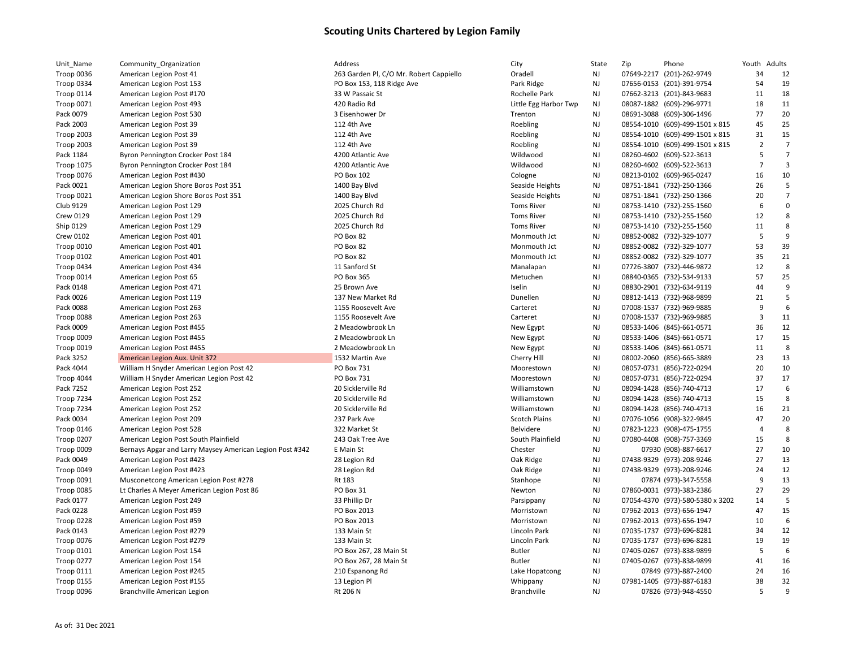| Unit_Name         | Community_Organization                                   | Address                                 | City                  | State     | Zip | Phone                            | Youth Adults   |                |
|-------------------|----------------------------------------------------------|-----------------------------------------|-----------------------|-----------|-----|----------------------------------|----------------|----------------|
| Troop 0036        | American Legion Post 41                                  | 263 Garden Pl, C/O Mr. Robert Cappiello | Oradell               | NJ        |     | 07649-2217 (201)-262-9749        | 34             | 12             |
| Troop 0334        | American Legion Post 153                                 | PO Box 153, 118 Ridge Ave               | Park Ridge            | NJ        |     | 07656-0153 (201)-391-9754        | 54             | 19             |
| Troop 0114        | American Legion Post #170                                | 33 W Passaic St                         | Rochelle Park         | NJ        |     | 07662-3213 (201)-843-9683        | 11             | 18             |
| Troop 0071        | American Legion Post 493                                 | 420 Radio Rd                            | Little Egg Harbor Twp | NJ        |     | 08087-1882 (609)-296-9771        | 18             | 11             |
| Pack 0079         | American Legion Post 530                                 | 3 Eisenhower Dr                         | Trenton               | NJ        |     | 08691-3088 (609)-306-1496        | 77             | 20             |
| Pack 2003         | American Legion Post 39                                  | 112 4th Ave                             | Roebling              | NJ        |     | 08554-1010 (609)-499-1501 x 815  | 45             | 25             |
| Troop 2003        | American Legion Post 39                                  | 112 4th Ave                             | Roebling              | NJ        |     | 08554-1010 (609)-499-1501 x 815  | 31             | 15             |
| <b>Troop 2003</b> | American Legion Post 39                                  | 112 4th Ave                             | Roebling              | NJ        |     | 08554-1010 (609)-499-1501 x 815  | $\overline{2}$ | $\overline{7}$ |
| Pack 1184         | Byron Pennington Crocker Post 184                        | 4200 Atlantic Ave                       | Wildwood              | NJ        |     | 08260-4602 (609)-522-3613        | 5              | $\overline{7}$ |
| <b>Troop 1075</b> | Byron Pennington Crocker Post 184                        | 4200 Atlantic Ave                       | Wildwood              | NJ        |     | 08260-4602 (609)-522-3613        | $\overline{7}$ | 3              |
| Troop 0076        | American Legion Post #430                                | PO Box 102                              | Cologne               | NJ        |     | 08213-0102 (609)-965-0247        | 16             | 10             |
| Pack 0021         | American Legion Shore Boros Post 351                     | 1400 Bay Blvd                           | Seaside Heights       | NJ        |     | 08751-1841 (732)-250-1366        | 26             | 5              |
| Troop 0021        | American Legion Shore Boros Post 351                     | 1400 Bay Blvd                           | Seaside Heights       | NJ        |     | 08751-1841 (732)-250-1366        | 20             | $\overline{7}$ |
| Club 9129         | American Legion Post 129                                 | 2025 Church Rd                          | <b>Toms River</b>     | NJ        |     | 08753-1410 (732)-255-1560        | 6              | $\mathbf 0$    |
| <b>Crew 0129</b>  | American Legion Post 129                                 | 2025 Church Rd                          | <b>Toms River</b>     | NJ        |     | 08753-1410 (732)-255-1560        | 12             | 8              |
|                   |                                                          | 2025 Church Rd                          | <b>Toms River</b>     |           |     |                                  |                | 8              |
| Ship 0129         | American Legion Post 129                                 | PO Box 82                               | Monmouth Jct          | NJ        |     | 08753-1410 (732)-255-1560        | 11<br>5        | 9              |
| <b>Crew 0102</b>  | American Legion Post 401                                 |                                         |                       | NJ        |     | 08852-0082 (732)-329-1077        | 53             | 39             |
| Troop 0010        | American Legion Post 401                                 | PO Box 82                               | Monmouth Jct          | NJ        |     | 08852-0082 (732)-329-1077        |                |                |
| Troop 0102        | American Legion Post 401                                 | PO Box 82                               | Monmouth Jct          | NJ        |     | 08852-0082 (732)-329-1077        | 35             | 21             |
| Troop 0434        | American Legion Post 434                                 | 11 Sanford St                           | Manalapan             | NJ        |     | 07726-3807 (732)-446-9872        | 12             | 8              |
| Troop 0014        | American Legion Post 65                                  | PO Box 365                              | Metuchen              | NJ        |     | 08840-0365 (732)-534-9133        | 57             | 25             |
| Pack 0148         | American Legion Post 471                                 | 25 Brown Ave                            | Iselin                | NJ        |     | 08830-2901 (732)-634-9119        | 44             | 9              |
| Pack 0026         | American Legion Post 119                                 | 137 New Market Rd                       | Dunellen              | NJ        |     | 08812-1413 (732)-968-9899        | 21             | 5              |
| Pack 0088         | American Legion Post 263                                 | 1155 Roosevelt Ave                      | Carteret              | NJ        |     | 07008-1537 (732)-969-9885        | 9              | 6              |
| Troop 0088        | American Legion Post 263                                 | 1155 Roosevelt Ave                      | Carteret              | NJ        |     | 07008-1537 (732)-969-9885        | $\overline{3}$ | 11             |
| Pack 0009         | American Legion Post #455                                | 2 Meadowbrook Ln                        | New Egypt             | NJ        |     | 08533-1406 (845)-661-0571        | 36             | 12             |
| Troop 0009        | American Legion Post #455                                | 2 Meadowbrook Ln                        | New Egypt             | NJ        |     | 08533-1406 (845)-661-0571        | 17             | 15             |
| Troop 0019        | American Legion Post #455                                | 2 Meadowbrook Ln                        | New Egypt             | NJ        |     | 08533-1406 (845)-661-0571        | 11             | 8              |
| Pack 3252         | American Legion Aux. Unit 372                            | 1532 Martin Ave                         | Cherry Hill           | NJ        |     | 08002-2060 (856)-665-3889        | 23             | 13             |
| Pack 4044         | William H Snyder American Legion Post 42                 | PO Box 731                              | Moorestown            | NJ        |     | 08057-0731 (856)-722-0294        | 20             | 10             |
| Troop 4044        | William H Snyder American Legion Post 42                 | PO Box 731                              | Moorestown            | NJ        |     | 08057-0731 (856)-722-0294        | 37             | 17             |
| Pack 7252         | American Legion Post 252                                 | 20 Sicklerville Rd                      | Williamstown          | NJ        |     | 08094-1428 (856)-740-4713        | 17             | 6              |
| <b>Troop 7234</b> | American Legion Post 252                                 | 20 Sicklerville Rd                      | Williamstown          | NJ        |     | 08094-1428 (856)-740-4713        | 15             | 8              |
| <b>Troop 7234</b> | American Legion Post 252                                 | 20 Sicklerville Rd                      | Williamstown          | NJ        |     | 08094-1428 (856)-740-4713        | 16             | 21             |
| Pack 0034         | American Legion Post 209                                 | 237 Park Ave                            | <b>Scotch Plains</b>  | NJ        |     | 07076-1056 (908)-322-9845        | 47             | 20             |
| Troop 0146        | American Legion Post 528                                 | 322 Market St                           | Belvidere             | NJ        |     | 07823-1223 (908)-475-1755        | $\overline{4}$ | 8              |
| Troop 0207        | American Legion Post South Plainfield                    | 243 Oak Tree Ave                        | South Plainfield      | NJ        |     | 07080-4408 (908)-757-3369        | 15             | 8              |
| Troop 0009        | Bernays Apgar and Larry Maysey American Legion Post #342 | E Main St                               | Chester               | NJ        |     | 07930 (908)-887-6617             | 27             | 10             |
| Pack 0049         | American Legion Post #423                                | 28 Legion Rd                            | Oak Ridge             | NJ        |     | 07438-9329 (973)-208-9246        | 27             | 13             |
| Troop 0049        | American Legion Post #423                                | 28 Legion Rd                            | Oak Ridge             | NJ        |     | 07438-9329 (973)-208-9246        | 24             | 12             |
| Troop 0091        | Musconetcong American Legion Post #278                   | Rt 183                                  | Stanhope              | NJ        |     | 07874 (973)-347-5558             | 9              | 13             |
| Troop 0085        | Lt Charles A Meyer American Legion Post 86               | PO Box 31                               | Newton                | NJ        |     | 07860-0031 (973)-383-2386        | 27             | 29             |
| Pack 0177         | American Legion Post 249                                 | 33 Phillip Dr                           | Parsippany            | NJ        |     | 07054-4370 (973)-580-5380 x 3202 | 14             | 5              |
| Pack 0228         | American Legion Post #59                                 | PO Box 2013                             | Morristown            | NJ        |     | 07962-2013 (973)-656-1947        | 47             | 15             |
| Troop 0228        | American Legion Post #59                                 | PO Box 2013                             | Morristown            | NJ        |     | 07962-2013 (973)-656-1947        | 10             | 6              |
| Pack 0143         | American Legion Post #279                                | 133 Main St                             | Lincoln Park          | NJ        |     | 07035-1737 (973)-696-8281        | 34             | 12             |
| Troop 0076        | American Legion Post #279                                | 133 Main St                             | Lincoln Park          | NJ        |     | 07035-1737 (973)-696-8281        | 19             | 19             |
| Troop 0101        | American Legion Post 154                                 | PO Box 267, 28 Main St                  | <b>Butler</b>         | <b>NJ</b> |     | 07405-0267 (973)-838-9899        | 5              | 6              |
| Troop 0277        | American Legion Post 154                                 | PO Box 267, 28 Main St                  | <b>Butler</b>         | NJ        |     | 07405-0267 (973)-838-9899        | 41             | 16             |
| <b>Troop 0111</b> | American Legion Post #245                                | 210 Espanong Rd                         | Lake Hopatcong        | NJ        |     | 07849 (973)-887-2400             | 24             | 16             |
| <b>Troop 0155</b> | American Legion Post #155                                | 13 Legion Pl                            | Whippany              | NJ        |     | 07981-1405 (973)-887-6183        | 38             | 32             |
| Troop 0096        | Branchville American Legion                              | Rt 206 N                                | <b>Branchville</b>    | NJ        |     | 07826 (973)-948-4550             | 5              | 9              |
|                   |                                                          |                                         |                       |           |     |                                  |                |                |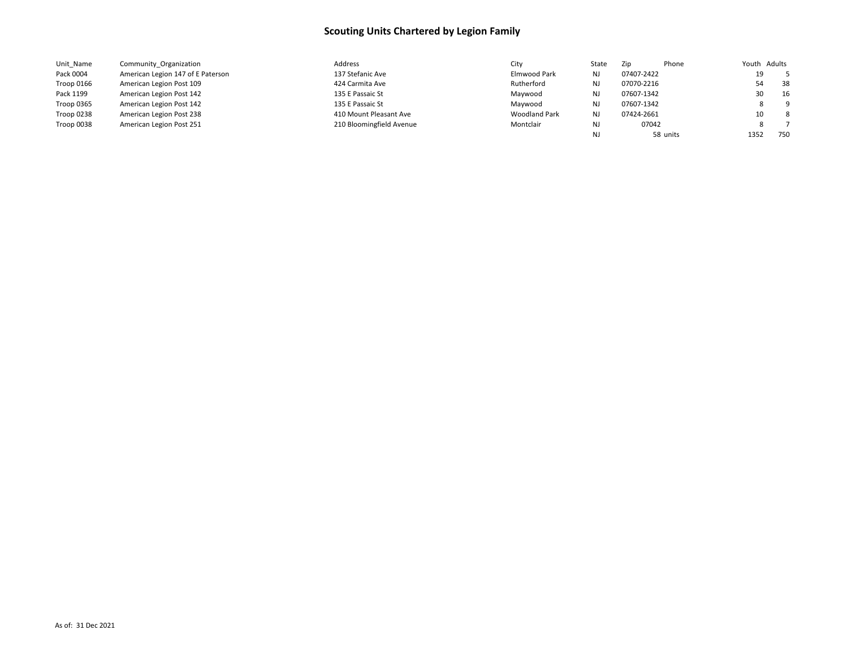| Unit Name  | Community Organization            | Address                  | City                 | State     | Zip        | Phone    | Youth Adults |     |
|------------|-----------------------------------|--------------------------|----------------------|-----------|------------|----------|--------------|-----|
| Pack 0004  | American Legion 147 of E Paterson | 137 Stefanic Ave         | Elmwood Park         | <b>NJ</b> | 07407-2422 |          | 19           |     |
| Troop 0166 | American Legion Post 109          | 424 Carmita Ave          | Rutherford           | <b>NJ</b> | 07070-2216 |          | 54           | 38  |
| Pack 1199  | American Legion Post 142          | 135 E Passaic St         | Maywood              | NJ        | 07607-1342 |          | 30           | 16  |
| Troop 0365 | American Legion Post 142          | 135 E Passaic St         | Maywood              | NJ        | 07607-1342 |          |              | - 9 |
| Troop 0238 | American Legion Post 238          | 410 Mount Pleasant Ave   | <b>Woodland Park</b> | NJ        | 07424-2661 |          | 10           | - 8 |
| Troop 0038 | American Legion Post 251          | 210 Bloomingfield Avenue | Montclair            | NJ        | 07042      |          |              |     |
|            |                                   |                          |                      | NJ        |            | 58 units | 1352         | 750 |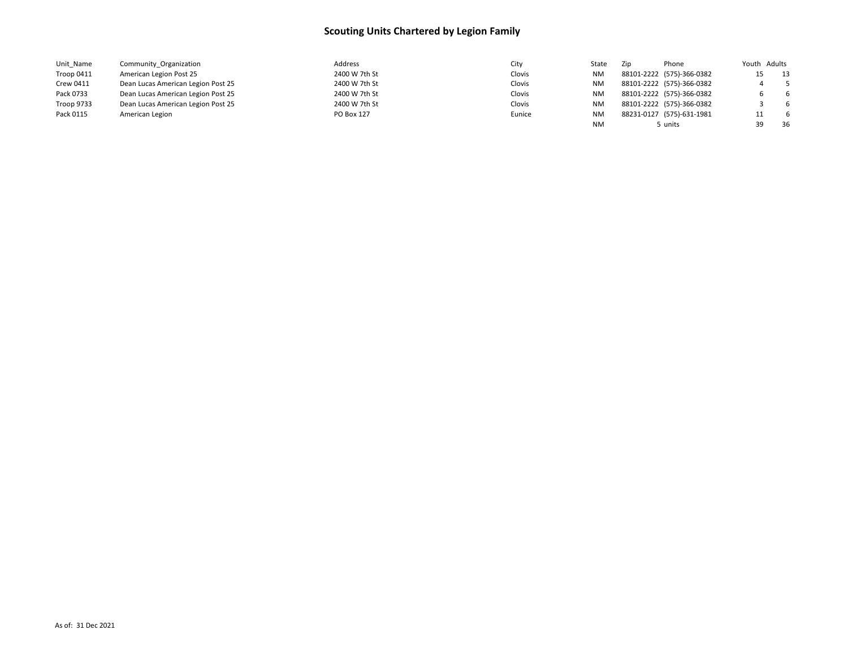| Unit Name  | Community Organization             | Address       | City   | State     | Zip | Phone                     | Youth Adults |     |
|------------|------------------------------------|---------------|--------|-----------|-----|---------------------------|--------------|-----|
| Troop 0411 | American Legion Post 25            | 2400 W 7th St | Clovis | <b>NM</b> |     | 88101-2222 (575)-366-0382 | 15           | 13  |
| Crew 0411  | Dean Lucas American Legion Post 25 | 2400 W 7th St | Clovis | <b>NM</b> |     | 88101-2222 (575)-366-0382 |              | -5  |
| Pack 0733  | Dean Lucas American Legion Post 25 | 2400 W 7th St | Clovis | <b>NM</b> |     | 88101-2222 (575)-366-0382 |              | - 6 |
| Troop 9733 | Dean Lucas American Legion Post 25 | 2400 W 7th St | Clovis | <b>NM</b> |     | 88101-2222 (575)-366-0382 |              | - 6 |
| Pack 0115  | American Legion                    | PO Box 127    | Eunice | <b>NM</b> |     | 88231-0127 (575)-631-1981 | 11           | - 6 |
|            |                                    |               |        | NM        |     | , units                   | 39           | -36 |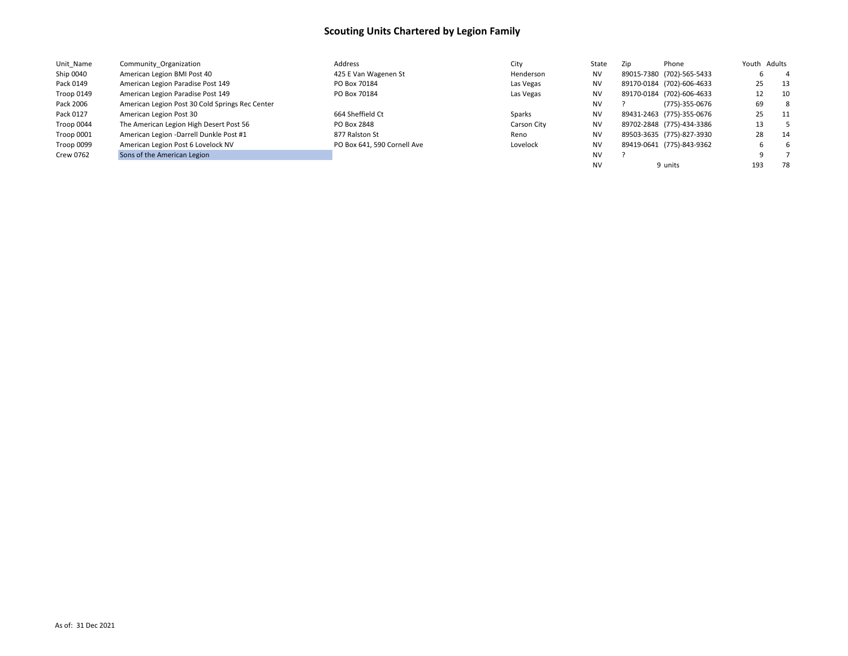| Unit Name  | Community Organization                          | Address                     | City        | State     | Zip | Phone                     | Youth Adults |      |
|------------|-------------------------------------------------|-----------------------------|-------------|-----------|-----|---------------------------|--------------|------|
| Ship 0040  | American Legion BMI Post 40                     | 425 E Van Wagenen St        | Henderson   | <b>NV</b> |     | 89015-7380 (702)-565-5433 |              | 4    |
| Pack 0149  | American Legion Paradise Post 149               | PO Box 70184                | Las Vegas   | <b>NV</b> |     | 89170-0184 (702)-606-4633 | 25           | 13   |
| Troop 0149 | American Legion Paradise Post 149               | PO Box 70184                | Las Vegas   | <b>NV</b> |     | 89170-0184 (702)-606-4633 | 12           | 10   |
| Pack 2006  | American Legion Post 30 Cold Springs Rec Center |                             |             | <b>NV</b> |     | (775)-355-0676            | 69           | 8    |
| Pack 0127  | American Legion Post 30                         | 664 Sheffield Ct            | Sparks      | <b>NV</b> |     | 89431-2463 (775)-355-0676 | 25           | - 11 |
| Troop 0044 | The American Legion High Desert Post 56         | PO Box 2848                 | Carson City | <b>NV</b> |     | 89702-2848 (775)-434-3386 | 13           |      |
| Troop 0001 | American Legion -Darrell Dunkle Post #1         | 877 Ralston St              | Reno        | <b>NV</b> |     | 89503-3635 (775)-827-3930 | 28           | -14  |
| Troop 0099 | American Legion Post 6 Lovelock NV              | PO Box 641, 590 Cornell Ave | Lovelock    | <b>NV</b> |     | 89419-0641 (775)-843-9362 |              | 6    |
| Crew 0762  | Sons of the American Legion                     |                             |             | <b>NV</b> |     |                           | 9            |      |
|            |                                                 |                             |             | <b>NV</b> |     | 9 units                   | 193          | 78   |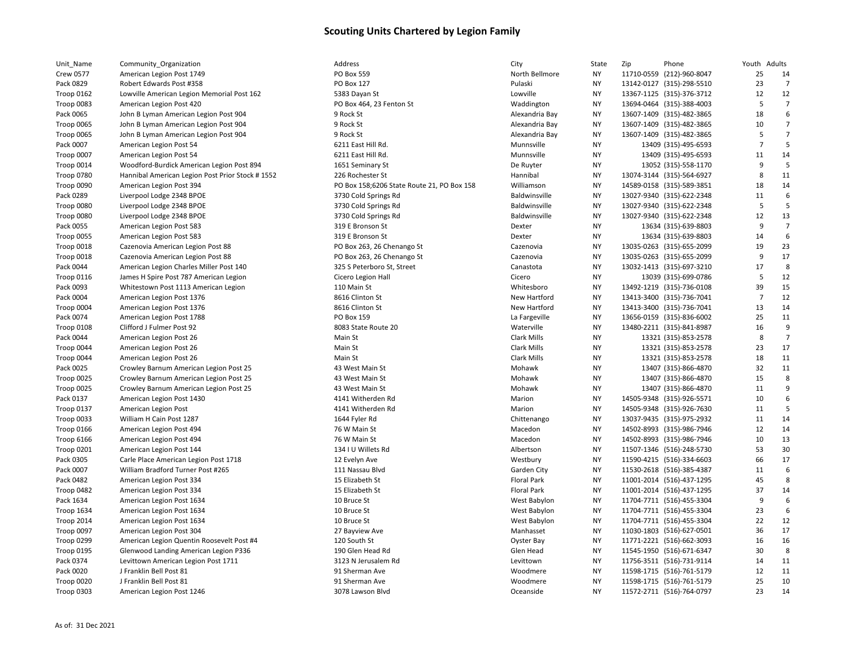| Unit_Name         | Community_Organization                          | Address                                    | City                 | State     | Zip | Phone                     | Youth Adults   |                |
|-------------------|-------------------------------------------------|--------------------------------------------|----------------------|-----------|-----|---------------------------|----------------|----------------|
| <b>Crew 0577</b>  | American Legion Post 1749                       | PO Box 559                                 | North Bellmore       | NY        |     | 11710-0559 (212)-960-8047 | 25             | 14             |
| Pack 0829         | Robert Edwards Post #358                        | PO Box 127                                 | Pulaski              | <b>NY</b> |     | 13142-0127 (315)-298-5510 | 23             | 7              |
| Troop 0162        | Lowville American Legion Memorial Post 162      | 5383 Dayan St                              | Lowville             | <b>NY</b> |     | 13367-1125 (315)-376-3712 | 12             | 12             |
| Troop 0083        | American Legion Post 420                        | PO Box 464, 23 Fenton St                   | Waddington           | <b>NY</b> |     | 13694-0464 (315)-388-4003 | 5              | $\overline{7}$ |
| Pack 0065         | John B Lyman American Legion Post 904           | 9 Rock St                                  | Alexandria Bay       | <b>NY</b> |     | 13607-1409 (315)-482-3865 | 18             | 6              |
| Troop 0065        | John B Lyman American Legion Post 904           | 9 Rock St                                  | Alexandria Bay       | <b>NY</b> |     | 13607-1409 (315)-482-3865 | 10             | $\overline{7}$ |
| Troop 0065        | John B Lyman American Legion Post 904           | 9 Rock St                                  | Alexandria Bay       | <b>NY</b> |     | 13607-1409 (315)-482-3865 | 5              | $\overline{7}$ |
| Pack 0007         | American Legion Post 54                         | 6211 East Hill Rd.                         | Munnsville           | <b>NY</b> |     | 13409 (315)-495-6593      | $\overline{7}$ | 5              |
| Troop 0007        | American Legion Post 54                         | 6211 East Hill Rd.                         | Munnsville           | <b>NY</b> |     | 13409 (315)-495-6593      | 11             | 14             |
| Troop 0014        | Woodford-Burdick American Legion Post 894       | 1651 Seminary St                           | De Ruyter            | <b>NY</b> |     | 13052 (315)-558-1170      | 9              |                |
| <b>Troop 0780</b> | Hannibal American Legion Post Prior Stock #1552 | 226 Rochester St                           | Hannibal             | NY        |     | 13074-3144 (315)-564-6927 | 8              | 11             |
| Troop 0090        | American Legion Post 394                        | PO Box 158;6206 State Route 21, PO Box 158 | Williamson           | <b>NY</b> |     | 14589-0158 (315)-589-3851 | 18             | 14             |
| Pack 0289         | Liverpool Lodge 2348 BPOE                       | 3730 Cold Springs Rd                       | Baldwinsville        | <b>NY</b> |     | 13027-9340 (315)-622-2348 | 11             | 6              |
| Troop 0080        | Liverpool Lodge 2348 BPOE                       | 3730 Cold Springs Rd                       | <b>Baldwinsville</b> | <b>NY</b> |     | 13027-9340 (315)-622-2348 | 5              | 5              |
| Troop 0080        | Liverpool Lodge 2348 BPOE                       | 3730 Cold Springs Rd                       | Baldwinsville        | <b>NY</b> |     | 13027-9340 (315)-622-2348 | 12             | 13             |
| Pack 0055         | American Legion Post 583                        | 319 E Bronson St                           | Dexter               | <b>NY</b> |     | 13634 (315)-639-8803      | 9              | $\overline{7}$ |
| Troop 0055        | American Legion Post 583                        | 319 E Bronson St                           | Dexter               | NY        |     | 13634 (315)-639-8803      | 14             | 6              |
| Troop 0018        | Cazenovia American Legion Post 88               | PO Box 263, 26 Chenango St                 | Cazenovia            | NY        |     | 13035-0263 (315)-655-2099 | 19             | 23             |
| Troop 0018        | Cazenovia American Legion Post 88               | PO Box 263, 26 Chenango St                 | Cazenovia            | <b>NY</b> |     | 13035-0263 (315)-655-2099 | 9              | 17             |
| Pack 0044         | American Legion Charles Miller Post 140         | 325 S Peterboro St, Street                 | Canastota            | <b>NY</b> |     | 13032-1413 (315)-697-3210 | 17             | 8              |
| Troop 0116        | James H Spire Post 787 American Legion          | Cicero Legion Hall                         | Cicero               | <b>NY</b> |     | 13039 (315)-699-0786      | 5              | 12             |
| Pack 0093         | Whitestown Post 1113 American Legion            | 110 Main St                                | Whitesboro           | <b>NY</b> |     | 13492-1219 (315)-736-0108 | 39             | 15             |
| Pack 0004         | American Legion Post 1376                       | 8616 Clinton St                            | <b>New Hartford</b>  | NY        |     | 13413-3400 (315)-736-7041 | $\overline{7}$ | 12             |
| Troop 0004        | American Legion Post 1376                       | 8616 Clinton St                            | New Hartford         | <b>NY</b> |     | 13413-3400 (315)-736-7041 | 13             | 14             |
| Pack 0074         | American Legion Post 1788                       | PO Box 159                                 | La Fargeville        | <b>NY</b> |     | 13656-0159 (315)-836-6002 | 25             | 11             |
|                   |                                                 |                                            |                      | <b>NY</b> |     |                           | 16             | 9              |
| Troop 0108        | Clifford J Fulmer Post 92                       | 8083 State Route 20                        | Waterville           |           |     | 13480-2211 (315)-841-8987 |                | 7              |
| Pack 0044         | American Legion Post 26                         | Main St                                    | Clark Mills          | <b>NY</b> |     | 13321 (315)-853-2578      | 8              | 17             |
| Troop 0044        | American Legion Post 26                         | Main St                                    | <b>Clark Mills</b>   | <b>NY</b> |     | 13321 (315)-853-2578      | 23             |                |
| Troop 0044        | American Legion Post 26                         | Main St                                    | <b>Clark Mills</b>   | <b>NY</b> |     | 13321 (315)-853-2578      | 18             | 11             |
| Pack 0025         | Crowley Barnum American Legion Post 25          | 43 West Main St                            | Mohawk               | <b>NY</b> |     | 13407 (315)-866-4870      | 32             | 11             |
| Troop 0025        | Crowley Barnum American Legion Post 25          | 43 West Main St                            | Mohawk               | <b>NY</b> |     | 13407 (315)-866-4870      | 15             | 8              |
| Troop 0025        | Crowley Barnum American Legion Post 25          | 43 West Main St                            | Mohawk               | <b>NY</b> |     | 13407 (315)-866-4870      | 11             | 9              |
| Pack 0137         | American Legion Post 1430                       | 4141 Witherden Rd                          | Marion               | <b>NY</b> |     | 14505-9348 (315)-926-5571 | 10             | 6              |
| Troop 0137        | American Legion Post                            | 4141 Witherden Rd                          | Marion               | <b>NY</b> |     | 14505-9348 (315)-926-7630 | 11             | 5              |
| Troop 0033        | William H Cain Post 1287                        | 1644 Fyler Rd                              | Chittenango          | NY        |     | 13037-9435 (315)-975-2932 | 11             | 14             |
| Troop 0166        | American Legion Post 494                        | 76 W Main St                               | Macedon              | <b>NY</b> |     | 14502-8993 (315)-986-7946 | 12             | 14             |
| Troop 6166        | American Legion Post 494                        | 76 W Main St                               | Macedon              | <b>NY</b> |     | 14502-8993 (315)-986-7946 | 10             | 13             |
| Troop 0201        | American Legion Post 144                        | 134 I U Willets Rd                         | Albertson            | <b>NY</b> |     | 11507-1346 (516)-248-5730 | 53             | 30             |
| Pack 0305         | Carle Place American Legion Post 1718           | 12 Evelyn Ave                              | Westbury             | <b>NY</b> |     | 11590-4215 (516)-334-6603 | 66             | 17             |
| Pack 0007         | William Bradford Turner Post #265               | 111 Nassau Blvd                            | Garden City          | <b>NY</b> |     | 11530-2618 (516)-385-4387 | 11             | 6              |
| Pack 0482         | American Legion Post 334                        | 15 Elizabeth St                            | <b>Floral Park</b>   | <b>NY</b> |     | 11001-2014 (516)-437-1295 | 45             |                |
| Troop 0482        | American Legion Post 334                        | 15 Elizabeth St                            | <b>Floral Park</b>   | <b>NY</b> |     | 11001-2014 (516)-437-1295 | 37             | 14             |
| Pack 1634         | American Legion Post 1634                       | 10 Bruce St                                | West Babylon         | <b>NY</b> |     | 11704-7711 (516)-455-3304 | 9              | 6              |
| Troop 1634        | American Legion Post 1634                       | 10 Bruce St                                | West Babylon         | <b>NY</b> |     | 11704-7711 (516)-455-3304 | 23             | 6              |
| Troop 2014        | American Legion Post 1634                       | 10 Bruce St                                | West Babylon         | <b>NY</b> |     | 11704-7711 (516)-455-3304 | 22             | 12             |
| Troop 0097        | American Legion Post 304                        | 27 Bayview Ave                             | Manhasset            | <b>NY</b> |     | 11030-1803 (516)-627-0501 | 36             | 17             |
| Troop 0299        | American Legion Quentin Roosevelt Post #4       | 120 South St                               | Oyster Bay           | <b>NY</b> |     | 11771-2221 (516)-662-3093 | 16             | 16             |
| Troop 0195        | Glenwood Landing American Legion P336           | 190 Glen Head Rd                           | Glen Head            | <b>NY</b> |     | 11545-1950 (516)-671-6347 | 30             | 8              |
| Pack 0374         | Levittown American Legion Post 1711             | 3123 N Jerusalem Rd                        | Levittown            | <b>NY</b> |     | 11756-3511 (516)-731-9114 | 14             | 11             |
| Pack 0020         | J Franklin Bell Post 81                         | 91 Sherman Ave                             | Woodmere             | <b>NY</b> |     | 11598-1715 (516)-761-5179 | 12             | 11             |
| Troop 0020        | J Franklin Bell Post 81                         | 91 Sherman Ave                             | Woodmere             | <b>NY</b> |     | 11598-1715 (516)-761-5179 | 25             | 10             |
| Troop 0303        | American Legion Post 1246                       | 3078 Lawson Blvd                           | Oceanside            | NY        |     | 11572-2711 (516)-764-0797 | 23             | 14             |
|                   |                                                 |                                            |                      |           |     |                           |                |                |

|           | State     | Zip | Phone                     | Youth          | Adults         |
|-----------|-----------|-----|---------------------------|----------------|----------------|
| Bellmore  | <b>NY</b> |     | 11710-0559 (212)-960-8047 | 25             | 14             |
| i         | NY        |     | 13142-0127 (315)-298-5510 | 23             | $\overline{7}$ |
| le        | NΥ        |     | 13367-1125 (315)-376-3712 | 12             | 12             |
| ington    | NY        |     | 13694-0464 (315)-388-4003 | 5              | 7              |
| ıdria Bay | NY        |     | 13607-1409 (315)-482-3865 | 18             | 6              |
| ıdria Bay | NΥ        |     | 13607-1409 (315)-482-3865 | 10             | 7              |
| ıdria Bay | NY        |     | 13607-1409 (315)-482-3865 | 5              | 7              |
| sville    | <b>NY</b> |     | 13409 (315)-495-6593      | $\overline{7}$ | 5              |
| sville    | NY        |     | 13409 (315)-495-6593      | 11             | 14             |
| yter      | <b>NY</b> |     | 13052 (315)-558-1170      | 9              | 5              |
| oal       | NY        |     | 13074-3144 (315)-564-6927 | 8              | 11             |
| nson      | <b>NY</b> |     | 14589-0158 (315)-589-3851 | 18             | 14             |
| insville  | <b>NY</b> |     | 13027-9340 (315)-622-2348 | 11             | 6              |
| insville  | NY        |     | 13027-9340 (315)-622-2348 | 5              | 5              |
| insville  | NY        |     | 13027-9340 (315)-622-2348 | 12             | 13             |
|           |           |     |                           | 9              |                |
|           | NY        |     | 13634 (315)-639-8803      |                | 7              |
|           | NY        |     | 13634 (315)-639-8803      | 14             | 6              |
| ovia      | NY        |     | 13035-0263 (315)-655-2099 | 19             | 23             |
| ovia      | NY        |     | 13035-0263 (315)-655-2099 | 9              | 17             |
| tota      | NΥ        |     | 13032-1413 (315)-697-3210 | 17             | 8              |
|           | NY        |     | 13039 (315)-699-0786      | 5              | 12             |
| sboro     | NY        |     | 13492-1219 (315)-736-0108 | 39             | 15             |
| lartford  | NY        |     | 13413-3400 (315)-736-7041 | $\overline{7}$ | 12             |
| lartford  | NY        |     | 13413-3400 (315)-736-7041 | 13             | 14             |
| geville   | NY        |     | 13656-0159 (315)-836-6002 | 25             | 11             |
| ville     | NY        |     | 13480-2211 (315)-841-8987 | 16             | 9              |
| Mills     | <b>NY</b> |     | 13321 (315)-853-2578      | 8              | $\overline{7}$ |
| Vills     | NY        |     | 13321 (315)-853-2578      | 23             | 17             |
| Vills     | NY        |     | 13321 (315)-853-2578      | 18             | 11             |
| wk        | NY        |     | 13407 (315)-866-4870      | 32             | 11             |
| wk        | NY        |     | 13407 (315)-866-4870      | 15             | 8              |
| wk        | <b>NY</b> |     | 13407 (315)-866-4870      | 11             | 9              |
| n         | <b>NY</b> |     | 14505-9348 (315)-926-5571 | 10             | 6              |
| n         | NY        |     | 14505-9348 (315)-926-7630 | 11             | 5              |
| nango     | <b>NY</b> |     | 13037-9435 (315)-975-2932 | 11             | 14             |
| lon       | <b>NY</b> |     | 14502-8993 (315)-986-7946 | 12             | 14             |
| lon       | NY        |     | 14502-8993 (315)-986-7946 | 10             | 13             |
| son       | NY        |     | 11507-1346 (516)-248-5730 | 53             | 30             |
| ury       | <b>NY</b> |     | 11590-4215 (516)-334-6603 | 66             | 17             |
| n City    | NΥ        |     | 11530-2618 (516)-385-4387 | 11             | 6              |
| Park      | NY        |     | 11001-2014 (516)-437-1295 | 45             | 8              |
| Park      | <b>NY</b> |     |                           | 37             | 14             |
|           |           |     | 11001-2014 (516)-437-1295 |                |                |
| 3abylon   | NΥ        |     | 11704-7711 (516)-455-3304 | 9              | 6              |
| 3abylon   | NY        |     | 11704-7711 (516)-455-3304 | 23             | 6              |
| 3abylon   | NY        |     | 11704-7711 (516)-455-3304 | 22             | 12             |
| asset     | NY        |     | 11030-1803 (516)-627-0501 | 36             | 17             |
| · Bay     | <b>NY</b> |     | 11771-2221 (516)-662-3093 | 16             | 16             |
| lead      | NY        |     | 11545-1950 (516)-671-6347 | 30             | 8              |
| wn        | NY        |     | 11756-3511 (516)-731-9114 | 14             | 11             |
| mere      | <b>NY</b> |     | 11598-1715 (516)-761-5179 | 12             | 11             |
| mere      | NY        |     | 11598-1715 (516)-761-5179 | 25             | 10             |
| side      | NY        |     | 11572-2711 (516)-764-0797 | 23             | 14             |
|           |           |     |                           |                |                |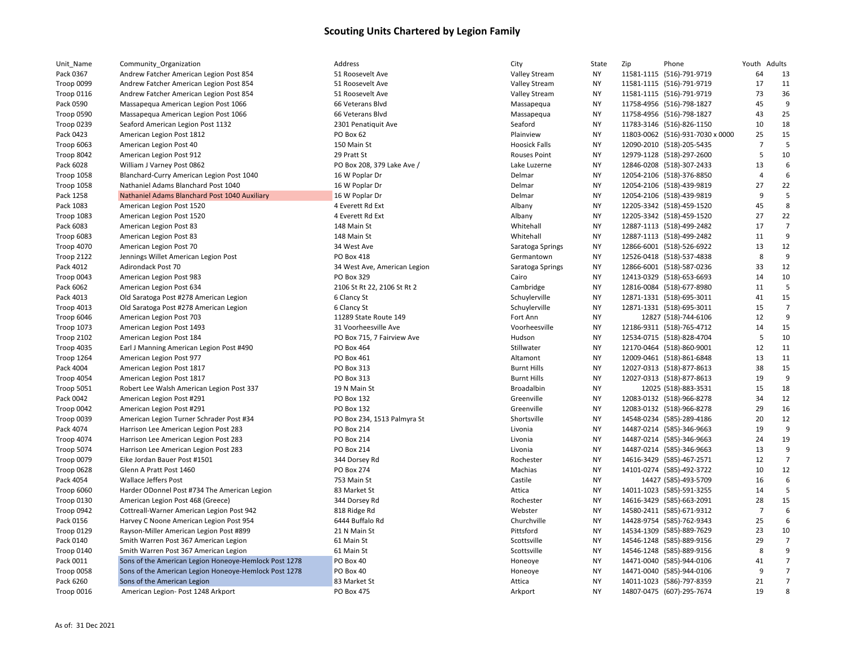| Unit_Name         | Community_Organization                                | Address                      | City                 | State     | Zip | Phone                            | Youth Adults   |                |
|-------------------|-------------------------------------------------------|------------------------------|----------------------|-----------|-----|----------------------------------|----------------|----------------|
| Pack 0367         | Andrew Fatcher American Legion Post 854               | 51 Roosevelt Ave             | Valley Stream        | NY.       |     | 11581-1115 (516)-791-9719        | 64             | 13             |
| Troop 0099        | Andrew Fatcher American Legion Post 854               | 51 Roosevelt Ave             | <b>Valley Stream</b> | <b>NY</b> |     | 11581-1115 (516)-791-9719        | 17             | 11             |
| <b>Troop 0116</b> | Andrew Fatcher American Legion Post 854               | 51 Roosevelt Ave             | <b>Valley Stream</b> | <b>NY</b> |     | 11581-1115 (516)-791-9719        | 73             | 36             |
| Pack 0590         | Massapequa American Legion Post 1066                  | 66 Veterans Blvd             | Massapequa           | <b>NY</b> |     | 11758-4956 (516)-798-1827        | 45             | 9              |
| Troop 0590        | Massapequa American Legion Post 1066                  | 66 Veterans Blvd             | Massapequa           | <b>NY</b> |     | 11758-4956 (516)-798-1827        | 43             | 25             |
| Troop 0239        | Seaford American Legion Post 1132                     | 2301 Penatiquit Ave          | Seaford              | <b>NY</b> |     | 11783-3146 (516)-826-1150        | 10             | 18             |
| Pack 0423         | American Legion Post 1812                             | PO Box 62                    | Plainview            | <b>NY</b> |     | 11803-0062 (516)-931-7030 x 0000 | 25             | 15             |
| Troop 6063        | American Legion Post 40                               | 150 Main St                  | <b>Hoosick Falls</b> | <b>NY</b> |     | 12090-2010 (518)-205-5435        | $\overline{7}$ | 5              |
| Troop 8042        | American Legion Post 912                              | 29 Pratt St                  | <b>Rouses Point</b>  | <b>NY</b> |     | 12979-1128 (518)-297-2600        | 5              | 10             |
| Pack 6028         | William J Varney Post 0862                            | PO Box 208, 379 Lake Ave /   | Lake Luzerne         | <b>NY</b> |     | 12846-0208 (518)-307-2433        | 13             | 6              |
| <b>Troop 1058</b> | Blanchard-Curry American Legion Post 1040             | 16 W Poplar Dr               | Delmar               | <b>NY</b> |     | 12054-2106 (518)-376-8850        | $\overline{4}$ | 6              |
| <b>Troop 1058</b> | Nathaniel Adams Blanchard Post 1040                   | 16 W Poplar Dr               | Delmar               | <b>NY</b> |     | 12054-2106 (518)-439-9819        | 27             | 22             |
| Pack 1258         | Nathaniel Adams Blanchard Post 1040 Auxiliary         | 16 W Poplar Dr               | Delmar               | <b>NY</b> |     | 12054-2106 (518)-439-9819        | 9              | 5              |
| Pack 1083         | American Legion Post 1520                             | 4 Everett Rd Ext             | Albany               | <b>NY</b> |     | 12205-3342 (518)-459-1520        | 45             | 8              |
| Troop 1083        | American Legion Post 1520                             | 4 Everett Rd Ext             | Albany               | <b>NY</b> |     | 12205-3342 (518)-459-1520        | 27             | 22             |
| Pack 6083         | American Legion Post 83                               | 148 Main St                  | Whitehall            | <b>NY</b> |     | 12887-1113 (518)-499-2482        | 17             | $\overline{7}$ |
| Troop 6083        | American Legion Post 83                               | 148 Main St                  | Whitehall            | <b>NY</b> |     | 12887-1113 (518)-499-2482        | 11             | 9              |
| Troop 4070        | American Legion Post 70                               | 34 West Ave                  | Saratoga Springs     | <b>NY</b> |     | 12866-6001 (518)-526-6922        | 13             | 12             |
| <b>Troop 2122</b> | Jennings Willet American Legion Post                  | PO Box 418                   | Germantown           | NY        |     | 12526-0418 (518)-537-4838        | 8              | 9              |
| Pack 4012         | Adirondack Post 70                                    | 34 West Ave, American Legion | Saratoga Springs     | <b>NY</b> |     | 12866-6001 (518)-587-0236        | 33             | 12             |
| Troop 0043        | American Legion Post 983                              | PO Box 329                   | Cairo                | <b>NY</b> |     | 12413-0329 (518)-653-6693        | 14             | 10             |
| Pack 6062         | American Legion Post 634                              | 2106 St Rt 22, 2106 St Rt 2  | Cambridge            | <b>NY</b> |     | 12816-0084 (518)-677-8980        | 11             | 5              |
| Pack 4013         | Old Saratoga Post #278 American Legion                | 6 Clancy St                  | Schuylerville        | <b>NY</b> |     | 12871-1331 (518)-695-3011        | 41             | 15             |
| <b>Troop 4013</b> | Old Saratoga Post #278 American Legion                | 6 Clancy St                  | Schuylerville        | <b>NY</b> |     | 12871-1331 (518)-695-3011        | 15             | $\overline{7}$ |
| Troop 6046        | American Legion Post 703                              | 11289 State Route 149        | Fort Ann             | <b>NY</b> |     | 12827 (518)-744-6106             | 12             | 9              |
| <b>Troop 1073</b> | American Legion Post 1493                             | 31 Voorheesville Ave         | Voorheesville        | <b>NY</b> |     | 12186-9311 (518)-765-4712        | 14             | 15             |
| <b>Troop 2102</b> | American Legion Post 184                              | PO Box 715, 7 Fairview Ave   | Hudson               | <b>NY</b> |     | 12534-0715 (518)-828-4704        | 5              | 10             |
|                   |                                                       | PO Box 464                   | Stillwater           | <b>NY</b> |     | 12170-0464 (518)-860-9001        | 12             | 11             |
| Troop 4035        | Earl J Manning American Legion Post #490              |                              |                      |           |     |                                  |                | 11             |
| Troop 1264        | American Legion Post 977                              | PO Box 461                   | Altamont             | ΝY        |     | 12009-0461 (518)-861-6848        | 13<br>38       | 15             |
| Pack 4004         | American Legion Post 1817                             | PO Box 313                   | <b>Burnt Hills</b>   | <b>NY</b> |     | 12027-0313 (518)-877-8613        |                | 9              |
| Troop 4054        | American Legion Post 1817                             | PO Box 313                   | <b>Burnt Hills</b>   | <b>NY</b> |     | 12027-0313 (518)-877-8613        | 19<br>15       |                |
| <b>Troop 5051</b> | Robert Lee Walsh American Legion Post 337             | 19 N Main St                 | Broadalbin           | <b>NY</b> |     | 12025 (518)-883-3531             |                | 18<br>12       |
| Pack 0042         | American Legion Post #291                             | PO Box 132                   | Greenville           | <b>NY</b> |     | 12083-0132 (518)-966-8278        | 34             |                |
| Troop 0042        | American Legion Post #291                             | PO Box 132                   | Greenville           | <b>NY</b> |     | 12083-0132 (518)-966-8278        | 29             | 16             |
| Troop 0039        | American Legion Turner Schrader Post #34              | PO Box 234, 1513 Palmyra St  | Shortsville          | <b>NY</b> |     | 14548-0234 (585)-289-4186        | 20             | 12             |
| Pack 4074         | Harrison Lee American Legion Post 283                 | PO Box 214                   | Livonia              | <b>NY</b> |     | 14487-0214 (585)-346-9663        | 19             | 9              |
| <b>Troop 4074</b> | Harrison Lee American Legion Post 283                 | <b>PO Box 214</b>            | Livonia              | <b>NY</b> |     | 14487-0214 (585)-346-9663        | 24             | 19             |
| Troop 5074        | Harrison Lee American Legion Post 283                 | <b>PO Box 214</b>            | Livonia              | <b>NY</b> |     | 14487-0214 (585)-346-9663        | 13             | 9              |
| Troop 0079        | Eike Jordan Bauer Post #1501                          | 344 Dorsey Rd                | Rochester            | <b>NY</b> |     | 14616-3429 (585)-467-2571        | 12             | $\overline{7}$ |
| Troop 0628        | Glenn A Pratt Post 1460                               | <b>PO Box 274</b>            | Machias              | <b>NY</b> |     | 14101-0274 (585)-492-3722        | 10             | 12             |
| Pack 4054         | <b>Wallace Jeffers Post</b>                           | 753 Main St                  | Castile              | <b>NY</b> |     | 14427 (585)-493-5709             | 16             | 6              |
| Troop 6060        | Harder ODonnel Post #734 The American Legion          | 83 Market St                 | Attica               | <b>NY</b> |     | 14011-1023 (585)-591-3255        | 14             | 5              |
| Troop 0130        | American Legion Post 468 (Greece)                     | 344 Dorsey Rd                | Rochester            | <b>NY</b> |     | 14616-3429 (585)-663-2091        | 28             | 15             |
| Troop 0942        | Cottreall-Warner American Legion Post 942             | 818 Ridge Rd                 | Webster              | <b>NY</b> |     | 14580-2411 (585)-671-9312        | $\overline{7}$ | 6              |
| Pack 0156         | Harvey C Noone American Legion Post 954               | 6444 Buffalo Rd              | Churchville          | <b>NY</b> |     | 14428-9754 (585)-762-9343        | 25             | 6              |
| Troop 0129        | Rayson-Miller American Legion Post #899               | 21 N Main St                 | Pittsford            | <b>NY</b> |     | 14534-1309 (585)-889-7629        | 23             | 10             |
| Pack 0140         | Smith Warren Post 367 American Legion                 | 61 Main St                   | Scottsville          | <b>NY</b> |     | 14546-1248 (585)-889-9156        | 29             | $\overline{7}$ |
| Troop 0140        | Smith Warren Post 367 American Legion                 | 61 Main St                   | Scottsville          | <b>NY</b> |     | 14546-1248 (585)-889-9156        | 8              | 9              |
| Pack 0011         | Sons of the American Legion Honeoye-Hemlock Post 1278 | PO Box 40                    | Honeoye              | <b>NY</b> |     | 14471-0040 (585)-944-0106        | 41             | $\overline{7}$ |
| Troop 0058        | Sons of the American Legion Honeoye-Hemlock Post 1278 | PO Box 40                    | Honeoye              | <b>NY</b> |     | 14471-0040 (585)-944-0106        | 9              | $\overline{7}$ |
| Pack 6260         | Sons of the American Legion                           | 83 Market St                 | Attica               | <b>NY</b> |     | 14011-1023 (586)-797-8359        | 21             | $\overline{7}$ |
| Troop 0016        | American Legion- Post 1248 Arkport                    | PO Box 475                   | Arkport              | <b>NY</b> |     | 14807-0475 (607)-295-7674        | 19             | 8              |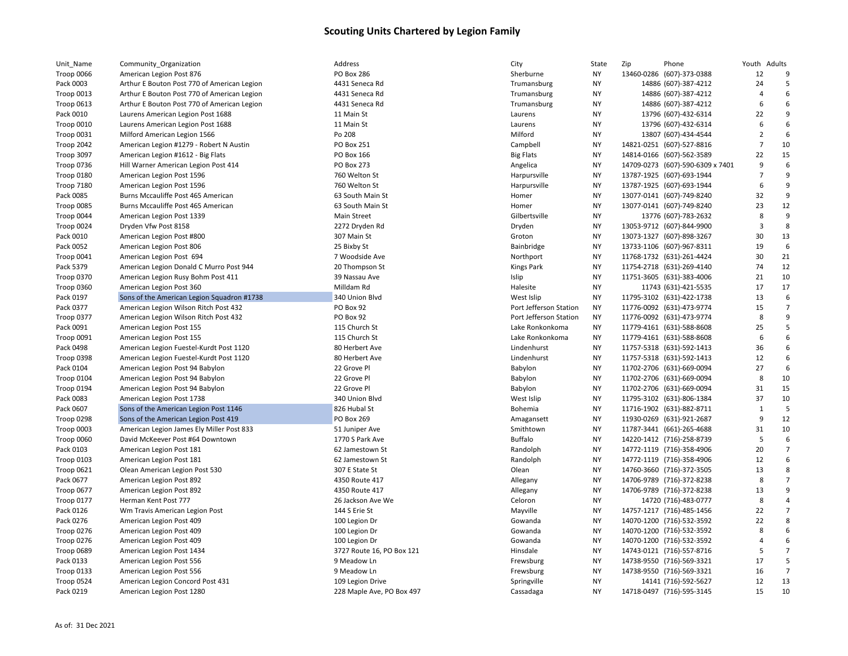| Unit_Name         | Community_Organization                      | Address                   | City                   | State     | Zip<br>Phone                     | Youth Adults   |                  |
|-------------------|---------------------------------------------|---------------------------|------------------------|-----------|----------------------------------|----------------|------------------|
| Troop 0066        | American Legion Post 876                    | <b>PO Box 286</b>         | Sherburne              | <b>NY</b> | 13460-0286 (607)-373-0388        | 12             | 9                |
| Pack 0003         | Arthur E Bouton Post 770 of American Legion | 4431 Seneca Rd            | Trumansburg            | <b>NY</b> | 14886 (607)-387-4212             | 24             | 5                |
| Troop 0013        | Arthur E Bouton Post 770 of American Legion | 4431 Seneca Rd            | Trumansburg            | <b>NY</b> | 14886 (607)-387-4212             | $\overline{4}$ | 6                |
| Troop 0613        | Arthur E Bouton Post 770 of American Legion | 4431 Seneca Rd            | Trumansburg            | <b>NY</b> | 14886 (607)-387-4212             | 6              | 6                |
| Pack 0010         | Laurens American Legion Post 1688           | 11 Main St                | Laurens                | <b>NY</b> | 13796 (607)-432-6314             | 22             | 9                |
| <b>Troop 0010</b> | Laurens American Legion Post 1688           | 11 Main St                | Laurens                | <b>NY</b> | 13796 (607)-432-6314             | 6              | 6                |
| Troop 0031        | Milford American Legion 1566                | Po 208                    | Milford                | <b>NY</b> | 13807 (607)-434-4544             | $\overline{2}$ | 6                |
| <b>Troop 2042</b> | American Legion #1279 - Robert N Austin     | <b>PO Box 251</b>         | Campbell               | NY        | 14821-0251 (607)-527-8816        | $\overline{7}$ | 10               |
| Troop 3097        | American Legion #1612 - Big Flats           | PO Box 166                | <b>Big Flats</b>       | <b>NY</b> | 14814-0166 (607)-562-3589        | 22             | 15               |
| <b>Troop 0736</b> | Hill Warner American Legion Post 414        | <b>PO Box 273</b>         | Angelica               | <b>NY</b> | 14709-0273 (607)-590-6309 x 7401 | 9              | 6                |
| <b>Troop 0180</b> | American Legion Post 1596                   | 760 Welton St             | Harpursville           | <b>NY</b> | 13787-1925 (607)-693-1944        | $\overline{7}$ | 9                |
| <b>Troop 7180</b> | American Legion Post 1596                   | 760 Welton St             | Harpursville           | <b>NY</b> | 13787-1925 (607)-693-1944        | 6              | 9                |
| Pack 0085         | Burns Mccauliffe Post 465 American          | 63 South Main St          | Homer                  | NΥ        | 13077-0141 (607)-749-8240        | 32             | 9                |
| Troop 0085        | Burns Mccauliffe Post 465 American          | 63 South Main St          | Homer                  | <b>NY</b> | 13077-0141 (607)-749-8240        | 23             | 12               |
| Troop 0044        | American Legion Post 1339                   | Main Street               | Gilbertsville          | <b>NY</b> | 13776 (607)-783-2632             | 8              | 9                |
| Troop 0024        | Dryden Vfw Post 8158                        | 2272 Dryden Rd            | Dryden                 | <b>NY</b> | 13053-9712 (607)-844-9900        | $\overline{3}$ | 8                |
| Pack 0010         | American Legion Post #800                   | 307 Main St               | Groton                 | <b>NY</b> | 13073-1327 (607)-898-3267        | 30             | 13               |
| Pack 0052         | American Legion Post 806                    | 25 Bixby St               | Bainbridge             | ΝY        | 13733-1106 (607)-967-8311        | 19             | 6                |
| Troop 0041        | American Legion Post 694                    | 7 Woodside Ave            | Northport              | <b>NY</b> | 11768-1732 (631)-261-4424        | 30             | 21               |
| Pack 5379         | American Legion Donald C Murro Post 944     | 20 Thompson St            | Kings Park             | ΝY        | 11754-2718 (631)-269-4140        | 74             | 12               |
| <b>Troop 0370</b> | American Legion Rusy Bohm Post 411          | 39 Nassau Ave             | Islip                  | <b>NY</b> | 11751-3605 (631)-383-4006        | 21             | 10               |
| Troop 0360        | American Legion Post 360                    | Milldam Rd                | Halesite               | <b>NY</b> | 11743 (631)-421-5535             | 17             | 17               |
| Pack 0197         | Sons of the American Legion Squadron #1738  | 340 Union Blvd            | West Islip             | NΥ        | 11795-3102 (631)-422-1738        | 13             | 6                |
| Pack 0377         | American Legion Wilson Ritch Post 432       | PO Box 92                 | Port Jefferson Station | NY        | 11776-0092 (631)-473-9774        | 15             | $\overline{7}$   |
| Troop 0377        | American Legion Wilson Ritch Post 432       | PO Box 92                 | Port Jefferson Station | NY        | 11776-0092 (631)-473-9774        | 8              | 9                |
| Pack 0091         | American Legion Post 155                    | 115 Church St             | Lake Ronkonkoma        | <b>NY</b> | 11779-4161 (631)-588-8608        | 25             | 5                |
| Troop 0091        | American Legion Post 155                    | 115 Church St             | Lake Ronkonkoma        | NY        | 11779-4161 (631)-588-8608        | 6              | 6                |
| Pack 0498         | American Legion Fuestel-Kurdt Post 1120     | 80 Herbert Ave            | Lindenhurst            | <b>NY</b> | 11757-5318 (631)-592-1413        | 36             | 6                |
| Troop 0398        | American Legion Fuestel-Kurdt Post 1120     | 80 Herbert Ave            | Lindenhurst            | <b>NY</b> | 11757-5318 (631)-592-1413        | 12             | $\boldsymbol{6}$ |
| Pack 0104         | American Legion Post 94 Babylon             | 22 Grove Pl               | Babylon                | <b>NY</b> | 11702-2706 (631)-669-0094        | 27             | 6                |
| Troop 0104        | American Legion Post 94 Babylon             | 22 Grove Pl               | Babylon                | <b>NY</b> | 11702-2706 (631)-669-0094        | 8              | 10               |
| Troop 0194        | American Legion Post 94 Babylon             | 22 Grove Pl               | Babylon                | ΝY        | 11702-2706 (631)-669-0094        | 31             | 15               |
| Pack 0083         | American Legion Post 1738                   | 340 Union Blvd            | West Islip             | <b>NY</b> | 11795-3102 (631)-806-1384        | 37             | 10               |
| Pack 0607         | Sons of the American Legion Post 1146       | 826 Hubal St              | Bohemia                | <b>NY</b> | 11716-1902 (631)-882-8711        | $\mathbf{1}$   | 5                |
| Troop 0298        | Sons of the American Legion Post 419        | PO Box 269                | Amagansett             | NY        | 11930-0269 (631)-921-2687        | 9              | 12               |
| Troop 0003        | American Legion James Ely Miller Post 833   | 51 Juniper Ave            | Smithtown              | <b>NY</b> | 11787-3441 (661)-265-4688        | 31             | 10               |
| Troop 0060        | David McKeever Post #64 Downtown            | 1770 S Park Ave           | <b>Buffalo</b>         | <b>NY</b> | 14220-1412 (716)-258-8739        | 5              | 6                |
| Pack 0103         | American Legion Post 181                    | 62 Jamestown St           | Randolph               | <b>NY</b> | 14772-1119 (716)-358-4906        | 20             | $\overline{7}$   |
| Troop 0103        | American Legion Post 181                    | 62 Jamestown St           | Randolph               | <b>NY</b> | 14772-1119 (716)-358-4906        | 12             | 6                |
| Troop 0621        | Olean American Legion Post 530              | 307 E State St            | Olean                  | NΥ        | 14760-3660 (716)-372-3505        | 13             | 8                |
| Pack 0677         | American Legion Post 892                    | 4350 Route 417            | Allegany               | <b>NY</b> | 14706-9789 (716)-372-8238        | 8              | $\overline{7}$   |
| <b>Troop 0677</b> | American Legion Post 892                    | 4350 Route 417            | Allegany               | NΥ        | 14706-9789 (716)-372-8238        | 13             | 9                |
| Troop 0177        | Herman Kent Post 777                        | 26 Jackson Ave We         | Celoron                | <b>NY</b> | 14720 (716)-483-0777             | 8              | $\overline{4}$   |
| Pack 0126         | Wm Travis American Legion Post              | 144 S Erie St             | Mayville               | <b>NY</b> | 14757-1217 (716)-485-1456        | 22             | $\overline{7}$   |
| Pack 0276         | American Legion Post 409                    | 100 Legion Dr             | Gowanda                | <b>NY</b> | 14070-1200 (716)-532-3592        | 22             | 8                |
| <b>Troop 0276</b> | American Legion Post 409                    | 100 Legion Dr             | Gowanda                | <b>NY</b> | 14070-1200 (716)-532-3592        | 8              | 6                |
| <b>Troop 0276</b> | American Legion Post 409                    | 100 Legion Dr             | Gowanda                | ΝY        | 14070-1200 (716)-532-3592        | $\overline{4}$ | 6                |
| Troop 0689        | American Legion Post 1434                   | 3727 Route 16, PO Box 121 | Hinsdale               | <b>NY</b> | 14743-0121 (716)-557-8716        | 5              | $\overline{7}$   |
| Pack 0133         | American Legion Post 556                    | 9 Meadow Ln               | Frewsburg              | <b>NY</b> | 14738-9550 (716)-569-3321        | 17             | 5                |
| Troop 0133        | American Legion Post 556                    | 9 Meadow Ln               | Frewsburg              | NΥ        | 14738-9550 (716)-569-3321        | 16             | $\overline{7}$   |
| Troop 0524        | American Legion Concord Post 431            | 109 Legion Drive          | Springville            | <b>NY</b> | 14141 (716)-592-5627             | 12             | 13               |
| Pack 0219         | American Legion Post 1280                   | 228 Maple Ave, PO Box 497 | Cassadaga              | <b>NY</b> | 14718-0497 (716)-595-3145        | 15             | 10               |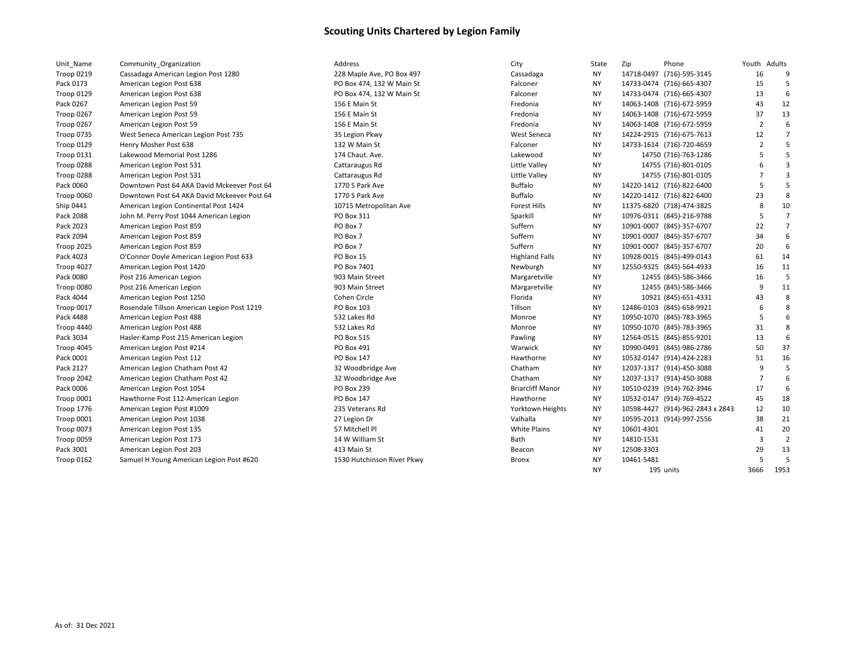| Unit_Name         | Community_Organization                      | Address                    | City                    | State     | Zip<br>Phone                     | Youth Adults   |                         |
|-------------------|---------------------------------------------|----------------------------|-------------------------|-----------|----------------------------------|----------------|-------------------------|
| <b>Troop 0219</b> | Cassadaga American Legion Post 1280         | 228 Maple Ave, PO Box 497  | Cassadaga               | NY.       | 14718-0497 (716)-595-3145        | 16             | 9                       |
| Pack 0173         | American Legion Post 638                    | PO Box 474, 132 W Main St  | Falconer                | NY.       | 14733-0474 (716)-665-4307        | 15             | 5                       |
| Troop 0129        | American Legion Post 638                    | PO Box 474, 132 W Main St  | Falconer                | <b>NY</b> | 14733-0474 (716)-665-4307        | 13             | 6                       |
| Pack 0267         | American Legion Post 59                     | 156 E Main St              | Fredonia                | <b>NY</b> | 14063-1408 (716)-672-5959        | 43             | 12                      |
| Troop 0267        | American Legion Post 59                     | 156 E Main St              | Fredonia                | <b>NY</b> | 14063-1408 (716)-672-5959        | 37             | 13                      |
| Troop 0267        | American Legion Post 59                     | 156 E Main St              | Fredonia                | <b>NY</b> | 14063-1408 (716)-672-5959        | $\overline{2}$ | 6                       |
| Troop 0735        | West Seneca American Legion Post 735        | 35 Legion Pkwy             | <b>West Seneca</b>      | NY.       | 14224-2915 (716)-675-7613        | 12             | $\overline{7}$          |
| Troop 0129        | Henry Mosher Post 638                       | 132 W Main St              | Falconer                | NY.       | 14733-1614 (716)-720-4659        | $\overline{2}$ | 5                       |
| Troop 0131        | Lakewood Memorial Post 1286                 | 174 Chaut. Ave.            | Lakewood                | NY.       | 14750 (716)-763-1286             | 5              | 5                       |
| Troop 0288        | American Legion Post 531                    | Cattaraugus Rd             | Little Valley           | <b>NY</b> | 14755 (716)-801-0105             | 6              | 3                       |
| Troop 0288        | American Legion Post 531                    | Cattaraugus Rd             | Little Valley           | <b>NY</b> | 14755 (716)-801-0105             | $\overline{7}$ | $\overline{\mathbf{3}}$ |
| Pack 0060         | Downtown Post 64 AKA David Mckeever Post 64 | 1770 S Park Ave            | <b>Buffalo</b>          | <b>NY</b> | 14220-1412 (716)-822-6400        | 5              | 5                       |
| Troop 0060        | Downtown Post 64 AKA David Mckeever Post 64 | 1770 S Park Ave            | <b>Buffalo</b>          | NY.       | 14220-1412 (716)-822-6400        | 23             | 8                       |
| Ship 0441         | American Legion Continental Post 1424       | 10715 Metropolitan Ave     | <b>Forest Hills</b>     | <b>NY</b> | 11375-6820 (718)-474-3825        | 8              | 10                      |
| Pack 2088         | John M. Perry Post 1044 American Legion     | PO Box 311                 | Sparkill                | <b>NY</b> | 10976-0311 (845)-216-9788        | 5              | $\overline{7}$          |
| Pack 2023         | American Legion Post 859                    | PO Box 7                   | Suffern                 | <b>NY</b> | 10901-0007 (845)-357-6707        | 22             | $\overline{7}$          |
| Pack 2094         | American Legion Post 859                    | PO Box 7                   | Suffern                 | <b>NY</b> | 10901-0007 (845)-357-6707        | 34             | 6                       |
| Troop 2025        | American Legion Post 859                    | PO Box 7                   | Suffern                 | <b>NY</b> | 10901-0007 (845)-357-6707        | 20             | 6                       |
| Pack 4023         | O'Connor Doyle American Legion Post 633     | PO Box 15                  | <b>Highland Falls</b>   | NY.       | 10928-0015 (845)-499-0143        | 61             | 14                      |
| Troop 4027        | American Legion Post 1420                   | PO Box 7401                | Newburgh                | NY.       | 12550-9325 (845)-564-4933        | 16             | 11                      |
| Pack 0080         | Post 216 American Legion                    | 903 Main Street            | Margaretville           | NY.       | 12455 (845)-586-3466             | 16             | 5                       |
| Troop 0080        | Post 216 American Legion                    | 903 Main Street            | Margaretville           | <b>NY</b> | 12455 (845)-586-3466             | 9              | 11                      |
| Pack 4044         | American Legion Post 1250                   | Cohen Circle               | Florida                 | <b>NY</b> | 10921 (845)-651-4331             | 43             | 8                       |
| Troop 0017        | Rosendale Tillson American Legion Post 1219 | PO Box 103                 | Tillson                 | NY.       | 12486-0103 (845)-658-9921        | 6              | 8                       |
| Pack 4488         | American Legion Post 488                    | 532 Lakes Rd               | Monroe                  | NY.       | 10950-1070 (845)-783-3965        | 5              | 6                       |
| Troop 4440        | American Legion Post 488                    | 532 Lakes Rd               | Monroe                  | <b>NY</b> | 10950-1070 (845)-783-3965        | 31             | 8                       |
| Pack 3034         | Hasler-Kamp Post 215 American Legion        | PO Box 515                 | Pawling                 | NY.       | 12564-0515 (845)-855-9201        | 13             | 6                       |
| Troop 4045        | American Legion Post #214                   | PO Box 491                 | Warwick                 | <b>NY</b> | 10990-0491 (845)-986-2786        | 50             | 37                      |
| Pack 0001         | American Legion Post 112                    | PO Box 147                 | Hawthorne               | <b>NY</b> | 10532-0147 (914)-424-2283        | 51             | 16                      |
| Pack 2127         | American Legion Chatham Post 42             | 32 Woodbridge Ave          | Chatham                 | <b>NY</b> | 12037-1317 (914)-450-3088        | 9              | 5                       |
| Troop 2042        | American Legion Chatham Post 42             | 32 Woodbridge Ave          | Chatham                 | <b>NY</b> | 12037-1317 (914)-450-3088        | 7              | 6                       |
| Pack 0006         | American Legion Post 1054                   | PO Box 239                 | <b>Briarcliff Manor</b> | NY.       | 10510-0239 (914)-762-3946        | 17             | 6                       |
| Troop 0001        | Hawthorne Post 112-American Legion          | <b>PO Box 147</b>          | Hawthorne               | <b>NY</b> | 10532-0147 (914)-769-4522        | 45             | 18                      |
| <b>Troop 1776</b> | American Legion Post #1009                  | 235 Veterans Rd            | Yorktown Heights        | NY.       | 10598-4427 (914)-962-2843 x 2843 | 12             | 10                      |
| Troop 0001        | American Legion Post 1038                   | 27 Legion Dr               | Valhalla                | NY.       | 10595-2013 (914)-997-2556        | 38             | 21                      |
| Troop 0073        | American Legion Post 135                    | 57 Mitchell Pl             | <b>White Plains</b>     | NY.       | 10601-4301                       | 41             | 20                      |
| Troop 0059        | American Legion Post 173                    | 14 W William St            | Bath                    | NY.       | 14810-1531                       | 3              | $\overline{2}$          |
| Pack 3001         | American Legion Post 203                    | 413 Main St                | Beacon                  | NY.       | 12508-3303                       | 29             | 13                      |
| Troop 0162        | Samuel H Young American Legion Post #620    | 1530 Hutchinson River Pkwy | <b>Bronx</b>            | <b>NY</b> | 10461-5481                       | 5              | 5                       |
|                   |                                             |                            |                         | <b>NY</b> | 195 units                        | 3666           | 1953                    |
|                   |                                             |                            |                         |           |                                  |                |                         |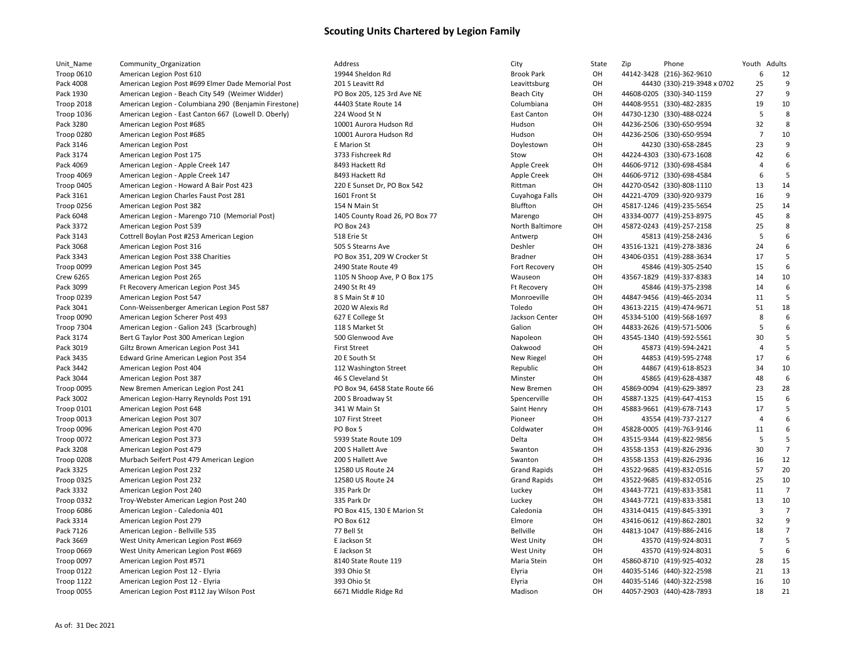| Unit_Name         | Community_Organization                               |
|-------------------|------------------------------------------------------|
| <b>Troop 0610</b> | American Legion Post 610                             |
| Pack 4008         | American Legion Post #699 Elmer Dade Memorial Post   |
| Pack 1930         | American Legion - Beach City 549 (Weimer Widder)     |
| <b>Troop 2018</b> | American Legion - Columbiana 290 (Benjamin Fireston  |
| <b>Troop 1036</b> | American Legion - East Canton 667 (Lowell D. Oberly) |
| Pack 3280         | American Legion Post #685                            |
| Troop 0280        | American Legion Post #685                            |
| Pack 3146         | American Legion Post                                 |
| Pack 3174         | American Legion Post 175                             |
| Pack 4069         | American Legion - Apple Creek 147                    |
| Troop 4069        | American Legion - Apple Creek 147                    |
| Troop 0405        | American Legion - Howard A Bair Post 423             |
| Pack 3161         | American Legion Charles Faust Post 281               |
| Troop 0256        | American Legion Post 382                             |
| Pack 6048         | American Legion - Marengo 710 (Memorial Post)        |
| Pack 3372         | American Legion Post 539                             |
| Pack 3143         | Cottrell Boylan Post #253 American Legion            |
| Pack 3068         | American Legion Post 316                             |
| Pack 3343         | American Legion Post 338 Charities                   |
| Troop 0099        | American Legion Post 345                             |
| <b>Crew 6265</b>  | American Legion Post 265                             |
| Pack 3099         | Ft Recovery American Legion Post 345                 |
| Troop 0239        | American Legion Post 547                             |
| Pack 3041         | Conn-Weissenberger American Legion Post 587          |
| Troop 0090        | American Legion Scherer Post 493                     |
| <b>Troop 7304</b> | American Legion - Galion 243 (Scarbrough)            |
| Pack 3174         | Bert G Taylor Post 300 American Legion               |
| Pack 3019         | Giltz Brown American Legion Post 341                 |
| Pack 3435         | Edward Grine American Legion Post 354                |
| Pack 3442         | American Legion Post 404                             |
| Pack 3044         | American Legion Post 387                             |
| Troop 0095        | New Bremen American Legion Post 241                  |
| Pack 3002         | American Legion-Harry Reynolds Post 191              |
| Troop 0101        | American Legion Post 648                             |
| Troop 0013        | American Legion Post 307                             |
| Troop 0096        | American Legion Post 470                             |
| Troop 0072        | American Legion Post 373                             |
| Pack 3208         | American Legion Post 479                             |
| Troop 0208        | Murbach Seifert Post 479 American Legion             |
| Pack 3325         | American Legion Post 232                             |
| <b>Troop 0325</b> | American Legion Post 232                             |
| Pack 3332         | American Legion Post 240                             |
| Troop 0332        | Troy-Webster American Legion Post 240                |
| Troop 6086        | American Legion - Caledonia 401                      |
| Pack 3314         | American Legion Post 279                             |
| Pack 7126         | American Legion - Bellville 535                      |
| Pack 3669         | West Unity American Legion Post #669                 |
| Troop 0669        | West Unity American Legion Post #669                 |
| Troop 0097        | American Legion Post #571                            |
| Troop 0122        | American Legion Post 12 - Elyria                     |
| <b>Troop 1122</b> | American Legion Post 12 - Elyria                     |
| Troop 0055        | American Legion Post #112 Jay Wilson Post            |
|                   |                                                      |

| Unit_Name         | Community Organization                                               | Address                          | City                | State     | Zip | Phone                                                  | Youth Adults            |                |
|-------------------|----------------------------------------------------------------------|----------------------------------|---------------------|-----------|-----|--------------------------------------------------------|-------------------------|----------------|
| Troop 0610        | American Legion Post 610                                             | 19944 Sheldon Rd                 | <b>Brook Park</b>   | OH        |     | 44142-3428 (216)-362-9610                              | 6                       | 12             |
| Pack 4008         | American Legion Post #699 Elmer Dade Memorial Post                   | 201 S Leavitt Rd                 | Leavittsburg        | <b>OH</b> |     | 44430 (330)-219-3948 x 0702                            | 25                      | 9              |
| Pack 1930         | American Legion - Beach City 549 (Weimer Widder)                     | PO Box 205, 125 3rd Ave NE       | <b>Beach City</b>   | OH        |     | 44608-0205 (330)-340-1159                              | 27                      | 9              |
| <b>Troop 2018</b> | American Legion - Columbiana 290 (Benjamin Firestone)                | 44403 State Route 14             | Columbiana          | OH        |     | 44408-9551 (330)-482-2835                              | 19                      | 10             |
| Troop 1036        | American Legion - East Canton 667 (Lowell D. Oberly)                 | 224 Wood St N                    | <b>East Canton</b>  | OH        |     | 44730-1230 (330)-488-0224                              | 5                       | 8              |
| Pack 3280         | American Legion Post #685                                            | 10001 Aurora Hudson Rd           | Hudson              | OH        |     | 44236-2506 (330)-650-9594                              | 32                      | 8              |
| Troop 0280        | American Legion Post #685                                            | 10001 Aurora Hudson Rd           | Hudson              | OH        |     | 44236-2506 (330)-650-9594                              | $\overline{7}$          | 10             |
| Pack 3146         | American Legion Post                                                 | E Marion St                      | Doylestown          | OH        |     | 44230 (330)-658-2845                                   | 23                      | 9              |
| Pack 3174         | American Legion Post 175                                             | 3733 Fishcreek Rd                | Stow                | OH        |     | 44224-4303 (330)-673-1608                              | 42                      | 6              |
| Pack 4069         | American Legion - Apple Creek 147                                    | 8493 Hackett Rd                  | Apple Creek         | OH        |     | 44606-9712 (330)-698-4584                              | $\overline{4}$          | 6              |
| Troop 4069        | American Legion - Apple Creek 147                                    | 8493 Hackett Rd                  | Apple Creek         | OH        |     | 44606-9712 (330)-698-4584                              | 6                       | 5              |
| <b>Troop 0405</b> | American Legion - Howard A Bair Post 423                             | 220 E Sunset Dr, PO Box 542      | Rittman             | OH        |     | 44270-0542 (330)-808-1110                              | 13                      | 14             |
| Pack 3161         | American Legion Charles Faust Post 281                               | 1601 Front St                    | Cuyahoga Falls      | OH        |     | 44221-4709 (330)-920-9379                              | 16                      | 9              |
| <b>Troop 0256</b> | American Legion Post 382                                             | 154 N Main St                    | Bluffton            | OH        |     | 45817-1246 (419)-235-5654                              | 25                      | 14             |
| Pack 6048         | American Legion - Marengo 710 (Memorial Post)                        | 1405 County Road 26, PO Box 77   | Marengo             | OH        |     | 43334-0077 (419)-253-8975                              | 45                      | 8              |
| Pack 3372         | American Legion Post 539                                             | PO Box 243                       | North Baltimore     | OH        |     | 45872-0243 (419)-257-2158                              | 25                      | 8              |
| Pack 3143         | Cottrell Boylan Post #253 American Legion                            | 518 Erie St                      | Antwerp             | OH        |     | 45813 (419)-258-2436                                   | 5                       | 6              |
| Pack 3068         | American Legion Post 316                                             | 505 S Stearns Ave                | Deshler             | OH        |     | 43516-1321 (419)-278-3836                              | 24                      | 6              |
| Pack 3343         | American Legion Post 338 Charities                                   | PO Box 351, 209 W Crocker St     | <b>Bradner</b>      | OH        |     | 43406-0351 (419)-288-3634                              | 17                      | 5              |
| Troop 0099        | American Legion Post 345                                             | 2490 State Route 49              | Fort Recovery       | OH        |     | 45846 (419)-305-2540                                   | 15                      | 6              |
| Crew 6265         | American Legion Post 265                                             | 1105 N Shoop Ave, P O Box 175    | Wauseon             | <b>OH</b> |     | 43567-1829 (419)-337-8383                              | 14                      | 10             |
| Pack 3099         | Ft Recovery American Legion Post 345                                 | 2490 St Rt 49                    | <b>Ft Recovery</b>  | OH        |     | 45846 (419)-375-2398                                   | 14                      | 6              |
| Troop 0239        | American Legion Post 547                                             | 8 S Main St # 10                 | Monroeville         | OH        |     | 44847-9456 (419)-465-2034                              | 11                      | 5              |
| Pack 3041         | Conn-Weissenberger American Legion Post 587                          | 2020 W Alexis Rd                 | Toledo              | OH        |     | 43613-2215 (419)-474-9671                              | 51                      | 18             |
| Troop 0090        | American Legion Scherer Post 493                                     | 627 E College St                 | Jackson Center      | OH        |     | 45334-5100 (419)-568-1697                              | 8                       | 6              |
| <b>Troop 7304</b> | American Legion - Galion 243 (Scarbrough)                            | 118 S Market St                  | Galion              | OH        |     | 44833-2626 (419)-571-5006                              | 5                       | 6              |
| Pack 3174         | Bert G Taylor Post 300 American Legion                               | 500 Glenwood Ave                 | Napoleon            | OH        |     | 43545-1340 (419)-592-5561                              | 30                      | 5              |
| Pack 3019         | Giltz Brown American Legion Post 341                                 | <b>First Street</b>              | Oakwood             | OH        |     | 45873 (419)-594-2421                                   | $\overline{4}$          | 5              |
| Pack 3435         | Edward Grine American Legion Post 354                                | 20 E South St                    | New Riegel          | OH        |     | 44853 (419)-595-2748                                   | 17                      | 6              |
| Pack 3442         | American Legion Post 404                                             | 112 Washington Street            | Republic            | OH        |     | 44867 (419)-618-8523                                   | 34                      | 10             |
| Pack 3044         | American Legion Post 387                                             | 46 S Cleveland St                | Minster             | OH        |     | 45865 (419)-628-4387                                   | 48                      | 6              |
| Troop 0095        | New Bremen American Legion Post 241                                  | PO Box 94, 6458 State Route 66   | New Bremen          | OH        |     | 45869-0094 (419)-629-3897                              | 23                      | 28             |
| Pack 3002         | American Legion-Harry Reynolds Post 191                              | 200 S Broadway St                | Spencerville        | OH        |     | 45887-1325 (419)-647-4153                              | 15                      | 6              |
| Troop 0101        | American Legion Post 648                                             | 341 W Main St                    | Saint Henry         | OH        |     | 45883-9661 (419)-678-7143                              | 17                      | 5              |
| Troop 0013        | American Legion Post 307                                             | 107 First Street                 | Pioneer             | OH        |     | 43554 (419)-737-2127                                   | $\overline{4}$          | 6              |
|                   |                                                                      | PO Box 5                         | Coldwater           | OH        |     |                                                        | 11                      | 6              |
| Troop 0096        | American Legion Post 470<br>American Legion Post 373                 | 5939 State Route 109             | Delta               | OH        |     | 45828-0005 (419)-763-9146<br>43515-9344 (419)-822-9856 | 5                       | 5              |
| Troop 0072        |                                                                      | 200 S Hallett Ave                | Swanton             | OH        |     | 43558-1353 (419)-826-2936                              | 30                      | $\overline{7}$ |
| Pack 3208         | American Legion Post 479<br>Murbach Seifert Post 479 American Legion | 200 S Hallett Ave                | Swanton             | OH        |     | 43558-1353 (419)-826-2936                              | 16                      | 12             |
| Troop 0208        |                                                                      |                                  |                     |           |     | 43522-9685 (419)-832-0516                              | 57                      | 20             |
| Pack 3325         | American Legion Post 232                                             | 12580 US Route 24                | <b>Grand Rapids</b> | OH        |     |                                                        |                         | 10             |
| <b>Troop 0325</b> | American Legion Post 232                                             | 12580 US Route 24<br>335 Park Dr | <b>Grand Rapids</b> | OH<br>OH  |     | 43522-9685 (419)-832-0516<br>43443-7721 (419)-833-3581 | 25<br>11                | $\overline{7}$ |
| Pack 3332         | American Legion Post 240                                             |                                  | Luckey              |           |     |                                                        | 13                      | 10             |
| <b>Troop 0332</b> | Troy-Webster American Legion Post 240                                | 335 Park Dr                      | Luckey              | OH        |     | 43443-7721 (419)-833-3581                              |                         | $\overline{7}$ |
| Troop 6086        | American Legion - Caledonia 401                                      | PO Box 415, 130 E Marion St      | Caledonia<br>Elmore | OH        |     | 43314-0415 (419)-845-3391                              | $\overline{\mathbf{3}}$ | 9              |
| Pack 3314         | American Legion Post 279                                             | PO Box 612                       |                     | <b>OH</b> |     | 43416-0612 (419)-862-2801                              | 32                      | $\overline{7}$ |
| Pack 7126         | American Legion - Bellville 535                                      | 77 Bell St                       | <b>Bellville</b>    | OH        |     | 44813-1047 (419)-886-2416                              | 18                      |                |
| Pack 3669         | West Unity American Legion Post #669                                 | E Jackson St                     | West Unity          | OH        |     | 43570 (419)-924-8031                                   | $\overline{7}$          | 5              |
| Troop 0669        | West Unity American Legion Post #669                                 | E Jackson St                     | West Unity          | <b>OH</b> |     | 43570 (419)-924-8031                                   | 5                       | 6              |
| Troop 0097        | American Legion Post #571                                            | 8140 State Route 119             | Maria Stein         | OH        |     | 45860-8710 (419)-925-4032                              | 28                      | 15             |
| Troop 0122        | American Legion Post 12 - Elyria                                     | 393 Ohio St                      | Elyria              | OH        |     | 44035-5146 (440)-322-2598                              | 21                      | 13             |
| <b>Troop 1122</b> | American Legion Post 12 - Elyria                                     | 393 Ohio St                      | Elyria              | OH        |     | 44035-5146 (440)-322-2598                              | 16                      | 10             |
| <b>Troop 0055</b> | American Legion Post #112 Jay Wilson Post                            | 6671 Middle Ridge Rd             | Madison             | OH        |     | 44057-2903 (440)-428-7893                              | 18                      | 21             |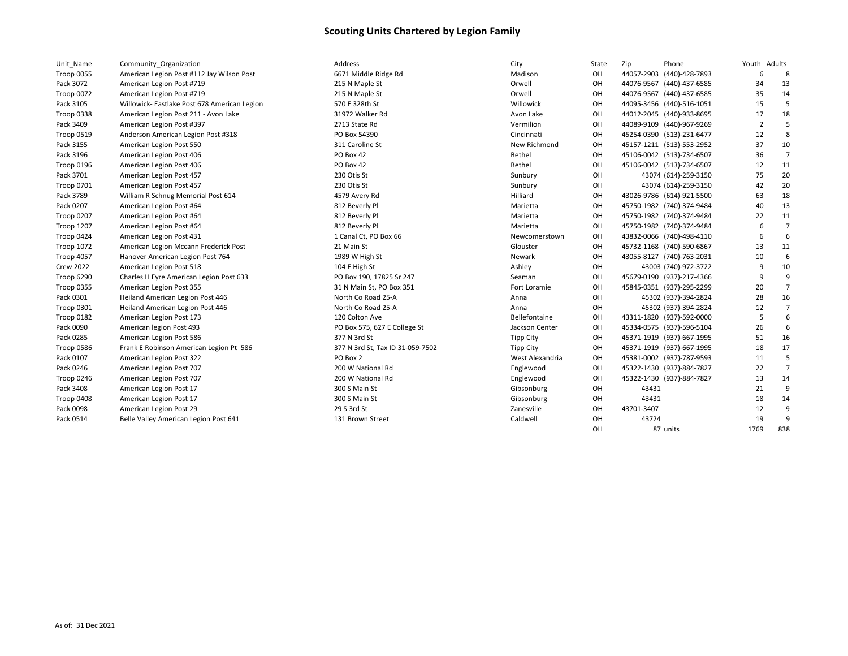| Unit Name         | Community Organization                       |
|-------------------|----------------------------------------------|
| <b>Troop 0055</b> | American Legion Post #112 Jay Wilson Post    |
| Pack 3072         | American Legion Post #719                    |
| <b>Troop 0072</b> | American Legion Post #719                    |
| Pack 3105         | Willowick- Eastlake Post 678 American Legion |
| Troop 0338        | American Legion Post 211 - Avon Lake         |
| Pack 3409         | American Legion Post #397                    |
| <b>Troop 0519</b> | Anderson American Legion Post #318           |
| Pack 3155         | American Legion Post 550                     |
| Pack 3196         | American Legion Post 406                     |
| Troop 0196        | American Legion Post 406                     |
| Pack 3701         | American Legion Post 457                     |
| <b>Troop 0701</b> | American Legion Post 457                     |
| Pack 3789         | William R Schnug Memorial Post 614           |
| Pack 0207         | American Legion Post #64                     |
| Troop 0207        | American Legion Post #64                     |
| <b>Troop 1207</b> | American Legion Post #64                     |
| Troop 0424        | American Legion Post 431                     |
| <b>Troop 1072</b> | American Legion Mccann Frederick Post        |
| Troop 4057        | Hanover American Legion Post 764             |
| <b>Crew 2022</b>  | American Legion Post 518                     |
| Troop 6290        | Charles H Eyre American Legion Post 633      |
| <b>Troop 0355</b> | American Legion Post 355                     |
| Pack 0301         | Heiland American Legion Post 446             |
| Troop 0301        | Heiland American Legion Post 446             |
| Troop 0182        | American Legion Post 173                     |
| Pack 0090         | American legion Post 493                     |
| Pack 0285         | American Legion Post 586                     |
| Troop 0586        | Frank E Robinson American Legion Pt 586      |
| Pack 0107         | American Legion Post 322                     |
| Pack 0246         | American Legion Post 707                     |
| Troop 0246        | American Legion Post 707                     |
| Pack 3408         | American Legion Post 17                      |
| Troop 0408        | American Legion Post 17                      |
| Pack 0098         | American Legion Post 29                      |
| Pack 0514         | Belle Valley American Legion Post 641        |

| Unit_Name         | Community Organization                       | Address                          | City             | State     | Zip        | Phone                     | Youth Adults   |                |
|-------------------|----------------------------------------------|----------------------------------|------------------|-----------|------------|---------------------------|----------------|----------------|
| <b>Troop 0055</b> | American Legion Post #112 Jay Wilson Post    | 6671 Middle Ridge Rd             | Madison          | OH        |            | 44057-2903 (440)-428-7893 | 6              | 8              |
| Pack 3072         | American Legion Post #719                    | 215 N Maple St                   | Orwell           | OH        |            | 44076-9567 (440)-437-6585 | 34             | 13             |
| Troop 0072        | American Legion Post #719                    | 215 N Maple St                   | Orwell           | OH        |            | 44076-9567 (440)-437-6585 | 35             | 14             |
| Pack 3105         | Willowick- Eastlake Post 678 American Legion | 570 E 328th St                   | Willowick        | OH        |            | 44095-3456 (440)-516-1051 | 15             | 5              |
| Troop 0338        | American Legion Post 211 - Avon Lake         | 31972 Walker Rd                  | Avon Lake        | OH        |            | 44012-2045 (440)-933-8695 | 17             | 18             |
| Pack 3409         | American Legion Post #397                    | 2713 State Rd                    | Vermilion        | OH        |            | 44089-9109 (440)-967-9269 | $\overline{2}$ |                |
| Troop 0519        | Anderson American Legion Post #318           | PO Box 54390                     | Cincinnati       | OH        |            | 45254-0390 (513)-231-6477 | 12             | -8             |
| Pack 3155         | American Legion Post 550                     | 311 Caroline St                  | New Richmond     | OH        |            | 45157-1211 (513)-553-2952 | 37             | 10             |
| Pack 3196         | American Legion Post 406                     | PO Box 42                        | Bethel           | OH        |            | 45106-0042 (513)-734-6507 | 36             | $\overline{7}$ |
| Troop 0196        | American Legion Post 406                     | PO Box 42                        | Bethel           | OH        |            | 45106-0042 (513)-734-6507 | 12             | 11             |
| Pack 3701         | American Legion Post 457                     | 230 Otis St                      | Sunbury          | OH        |            | 43074 (614)-259-3150      | 75             | 20             |
| Troop 0701        | American Legion Post 457                     | 230 Otis St                      | Sunbury          | OH        |            | 43074 (614)-259-3150      | 42             | 20             |
| Pack 3789         | William R Schnug Memorial Post 614           | 4579 Avery Rd                    | Hilliard         | OH        |            | 43026-9786 (614)-921-5500 | 63             | 18             |
| Pack 0207         | American Legion Post #64                     | 812 Beverly Pl                   | Marietta         | OH        |            | 45750-1982 (740)-374-9484 | 40             | 13             |
| Troop 0207        | American Legion Post #64                     | 812 Beverly Pl                   | Marietta         | OH        |            | 45750-1982 (740)-374-9484 | 22             | 11             |
| <b>Troop 1207</b> | American Legion Post #64                     | 812 Beverly Pl                   | Marietta         | OH        |            | 45750-1982 (740)-374-9484 | 6              | $\overline{7}$ |
| Troop 0424        | American Legion Post 431                     | 1 Canal Ct, PO Box 66            | Newcomerstown    | OH        |            | 43832-0066 (740)-498-4110 | -6             | 6              |
| Troop 1072        | American Legion Mccann Frederick Post        | 21 Main St                       | Glouster         | OH        |            | 45732-1168 (740)-590-6867 | 13             | 11             |
| Troop 4057        | Hanover American Legion Post 764             | 1989 W High St                   | Newark           | <b>OH</b> |            | 43055-8127 (740)-763-2031 | 10             | 6              |
| <b>Crew 2022</b>  | American Legion Post 518                     | 104 E High St                    | Ashley           | OH        |            | 43003 (740)-972-3722      | 9              | 10             |
| Troop 6290        | Charles H Eyre American Legion Post 633      | PO Box 190, 17825 Sr 247         | Seaman           | OH        |            | 45679-0190 (937)-217-4366 | -9             | 9              |
| Troop 0355        | American Legion Post 355                     | 31 N Main St, PO Box 351         | Fort Loramie     | OH        |            | 45845-0351 (937)-295-2299 | 20             | $\overline{7}$ |
| Pack 0301         | Heiland American Legion Post 446             | North Co Road 25-A               | Anna             | <b>OH</b> |            | 45302 (937)-394-2824      | 28             | 16             |
| Troop 0301        | Heiland American Legion Post 446             | North Co Road 25-A               | Anna             | OH        |            | 45302 (937)-394-2824      | 12             | $\overline{7}$ |
| Troop 0182        | American Legion Post 173                     | 120 Colton Ave                   | Bellefontaine    | OH        |            | 43311-1820 (937)-592-0000 | 5              | 6              |
| Pack 0090         | American legion Post 493                     | PO Box 575, 627 E College St     | Jackson Center   | OH        |            | 45334-0575 (937)-596-5104 | 26             | 6              |
| Pack 0285         | American Legion Post 586                     | 377 N 3rd St                     | <b>Tipp City</b> | OH        |            | 45371-1919 (937)-667-1995 | 51             | 16             |
| Troop 0586        | Frank E Robinson American Legion Pt 586      | 377 N 3rd St, Tax ID 31-059-7502 | <b>Tipp City</b> | OH        |            | 45371-1919 (937)-667-1995 | 18             | 17             |
| Pack 0107         | American Legion Post 322                     | PO Box 2                         | West Alexandria  | OH        |            | 45381-0002 (937)-787-9593 | 11             | 5              |
| Pack 0246         | American Legion Post 707                     | 200 W National Rd                | Englewood        | OH        |            | 45322-1430 (937)-884-7827 | 22             | $\overline{7}$ |
| Troop 0246        | American Legion Post 707                     | 200 W National Rd                | Englewood        | OH        |            | 45322-1430 (937)-884-7827 | 13             | 14             |
| Pack 3408         | American Legion Post 17                      | 300 S Main St                    | Gibsonburg       | OH        | 43431      |                           | 21             | 9              |
| Troop 0408        | American Legion Post 17                      | 300 S Main St                    | Gibsonburg       | OH        | 43431      |                           | 18             | 14             |
| Pack 0098         | American Legion Post 29                      | 29 S 3rd St                      | Zanesville       | OH        | 43701-3407 |                           | 12             | 9              |
| Pack 0514         | Belle Valley American Legion Post 641        | 131 Brown Street                 | Caldwell         | OH        | 43724      |                           | 19             | 9              |
|                   |                                              |                                  |                  | OH.       |            | 87 units                  | 1769           | 838            |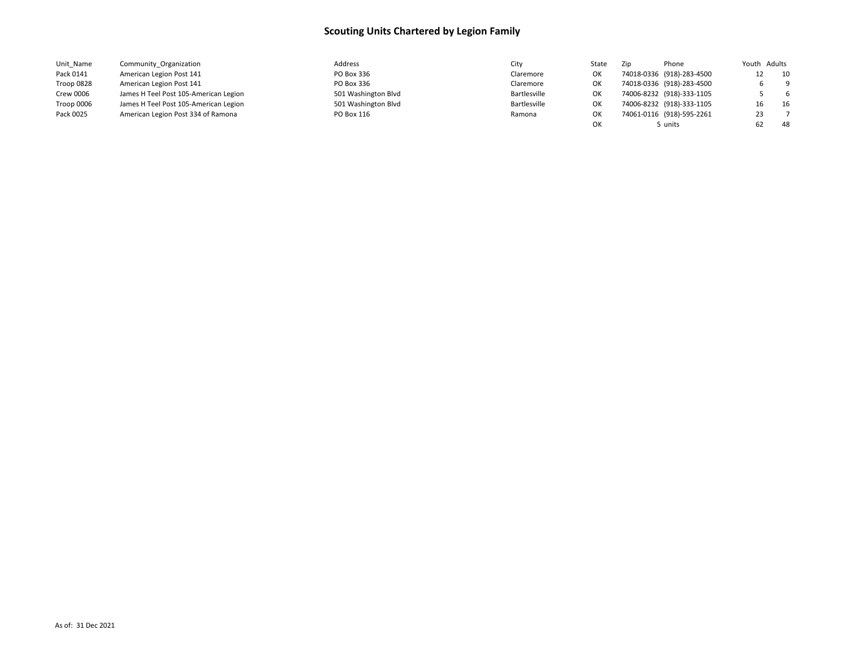| Unit Name  | Community Organization                | Address             | City         | State | Zip | Phone                     |    | Youth Adults |
|------------|---------------------------------------|---------------------|--------------|-------|-----|---------------------------|----|--------------|
| Pack 0141  | American Legion Post 141              | PO Box 336          | Claremore    | ОΚ    |     | 74018-0336 (918)-283-4500 |    | 10           |
| Troop 0828 | American Legion Post 141              | PO Box 336          | Claremore    | ОΚ    |     | 74018-0336 (918)-283-4500 |    | - 9          |
| Crew 0006  | James H Teel Post 105-American Legion | 501 Washington Blvd | Bartlesville | ОΚ    |     | 74006-8232 (918)-333-1105 |    | -6           |
| Troop 0006 | James H Teel Post 105-American Legion | 501 Washington Blvd | Bartlesville | ок    |     | 74006-8232 (918)-333-1105 |    | 16           |
| Pack 0025  | American Legion Post 334 of Ramona    | PO Box 116          | Ramona       | ОΚ    |     | 74061-0116 (918)-595-2261 | 23 |              |
|            |                                       |                     |              | OК    |     | 5 units                   |    | 48           |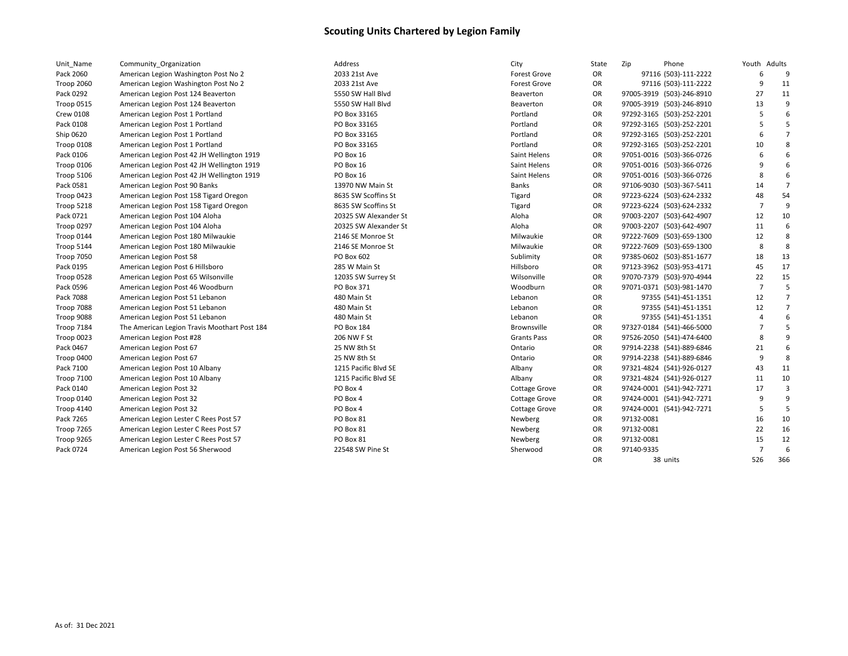| Unit Name         | Community_Organization                       | Address               | City                 | State     | Zip<br>Phone              | Youth Adults   |                |
|-------------------|----------------------------------------------|-----------------------|----------------------|-----------|---------------------------|----------------|----------------|
| Pack 2060         | American Legion Washington Post No 2         | 2033 21st Ave         | <b>Forest Grove</b>  | OR        | 97116 (503)-111-2222      | 6              | 9              |
| Troop 2060        | American Legion Washington Post No 2         | 2033 21st Ave         | <b>Forest Grove</b>  | <b>OR</b> | 97116 (503)-111-2222      | 9              | 11             |
| Pack 0292         | American Legion Post 124 Beaverton           | 5550 SW Hall Blvd     | Beaverton            | <b>OR</b> | 97005-3919 (503)-246-8910 | 27             | 11             |
| Troop 0515        | American Legion Post 124 Beaverton           | 5550 SW Hall Blvd     | Beaverton            | OR        | 97005-3919 (503)-246-8910 | 13             | 9              |
| <b>Crew 0108</b>  | American Legion Post 1 Portland              | PO Box 33165          | Portland             | OR        | 97292-3165 (503)-252-2201 | 5              | 6              |
| Pack 0108         | American Legion Post 1 Portland              | PO Box 33165          | Portland             | OR        | 97292-3165 (503)-252-2201 | 5              |                |
| Ship 0620         | American Legion Post 1 Portland              | PO Box 33165          | Portland             | <b>OR</b> | 97292-3165 (503)-252-2201 | 6              | $\overline{7}$ |
| Troop 0108        | American Legion Post 1 Portland              | PO Box 33165          | Portland             | <b>OR</b> | 97292-3165 (503)-252-2201 | 10             | 8              |
| Pack 0106         | American Legion Post 42 JH Wellington 1919   | PO Box 16             | Saint Helens         | <b>OR</b> | 97051-0016 (503)-366-0726 | 6              | 6              |
| Troop 0106        | American Legion Post 42 JH Wellington 1919   | PO Box 16             | Saint Helens         | OR        | 97051-0016 (503)-366-0726 | 9              | 6              |
| Troop 5106        | American Legion Post 42 JH Wellington 1919   | PO Box 16             | Saint Helens         | OR        | 97051-0016 (503)-366-0726 | 8              | 6              |
| Pack 0581         | American Legion Post 90 Banks                | 13970 NW Main St      | <b>Banks</b>         | OR        | 97106-9030 (503)-367-5411 | 14             | $\overline{7}$ |
| Troop 0423        | American Legion Post 158 Tigard Oregon       | 8635 SW Scoffins St   | Tigard               | OR        | 97223-6224 (503)-624-2332 | 48             | 54             |
| Troop 5218        | American Legion Post 158 Tigard Oregon       | 8635 SW Scoffins St   | Tigard               | OR        | 97223-6224 (503)-624-2332 | $\overline{7}$ | 9              |
| Pack 0721         | American Legion Post 104 Aloha               | 20325 SW Alexander St | Aloha                | <b>OR</b> | 97003-2207 (503)-642-4907 | 12             | 10             |
| Troop 0297        | American Legion Post 104 Aloha               | 20325 SW Alexander St | Aloha                | <b>OR</b> | 97003-2207 (503)-642-4907 | 11             | 6              |
| Troop 0144        | American Legion Post 180 Milwaukie           | 2146 SE Monroe St     | Milwaukie            | OR        | 97222-7609 (503)-659-1300 | 12             | 8              |
| Troop 5144        | American Legion Post 180 Milwaukie           | 2146 SE Monroe St     | Milwaukie            | OR        | 97222-7609 (503)-659-1300 | 8              | 8              |
| Troop 7050        | American Legion Post 58                      | PO Box 602            | Sublimity            | OR        | 97385-0602 (503)-851-1677 | 18             | 13             |
| Pack 0195         | American Legion Post 6 Hillsboro             | 285 W Main St         | Hillsboro            | OR        | 97123-3962 (503)-953-4171 | 45             | 17             |
| Troop 0528        | American Legion Post 65 Wilsonville          | 12035 SW Surrey St    | Wilsonville          | OR        | 97070-7379 (503)-970-4944 | 22             | 15             |
| Pack 0596         | American Legion Post 46 Woodburn             | PO Box 371            | Woodburn             | OR        | 97071-0371 (503)-981-1470 | $\overline{7}$ | 5              |
| Pack 7088         | American Legion Post 51 Lebanon              | 480 Main St           | Lebanon              | OR        | 97355 (541)-451-1351      | 12             | $\overline{7}$ |
| Troop 7088        | American Legion Post 51 Lebanon              | 480 Main St           | Lebanon              | OR        | 97355 (541)-451-1351      | 12             | $\overline{7}$ |
| Troop 9088        | American Legion Post 51 Lebanon              | 480 Main St           | Lebanon              | <b>OR</b> | 97355 (541)-451-1351      | $\overline{4}$ | 6              |
| <b>Troop 7184</b> | The American Legion Travis Moothart Post 184 | PO Box 184            | Brownsville          | <b>OR</b> | 97327-0184 (541)-466-5000 | $\overline{7}$ | 5              |
| Troop 0023        | American Legion Post #28                     | 206 NW F St           | <b>Grants Pass</b>   | <b>OR</b> | 97526-2050 (541)-474-6400 | 8              | 9              |
| Pack 0467         | American Legion Post 67                      | 25 NW 8th St          | Ontario              | OR        | 97914-2238 (541)-889-6846 | 21             | 6              |
| Troop 0400        | American Legion Post 67                      | 25 NW 8th St          | Ontario              | <b>OR</b> | 97914-2238 (541)-889-6846 | 9              | 8              |
| Pack 7100         | American Legion Post 10 Albany               | 1215 Pacific Blvd SE  | Albany               | OR        | 97321-4824 (541)-926-0127 | 43             | 11             |
| <b>Troop 7100</b> | American Legion Post 10 Albany               | 1215 Pacific Blvd SE  | Albany               | OR        | 97321-4824 (541)-926-0127 | 11             | 10             |
| Pack 0140         | American Legion Post 32                      | PO Box 4              | <b>Cottage Grove</b> | OR        | 97424-0001 (541)-942-7271 | 17             | $\overline{3}$ |
| Troop 0140        | American Legion Post 32                      | PO Box 4              | <b>Cottage Grove</b> | OR        | 97424-0001 (541)-942-7271 | 9              | q              |
| Troop 4140        | American Legion Post 32                      | PO Box 4              | Cottage Grove        | <b>OR</b> | 97424-0001 (541)-942-7271 | -5             | .5             |
| Pack 7265         | American Legion Lester C Rees Post 57        | PO Box 81             | Newberg              | OR        | 97132-0081                | 16             | 10             |
| Troop 7265        | American Legion Lester C Rees Post 57        | PO Box 81             | Newberg              | <b>OR</b> | 97132-0081                | 22             | 16             |
| Troop 9265        | American Legion Lester C Rees Post 57        | PO Box 81             | Newberg              | OR        | 97132-0081                | 15             | 12             |
| Pack 0724         | American Legion Post 56 Sherwood             | 22548 SW Pine St      | Sherwood             | <b>OR</b> | 97140-9335                | $\overline{7}$ | 6              |
|                   |                                              |                       |                      | <b>OR</b> | 38 units                  | 526            | 366            |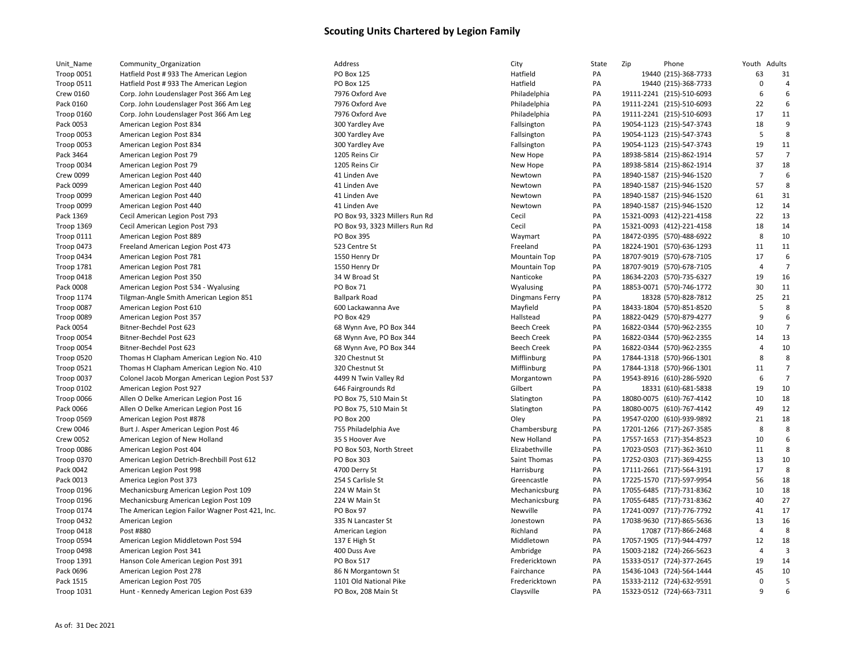| Hatfield Post # 933 The American Legion        |
|------------------------------------------------|
| Hatfield Post # 933 The American Legion        |
| Corp. John Loudenslager Post 366 Am Leg        |
| Corp. John Loudenslager Post 366 Am Leg        |
| Corp. John Loudenslager Post 366 Am Leg        |
| American Legion Post 834                       |
| American Legion Post 834                       |
| American Legion Post 834                       |
| American Legion Post 79                        |
| American Legion Post 79                        |
| American Legion Post 440                       |
| American Legion Post 440                       |
| American Legion Post 440                       |
| American Legion Post 440                       |
| Cecil American Legion Post 793                 |
| Cecil American Legion Post 793                 |
| American Legion Post 889                       |
| Freeland American Legion Post 473              |
| American Legion Post 781                       |
| American Legion Post 781                       |
| American Legion Post 350                       |
| American Legion Post 534 - Wyalusing           |
| Tilgman-Angle Smith American Legion 851        |
| American Legion Post 610                       |
| American Legion Post 357                       |
| Bitner-Bechdel Post 623                        |
| Bitner-Bechdel Post 623                        |
| Bitner-Bechdel Post 623                        |
| Thomas H Clapham American Legion No. 410       |
| Thomas H Clapham American Legion No. 410       |
| Colonel Jacob Morgan American Legion Post 537  |
| American Legion Post 927                       |
| Allen O Delke American Legion Post 16          |
| Allen O Delke American Legion Post 16          |
| American Legion Post #878                      |
| Burt J. Asper American Legion Post 46          |
| American Legion of New Holland                 |
| American Legion Post 404                       |
| American Legion Detrich-Brechbill Post 612     |
| American Legion Post 998                       |
| America Legion Post 373                        |
| Mechanicsburg American Legion Post 109         |
| Mechanicsburg American Legion Post 109         |
| The American Legion Failor Wagner Post 421, In |
| American Legion                                |
| Post #880                                      |
| American Legion Middletown Post 594            |
| American Legion Post 341                       |
| Hanson Cole American Legion Post 391           |
| American Legion Post 278                       |
| American Legion Post 705                       |
| Hunt - Kennedy American Legion Post 639        |
|                                                |

| PO Box 125                                   |
|----------------------------------------------|
| PO Box 125                                   |
| 7976 Oxford Ave                              |
| 7976 Oxford Ave                              |
| 7976 Oxford Ave                              |
| 300 Yardley Ave                              |
| 300 Yardley Ave                              |
| 300 Yardley Ave                              |
| 1205 Reins Cir                               |
| 1205 Reins Cir                               |
|                                              |
| 41 Linden Ave                                |
| 41 Linden Ave                                |
| 41 Linden Ave                                |
| 41 Linden Ave                                |
| PO Box 93, 3323 Millers Run R <mark>d</mark> |
| PO Box 93, 3323 Millers Run Rd               |
| PO Box 395                                   |
| 523 Centre St                                |
| 1550 Henry Dr                                |
| 1550 Henry Dr                                |
| 34 W Broad St                                |
| PO Box 71                                    |
| Ballpark Road                                |
| 500 Lackawanna Ave                           |
| PO Box 429                                   |
| 58 Wynn Ave, PO Box 344                      |
| 58 Wynn Ave, PO Box 344                      |
| 58 Wynn Ave, PO Box 344                      |
| 320 Chestnut St                              |
| 320 Chestnut St                              |
| 4499 N Twin Valley Rd                        |
| 546 Fairgrounds Rd                           |
| PO Box 75, 510 Main St                       |
| PO Box 75, 510 Main St                       |
| PO Box 200                                   |
| 755 Philadelphia Ave                         |
|                                              |
| 35 S Hoover Ave                              |
| PO Box 503, North Street                     |
| PO Box 303                                   |
| 4700 Derry St                                |
| 254 S Carlisle St                            |
| 224 W Main St                                |
| 224 W Main St                                |
| PO Box 97                                    |
| 335 N Lancaster St                           |
| American Legion                              |
| 137 E High St                                |
| 400 Duss Ave                                 |
| PO Box 517                                   |
| <b>86 N Morgantown St</b>                    |
| 1101 Old National Pike                       |
| PO Box, 208 Main St                          |
|                                              |

| Unit_Name         | Community_Organization                           | Address                        | City                  | State | Zip | Phone                     | Youth          | Adults         |
|-------------------|--------------------------------------------------|--------------------------------|-----------------------|-------|-----|---------------------------|----------------|----------------|
| <b>Troop 0051</b> | Hatfield Post # 933 The American Legion          | <b>PO Box 125</b>              | Hatfield              | PA    |     | 19440 (215)-368-7733      | 63             | 31             |
| Troop 0511        | Hatfield Post #933 The American Legion           | <b>PO Box 125</b>              | Hatfield              | PA    |     | 19440 (215)-368-7733      | $\mathbf 0$    |                |
| Crew 0160         | Corp. John Loudenslager Post 366 Am Leg          | 7976 Oxford Ave                | Philadelphia          | PA    |     | 19111-2241 (215)-510-6093 | 6              | 6              |
| Pack 0160         | Corp. John Loudenslager Post 366 Am Leg          | 7976 Oxford Ave                | Philadelphia          | PA    |     | 19111-2241 (215)-510-6093 | 22             | 6              |
| Troop 0160        | Corp. John Loudenslager Post 366 Am Leg          | 7976 Oxford Ave                | Philadelphia          | PA    |     | 19111-2241 (215)-510-6093 | 17             | 11             |
| Pack 0053         | American Legion Post 834                         | 300 Yardley Ave                | Fallsington           | PA    |     | 19054-1123 (215)-547-3743 | 18             | 9              |
| Troop 0053        | American Legion Post 834                         | 300 Yardley Ave                | Fallsington           | PA    |     | 19054-1123 (215)-547-3743 | 5              | 8              |
| Troop 0053        | American Legion Post 834                         | 300 Yardley Ave                | Fallsington           | PA    |     | 19054-1123 (215)-547-3743 | 19             | 11             |
| Pack 3464         | American Legion Post 79                          | 1205 Reins Cir                 | New Hope              | PA    |     | 18938-5814 (215)-862-1914 | 57             | 7              |
| Troop 0034        | American Legion Post 79                          | 1205 Reins Cir                 | New Hope              | PA    |     | 18938-5814 (215)-862-1914 | 37             | 18             |
| Crew 0099         | American Legion Post 440                         | 41 Linden Ave                  | Newtown               | PA    |     | 18940-1587 (215)-946-1520 | $\overline{7}$ | 6              |
| Pack 0099         | American Legion Post 440                         | 41 Linden Ave                  | Newtown               | PA    |     | 18940-1587 (215)-946-1520 | 57             | 8              |
| Troop 0099        | American Legion Post 440                         | 41 Linden Ave                  | Newtown               | PA    |     | 18940-1587 (215)-946-1520 | 61             | 31             |
| Troop 0099        | American Legion Post 440                         | 41 Linden Ave                  | Newtown               | PA    |     | 18940-1587 (215)-946-1520 | 12             | 14             |
| Pack 1369         | Cecil American Legion Post 793                   | PO Box 93, 3323 Millers Run Rd | Cecil                 | PA    |     | 15321-0093 (412)-221-4158 | 22             | 13             |
| Troop 1369        | Cecil American Legion Post 793                   | PO Box 93, 3323 Millers Run Rd | Cecil                 | PA    |     | 15321-0093 (412)-221-4158 | 18             | 14             |
| Troop 0111        | American Legion Post 889                         | PO Box 395                     | Waymart               | PA    |     | 18472-0395 (570)-488-6922 | 8              | 10             |
| Troop 0473        | Freeland American Legion Post 473                | 523 Centre St                  | Freeland              | PA    |     | 18224-1901 (570)-636-1293 | 11             | 11             |
| Troop 0434        | American Legion Post 781                         | 1550 Henry Dr                  | <b>Mountain Top</b>   | PA    |     | 18707-9019 (570)-678-7105 | 17             | 6              |
| Troop 1781        | American Legion Post 781                         | 1550 Henry Dr                  | <b>Mountain Top</b>   | PA    |     | 18707-9019 (570)-678-7105 | 4              | $\overline{7}$ |
| Troop 0418        | American Legion Post 350                         | 34 W Broad St                  | Nanticoke             | PA    |     | 18634-2203 (570)-735-6327 | 19             | 16             |
| Pack 0008         | American Legion Post 534 - Wyalusing             | PO Box 71                      | Wyalusing             | PA    |     | 18853-0071 (570)-746-1772 | 30             | 11             |
| Troop 1174        | Tilgman-Angle Smith American Legion 851          | <b>Ballpark Road</b>           | <b>Dingmans Ferry</b> | PA    |     | 18328 (570)-828-7812      | 25             | 21             |
| Troop 0087        | American Legion Post 610                         | 600 Lackawanna Ave             | Mayfield              | PA    |     | 18433-1804 (570)-851-8520 | 5              | 8              |
| Troop 0089        | American Legion Post 357                         | PO Box 429                     | Hallstead             | PA    |     | 18822-0429 (570)-879-4277 | 9              | 6              |
| Pack 0054         | Bitner-Bechdel Post 623                          | 68 Wynn Ave, PO Box 344        | <b>Beech Creek</b>    | PA    |     | 16822-0344 (570)-962-2355 | 10             | 7              |
| Troop 0054        | Bitner-Bechdel Post 623                          | 68 Wynn Ave, PO Box 344        | <b>Beech Creek</b>    | PA    |     | 16822-0344 (570)-962-2355 | 14             | 13             |
| Troop 0054        | Bitner-Bechdel Post 623                          | 68 Wynn Ave, PO Box 344        | <b>Beech Creek</b>    | PA    |     | 16822-0344 (570)-962-2355 |                | 10             |
| <b>Troop 0520</b> | Thomas H Clapham American Legion No. 410         | 320 Chestnut St                | Mifflinburg           | PA    |     | 17844-1318 (570)-966-1301 | 8              | 8              |
| <b>Troop 0521</b> | Thomas H Clapham American Legion No. 410         | 320 Chestnut St                | Mifflinburg           | PA    |     | 17844-1318 (570)-966-1301 | 11             | 7              |
| Troop 0037        | Colonel Jacob Morgan American Legion Post 537    | 4499 N Twin Valley Rd          | Morgantown            | PA    |     | 19543-8916 (610)-286-5920 | 6              | 7              |
| Troop 0102        | American Legion Post 927                         | 646 Fairgrounds Rd             | Gilbert               | PA    |     | 18331 (610)-681-5838      | 19             | 10             |
| Troop 0066        | Allen O Delke American Legion Post 16            | PO Box 75, 510 Main St         | Slatington            | PA    |     | 18080-0075 (610)-767-4142 | 10             | 18             |
| Pack 0066         | Allen O Delke American Legion Post 16            | PO Box 75, 510 Main St         | Slatington            | PA    |     | 18080-0075 (610)-767-4142 | 49             | 12             |
| Troop 0569        | American Legion Post #878                        | <b>PO Box 200</b>              | Oley                  | PA    |     | 19547-0200 (610)-939-9892 | 21             | 18             |
| <b>Crew 0046</b>  | Burt J. Asper American Legion Post 46            | 755 Philadelphia Ave           | Chambersburg          | PA    |     | 17201-1266 (717)-267-3585 | 8              | 8              |
| Crew 0052         | American Legion of New Holland                   | 35 S Hoover Ave                | New Holland           | PA    |     | 17557-1653 (717)-354-8523 | 10             | 6              |
| Troop 0086        | American Legion Post 404                         | PO Box 503, North Street       | Elizabethville        | PA    |     | 17023-0503 (717)-362-3610 | 11             | 8              |
| Troop 0370        | American Legion Detrich-Brechbill Post 612       | PO Box 303                     | Saint Thomas          | PA    |     | 17252-0303 (717)-369-4255 | 13             | 10             |
| Pack 0042         | American Legion Post 998                         | 4700 Derry St                  | Harrisburg            | PA    |     | 17111-2661 (717)-564-3191 | 17             | 8              |
| Pack 0013         | America Legion Post 373                          | 254 S Carlisle St              | Greencastle           | PA    |     | 17225-1570 (717)-597-9954 | 56             | 18             |
| Troop 0196        | Mechanicsburg American Legion Post 109           | 224 W Main St                  | Mechanicsburg         | PA    |     | 17055-6485 (717)-731-8362 | 10             | 18             |
| <b>Troop 0196</b> | Mechanicsburg American Legion Post 109           | 224 W Main St                  | Mechanicsburg         | PA    |     | 17055-6485 (717)-731-8362 | 40             | 27             |
| <b>Troop 0174</b> | The American Legion Failor Wagner Post 421, Inc. | PO Box 97                      | Newville              | PA    |     | 17241-0097 (717)-776-7792 | 41             | 17             |
| Troop 0432        | American Legion                                  | 335 N Lancaster St             | Jonestown             | PA    |     | 17038-9630 (717)-865-5636 | 13             | 16             |
| Troop 0418        | Post #880                                        | American Legion                | Richland              | PA    |     | 17087 (717)-866-2468      | $\overline{4}$ | 8              |
| Troop 0594        | American Legion Middletown Post 594              | 137 E High St                  | Middletown            | PA    |     | 17057-1905 (717)-944-4797 | 12             | 18             |
| Troop 0498        | American Legion Post 341                         | 400 Duss Ave                   | Ambridge              | PA    |     | 15003-2182 (724)-266-5623 | $\overline{4}$ | 3              |
| Troop 1391        | Hanson Cole American Legion Post 391             | <b>PO Box 517</b>              | Fredericktown         | PA    |     | 15333-0517 (724)-377-2645 | 19             | 14             |
| Pack 0696         | American Legion Post 278                         | 86 N Morgantown St             | Fairchance            | PA    |     | 15436-1043 (724)-564-1444 | 45             | 10             |
| Pack 1515         | American Legion Post 705                         | 1101 Old National Pike         | Fredericktown         | PA    |     | 15333-2112 (724)-632-9591 | $\mathbf 0$    | 5              |
| Troop 1031        | Hunt - Kennedy American Legion Post 639          | PO Box, 208 Main St            | Claysville            | PA    |     | 15323-0512 (724)-663-7311 | q              | 6              |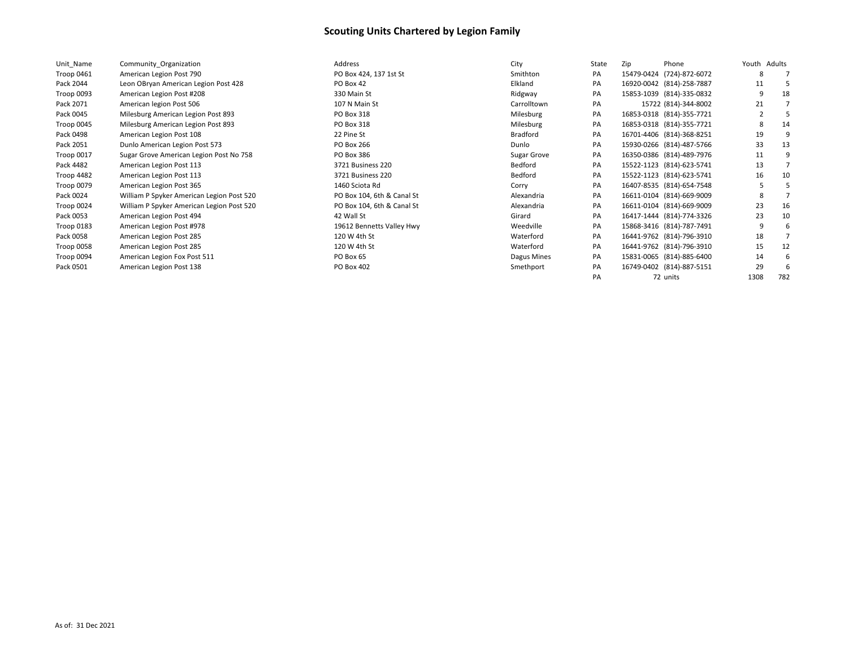| Unit Name  | Community Organization                    | Address                    | City            | State | Zip | Phone                     | Youth Adults |     |
|------------|-------------------------------------------|----------------------------|-----------------|-------|-----|---------------------------|--------------|-----|
| Troop 0461 | American Legion Post 790                  | PO Box 424, 137 1st St     | Smithton        | PA    |     | 15479-0424 (724)-872-6072 | 8            |     |
| Pack 2044  | Leon OBryan American Legion Post 428      | PO Box 42                  | Elkland         | PA    |     | 16920-0042 (814)-258-7887 | 11           |     |
| Troop 0093 | American Legion Post #208                 | 330 Main St                | Ridgway         | PA    |     | 15853-1039 (814)-335-0832 | q            | 18  |
| Pack 2071  | American legion Post 506                  | 107 N Main St              | Carrolltown     | PA    |     | 15722 (814)-344-8002      | 21           |     |
| Pack 0045  | Milesburg American Legion Post 893        | PO Box 318                 | Milesburg       | PA    |     | 16853-0318 (814)-355-7721 |              |     |
| Troop 0045 | Milesburg American Legion Post 893        | PO Box 318                 | Milesburg       | PA    |     | 16853-0318 (814)-355-7721 | 8            | 14  |
| Pack 0498  | American Legion Post 108                  | 22 Pine St                 | <b>Bradford</b> | PA    |     | 16701-4406 (814)-368-8251 | 19           |     |
| Pack 2051  | Dunlo American Legion Post 573            | PO Box 266                 | Dunlo           | PA    |     | 15930-0266 (814)-487-5766 | 33           | 13  |
| Troop 0017 | Sugar Grove American Legion Post No 758   | PO Box 386                 | Sugar Grove     | PA    |     | 16350-0386 (814)-489-7976 | 11           |     |
| Pack 4482  | American Legion Post 113                  | 3721 Business 220          | Bedford         | PA    |     | 15522-1123 (814)-623-5741 | 13           |     |
| Troop 4482 | American Legion Post 113                  | 3721 Business 220          | Bedford         | PA    |     | 15522-1123 (814)-623-5741 | 16           | 10  |
| Troop 0079 | American Legion Post 365                  | 1460 Sciota Rd             | Corry           | PA    |     | 16407-8535 (814)-654-7548 |              |     |
| Pack 0024  | William P Spyker American Legion Post 520 | PO Box 104, 6th & Canal St | Alexandria      | PA    |     | 16611-0104 (814)-669-9009 | 8            |     |
| Troop 0024 | William P Spyker American Legion Post 520 | PO Box 104, 6th & Canal St | Alexandria      | PA    |     | 16611-0104 (814)-669-9009 | 23           | 16  |
| Pack 0053  | American Legion Post 494                  | 42 Wall St                 | Girard          | PA    |     | 16417-1444 (814)-774-3326 | 23           | 10  |
| Troop 0183 | American Legion Post #978                 | 19612 Bennetts Valley Hwy  | Weedville       | PA    |     | 15868-3416 (814)-787-7491 | q            |     |
| Pack 0058  | American Legion Post 285                  | 120 W 4th St               | Waterford       | PA    |     | 16441-9762 (814)-796-3910 | 18           |     |
| Troop 0058 | American Legion Post 285                  | 120 W 4th St               | Waterford       | PA    |     | 16441-9762 (814)-796-3910 | 15           | 12  |
| Troop 0094 | American Legion Fox Post 511              | PO Box 65                  | Dagus Mines     | PA    |     | 15831-0065 (814)-885-6400 | 14           |     |
| Pack 0501  | American Legion Post 138                  | PO Box 402                 | Smethport       | PA    |     | 16749-0402 (814)-887-5151 | 29           |     |
|            |                                           |                            |                 | PA    |     | 72 units                  | 1308         | 782 |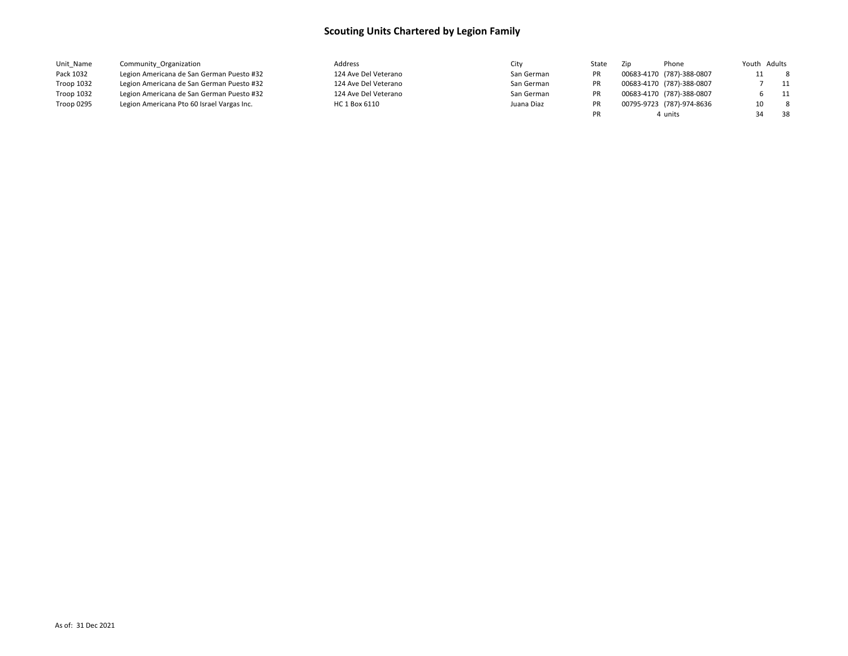| Unit Name  | Community Organization                     | Address              | City       | State | Zip | Phone                     | Youth Adults |     |
|------------|--------------------------------------------|----------------------|------------|-------|-----|---------------------------|--------------|-----|
| Pack 1032  | Legion Americana de San German Puesto #32  | 124 Ave Del Veterano | San German |       |     | 00683-4170 (787)-388-0807 | 11           | - 8 |
| Troop 1032 | Legion Americana de San German Puesto #32  | 124 Ave Del Veterano | San German |       |     | 00683-4170 (787)-388-0807 |              | 11  |
| Troop 1032 | Legion Americana de San German Puesto #32  | 124 Ave Del Veterano | San German |       |     | 00683-4170 (787)-388-0807 |              | 11  |
| Troop 0295 | Legion Americana Pto 60 Israel Vargas Inc. | HC 1 Box 6110        | Juana Diaz |       |     | 00795-9723 (787)-974-8636 | 10           | - 8 |
|            |                                            |                      |            |       |     | 4 units                   |              | 38  |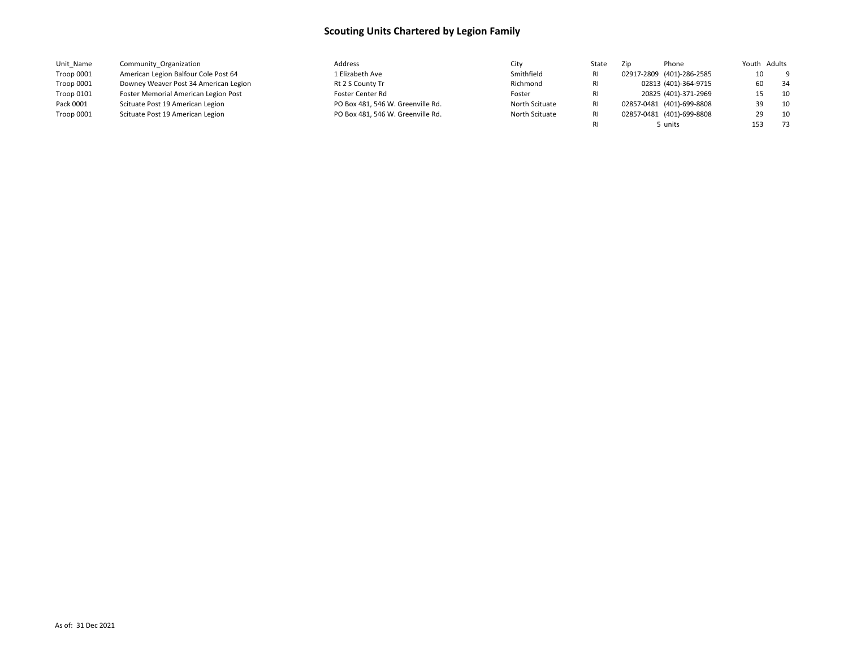| Unit Name  | Community Organization                | Address                           | City           | State | Zip | Phone                     | Youth Adults |      |
|------------|---------------------------------------|-----------------------------------|----------------|-------|-----|---------------------------|--------------|------|
| Troop 0001 | American Legion Balfour Cole Post 64  | L Elizabeth Ave                   | Smithfield     |       |     | 02917-2809 (401)-286-2585 | 10           | - 9  |
| Troop 0001 | Downey Weaver Post 34 American Legion | Rt 2 S County Tr                  | Richmond       |       |     | 02813 (401)-364-9715      | 60           | 34   |
| Troop 0101 | Foster Memorial American Legion Post  | Foster Center Rd                  | Foster         |       |     | 20825 (401)-371-2969      | 15           | 10   |
| Pack 0001  | Scituate Post 19 American Legion      | PO Box 481, 546 W. Greenville Rd. | North Scituate |       |     | 02857-0481 (401)-699-8808 | ٦a           | 10   |
| Troop 0001 | Scituate Post 19 American Legion      | PO Box 481, 546 W. Greenville Rd. | North Scituate |       |     | 02857-0481 (401)-699-8808 |              | 10   |
|            |                                       |                                   |                |       |     | i units                   | 153          | - 73 |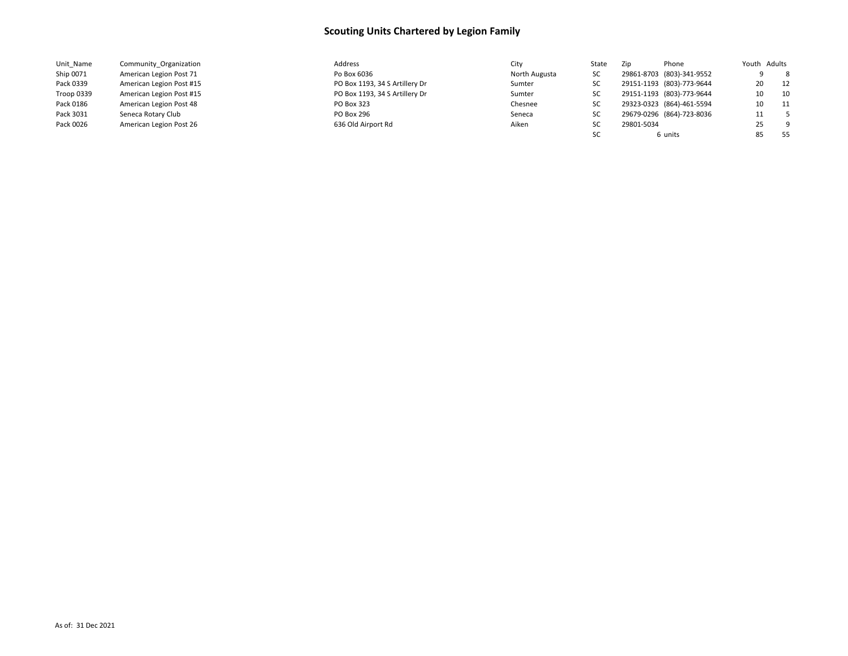| Unit Name  | Community Organization   | Address                        | City          | State | Zip        | Phone                     |    | Youth Adults |
|------------|--------------------------|--------------------------------|---------------|-------|------------|---------------------------|----|--------------|
| Ship 0071  | American Legion Post 71  | Po Box 6036                    | North Augusta | SC    |            | 29861-8703 (803)-341-9552 |    | 8            |
| Pack 0339  | American Legion Post #15 | PO Box 1193, 34 S Artillery Dr | Sumter        | sc    |            | 29151-1193 (803)-773-9644 | 20 | 12           |
| Troop 0339 | American Legion Post #15 | PO Box 1193, 34 S Artillery Dr | Sumter        | sc    |            | 29151-1193 (803)-773-9644 | 10 | 10           |
| Pack 0186  | American Legion Post 48  | PO Box 323                     | Chesnee       | SC    |            | 29323-0323 (864)-461-5594 | 10 | 11           |
| Pack 3031  | Seneca Rotary Club       | <b>PO Box 296</b>              | Seneca        | sc    |            | 29679-0296 (864)-723-8036 | 11 | $-5$         |
| Pack 0026  | American Legion Post 26  | 636 Old Airport Rd             | Aiken         | SC    | 29801-5034 |                           | 25 | - 9          |
|            |                          |                                |               |       |            | 6 units                   | 85 | - 55         |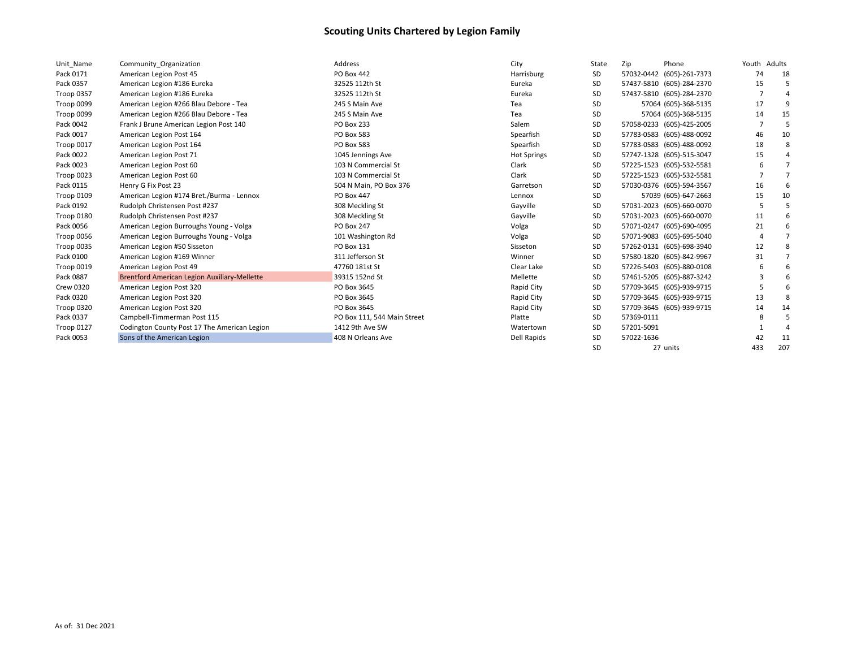| Unit Name        | Community Organization                              | Address                     | City               | State     | Zip                       | Phone                     | Youth Adults |     |
|------------------|-----------------------------------------------------|-----------------------------|--------------------|-----------|---------------------------|---------------------------|--------------|-----|
| Pack 0171        | American Legion Post 45                             | PO Box 442                  | Harrisburg         | SD        |                           | 57032-0442 (605)-261-7373 | 74           | 18  |
| Pack 0357        | American Legion #186 Eureka                         | 32525 112th St              | Eureka             | SD        |                           | 57437-5810 (605)-284-2370 | 15           |     |
| Troop 0357       | American Legion #186 Eureka                         | 32525 112th St              | Eureka             | SD        |                           | 57437-5810 (605)-284-2370 |              |     |
| Troop 0099       | American Legion #266 Blau Debore - Tea              | 245 S Main Ave              | Tea                | SD        |                           | 57064 (605)-368-5135      | 17           | q   |
| Troop 0099       | American Legion #266 Blau Debore - Tea              | 245 S Main Ave              | Tea                | SD        |                           | 57064 (605)-368-5135      | 14           | 15  |
| Pack 0042        | Frank J Brune American Legion Post 140              | <b>PO Box 233</b>           | Salem              | SD        |                           | 57058-0233 (605)-425-2005 |              |     |
| Pack 0017        | American Legion Post 164                            | PO Box 583                  | Spearfish          | SD        |                           | 57783-0583 (605)-488-0092 | 46           | 10  |
| Troop 0017       | American Legion Post 164                            | PO Box 583                  | Spearfish          | SD        |                           | 57783-0583 (605)-488-0092 | 18           | 8   |
| Pack 0022        | American Legion Post 71                             | 1045 Jennings Ave           | <b>Hot Springs</b> | SD        |                           | 57747-1328 (605)-515-3047 | 15           |     |
| Pack 0023        | American Legion Post 60                             | 103 N Commercial St         | Clark              | SD        |                           | 57225-1523 (605)-532-5581 |              |     |
| Troop 0023       | American Legion Post 60                             | 103 N Commercial St         | Clark              | SD        |                           | 57225-1523 (605)-532-5581 |              | 7   |
| Pack 0115        | Henry G Fix Post 23                                 | 504 N Main, PO Box 376      | Garretson          | SD        |                           | 57030-0376 (605)-594-3567 | 16           |     |
| Troop 0109       | American Legion #174 Bret./Burma - Lennox           | PO Box 447                  | Lennox             | SD        |                           | 57039 (605)-647-2663      | 15           | 10  |
| Pack 0192        | Rudolph Christensen Post #237                       | 308 Meckling St             | Gayville           | SD        |                           | 57031-2023 (605)-660-0070 |              |     |
| Troop 0180       | Rudolph Christensen Post #237                       | 308 Meckling St             | Gayville           | SD        |                           | 57031-2023 (605)-660-0070 | 11           |     |
| Pack 0056        | American Legion Burroughs Young - Volga             | PO Box 247                  | Volga              | <b>SD</b> |                           | 57071-0247 (605)-690-4095 | 21           |     |
| Troop 0056       | American Legion Burroughs Young - Volga             | 101 Washington Rd           | Volga              | SD        |                           | 57071-9083 (605)-695-5040 |              |     |
| Troop 0035       | American Legion #50 Sisseton                        | PO Box 131                  | Sisseton           | SD        |                           | 57262-0131 (605)-698-3940 | 12           |     |
| Pack 0100        | American Legion #169 Winner                         | 311 Jefferson St            | Winner             | SD        | 57580-1820 (605)-842-9967 |                           | 31           |     |
| Troop 0019       | American Legion Post 49                             | 47760 181st St              | Clear Lake         | SD        |                           | 57226-5403 (605)-880-0108 |              |     |
| Pack 0887        | <b>Brentford American Legion Auxiliary-Mellette</b> | 39315 152nd St              | Mellette           | SD        |                           | 57461-5205 (605)-887-3242 |              |     |
| <b>Crew 0320</b> | American Legion Post 320                            | PO Box 3645                 | Rapid City         | SD        |                           | 57709-3645 (605)-939-9715 |              |     |
| Pack 0320        | American Legion Post 320                            | PO Box 3645                 | Rapid City         | SD        |                           | 57709-3645 (605)-939-9715 | 13           |     |
| Troop 0320       | American Legion Post 320                            | PO Box 3645                 | Rapid City         | SD        |                           | 57709-3645 (605)-939-9715 | 14           | 14  |
| Pack 0337        | Campbell-Timmerman Post 115                         | PO Box 111, 544 Main Street | Platte             | <b>SD</b> | 57369-0111                |                           | 8            | 5   |
| Troop 0127       | Codington County Post 17 The American Legion        | 1412 9th Ave SW             | Watertown          | SD        | 57201-5091                |                           |              |     |
| Pack 0053        | Sons of the American Legion                         | 408 N Orleans Ave           | <b>Dell Rapids</b> | SD        | 57022-1636                |                           | 42           | 11  |
|                  |                                                     |                             |                    | SD        | 27 units                  |                           | 433          | 207 |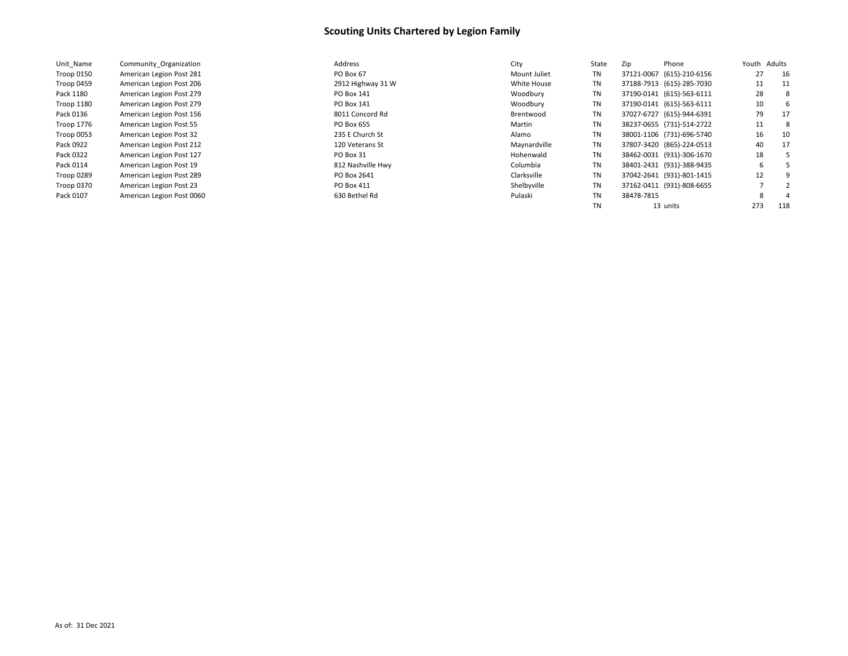| Unit Name  | Community Organization    | Address           | City         | State     | Zip                       | Phone | Youth | Adults |
|------------|---------------------------|-------------------|--------------|-----------|---------------------------|-------|-------|--------|
| Troop 0150 | American Legion Post 281  | PO Box 67         | Mount Juliet | TN        | 37121-0067 (615)-210-6156 |       | 27    | 16     |
| Troop 0459 | American Legion Post 206  | 2912 Highway 31 W | White House  | <b>TN</b> | 37188-7913 (615)-285-7030 |       | 11    | 11     |
| Pack 1180  | American Legion Post 279  | PO Box 141        | Woodbury     | TN        | 37190-0141 (615)-563-6111 |       | 28    | -8     |
| Troop 1180 | American Legion Post 279  | PO Box 141        | Woodbury     | <b>TN</b> | 37190-0141 (615)-563-6111 |       | 10    | 6      |
| Pack 0136  | American Legion Post 156  | 8011 Concord Rd   | Brentwood    | TN        | 37027-6727 (615)-944-6391 |       | 79    | 17     |
| Troop 1776 | American Legion Post 55   | PO Box 655        | Martin       | TN        | 38237-0655 (731)-514-2722 |       | 11    | -8     |
| Troop 0053 | American Legion Post 32   | 235 E Church St   | Alamo        | TN        | 38001-1106 (731)-696-5740 |       | 16    | 10     |
| Pack 0922  | American Legion Post 212  | 120 Veterans St   | Maynardville | TN        | 37807-3420 (865)-224-0513 |       | 40    | 17     |
| Pack 0322  | American Legion Post 127  | PO Box 31         | Hohenwald    | TN        | 38462-0031 (931)-306-1670 |       | 18    |        |
| Pack 0114  | American Legion Post 19   | 812 Nashville Hwy | Columbia     | TN        | 38401-2431 (931)-388-9435 |       | 6     |        |
| Troop 0289 | American Legion Post 289  | PO Box 2641       | Clarksville  | TN        | 37042-2641 (931)-801-1415 |       | 12    |        |
| Troop 0370 | American Legion Post 23   | PO Box 411        | Shelbyville  | TN        | 37162-0411 (931)-808-6655 |       |       |        |
| Pack 0107  | American Legion Post 0060 | 630 Bethel Rd     | Pulaski      | TN        | 38478-7815                |       | 8     | 4      |
|            |                           |                   |              | TN        | 13 units                  |       | 273   | 118    |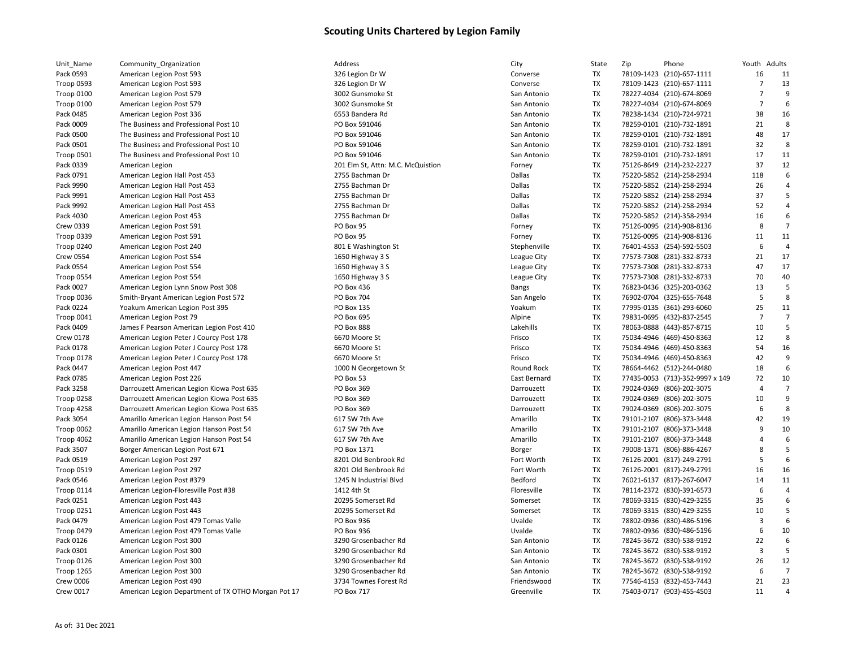| Unit Name         | Community_Organization                       |
|-------------------|----------------------------------------------|
| Pack 0593         | American Legion Post 593                     |
| Troop 0593        | American Legion Post 593                     |
| Troop 0100        | American Legion Post 579                     |
| <b>Troop 0100</b> | American Legion Post 579                     |
| Pack 0485         | American Legion Post 336                     |
| Pack 0009         | The Business and Professional Post 10        |
| Pack 0500         | The Business and Professional Post 10        |
| Pack 0501         | The Business and Professional Post 10        |
| <b>Troop 0501</b> | The Business and Professional Post 10        |
| Pack 0339         | American Legion                              |
| Pack 0791         | American Legion Hall Post 453                |
| Pack 9990         | American Legion Hall Post 453                |
| Pack 9991         | American Legion Hall Post 453                |
| Pack 9992         | American Legion Hall Post 453                |
| Pack 4030         | American Legion Post 453                     |
| <b>Crew 0339</b>  | American Legion Post 591                     |
| Troop 0339        | American Legion Post 591                     |
| <b>Troop 0240</b> | American Legion Post 240                     |
| <b>Crew 0554</b>  | American Legion Post 554                     |
| Pack 0554         | American Legion Post 554                     |
| Troop 0554        | American Legion Post 554                     |
| Pack 0027         | American Legion Lynn Snow Post 308           |
| Troop 0036        | Smith-Bryant American Legion Post 572        |
| Pack 0224         | Yoakum American Legion Post 395              |
| Troop 0041        | American Legion Post 79                      |
| Pack 0409         | James F Pearson American Legion Post 410     |
| <b>Crew 0178</b>  | American Legion Peter J Courcy Post 178      |
| Pack 0178         | American Legion Peter J Courcy Post 178      |
| Troop 0178        | American Legion Peter J Courcy Post 178      |
| Pack 0447         | American Legion Post 447                     |
| Pack 0785         | American Legion Post 226                     |
| Pack 3258         | Darrouzett American Legion Kiowa Post 635    |
| <b>Troop 0258</b> | Darrouzett American Legion Kiowa Post 635    |
| Troop 4258        | Darrouzett American Legion Kiowa Post 635    |
| Pack 3054         | Amarillo American Legion Hanson Post 54      |
| Troop 0062        | Amarillo American Legion Hanson Post 54      |
| Troop 4062        | Amarillo American Legion Hanson Post 54      |
| Pack 3507         | Borger American Legion Post 671              |
| Pack 0519         | American Legion Post 297                     |
| <b>Troop 0519</b> | American Legion Post 297                     |
| Pack 0546         | American Legion Post #379                    |
| Troop 0114        | American Legion-Floresville Post #38         |
| Pack 0251         | American Legion Post 443                     |
| <b>Troop 0251</b> | American Legion Post 443                     |
| Pack 0479         | American Legion Post 479 Tomas Valle         |
| Troop 0479        | American Legion Post 479 Tomas Valle         |
| Pack 0126         | American Legion Post 300                     |
| Pack 0301         | American Legion Post 300                     |
| Troop 0126        | American Legion Post 300                     |
| <b>Troop 1265</b> | American Legion Post 300                     |
| <b>Crew 0006</b>  | American Legion Post 490                     |
| Crew 0017         | American Legion Department of TX OTHO Morgan |

| 26 Legion Dr W                 |
|--------------------------------|
| 26 Legion Dr W                 |
| 002 Gunsmoke St                |
| 002 Gunsmoke St                |
| 553 Bandera Rd                 |
| D Box 591046                   |
| D Box 591046                   |
| D Box 591046                   |
| D Box 591046                   |
| 01 Elm St, Attn: M.C. McQuisti |
| 755 Bachman Dr                 |
| 755 Bachman Dr                 |
| 755 Bachman Dr                 |
| 755 Bachman Dr                 |
| 755 Bachman Dr                 |
| 3 Box 95                       |
| 3 Box 95                       |
| 01 E Washington St             |
| 550 Highway 3 S                |
|                                |
| 550 Highway 3 S                |
| 550 Highway 3 S                |
| D Box 436                      |
| O Box 704                      |
| D Box 135                      |
| D Box 695                      |
| O Box 888                      |
| 570 Moore St                   |
| 570 Moore St                   |
| 570 Moore St                   |
| 000 N Georgetown St            |
| 3 Box 53                       |
| D Box 369                      |
| D Box 369                      |
| D Box 369                      |
| L7 SW 7th Ave                  |
| 17 SW 7th Ave                  |
| 17 SW 7th Ave                  |
| O Box 1371                     |
| 201 Old Benbrook Rd            |
| 201 Old Benbrook Rd            |
| 245 N Industrial Blvd          |
| 112 4th St                     |
| 0295 Somerset Rd               |
| 0295 Somerset Rd               |
| O Box 936                      |
| D Box 936                      |
| 290 Grosenbacher Rd            |
| 290 Grosenbacher Rd            |
| 290 Grosenbacher Rd            |
| 290 Grosenbacher Rd            |
| 734 Townes Forest Rd           |
| D Box 717                      |
|                                |

| Unit_Name         | Community_Organization                              | Address                           | City                | State     | Zip | Phone                           | Youth Adults   |                |
|-------------------|-----------------------------------------------------|-----------------------------------|---------------------|-----------|-----|---------------------------------|----------------|----------------|
| Pack 0593         | American Legion Post 593                            | 326 Legion Dr W                   | Converse            | TX        |     | 78109-1423 (210)-657-1111       | 16             | 11             |
| Troop 0593        | American Legion Post 593                            | 326 Legion Dr W                   | Converse            | TX        |     | 78109-1423 (210)-657-1111       | $\overline{7}$ | 13             |
| Troop 0100        | American Legion Post 579                            | 3002 Gunsmoke St                  | San Antonio         | TX        |     | 78227-4034 (210)-674-8069       | 7              |                |
| Troop 0100        | American Legion Post 579                            | 3002 Gunsmoke St                  | San Antonio         | TX        |     | 78227-4034 (210)-674-8069       | $\overline{7}$ | 6              |
| Pack 0485         | American Legion Post 336                            | 6553 Bandera Rd                   | San Antonio         | TX        |     | 78238-1434 (210)-724-9721       | 38             | 16             |
| Pack 0009         | The Business and Professional Post 10               | PO Box 591046                     | San Antonio         | TX        |     | 78259-0101 (210)-732-1891       | 21             | 8              |
| Pack 0500         | The Business and Professional Post 10               | PO Box 591046                     | San Antonio         | TX        |     | 78259-0101 (210)-732-1891       | 48             | 17             |
| Pack 0501         | The Business and Professional Post 10               | PO Box 591046                     | San Antonio         | TX        |     | 78259-0101 (210)-732-1891       | 32             | 8              |
| Troop 0501        | The Business and Professional Post 10               | PO Box 591046                     | San Antonio         | TX        |     | 78259-0101 (210)-732-1891       | 17             | 11             |
| Pack 0339         | American Legion                                     | 201 Elm St, Attn: M.C. McQuistion | Forney              | TX        |     | 75126-8649 (214)-232-2227       | 37             | 12             |
| Pack 0791         | American Legion Hall Post 453                       | 2755 Bachman Dr                   | Dallas              | TX        |     | 75220-5852 (214)-258-2934       | 118            | 6              |
| Pack 9990         | American Legion Hall Post 453                       | 2755 Bachman Dr                   | Dallas              | TX        |     | 75220-5852 (214)-258-2934       | 26             |                |
| Pack 9991         | American Legion Hall Post 453                       | 2755 Bachman Dr                   | Dallas              | TX        |     | 75220-5852 (214)-258-2934       | 37             | 5              |
| Pack 9992         | American Legion Hall Post 453                       | 2755 Bachman Dr                   | Dallas              | TX        |     | 75220-5852 (214)-258-2934       | 52             |                |
| Pack 4030         | American Legion Post 453                            | 2755 Bachman Dr                   | Dallas              | TX        |     | 75220-5852 (214)-358-2934       | 16             | 6              |
| <b>Crew 0339</b>  | American Legion Post 591                            | PO Box 95                         | Forney              | TX        |     | 75126-0095 (214)-908-8136       | 8              | $\overline{7}$ |
| Troop 0339        | American Legion Post 591                            | PO Box 95                         | Forney              | TX        |     | 75126-0095 (214)-908-8136       | 11             | 11             |
| Troop 0240        | American Legion Post 240                            | 801 E Washington St               | Stephenville        | TX        |     | 76401-4553 (254)-592-5503       | 6              | $\Delta$       |
| Crew 0554         | American Legion Post 554                            | 1650 Highway 3 S                  | League City         | TX        |     | 77573-7308 (281)-332-8733       | 21             | 17             |
| Pack 0554         | American Legion Post 554                            | 1650 Highway 3 S                  | League City         | TX        |     | 77573-7308 (281)-332-8733       | 47             | 17             |
| Troop 0554        | American Legion Post 554                            | 1650 Highway 3 S                  | League City         | TX        |     | 77573-7308 (281)-332-8733       | 70             | 40             |
| Pack 0027         | American Legion Lynn Snow Post 308                  | PO Box 436                        | <b>Bangs</b>        | TX        |     | 76823-0436 (325)-203-0362       | 13             | 5              |
| Troop 0036        | Smith-Bryant American Legion Post 572               | PO Box 704                        | San Angelo          | TX        |     | 76902-0704 (325)-655-7648       | 5              | 8              |
| Pack 0224         | Yoakum American Legion Post 395                     | <b>PO Box 135</b>                 | Yoakum              | TX        |     | 77995-0135 (361)-293-6060       | 25             | 11             |
| Troop 0041        | American Legion Post 79                             | PO Box 695                        | Alpine              | TX        |     | 79831-0695 (432)-837-2545       | $\overline{7}$ |                |
| Pack 0409         | James F Pearson American Legion Post 410            | PO Box 888                        | Lakehills           | TX        |     | 78063-0888 (443)-857-8715       | 10             | 5              |
| <b>Crew 0178</b>  | American Legion Peter J Courcy Post 178             | 6670 Moore St                     | Frisco              | TX        |     | 75034-4946 (469)-450-8363       | 12             | 8              |
| Pack 0178         | American Legion Peter J Courcy Post 178             | 6670 Moore St                     | Frisco              | TX        |     | 75034-4946 (469)-450-8363       | 54             | 16             |
| Troop 0178        | American Legion Peter J Courcy Post 178             | 6670 Moore St                     | Frisco              | TX        |     | 75034-4946 (469)-450-8363       | 42             | q              |
| Pack 0447         | American Legion Post 447                            | 1000 N Georgetown St              | Round Rock          | TX        |     | 78664-4462 (512)-244-0480       | 18             |                |
| Pack 0785         | American Legion Post 226                            | PO Box 53                         | <b>East Bernard</b> | <b>TX</b> |     | 77435-0053 (713)-352-9997 x 149 | 72             | 10             |
| Pack 3258         | Darrouzett American Legion Kiowa Post 635           | PO Box 369                        | Darrouzett          | TX        |     | 79024-0369 (806)-202-3075       | 4              | $\overline{7}$ |
| <b>Troop 0258</b> | Darrouzett American Legion Kiowa Post 635           | PO Box 369                        | Darrouzett          | TX        |     | 79024-0369 (806)-202-3075       | 10             | 9              |
| Troop 4258        | Darrouzett American Legion Kiowa Post 635           | PO Box 369                        | Darrouzett          | TX        |     | 79024-0369 (806)-202-3075       | 6              | 8              |
| Pack 3054         | Amarillo American Legion Hanson Post 54             | 617 SW 7th Ave                    | Amarillo            | TX        |     | 79101-2107 (806)-373-3448       | 42             | 19             |
| Troop 0062        | Amarillo American Legion Hanson Post 54             | 617 SW 7th Ave                    | Amarillo            | TX        |     | 79101-2107 (806)-373-3448       | 9              | 10             |
| Troop 4062        | Amarillo American Legion Hanson Post 54             | 617 SW 7th Ave                    | Amarillo            | TX        |     | 79101-2107 (806)-373-3448       | 4              | 6              |
| Pack 3507         | Borger American Legion Post 671                     | PO Box 1371                       | Borger              | TX        |     | 79008-1371 (806)-886-4267       | 8              | 5              |
| Pack 0519         | American Legion Post 297                            | 8201 Old Benbrook Rd              | Fort Worth          | TX        |     | 76126-2001 (817)-249-2791       | 5              | 6              |
| Troop 0519        | American Legion Post 297                            | 8201 Old Benbrook Rd              | Fort Worth          | TX        |     | 76126-2001 (817)-249-2791       | 16             | 16             |
| Pack 0546         | American Legion Post #379                           | 1245 N Industrial Blvd            | Bedford             | TX        |     | 76021-6137 (817)-267-6047       | 14             | 11             |
| Troop 0114        | American Legion-Floresville Post #38                | 1412 4th St                       | Floresville         | TX        |     | 78114-2372 (830)-391-6573       | 6              |                |
| Pack 0251         | American Legion Post 443                            | 20295 Somerset Rd                 | Somerset            | TX        |     | 78069-3315 (830)-429-3255       | 35             | 6              |
| <b>Troop 0251</b> | American Legion Post 443                            | 20295 Somerset Rd                 | Somerset            | TX        |     | 78069-3315 (830)-429-3255       | 10             |                |
| Pack 0479         | American Legion Post 479 Tomas Valle                | PO Box 936                        | Uvalde              | TX        |     | 78802-0936 (830)-486-5196       | 3              | 6              |
| Troop 0479        | American Legion Post 479 Tomas Valle                | PO Box 936                        | Uvalde              | TX        |     | 78802-0936 (830)-486-5196       | 6              | 10             |
| Pack 0126         | American Legion Post 300                            | 3290 Grosenbacher Rd              | San Antonio         | TX        |     | 78245-3672 (830)-538-9192       | 22             | 6              |
| Pack 0301         | American Legion Post 300                            | 3290 Grosenbacher Rd              | San Antonio         | TX        |     | 78245-3672 (830)-538-9192       | $\overline{3}$ | 5              |
| Troop 0126        | American Legion Post 300                            | 3290 Grosenbacher Rd              | San Antonio         | TX        |     | 78245-3672 (830)-538-9192       | 26             | 12             |
| Troop 1265        | American Legion Post 300                            | 3290 Grosenbacher Rd              | San Antonio         | TX        |     | 78245-3672 (830)-538-9192       | 6              | 7              |
| <b>Crew 0006</b>  | American Legion Post 490                            | 3734 Townes Forest Rd             | Friendswood         | <b>TX</b> |     | 77546-4153 (832)-453-7443       | 21             | 23             |
| Crew 0017         | American Legion Department of TX OTHO Morgan Pot 17 | PO Box 717                        | Greenville          | <b>TX</b> |     | 75403-0717 (903)-455-4503       | 11             |                |
|                   |                                                     |                                   |                     |           |     |                                 |                |                |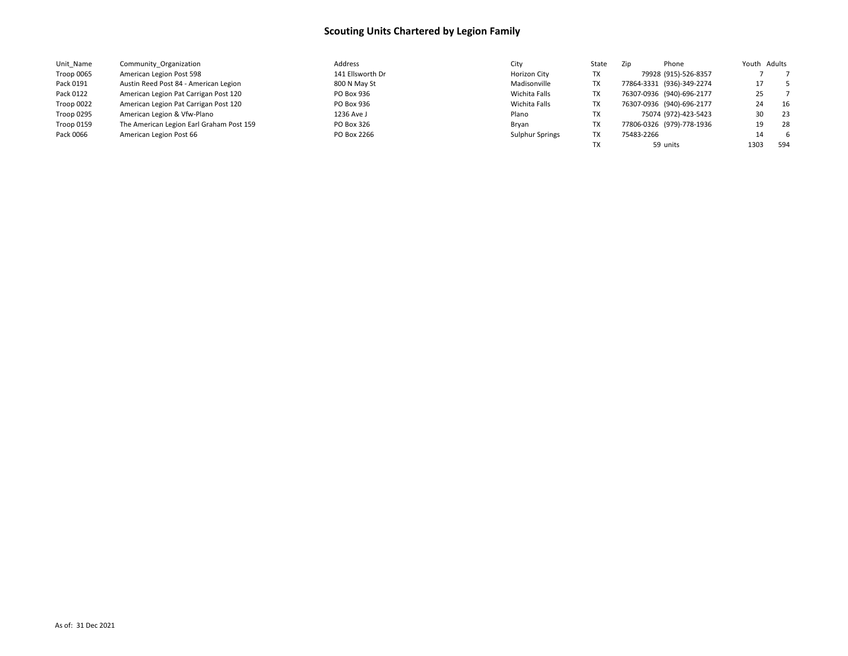| Unit Name  | Community Organization                   | Address          | City            | State | Phone<br>Zip              | Youth Adults |
|------------|------------------------------------------|------------------|-----------------|-------|---------------------------|--------------|
| Troop 0065 | American Legion Post 598                 | 141 Ellsworth Dr | Horizon City    | ТX    | 79928 (915)-526-8357      |              |
| Pack 0191  | Austin Reed Post 84 - American Legion    | 800 N May St     | Madisonville    | ТX    | 77864-3331 (936)-349-2274 | 17           |
| Pack 0122  | American Legion Pat Carrigan Post 120    | PO Box 936       | Wichita Falls   | ТX    | 76307-0936 (940)-696-2177 | 25           |
| Troop 0022 | American Legion Pat Carrigan Post 120    | PO Box 936       | Wichita Falls   | ТX    | 76307-0936 (940)-696-2177 | - 16<br>24   |
| Troop 0295 | American Legion & Vfw-Plano              | 1236 Ave J       | Plano           | ТX    | 75074 (972)-423-5423      | 23<br>30     |
| Troop 0159 | The American Legion Earl Graham Post 159 | PO Box 326       | Brvan           | TX    | 77806-0326 (979)-778-1936 | 28<br>19     |
| Pack 0066  | American Legion Post 66                  | PO Box 2266      | Sulphur Springs | ТX    | 75483-2266                | - 6<br>14    |
|            |                                          |                  |                 |       | 59 units                  | 594<br>1303  |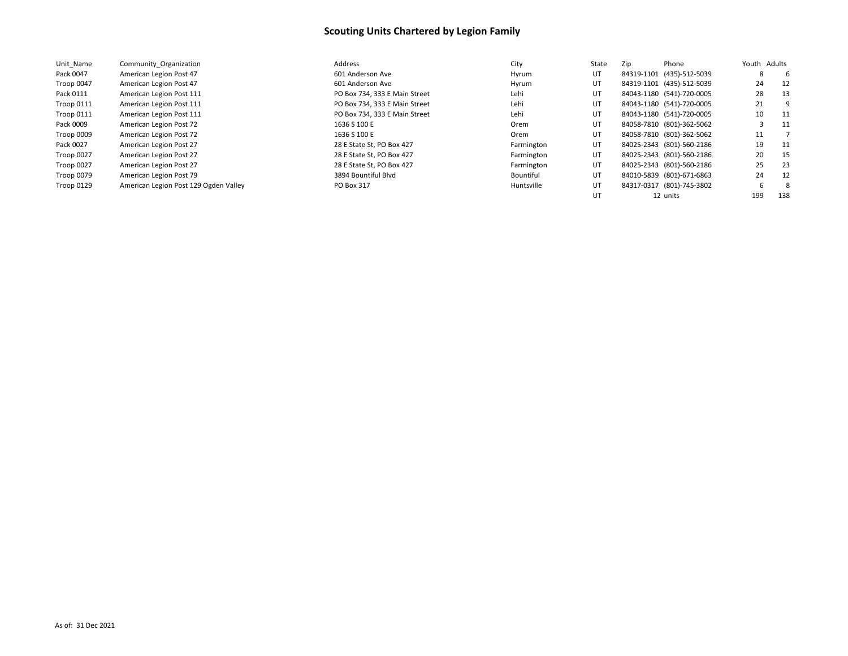| Unit Name  | Community Organization                | Address                       | City       | State | Zip | Phone                     |     | Youth Adults |
|------------|---------------------------------------|-------------------------------|------------|-------|-----|---------------------------|-----|--------------|
| Pack 0047  | American Legion Post 47               | 601 Anderson Ave              | Hyrum      | UT    |     | 84319-1101 (435)-512-5039 | 8   | -6           |
| Troop 0047 | American Legion Post 47               | 601 Anderson Ave              | Hyrum      | UT    |     | 84319-1101 (435)-512-5039 | 24  | 12           |
| Pack 0111  | American Legion Post 111              | PO Box 734, 333 E Main Street | Lehi       | UT    |     | 84043-1180 (541)-720-0005 | 28  | 13           |
| Troop 0111 | American Legion Post 111              | PO Box 734, 333 E Main Street | Lehi       | UT    |     | 84043-1180 (541)-720-0005 | 21  |              |
| Troop 0111 | American Legion Post 111              | PO Box 734, 333 E Main Street | Lehi       | UT    |     | 84043-1180 (541)-720-0005 | 10  | 11           |
| Pack 0009  | American Legion Post 72               | 1636 S 100 E                  | Orem       | UT    |     | 84058-7810 (801)-362-5062 |     | 11           |
| Troop 0009 | American Legion Post 72               | 1636 S 100 E                  | Orem       | UT    |     | 84058-7810 (801)-362-5062 | 11  |              |
| Pack 0027  | American Legion Post 27               | 28 E State St, PO Box 427     | Farmington | UT    |     | 84025-2343 (801)-560-2186 | 19  | -11          |
| Troop 0027 | American Legion Post 27               | 28 E State St, PO Box 427     | Farmington | UT    |     | 84025-2343 (801)-560-2186 | 20  | -15          |
| Troop 0027 | American Legion Post 27               | 28 E State St, PO Box 427     | Farmington | UT    |     | 84025-2343 (801)-560-2186 | 25  | 23           |
| Troop 0079 | American Legion Post 79               | 3894 Bountiful Blvd           | Bountiful  | UT    |     | 84010-5839 (801)-671-6863 | 24  | 12           |
| Troop 0129 | American Legion Post 129 Ogden Valley | PO Box 317                    | Huntsville | UT    |     | 84317-0317 (801)-745-3802 | 6   | -8           |
|            |                                       |                               |            | UT    |     | 12 units                  | 199 | 138          |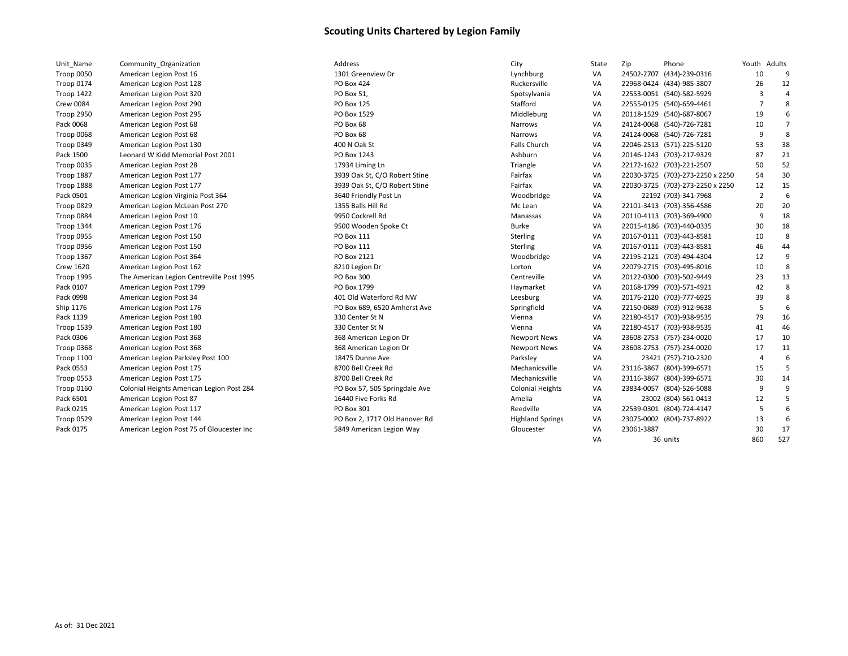| Unit Name         | Community Organization                    |
|-------------------|-------------------------------------------|
| Troop 0050        | American Legion Post 16                   |
| <b>Troop 0174</b> | American Legion Post 128                  |
| Troop 1422        | American Legion Post 320                  |
| <b>Crew 0084</b>  | American Legion Post 290                  |
| <b>Troop 2950</b> | American Legion Post 295                  |
| Pack 0068         | American Legion Post 68                   |
| Troop 0068        | American Legion Post 68                   |
| Troop 0349        | American Legion Post 130                  |
| Pack 1500         | Leonard W Kidd Memorial Post 2001         |
| Troop 0035        | American Legion Post 28                   |
| Troop 1887        | American Legion Post 177                  |
| Troop 1888        | American Legion Post 177                  |
| Pack 0501         | American Legion Virginia Post 364         |
| Troop 0829        | American Legion McLean Post 270           |
| Troop 0884        | American Legion Post 10                   |
| Troop 1344        | American Legion Post 176                  |
| Troop 0955        | American Legion Post 150                  |
| Troop 0956        | American Legion Post 150                  |
| Troop 1367        | American Legion Post 364                  |
| <b>Crew 1620</b>  | American Legion Post 162                  |
| Troop 1995        | The American Legion Centreville Post 1995 |
| Pack 0107         | American Legion Post 1799                 |
| Pack 0998         | American Legion Post 34                   |
| Ship 1176         | American Legion Post 176                  |
| Pack 1139         | American Legion Post 180                  |
| <b>Troop 1539</b> | American Legion Post 180                  |
| Pack 0306         | American Legion Post 368                  |
| Troop 0368        | American Legion Post 368                  |
| <b>Troop 1100</b> | American Legion Parksley Post 100         |
| Pack 0553         | American Legion Post 175                  |
| <b>Troop 0553</b> | American Legion Post 175                  |
| Troop 0160        | Colonial Heights American Legion Post 284 |
| Pack 6501         | American Legion Post 87                   |
| Pack 0215         | American Legion Post 117                  |
| Troop 0529        | American Legion Post 144                  |
| Pack 0175         | American Legion Post 75 of Gloucester Inc |

| Unit_Name         | Community Organization                    | Address                       | City                    | State | Zip        | Phone                            | Youth Adults   |                |
|-------------------|-------------------------------------------|-------------------------------|-------------------------|-------|------------|----------------------------------|----------------|----------------|
| Troop 0050        | American Legion Post 16                   | 1301 Greenview Dr             | Lynchburg               | VA    |            | 24502-2707 (434)-239-0316        | 10             | 9              |
| Troop 0174        | American Legion Post 128                  | PO Box 424                    | Ruckersville            | VA    |            | 22968-0424 (434)-985-3807        | 26             | 12             |
| Troop 1422        | American Legion Post 320                  | PO Box 51,                    | Spotsylvania            | VA    |            | 22553-0051 (540)-582-5929        | $\overline{3}$ | $\overline{a}$ |
| Crew 0084         | American Legion Post 290                  | PO Box 125                    | Stafford                | VA    |            | 22555-0125 (540)-659-4461        | 7              | 8              |
| <b>Troop 2950</b> | American Legion Post 295                  | PO Box 1529                   | Middleburg              | VA    |            | 20118-1529 (540)-687-8067        | 19             | 6              |
| Pack 0068         | American Legion Post 68                   | PO Box 68                     | Narrows                 | VA    |            | 24124-0068 (540)-726-7281        | 10             | $\overline{7}$ |
| Troop 0068        | American Legion Post 68                   | PO Box 68                     | Narrows                 | VA    |            | 24124-0068 (540)-726-7281        | 9              | 8              |
| Troop 0349        | American Legion Post 130                  | 400 N Oak St                  | Falls Church            | VA    |            | 22046-2513 (571)-225-5120        | 53             | 38             |
| Pack 1500         | Leonard W Kidd Memorial Post 2001         | PO Box 1243                   | Ashburn                 | VA    |            | 20146-1243 (703)-217-9329        | 87             | 21             |
| Troop 0035        | American Legion Post 28                   | 17934 Liming Ln               | Triangle                | VA    |            | 22172-1622 (703)-221-2507        | 50             | 52             |
| Troop 1887        | American Legion Post 177                  | 3939 Oak St, C/O Robert Stine | Fairfax                 | VA    |            | 22030-3725 (703)-273-2250 x 2250 | 54             | 30             |
| <b>Troop 1888</b> | American Legion Post 177                  | 3939 Oak St, C/O Robert Stine | Fairfax                 | VA    |            | 22030-3725 (703)-273-2250 x 2250 | 12             | 15             |
| Pack 0501         | American Legion Virginia Post 364         | 3640 Friendly Post Ln         | Woodbridge              | VA    |            | 22192 (703)-341-7968             | $\overline{2}$ | 6              |
| Troop 0829        | American Legion McLean Post 270           | 1355 Balls Hill Rd            | Mc Lean                 | VA    |            | 22101-3413 (703)-356-4586        | 20             | 20             |
| Troop 0884        | American Legion Post 10                   | 9950 Cockrell Rd              | Manassas                | VA    |            | 20110-4113 (703)-369-4900        | 9              | 18             |
| Troop 1344        | American Legion Post 176                  | 9500 Wooden Spoke Ct          | Burke                   | VA    |            | 22015-4186 (703)-440-0335        | 30             | 18             |
| Troop 0955        | American Legion Post 150                  | PO Box 111                    | Sterling                | VA    |            | 20167-0111 (703)-443-8581        | 10             | 8              |
| Troop 0956        | American Legion Post 150                  | PO Box 111                    | Sterling                | VA    |            | 20167-0111 (703)-443-8581        | 46             | 44             |
| Troop 1367        | American Legion Post 364                  | PO Box 2121                   | Woodbridge              | VA    |            | 22195-2121 (703)-494-4304        | 12             | 9              |
| <b>Crew 1620</b>  | American Legion Post 162                  | 8210 Legion Dr                | Lorton                  | VA    |            | 22079-2715 (703)-495-8016        | 10             | 8              |
| Troop 1995        | The American Legion Centreville Post 1995 | PO Box 300                    | Centreville             | VA    |            | 20122-0300 (703)-502-9449        | 23             | 13             |
| Pack 0107         | American Legion Post 1799                 | PO Box 1799                   | Haymarket               | VA    |            | 20168-1799 (703)-571-4921        | 42             | 8              |
| Pack 0998         | American Legion Post 34                   | 401 Old Waterford Rd NW       | Leesburg                | VA    |            | 20176-2120 (703)-777-6925        | 39             | 8              |
| Ship 1176         | American Legion Post 176                  | PO Box 689, 6520 Amherst Ave  | Springfield             | VA    |            | 22150-0689 (703)-912-9638        | 5              | 6              |
| Pack 1139         | American Legion Post 180                  | 330 Center St N               | Vienna                  | VA    |            | 22180-4517 (703)-938-9535        | 79             | 16             |
| Troop 1539        | American Legion Post 180                  | 330 Center St N               | Vienna                  | VA    |            | 22180-4517 (703)-938-9535        | 41             | 46             |
| Pack 0306         | American Legion Post 368                  | 368 American Legion Dr        | <b>Newport News</b>     | VA    |            | 23608-2753 (757)-234-0020        | 17             | 10             |
| <b>Troop 0368</b> | American Legion Post 368                  | 368 American Legion Dr        | <b>Newport News</b>     | VA    |            | 23608-2753 (757)-234-0020        | 17             | 11             |
| Troop 1100        | American Legion Parksley Post 100         | 18475 Dunne Ave               | Parksley                | VA    |            | 23421 (757)-710-2320             | $\overline{4}$ | 6              |
| Pack 0553         | American Legion Post 175                  | 8700 Bell Creek Rd            | Mechanicsville          | VA    |            | 23116-3867 (804)-399-6571        | 15             | 5              |
| Troop 0553        | American Legion Post 175                  | 8700 Bell Creek Rd            | Mechanicsville          | VA    |            | 23116-3867 (804)-399-6571        | 30             | 14             |
| Troop 0160        | Colonial Heights American Legion Post 284 | PO Box 57, 505 Springdale Ave | <b>Colonial Heights</b> | VA    |            | 23834-0057 (804)-526-5088        | 9              | 9              |
| Pack 6501         | American Legion Post 87                   | 16440 Five Forks Rd           | Amelia                  | VA    |            | 23002 (804)-561-0413             | 12             |                |
| Pack 0215         | American Legion Post 117                  | PO Box 301                    | Reedville               | VA    |            | 22539-0301 (804)-724-4147        | -5             | 6              |
| Troop 0529        | American Legion Post 144                  | PO Box 2, 1717 Old Hanover Rd | <b>Highland Springs</b> | VA    |            | 23075-0002 (804)-737-8922        | 13             | 6              |
| Pack 0175         | American Legion Post 75 of Gloucester Inc | 5849 American Legion Way      | Gloucester              | VA    | 23061-3887 |                                  | 30             | 17             |
|                   |                                           |                               |                         | VA    |            | 36 units                         | 860            | 527            |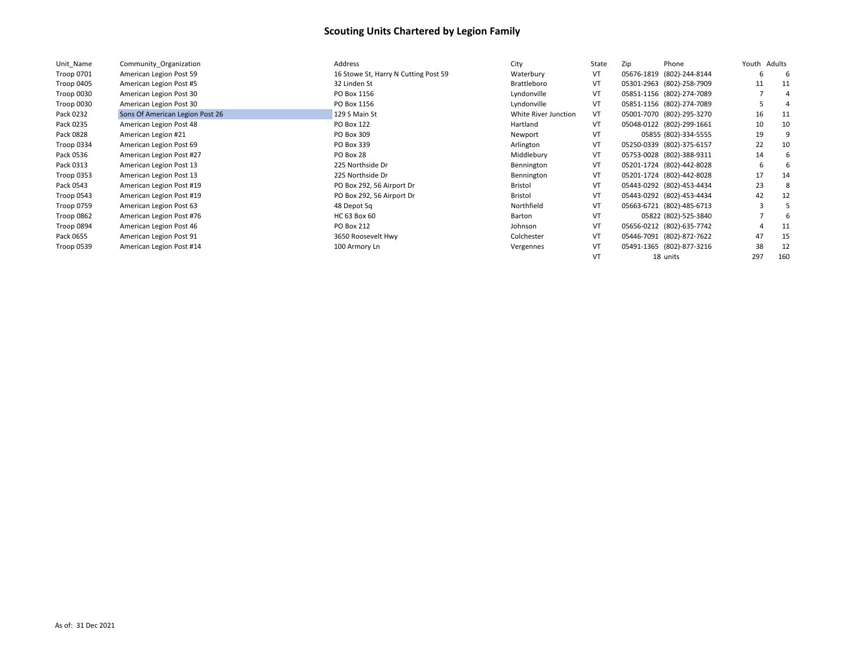| Unit Name         | Community Organization          | Address                              | City                 | State | Zip | Phone                     | Youth | Adults |
|-------------------|---------------------------------|--------------------------------------|----------------------|-------|-----|---------------------------|-------|--------|
| Troop 0701        | American Legion Post 59         | 16 Stowe St, Harry N Cutting Post 59 | Waterbury            | VT    |     | 05676-1819 (802)-244-8144 | 6     |        |
| Troop 0405        | American Legion Post #5         | 32 Linden St                         | Brattleboro          | VT    |     | 05301-2963 (802)-258-7909 | 11    | 11     |
| Troop 0030        | American Legion Post 30         | PO Box 1156                          | Lyndonville          | VT    |     | 05851-1156 (802)-274-7089 |       |        |
| Troop 0030        | American Legion Post 30         | PO Box 1156                          | Lyndonville          | VT    |     | 05851-1156 (802)-274-7089 |       |        |
| Pack 0232         | Sons Of American Legion Post 26 | 129 S Main St                        | White River Junction | VT    |     | 05001-7070 (802)-295-3270 | 16    | 11     |
| Pack 0235         | American Legion Post 48         | PO Box 122                           | Hartland             | VT    |     | 05048-0122 (802)-299-1661 | 10    | 10     |
| Pack 0828         | American Legion #21             | PO Box 309                           | Newport              | VT    |     | 05855 (802)-334-5555      | 19    |        |
| Troop 0334        | American Legion Post 69         | PO Box 339                           | Arlington            | VT    |     | 05250-0339 (802)-375-6157 | 22    | 10     |
| Pack 0536         | American Legion Post #27        | PO Box 28                            | Middlebury           | VT    |     | 05753-0028 (802)-388-9311 | 14    |        |
| Pack 0313         | American Legion Post 13         | 225 Northside Dr                     | Bennington           | VT    |     | 05201-1724 (802)-442-8028 | 6     |        |
| <b>Troop 0353</b> | American Legion Post 13         | 225 Northside Dr                     | Bennington           | VT    |     | 05201-1724 (802)-442-8028 | 17    | 14     |
| Pack 0543         | American Legion Post #19        | PO Box 292, 56 Airport Dr            | Bristol              | VT    |     | 05443-0292 (802)-453-4434 | 23    |        |
| Troop 0543        | American Legion Post #19        | PO Box 292, 56 Airport Dr            | Bristol              | VT    |     | 05443-0292 (802)-453-4434 | 42    | 12     |
| <b>Troop 0759</b> | American Legion Post 63         | 48 Depot Sq                          | Northfield           | VT    |     | 05663-6721 (802)-485-6713 |       |        |
| Troop 0862        | American Legion Post #76        | HC 63 Box 60                         | Barton               | VT    |     | 05822 (802)-525-3840      |       |        |
| Troop 0894        | American Legion Post 46         | PO Box 212                           | Johnson              | VT    |     | 05656-0212 (802)-635-7742 |       | 11     |
| Pack 0655         | American Legion Post 91         | 3650 Roosevelt Hwy                   | Colchester           | VT    |     | 05446-7091 (802)-872-7622 | 47    | 15     |
| Troop 0539        | American Legion Post #14        | 100 Armory Ln                        | Vergennes            | VT    |     | 05491-1365 (802)-877-3216 | 38    | 12     |
|                   |                                 |                                      |                      | VT    |     | 18 units                  | 297   | 160    |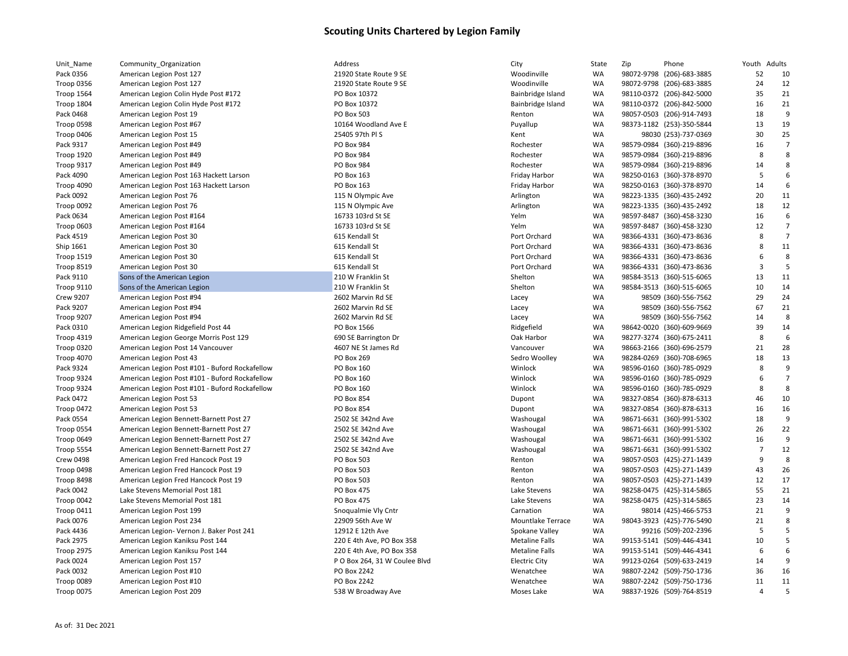| Unit_Name         | Community_Organization                         |
|-------------------|------------------------------------------------|
| Pack 0356         | American Legion Post 127                       |
| <b>Troop 0356</b> | American Legion Post 127                       |
| Troop 1564        | American Legion Colin Hyde Post #172           |
| Troop 1804        | American Legion Colin Hyde Post #172           |
| Pack 0468         | American Legion Post 19                        |
| Troop 0598        | American Legion Post #67                       |
| Troop 0406        | American Legion Post 15                        |
| Pack 9317         | American Legion Post #49                       |
| <b>Troop 1920</b> | American Legion Post #49                       |
| Troop 9317        | American Legion Post #49                       |
| Pack 4090         | American Legion Post 163 Hackett Larson        |
| Troop 4090        | American Legion Post 163 Hackett Larson        |
| Pack 0092         | American Legion Post 76                        |
| Troop 0092        | American Legion Post 76                        |
| Pack 0634         | American Legion Post #164                      |
| Troop 0603        | American Legion Post #164                      |
| Pack 4519         | American Legion Post 30                        |
| Ship 1661         | American Legion Post 30                        |
| Troop 1519        | American Legion Post 30                        |
| <b>Troop 8519</b> | American Legion Post 30                        |
| Pack 9110         | Sons of the American Legion                    |
| Troop 9110        | Sons of the American Legion                    |
| <b>Crew 9207</b>  | American Legion Post #94                       |
| Pack 9207         | American Legion Post #94                       |
| Troop 9207        | American Legion Post #94                       |
| Pack 0310         | American Legion Ridgefield Post 44             |
| Troop 4319        | American Legion George Morris Post 129         |
| Troop 0320        | American Legion Post 14 Vancouver              |
| <b>Troop 4070</b> | American Legion Post 43                        |
| Pack 9324         | American Legion Post #101 - Buford Rockafellow |
| Troop 9324        | American Legion Post #101 - Buford Rockafellow |
| Troop 9324        | American Legion Post #101 - Buford Rockafellow |
| Pack 0472         | American Legion Post 53                        |
| Troop 0472        | American Legion Post 53                        |
| Pack 0554         | American Legion Bennett-Barnett Post 27        |
| <b>Troop 0554</b> | American Legion Bennett-Barnett Post 27        |
| Troop 0649        | American Legion Bennett-Barnett Post 27        |
| Troop 5554        | American Legion Bennett-Barnett Post 27        |
| <b>Crew 0498</b>  | American Legion Fred Hancock Post 19           |
| Troop 0498        | American Legion Fred Hancock Post 19           |
| Troop 8498        | American Legion Fred Hancock Post 19           |
| Pack 0042         | Lake Stevens Memorial Post 181                 |
| Troop 0042        | Lake Stevens Memorial Post 181                 |
| Troop 0411        | American Legion Post 199                       |
| Pack 0076         | American Legion Post 234                       |
| Pack 4436         | American Legion- Vernon J. Baker Post 241      |
| Pack 2975         | American Legion Kaniksu Post 144               |
| <b>Troop 2975</b> | American Legion Kaniksu Post 144               |
| Pack 0024         | American Legion Post 157                       |
| Pack 0032         | American Legion Post #10                       |
| Troop 0089        | American Legion Post #10                       |
| <b>Troop 0075</b> | American Legion Post 209                       |

| Unit_Name         | Community_Organization                         | Address                                 | City                  | State                  | Zip | Phone                     | Youth Adults   |                |
|-------------------|------------------------------------------------|-----------------------------------------|-----------------------|------------------------|-----|---------------------------|----------------|----------------|
| Pack 0356         | American Legion Post 127                       | 21920 State Route 9 SE                  | Woodinville           | WA                     |     | 98072-9798 (206)-683-3885 | 52             | 10             |
| Troop 0356        | American Legion Post 127                       | 21920 State Route 9 SE                  | Woodinville           | WA                     |     | 98072-9798 (206)-683-3885 | 24             | 12             |
| Troop 1564        | American Legion Colin Hyde Post #172           | PO Box 10372                            | Bainbridge Island     | <b>WA</b>              |     | 98110-0372 (206)-842-5000 | 35             | 21             |
| Troop 1804        | American Legion Colin Hyde Post #172           | PO Box 10372                            | Bainbridge Island     | WA                     |     | 98110-0372 (206)-842-5000 | 16             | 21             |
| Pack 0468         | American Legion Post 19                        | PO Box 503                              | Renton                | <b>WA</b>              |     | 98057-0503 (206)-914-7493 | 18             | 9              |
| Troop 0598        | American Legion Post #67                       | 10164 Woodland Ave E                    | Puyallup              | <b>WA</b>              |     | 98373-1182 (253)-350-5844 | 13             | 19             |
| Troop 0406        | American Legion Post 15                        | 25405 97th PIS                          | Kent                  | <b>WA</b>              |     | 98030 (253)-737-0369      | 30             | 25             |
| Pack 9317         | American Legion Post #49                       | <b>PO Box 984</b>                       | Rochester             | WA                     |     | 98579-0984 (360)-219-8896 | 16             | $\overline{7}$ |
| <b>Troop 1920</b> | American Legion Post #49                       | PO Box 984                              | Rochester             | <b>WA</b>              |     | 98579-0984 (360)-219-8896 | 8              | 8              |
| Troop 9317        | American Legion Post #49                       | PO Box 984                              | Rochester             | <b>WA</b>              |     | 98579-0984 (360)-219-8896 | 14             | 8              |
| Pack 4090         | American Legion Post 163 Hackett Larson        | PO Box 163                              | Friday Harbor         | WA                     |     | 98250-0163 (360)-378-8970 | 5              | 6              |
| Troop 4090        | American Legion Post 163 Hackett Larson        | PO Box 163                              | Friday Harbor         | <b>WA</b>              |     | 98250-0163 (360)-378-8970 | 14             | 6              |
| Pack 0092         | American Legion Post 76                        | 115 N Olympic Ave                       | Arlington             | WA                     |     | 98223-1335 (360)-435-2492 | 20             | 11             |
| Troop 0092        | American Legion Post 76                        | 115 N Olympic Ave                       | Arlington             | WA                     |     | 98223-1335 (360)-435-2492 | 18             | 12             |
| Pack 0634         | American Legion Post #164                      | 16733 103rd St SE                       | Yelm                  | WA                     |     | 98597-8487 (360)-458-3230 | 16             | 6              |
| Troop 0603        | American Legion Post #164                      | 16733 103rd St SE                       | Yelm                  | <b>WA</b>              |     | 98597-8487 (360)-458-3230 | 12             | $\overline{7}$ |
| Pack 4519         | American Legion Post 30                        | 615 Kendall St                          | Port Orchard          | WA                     |     | 98366-4331 (360)-473-8636 | 8              | $\overline{7}$ |
| Ship 1661         | American Legion Post 30                        | 615 Kendall St                          | Port Orchard          | <b>WA</b>              |     | 98366-4331 (360)-473-8636 | 8              | 11             |
| Troop 1519        | American Legion Post 30                        | 615 Kendall St                          | Port Orchard          | <b>WA</b>              |     | 98366-4331 (360)-473-8636 | 6              | 8              |
| Troop 8519        | American Legion Post 30                        | 615 Kendall St                          | Port Orchard          | WA                     |     | 98366-4331 (360)-473-8636 | 3              | 5              |
| Pack 9110         | Sons of the American Legion                    | 210 W Franklin St                       | Shelton               | <b>WA</b>              |     | 98584-3513 (360)-515-6065 | 13             | 11             |
| Troop 9110        | Sons of the American Legion                    | 210 W Franklin St                       | Shelton               | <b>WA</b>              |     | 98584-3513 (360)-515-6065 | 10             | 14             |
| <b>Crew 9207</b>  | American Legion Post #94                       | 2602 Marvin Rd SE                       | Lacey                 | <b>WA</b>              |     | 98509 (360)-556-7562      | 29             | 24             |
| Pack 9207         | American Legion Post #94                       | 2602 Marvin Rd SE                       | Lacey                 | <b>WA</b>              |     | 98509 (360)-556-7562      | 67             | 21             |
| Troop 9207        | American Legion Post #94                       | 2602 Marvin Rd SE                       | Lacey                 | <b>WA</b>              |     | 98509 (360)-556-7562      | 14             | 8              |
| Pack 0310         | American Legion Ridgefield Post 44             | PO Box 1566                             | Ridgefield            | WA                     |     | 98642-0020 (360)-609-9669 | 39             | 14             |
| <b>Troop 4319</b> | American Legion George Morris Post 129         | 690 SE Barrington Dr                    | Oak Harbor            | WA                     |     | 98277-3274 (360)-675-2411 | 8              | 6              |
| Troop 0320        | American Legion Post 14 Vancouver              | 4607 NE St James Rd                     | Vancouver             | WA                     |     | 98663-2166 (360)-696-2579 | 21             | 28             |
| Troop 4070        | American Legion Post 43                        | PO Box 269                              | Sedro Woolley         | WA                     |     | 98284-0269 (360)-708-6965 | 18             | 13             |
| Pack 9324         | American Legion Post #101 - Buford Rockafellow | PO Box 160                              | Winlock               | <b>WA</b>              |     | 98596-0160 (360)-785-0929 | 8              | 9              |
| Troop 9324        | American Legion Post #101 - Buford Rockafellow | PO Box 160                              | Winlock               | WA                     |     | 98596-0160 (360)-785-0929 | 6              | $\overline{7}$ |
| Troop 9324        | American Legion Post #101 - Buford Rockafellow | PO Box 160                              | Winlock               | <b>WA</b>              |     | 98596-0160 (360)-785-0929 | 8              | 8              |
| Pack 0472         | American Legion Post 53                        | PO Box 854                              | Dupont                | WA                     |     | 98327-0854 (360)-878-6313 | 46             | 10             |
| Troop 0472        | American Legion Post 53                        | PO Box 854                              | Dupont                | WA                     |     | 98327-0854 (360)-878-6313 | 16             | 16             |
| Pack 0554         | American Legion Bennett-Barnett Post 27        | 2502 SE 342nd Ave                       | Washougal             | <b>WA</b>              |     | 98671-6631 (360)-991-5302 | 18             | 9              |
| Troop 0554        | American Legion Bennett-Barnett Post 27        | 2502 SE 342nd Ave                       | Washougal             | <b>WA</b>              |     | 98671-6631 (360)-991-5302 | 26             | 22             |
| Troop 0649        | American Legion Bennett-Barnett Post 27        | 2502 SE 342nd Ave                       | Washougal             | WA                     |     | 98671-6631 (360)-991-5302 | 16             | 9              |
| Troop 5554        | American Legion Bennett-Barnett Post 27        | 2502 SE 342nd Ave                       | Washougal             | <b>WA</b>              |     | 98671-6631 (360)-991-5302 | $\overline{7}$ | 12             |
| <b>Crew 0498</b>  | American Legion Fred Hancock Post 19           | PO Box 503                              | Renton                | <b>WA</b>              |     | 98057-0503 (425)-271-1439 | 9              | 8              |
| Troop 0498        | American Legion Fred Hancock Post 19           | PO Box 503                              | Renton                | WA                     |     | 98057-0503 (425)-271-1439 | 43             | 26             |
| Troop 8498        | American Legion Fred Hancock Post 19           | PO Box 503                              | Renton                | <b>WA</b>              |     | 98057-0503 (425)-271-1439 | 12             | 17             |
| Pack 0042         | Lake Stevens Memorial Post 181                 | PO Box 475                              | Lake Stevens          | WA                     |     | 98258-0475 (425)-314-5865 | 55             | 21             |
|                   | Lake Stevens Memorial Post 181                 | PO Box 475                              | Lake Stevens          | WA                     |     | 98258-0475 (425)-314-5865 | 23             | 14             |
| Troop 0042        |                                                |                                         | Carnation             |                        |     |                           |                | 9              |
| Troop 0411        | American Legion Post 199                       | Snoqualmie Vly Cntr<br>22909 56th Ave W |                       | <b>WA</b><br><b>WA</b> |     | 98014 (425)-466-5753      | 21             | 8              |
| Pack 0076         | American Legion Post 234                       |                                         | Mountlake Terrace     |                        |     | 98043-3923 (425)-776-5490 | 21             | 5              |
| Pack 4436         | American Legion- Vernon J. Baker Post 241      | 12912 E 12th Ave                        | Spokane Valley        | WA                     |     | 99216 (509)-202-2396      | 5              |                |
| Pack 2975         | American Legion Kaniksu Post 144               | 220 E 4th Ave, PO Box 358               | <b>Metaline Falls</b> | <b>WA</b>              |     | 99153-5141 (509)-446-4341 | 10             | 5<br>6         |
| Troop 2975        | American Legion Kaniksu Post 144               | 220 E 4th Ave, PO Box 358               | <b>Metaline Falls</b> | <b>WA</b>              |     | 99153-5141 (509)-446-4341 | 6              |                |
| Pack 0024         | American Legion Post 157                       | P O Box 264, 31 W Coulee Blvd           | <b>Electric City</b>  | <b>WA</b>              |     | 99123-0264 (509)-633-2419 | 14             | 9              |
| Pack 0032         | American Legion Post #10                       | PO Box 2242                             | Wenatchee             | <b>WA</b>              |     | 98807-2242 (509)-750-1736 | 36             | 16             |
| Troop 0089        | American Legion Post #10                       | PO Box 2242                             | Wenatchee             | <b>WA</b>              |     | 98807-2242 (509)-750-1736 | 11             | 11             |
| Troop 0075        | American Legion Post 209                       | 538 W Broadway Ave                      | Moses Lake            | <b>WA</b>              |     | 98837-1926 (509)-764-8519 | $\overline{4}$ | 5              |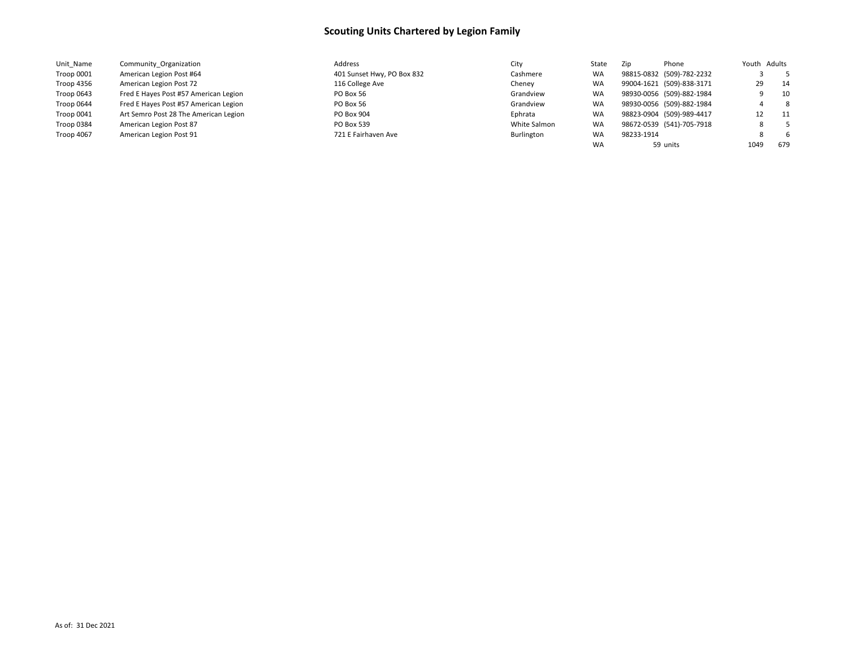| Unit Name  | Community Organization                | Address                    | City         | State     | Phone<br>Zip              | Youth Adults |         |     |
|------------|---------------------------------------|----------------------------|--------------|-----------|---------------------------|--------------|---------|-----|
| Troop 0001 | American Legion Post #64              | 401 Sunset Hwy, PO Box 832 | Cashmere     | <b>WA</b> | 98815-0832 (509)-782-2232 |              |         | - 5 |
| Troop 4356 | American Legion Post 72               | 116 College Ave            | Cheney       | <b>WA</b> | 99004-1621 (509)-838-3171 |              | 29      | 14  |
| Troop 0643 | Fred E Hayes Post #57 American Legion | PO Box 56                  | Grandview    | <b>WA</b> | 98930-0056 (509)-882-1984 |              |         | 10  |
| Troop 0644 | Fred E Hayes Post #57 American Legion | PO Box 56                  | Grandview    | <b>WA</b> | 98930-0056 (509)-882-1984 |              |         | - 8 |
| Troop 0041 | Art Semro Post 28 The American Legion | PO Box 904                 | Ephrata      | <b>WA</b> | 98823-0904 (509)-989-4417 |              | 12      | 11  |
| Troop 0384 | American Legion Post 87               | PO Box 539                 | White Salmon | <b>WA</b> | 98672-0539 (541)-705-7918 |              | $\circ$ |     |
| Troop 4067 | American Legion Post 91               | 721 E Fairhaven Ave        | Burlington   | WA        | 98233-1914                |              |         | - 6 |
|            |                                       |                            |              | <b>WA</b> | 59 units                  | 1049         |         | 679 |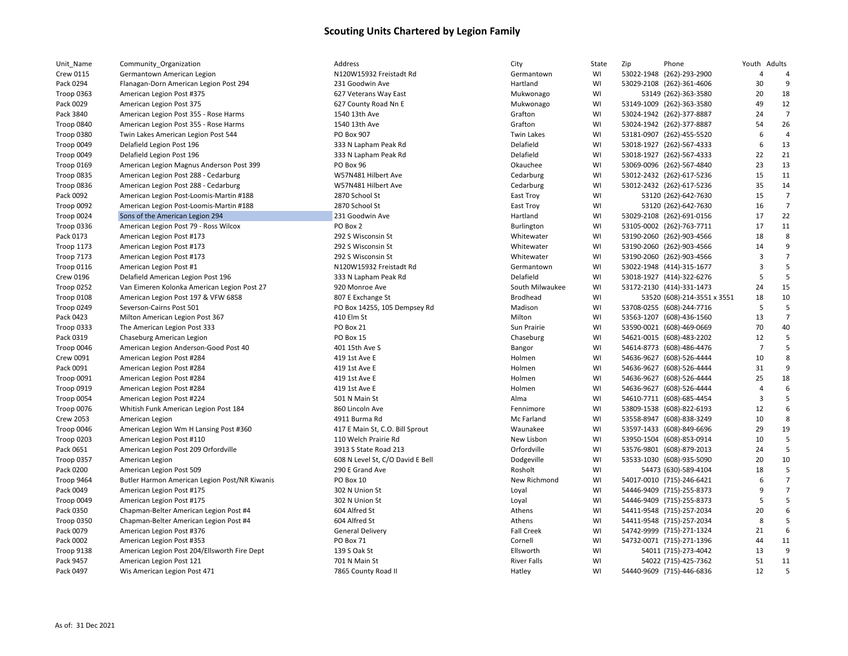| Unit_Name         | Community_Organization                        | Address                          | City               | State | Zip | Phone                       | Youth Adults            |                |
|-------------------|-----------------------------------------------|----------------------------------|--------------------|-------|-----|-----------------------------|-------------------------|----------------|
| <b>Crew 0115</b>  | Germantown American Legion                    | N120W15932 Freistadt Rd          | Germantown         | WI    |     | 53022-1948 (262)-293-2900   | $\overline{4}$          | 4              |
| Pack 0294         | Flanagan-Dorn American Legion Post 294        | 231 Goodwin Ave                  | Hartland           | WI    |     | 53029-2108 (262)-361-4606   | 30                      | 9              |
| <b>Troop 0363</b> | American Legion Post #375                     | 627 Veterans Way East            | Mukwonago          | WI    |     | 53149 (262)-363-3580        | 20                      | 18             |
| Pack 0029         | American Legion Post 375                      | 627 County Road Nn E             | Mukwonago          | WI    |     | 53149-1009 (262)-363-3580   | 49                      | 12             |
| Pack 3840         | American Legion Post 355 - Rose Harms         | 1540 13th Ave                    | Grafton            | WI    |     | 53024-1942 (262)-377-8887   | 24                      | $\overline{7}$ |
| Troop 0840        | American Legion Post 355 - Rose Harms         | 1540 13th Ave                    | Grafton            | WI    |     | 53024-1942 (262)-377-8887   | 54                      | 26             |
| Troop 0380        | Twin Lakes American Legion Post 544           | <b>PO Box 907</b>                | <b>Twin Lakes</b>  | WI    |     | 53181-0907 (262)-455-5520   | 6                       | $\overline{4}$ |
| Troop 0049        | Delafield Legion Post 196                     | 333 N Lapham Peak Rd             | Delafield          | WI    |     | 53018-1927 (262)-567-4333   | 6                       | 13             |
| Troop 0049        | Delafield Legion Post 196                     | 333 N Lapham Peak Rd             | Delafield          | WI    |     | 53018-1927 (262)-567-4333   | 22                      | 21             |
| Troop 0169        | American Legion Magnus Anderson Post 399      | PO Box 96                        | Okauchee           | WI    |     | 53069-0096 (262)-567-4840   | 23                      | 13             |
| Troop 0835        | American Legion Post 288 - Cedarburg          | W57N481 Hilbert Ave              | Cedarburg          | WI    |     | 53012-2432 (262)-617-5236   | 15                      | 11             |
| Troop 0836        | American Legion Post 288 - Cedarburg          | W57N481 Hilbert Ave              | Cedarburg          | WI    |     | 53012-2432 (262)-617-5236   | 35                      | 14             |
| Pack 0092         | American Legion Post-Loomis-Martin #188       | 2870 School St                   | East Troy          | WI    |     | 53120 (262)-642-7630        | 15                      | $\overline{7}$ |
| Troop 0092        | American Legion Post-Loomis-Martin #188       | 2870 School St                   | East Troy          | WI    |     | 53120 (262)-642-7630        | 16                      | $\overline{7}$ |
| Troop 0024        | Sons of the American Legion 294               | 231 Goodwin Ave                  | Hartland           | WI    |     | 53029-2108 (262)-691-0156   | 17                      | 22             |
| Troop 0336        | American Legion Post 79 - Ross Wilcox         | PO Box 2                         | Burlington         | WI    |     | 53105-0002 (262)-763-7711   | 17                      | 11             |
| Pack 0173         | American Legion Post #173                     | 292 S Wisconsin St               | Whitewater         | WI    |     | 53190-2060 (262)-903-4566   | 18                      | 8              |
| <b>Troop 1173</b> | American Legion Post #173                     | 292 S Wisconsin St               | Whitewater         | WI    |     | 53190-2060 (262)-903-4566   | 14                      | 9              |
| <b>Troop 7173</b> | American Legion Post #173                     | 292 S Wisconsin St               | Whitewater         | WI    |     | 53190-2060 (262)-903-4566   | $\overline{3}$          | $\overline{7}$ |
| Troop 0116        | American Legion Post #1                       | N120W15932 Freistadt Rd          | Germantown         | WI    |     | 53022-1948 (414)-315-1677   | $\overline{\mathbf{3}}$ | 5              |
| <b>Crew 0196</b>  | Delafield American Legion Post 196            | 333 N Lapham Peak Rd             | Delafield          | WI    |     | 53018-1927 (414)-322-6276   | 5                       | 5              |
| Troop 0252        | Van Eimeren Kolonka American Legion Post 27   | 920 Monroe Ave                   | South Milwaukee    | WI    |     | 53172-2130 (414)-331-1473   | 24                      | 15             |
| Troop 0108        | American Legion Post 197 & VFW 6858           | 807 E Exchange St                | <b>Brodhead</b>    | WI    |     | 53520 (608)-214-3551 x 3551 | 18                      | 10             |
| Troop 0249        | Severson-Cairns Post 501                      | PO Box 14255, 105 Dempsey Rd     | Madison            | WI    |     | 53708-0255 (608)-244-7716   | 5                       | 5              |
| Pack 0423         | Milton American Legion Post 367               | 410 Elm St                       | Milton             | WI    |     | 53563-1207 (608)-436-1560   | 13                      | $\overline{7}$ |
| Troop 0333        | The American Legion Post 333                  | PO Box 21                        | Sun Prairie        | WI    |     | 53590-0021 (608)-469-0669   | 70                      | 40             |
| Pack 0319         | Chaseburg American Legion                     | PO Box 15                        | Chaseburg          | WI    |     | 54621-0015 (608)-483-2202   | 12                      | 5              |
| Troop 0046        | American Legion Anderson-Good Post 40         | 401 15th Ave S                   | Bangor             | WI    |     | 54614-8773 (608)-486-4476   | $\overline{7}$          | 5              |
| Crew 0091         | American Legion Post #284                     | 419 1st Ave E                    | Holmen             | WI    |     | 54636-9627 (608)-526-4444   | 10                      | 8              |
| Pack 0091         | American Legion Post #284                     | 419 1st Ave E                    | Holmen             | WI    |     | 54636-9627 (608)-526-4444   | 31                      | 9              |
| Troop 0091        | American Legion Post #284                     | 419 1st Ave E                    | Holmen             | WI    |     | 54636-9627 (608)-526-4444   | 25                      | 18             |
| Troop 0919        | American Legion Post #284                     | 419 1st Ave E                    | Holmen             | WI    |     | 54636-9627 (608)-526-4444   | $\overline{4}$          | 6              |
| Troop 0054        | American Legion Post #224                     | 501 N Main St                    | Alma               | WI    |     | 54610-7711 (608)-685-4454   | $\overline{\mathbf{3}}$ | 5              |
| <b>Troop 0076</b> | Whitish Funk American Legion Post 184         | 860 Lincoln Ave                  | Fennimore          | WI    |     | 53809-1538 (608)-822-6193   | 12                      | 6              |
| <b>Crew 2053</b>  | American Legion                               | 4911 Burma Rd                    | Mc Farland         | WI    |     | 53558-8947 (608)-838-3249   | 10                      | 8              |
| Troop 0046        | American Legion Wm H Lansing Post #360        | 417 E Main St, C.O. Bill Sprout  | Waunakee           | WI    |     | 53597-1433 (608)-849-6696   | 29                      | 19             |
| Troop 0203        | American Legion Post #110                     | 110 Welch Prairie Rd             | New Lisbon         | WI    |     | 53950-1504 (608)-853-0914   | 10                      | 5              |
| Pack 0651         | American Legion Post 209 Orfordville          | 3913 S State Road 213            | Orfordville        | WI    |     | 53576-9801 (608)-879-2013   | 24                      | 5              |
| Troop 0357        | American Legion                               | 608 N Level St, C/O David E Bell | Dodgeville         | WI    |     | 53533-1030 (608)-935-5090   | 20                      | 10             |
| Pack 0200         | American Legion Post 509                      | 290 E Grand Ave                  | Rosholt            | WI    |     | 54473 (630)-589-4104        | 18                      | 5              |
| Troop 9464        | Butler Harmon American Legion Post/NR Kiwanis | PO Box 10                        | New Richmond       | WI    |     | 54017-0010 (715)-246-6421   | 6                       | $\overline{7}$ |
| Pack 0049         | American Legion Post #175                     | 302 N Union St                   | Loyal              | WI    |     | 54446-9409 (715)-255-8373   | 9                       | $\overline{7}$ |
| Troop 0049        | American Legion Post #175                     | 302 N Union St                   | Loyal              | WI    |     | 54446-9409 (715)-255-8373   | 5                       | 5              |
| Pack 0350         | Chapman-Belter American Legion Post #4        | 604 Alfred St                    | Athens             | WI    |     | 54411-9548 (715)-257-2034   | 20                      | 6              |
| <b>Troop 0350</b> | Chapman-Belter American Legion Post #4        | 604 Alfred St                    | Athens             | WI    |     | 54411-9548 (715)-257-2034   | 8                       | 5              |
| Pack 0079         | American Legion Post #376                     | <b>General Delivery</b>          | <b>Fall Creek</b>  | WI    |     | 54742-9999 (715)-271-1324   | 21                      | 6              |
| Pack 0002         | American Legion Post #353                     | PO Box 71                        | Cornell            | WI    |     | 54732-0071 (715)-271-1396   | 44                      | 11             |
| Troop 9138        | American Legion Post 204/Ellsworth Fire Dept  | 139 S Oak St                     | Ellsworth          | WI    |     | 54011 (715)-273-4042        | 13                      | 9              |
| Pack 9457         | American Legion Post 121                      | 701 N Main St                    | <b>River Falls</b> | WI    |     | 54022 (715)-425-7362        | 51                      | 11             |
| Pack 0497         | Wis American Legion Post 471                  | 7865 County Road II              | Hatley             | WI    |     | 54440-9609 (715)-446-6836   | 12                      | 5              |
|                   |                                               |                                  |                    |       |     |                             |                         |                |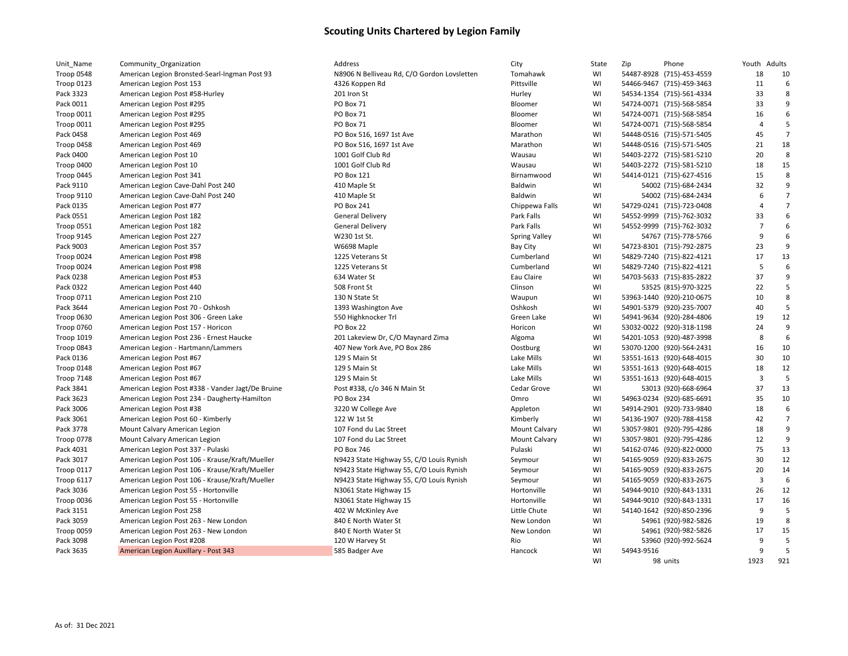| Unit_Name         | Community_Organization                            | Address                                     | City                 | State | Zip        | Phone                     |                | Youth Adults   |
|-------------------|---------------------------------------------------|---------------------------------------------|----------------------|-------|------------|---------------------------|----------------|----------------|
| Troop 0548        | American Legion Bronsted-Searl-Ingman Post 93     | N8906 N Belliveau Rd, C/O Gordon Lovsletten | Tomahawk             | WI    |            | 54487-8928 (715)-453-4559 | 18             | 10             |
| Troop 0123        | American Legion Post 153                          | 4326 Koppen Rd                              | Pittsville           | WI    |            | 54466-9467 (715)-459-3463 | 11             |                |
| Pack 3323         | American Legion Post #58-Hurley                   | 201 Iron St                                 | Hurley               | WI    |            | 54534-1354 (715)-561-4334 | 33             |                |
| Pack 0011         | American Legion Post #295                         | PO Box 71                                   | Bloomer              | WI    |            | 54724-0071 (715)-568-5854 | 33             | 9              |
| Troop 0011        | American Legion Post #295                         | PO Box 71                                   | Bloomer              | WI    |            | 54724-0071 (715)-568-5854 | 16             | 6              |
| Troop 0011        | American Legion Post #295                         | PO Box 71                                   | Bloomer              | WI    |            | 54724-0071 (715)-568-5854 | $\overline{4}$ | 5              |
| Pack 0458         | American Legion Post 469                          | PO Box 516, 1697 1st Ave                    | Marathon             | WI    |            | 54448-0516 (715)-571-5405 | 45             | $\overline{7}$ |
| Troop 0458        | American Legion Post 469                          | PO Box 516, 1697 1st Ave                    | Marathon             | WI    |            | 54448-0516 (715)-571-5405 | 21             | 18             |
| Pack 0400         | American Legion Post 10                           | 1001 Golf Club Rd                           | Wausau               | WI    |            | 54403-2272 (715)-581-5210 | 20             | 8              |
| Troop 0400        | American Legion Post 10                           | 1001 Golf Club Rd                           | Wausau               | WI    |            | 54403-2272 (715)-581-5210 | 18             | 15             |
| Troop 0445        | American Legion Post 341                          | PO Box 121                                  | Birnamwood           | WI    |            | 54414-0121 (715)-627-4516 | 15             |                |
| Pack 9110         | American Legion Cave-Dahl Post 240                | 410 Maple St                                | Baldwin              | WI    |            | 54002 (715)-684-2434      | 32             |                |
| <b>Troop 9110</b> | American Legion Cave-Dahl Post 240                | 410 Maple St                                | <b>Baldwin</b>       | WI    |            | 54002 (715)-684-2434      | 6              |                |
| Pack 0135         | American Legion Post #77                          | PO Box 241                                  | Chippewa Falls       | WI    |            | 54729-0241 (715)-723-0408 | $\overline{4}$ |                |
| Pack 0551         | American Legion Post 182                          | <b>General Delivery</b>                     | Park Falls           | WI    |            | 54552-9999 (715)-762-3032 | 33             |                |
| Troop 0551        | American Legion Post 182                          | <b>General Delivery</b>                     | Park Falls           | WI    |            | 54552-9999 (715)-762-3032 | $\overline{7}$ | 6              |
| Troop 9145        | American Legion Post 227                          | W230 1st St.                                | <b>Spring Valley</b> | WI    |            | 54767 (715)-778-5766      | 9              | 6              |
| Pack 9003         | American Legion Post 357                          | W6698 Maple                                 | <b>Bay City</b>      | WI    |            | 54723-8301 (715)-792-2875 | 23             |                |
| Troop 0024        | American Legion Post #98                          | 1225 Veterans St                            | Cumberland           | WI    |            | 54829-7240 (715)-822-4121 | 17             | 13             |
| Troop 0024        | American Legion Post #98                          | 1225 Veterans St                            | Cumberland           | WI    |            | 54829-7240 (715)-822-4121 | 5              | 6              |
| Pack 0238         | American Legion Post #53                          | 634 Water St                                | Eau Claire           | WI    |            | 54703-5633 (715)-835-2822 | 37             |                |
| Pack 0322         | American Legion Post 440                          | 508 Front St                                | Clinson              | WI    |            | 53525 (815)-970-3225      | 22             | 5              |
| <b>Troop 0711</b> | American Legion Post 210                          | 130 N State St                              | Waupun               | WI    |            | 53963-1440 (920)-210-0675 | 10             | 8              |
| Pack 3644         | American Legion Post 70 - Oshkosh                 | 1393 Washington Ave                         | Oshkosh              | WI    |            | 54901-5379 (920)-235-7007 | 40             | 5              |
| Troop 0630        | American Legion Post 306 - Green Lake             | 550 Highknocker Trl                         | Green Lake           | WI    |            | 54941-9634 (920)-284-4806 | 19             | 12             |
| <b>Troop 0760</b> | American Legion Post 157 - Horicon                | PO Box 22                                   | Horicon              | WI    |            | 53032-0022 (920)-318-1198 | 24             | q              |
| <b>Troop 1019</b> | American Legion Post 236 - Ernest Haucke          | 201 Lakeview Dr, C/O Maynard Zima           | Algoma               | WI    |            | 54201-1053 (920)-487-3998 | 8              | 6              |
| Troop 0843        | American Legion - Hartmann/Lammers                | 407 New York Ave, PO Box 286                | Oostburg             | WI    |            | 53070-1200 (920)-564-2431 | 16             | 10             |
| Pack 0136         | American Legion Post #67                          | 129 S Main St                               | Lake Mills           | WI    |            | 53551-1613 (920)-648-4015 | 30             | 10             |
| Troop 0148        | American Legion Post #67                          | 129 S Main St                               | Lake Mills           | WI    |            | 53551-1613 (920)-648-4015 | 18             | 12             |
| Troop 7148        | American Legion Post #67                          | 129 S Main St                               | Lake Mills           | WI    |            | 53551-1613 (920)-648-4015 | 3              | 5              |
| Pack 3841         | American Legion Post #338 - Vander Jagt/De Bruine | Post #338, c/o 346 N Main St                | Cedar Grove          | WI    |            | 53013 (920)-668-6964      | 37             | 13             |
| Pack 3623         | American Legion Post 234 - Daugherty-Hamilton     | PO Box 234                                  | Omro                 | WI    |            | 54963-0234 (920)-685-6691 | 35             | 10             |
| Pack 3006         | American Legion Post #38                          | 3220 W College Ave                          | Appleton             | WI    |            | 54914-2901 (920)-733-9840 | 18             | 6              |
| Pack 3061         | American Legion Post 60 - Kimberly                | 122 W 1st St                                | Kimberly             | WI    |            | 54136-1907 (920)-788-4158 | 42             | $\overline{7}$ |
| Pack 3778         | Mount Calvary American Legion                     | 107 Fond du Lac Street                      | <b>Mount Calvary</b> | WI    |            | 53057-9801 (920)-795-4286 | 18             | 9              |
| Troop 0778        | Mount Calvary American Legion                     | 107 Fond du Lac Street                      | <b>Mount Calvary</b> | WI    |            | 53057-9801 (920)-795-4286 | 12             | q              |
| Pack 4031         | American Legion Post 337 - Pulaski                | PO Box 746                                  | Pulaski              | WI    |            | 54162-0746 (920)-822-0000 | 75             | 13             |
| Pack 3017         | American Legion Post 106 - Krause/Kraft/Mueller   | N9423 State Highway 55, C/O Louis Rynish    | Seymour              | WI    |            | 54165-9059 (920)-833-2675 | 30             | 12             |
| Troop 0117        | American Legion Post 106 - Krause/Kraft/Mueller   | N9423 State Highway 55, C/O Louis Rynish    | Seymour              | WI    |            | 54165-9059 (920)-833-2675 | 20             | 14             |
| Troop 6117        | American Legion Post 106 - Krause/Kraft/Mueller   | N9423 State Highway 55, C/O Louis Rynish    | Seymour              | WI    |            | 54165-9059 (920)-833-2675 | 3              | 6              |
| Pack 3036         | American Legion Post 55 - Hortonville             | N3061 State Highway 15                      | Hortonville          | WI    |            | 54944-9010 (920)-843-1331 | 26             | 12             |
| Troop 0036        | American Legion Post 55 - Hortonville             | N3061 State Highway 15                      | Hortonville          | WI    |            | 54944-9010 (920)-843-1331 | 17             | 16             |
| Pack 3151         | American Legion Post 258                          | 402 W McKinley Ave                          | Little Chute         | WI    |            | 54140-1642 (920)-850-2396 | 9              | 5              |
| Pack 3059         | American Legion Post 263 - New London             | 840 E North Water St                        | New London           | WI    |            | 54961 (920)-982-5826      | 19             | 8              |
| Troop 0059        | American Legion Post 263 - New London             | 840 E North Water St                        | New London           | WI    |            | 54961 (920)-982-5826      | 17             | 15             |
| Pack 3098         | American Legion Post #208                         | 120 W Harvey St                             | Rio                  | WI    |            | 53960 (920)-992-5624      | 9              | 5              |
| Pack 3635         | American Legion Auxillary - Post 343              | 585 Badger Ave                              | Hancock              | WI    | 54943-9516 |                           | 9              | 5              |
|                   |                                                   |                                             |                      |       |            |                           |                |                |

| Tomahawk             | WI |            | 54487-8928 (715)-453-4559 | 18             | 10             |
|----------------------|----|------------|---------------------------|----------------|----------------|
| Pittsville           | WI |            | 54466-9467 (715)-459-3463 | 11             | 6              |
| Hurley               | WI |            | 54534-1354 (715)-561-4334 | 33             | 8              |
| Bloomer              | WI |            | 54724-0071 (715)-568-5854 | 33             | 9              |
| Bloomer              | WI |            | 54724-0071 (715)-568-5854 | 16             | 6              |
| Bloomer              | WI |            | 54724-0071 (715)-568-5854 | 4              | 5              |
| Marathon             | WI |            | 54448-0516 (715)-571-5405 | 45             | 7              |
| Marathon             | WI |            | 54448-0516 (715)-571-5405 | 21             | 18             |
| Wausau               | WI |            | 54403-2272 (715)-581-5210 | 20             | 8              |
| Wausau               | WI |            | 54403-2272 (715)-581-5210 | 18             | 15             |
| Birnamwood           | WI |            | 54414-0121 (715)-627-4516 | 15             | 8              |
| Baldwin              | WI |            | 54002 (715)-684-2434      | 32             | 9              |
| Baldwin              | WI |            | 54002 (715)-684-2434      | 6              | 7              |
| Chippewa Falls       | WI |            | 54729-0241 (715)-723-0408 | $\overline{4}$ | 7              |
| Park Falls           | WI |            | 54552-9999 (715)-762-3032 | 33             | 6              |
| Park Falls           | WI |            | 54552-9999 (715)-762-3032 | $\overline{7}$ | 6              |
| <b>Spring Valley</b> | WI |            | 54767 (715)-778-5766      | 9              | 6              |
| <b>Bay City</b>      | WI |            | 54723-8301 (715)-792-2875 | 23             | 9              |
| Cumberland           | WI |            | 54829-7240 (715)-822-4121 | 17             | 13             |
| Cumberland           | WI |            | 54829-7240 (715)-822-4121 | 5              | 6              |
| Eau Claire           | WI |            | 54703-5633 (715)-835-2822 | 37             | 9              |
| Clinson              | WI |            | 53525 (815)-970-3225      | 22             | 5              |
| Waupun               | WI |            | 53963-1440 (920)-210-0675 | 10             | 8              |
| Oshkosh              | WI |            | 54901-5379 (920)-235-7007 | 40             | 5              |
| Green Lake           | WI |            | 54941-9634 (920)-284-4806 | 19             | 12             |
| Horicon              | WI |            | 53032-0022 (920)-318-1198 | 24             | 9              |
| Algoma               | WI |            | 54201-1053 (920)-487-3998 | 8              | 6              |
| Oostburg             | WI |            | 53070-1200 (920)-564-2431 | 16             | 10             |
| Lake Mills           | WI |            | 53551-1613 (920)-648-4015 | 30             | 10             |
| Lake Mills           | WI |            | 53551-1613 (920)-648-4015 | 18             | 12             |
| Lake Mills           | WI |            | 53551-1613 (920)-648-4015 | 3              | 5              |
| Cedar Grove          | WI |            | 53013 (920)-668-6964      | 37             | 13             |
| Omro                 | WI |            | 54963-0234 (920)-685-6691 | 35             | 10             |
| Appleton             | WI |            | 54914-2901 (920)-733-9840 | 18             | 6              |
| Kimberly             | WI |            | 54136-1907 (920)-788-4158 | 42             | $\overline{7}$ |
| <b>Mount Calvary</b> | WI |            | 53057-9801 (920)-795-4286 | 18             | 9              |
| <b>Mount Calvary</b> | WI |            | 53057-9801 (920)-795-4286 | 12             | 9              |
| Pulaski              | WI |            | 54162-0746 (920)-822-0000 | 75             | 13             |
| Seymour              | WI |            | 54165-9059 (920)-833-2675 | 30             | 12             |
| Seymour              | WI |            | 54165-9059 (920)-833-2675 | 20             | 14             |
| Seymour              | WI |            | 54165-9059 (920)-833-2675 | 3              | 6              |
| Hortonville          | WI |            | 54944-9010 (920)-843-1331 | 26             | 12             |
| Hortonville          | WI |            | 54944-9010 (920)-843-1331 | 17             | 16             |
| Little Chute         | WI |            | 54140-1642 (920)-850-2396 | 9              | 5              |
| New London           | WI |            | 54961 (920)-982-5826      | 19             | 8              |
| New London           | WI |            | 54961 (920)-982-5826      | 17             | 15             |
| Rio                  | WI |            | 53960 (920)-992-5624      | 9              | 5              |
| Hancock              | WI | 54943-9516 |                           | 9              | 5              |
|                      | WI |            | 98 units                  | 1923           | 921            |
|                      |    |            |                           |                |                |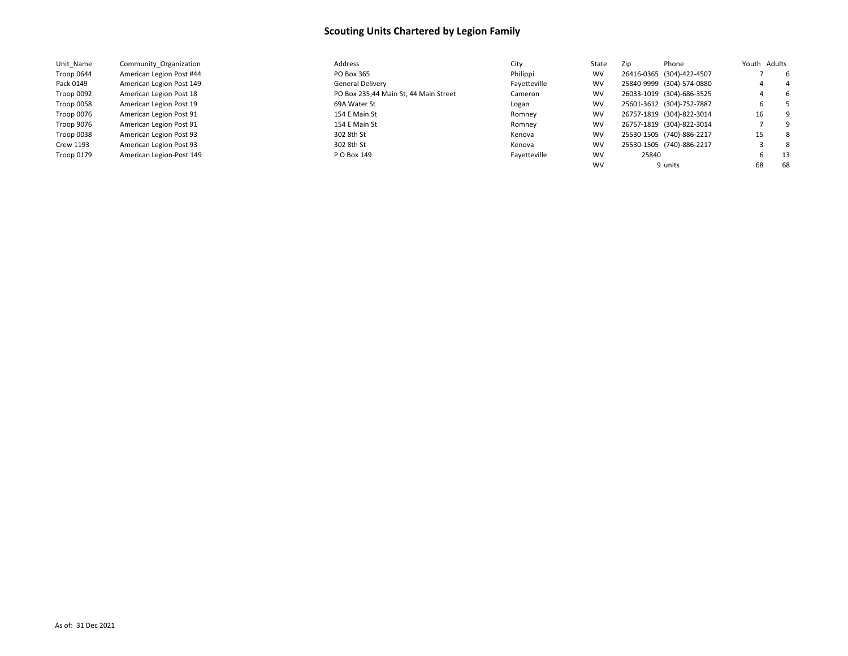| Unit Name  | Community Organization   | Address                               | City         | State     | Zip   | Phone                     | Youth Adults |     |
|------------|--------------------------|---------------------------------------|--------------|-----------|-------|---------------------------|--------------|-----|
| Troop 0644 | American Legion Post #44 | PO Box 365                            | Philippi     | <b>WV</b> |       | 26416-0365 (304)-422-4507 |              | -6  |
| Pack 0149  | American Legion Post 149 | General Delivery                      | Fayetteville | <b>WV</b> |       | 25840-9999 (304)-574-0880 |              | 4   |
| Troop 0092 | American Legion Post 18  | PO Box 235;44 Main St, 44 Main Street | Cameron      | <b>WV</b> |       | 26033-1019 (304)-686-3525 |              | -6  |
| Troop 0058 | American Legion Post 19  | 69A Water St                          | Logan        | <b>WV</b> |       | 25601-3612 (304)-752-7887 | ь            |     |
| Troop 0076 | American Legion Post 91  | 154 E Main St                         | Romney       | <b>WV</b> |       | 26757-1819 (304)-822-3014 | 16           | -9  |
| Troop 9076 | American Legion Post 91  | 154 E Main St                         | Romnev       | <b>WV</b> |       | 26757-1819 (304)-822-3014 |              | - q |
| Troop 0038 | American Legion Post 93  | 302 8th St                            | Kenova       | <b>WV</b> |       | 25530-1505 (740)-886-2217 | 15           | -8  |
| Crew 1193  | American Legion Post 93  | 302 8th St                            | Kenova       | <b>WV</b> |       | 25530-1505 (740)-886-2217 |              | -8  |
| Troop 0179 | American Legion-Post 149 | P O Box 149                           | Fayetteville | <b>WV</b> | 25840 |                           | h            | -13 |
|            |                          |                                       |              | <b>WV</b> |       | 9 units                   | 68           | 68  |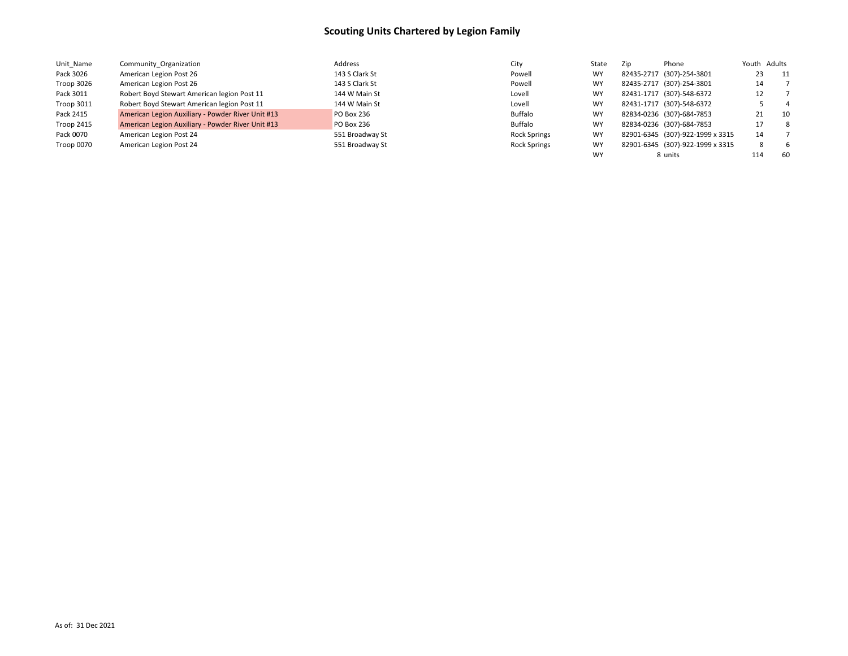| Unit Name  | Community Organization                            | Address           | City                | State     | Zip | Phone                            | Youth Adults |                |
|------------|---------------------------------------------------|-------------------|---------------------|-----------|-----|----------------------------------|--------------|----------------|
| Pack 3026  | American Legion Post 26                           | 143 S Clark St    | Powell              | <b>WY</b> |     | 82435-2717 (307)-254-3801        | 23           | 11             |
| Troop 3026 | American Legion Post 26                           | 143 S Clark St    | Powell              | <b>WY</b> |     | 82435-2717 (307)-254-3801        | 14           |                |
| Pack 3011  | Robert Boyd Stewart American legion Post 11       | 144 W Main St     | Lovell              | <b>WY</b> |     | 82431-1717 (307)-548-6372        | 12           |                |
| Troop 3011 | Robert Boyd Stewart American legion Post 11       | 144 W Main St     | Lovell              | <b>WY</b> |     | 82431-1717 (307)-548-6372        |              | $\overline{4}$ |
| Pack 2415  | American Legion Auxiliary - Powder River Unit #13 | <b>PO Box 236</b> | Buffalo             | WY        |     | 82834-0236 (307)-684-7853        | 21           | 10             |
| Troop 2415 | American Legion Auxiliary - Powder River Unit #13 | <b>PO Box 236</b> | Buffalo             | <b>WY</b> |     | 82834-0236 (307)-684-7853        |              | - 8            |
| Pack 0070  | American Legion Post 24                           | 551 Broadway St   | <b>Rock Springs</b> | <b>WY</b> |     | 82901-6345 (307)-922-1999 x 3315 | 14           |                |
| Troop 0070 | American Legion Post 24                           | 551 Broadway St   | <b>Rock Springs</b> | <b>WY</b> |     | 82901-6345 (307)-922-1999 x 3315 |              | - 6            |
|            |                                                   |                   |                     | <b>WY</b> |     | 8 units                          | 114          | 60             |